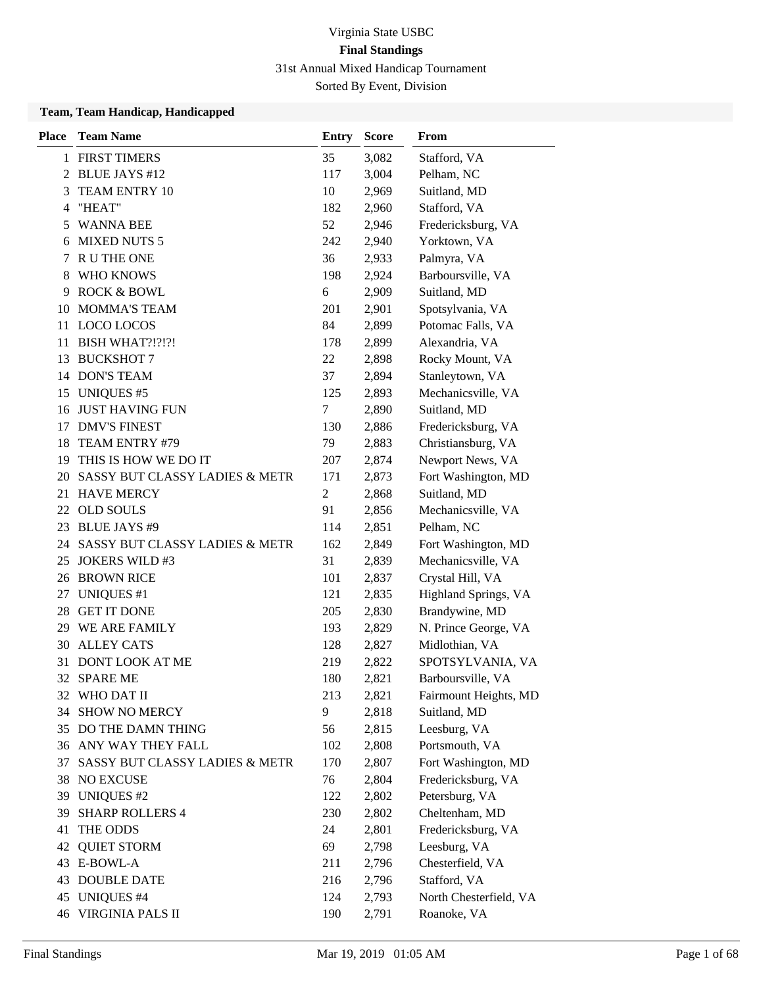| <b>Place</b> | <b>Team Name</b>               | <b>Entry</b>   | <b>Score</b> | From                   |
|--------------|--------------------------------|----------------|--------------|------------------------|
|              | 1 FIRST TIMERS                 | 35             | 3,082        | Stafford, VA           |
| 2            | <b>BLUE JAYS #12</b>           | 117            | 3,004        | Pelham, NC             |
| 3            | TEAM ENTRY 10                  | 10             | 2,969        | Suitland, MD           |
| 4            | "HEAT"                         | 182            | 2,960        | Stafford, VA           |
| 5            | <b>WANNA BEE</b>               | 52             | 2,946        | Fredericksburg, VA     |
| 6            | <b>MIXED NUTS 5</b>            | 242            | 2,940        | Yorktown, VA           |
| 7            | <b>R U THE ONE</b>             | 36             | 2,933        | Palmyra, VA            |
| 8            | WHO KNOWS                      | 198            | 2,924        | Barboursville, VA      |
| 9            | <b>ROCK &amp; BOWL</b>         | 6              | 2,909        | Suitland, MD           |
| 10           | <b>MOMMA'S TEAM</b>            | 201            | 2,901        | Spotsylvania, VA       |
| 11           | LOCO LOCOS                     | 84             | 2,899        | Potomac Falls, VA      |
| 11           | <b>BISH WHAT?!?!?!</b>         | 178            | 2,899        | Alexandria, VA         |
| 13           | <b>BUCKSHOT 7</b>              | 22             | 2,898        | Rocky Mount, VA        |
| 14           | <b>DON'S TEAM</b>              | 37             | 2,894        | Stanleytown, VA        |
| 15           | <b>UNIQUES #5</b>              | 125            | 2,893        | Mechanicsville, VA     |
| 16           | <b>JUST HAVING FUN</b>         | 7              | 2,890        | Suitland, MD           |
| 17           | <b>DMV'S FINEST</b>            | 130            | 2,886        | Fredericksburg, VA     |
| 18           | TEAM ENTRY #79                 | 79             | 2,883        | Christiansburg, VA     |
| 19           | THIS IS HOW WE DO IT           | 207            | 2,874        | Newport News, VA       |
| 20           | SASSY BUT CLASSY LADIES & METR | 171            | 2,873        | Fort Washington, MD    |
|              | 21 HAVE MERCY                  | $\overline{2}$ | 2,868        | Suitland, MD           |
| 22           | <b>OLD SOULS</b>               | 91             | 2,856        | Mechanicsville, VA     |
|              | 23 BLUE JAYS #9                | 114            | 2,851        | Pelham, NC             |
| 24           | SASSY BUT CLASSY LADIES & METR | 162            | 2,849        | Fort Washington, MD    |
| 25           | <b>JOKERS WILD #3</b>          | 31             | 2,839        | Mechanicsville, VA     |
|              | 26 BROWN RICE                  | 101            | 2,837        | Crystal Hill, VA       |
| 27           | <b>UNIQUES #1</b>              | 121            | 2,835        | Highland Springs, VA   |
| 28           | <b>GET IT DONE</b>             | 205            | 2,830        | Brandywine, MD         |
| 29.          | WE ARE FAMILY                  | 193            | 2,829        | N. Prince George, VA   |
| 30           | <b>ALLEY CATS</b>              | 128            | 2,827        | Midlothian, VA         |
| 31           | <b>DONT LOOK AT ME</b>         | 219            | 2,822        | SPOTSYLVANIA, VA       |
|              | 32 SPARE ME                    | 180            | 2,821        | Barboursville, VA      |
|              | 32 WHO DAT II                  | 213            | 2,821        | Fairmount Heights, MD  |
| 34           | <b>SHOW NO MERCY</b>           | 9              | 2,818        | Suitland, MD           |
|              | 35 DO THE DAMN THING           | 56             | 2,815        | Leesburg, VA           |
|              | 36 ANY WAY THEY FALL           | 102            | 2,808        | Portsmouth, VA         |
| 37           | SASSY BUT CLASSY LADIES & METR | 170            | 2,807        | Fort Washington, MD    |
| 38           | <b>NO EXCUSE</b>               | 76             | 2,804        | Fredericksburg, VA     |
| 39           | <b>UNIQUES #2</b>              | 122            | 2,802        | Petersburg, VA         |
| 39           | <b>SHARP ROLLERS 4</b>         | 230            | 2,802        | Cheltenham, MD         |
| 41           | THE ODDS                       | 24             | 2,801        | Fredericksburg, VA     |
| 42           | <b>QUIET STORM</b>             | 69             | 2,798        | Leesburg, VA           |
|              | 43 E-BOWL-A                    | 211            | 2,796        | Chesterfield, VA       |
|              | <b>43 DOUBLE DATE</b>          | 216            | 2,796        | Stafford, VA           |
|              | 45 UNIQUES #4                  | 124            | 2,793        | North Chesterfield, VA |
|              | <b>46 VIRGINIA PALS II</b>     | 190            | 2,791        | Roanoke, VA            |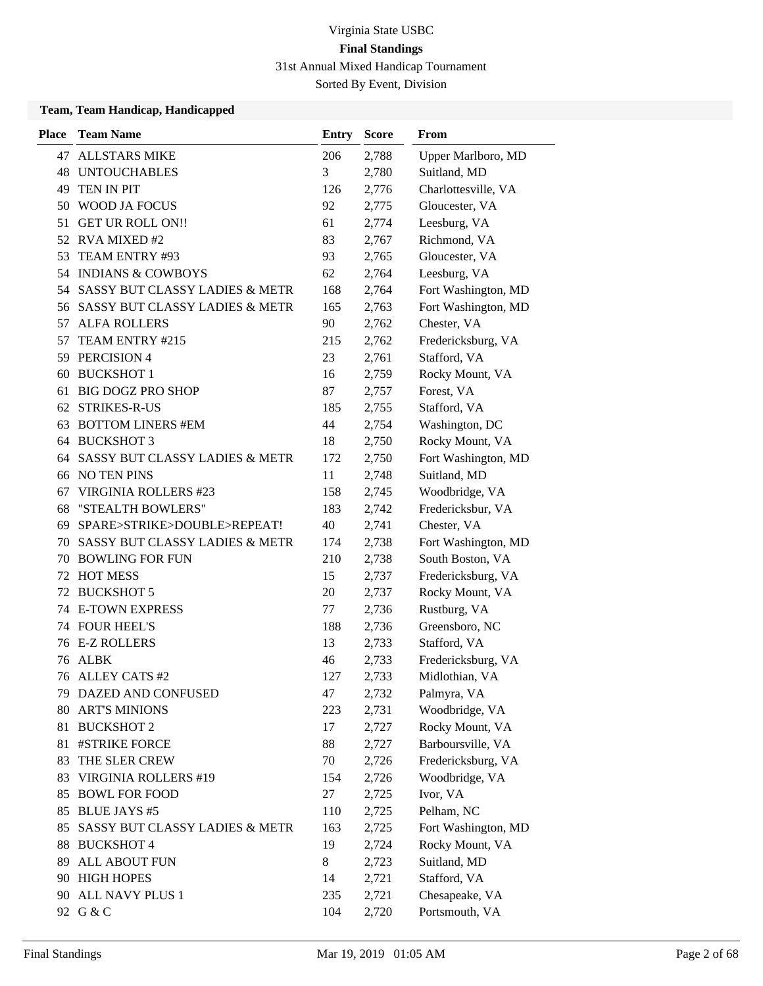Sorted By Event, Division

| <b>Place</b> | <b>Team Name</b>                          | <b>Entry</b> | <b>Score</b> | From                |
|--------------|-------------------------------------------|--------------|--------------|---------------------|
| 47           | <b>ALLSTARS MIKE</b>                      | 206          | 2,788        | Upper Marlboro, MD  |
| 48           | <b>UNTOUCHABLES</b>                       | 3            | 2,780        | Suitland, MD        |
| 49           | TEN IN PIT                                | 126          | 2,776        | Charlottesville, VA |
| 50           | WOOD JA FOCUS                             | 92           | 2,775        | Gloucester, VA      |
| 51           | <b>GET UR ROLL ON!!</b>                   | 61           | 2,774        | Leesburg, VA        |
| 52           | <b>RVA MIXED#2</b>                        | 83           | 2,767        | Richmond, VA        |
| 53           | TEAM ENTRY #93                            | 93           | 2,765        | Gloucester, VA      |
|              | 54 INDIANS & COWBOYS                      | 62           | 2,764        | Leesburg, VA        |
|              | 54 SASSY BUT CLASSY LADIES & METR         | 168          | 2,764        | Fort Washington, MD |
| 56           | <b>SASSY BUT CLASSY LADIES &amp; METR</b> | 165          | 2,763        | Fort Washington, MD |
| 57           | <b>ALFA ROLLERS</b>                       | 90           | 2,762        | Chester, VA         |
| 57           | TEAM ENTRY #215                           | 215          | 2,762        | Fredericksburg, VA  |
| 59           | PERCISION 4                               | 23           | 2,761        | Stafford, VA        |
| 60           | <b>BUCKSHOT 1</b>                         | 16           | 2,759        | Rocky Mount, VA     |
| 61           | <b>BIG DOGZ PRO SHOP</b>                  | 87           | 2,757        | Forest, VA          |
| 62           | <b>STRIKES-R-US</b>                       | 185          | 2,755        | Stafford, VA        |
| 63           | <b>BOTTOM LINERS #EM</b>                  | 44           | 2,754        | Washington, DC      |
| 64           | <b>BUCKSHOT 3</b>                         | 18           | 2,750        | Rocky Mount, VA     |
| 64           | SASSY BUT CLASSY LADIES & METR            | 172          | 2,750        | Fort Washington, MD |
| 66           | <b>NO TEN PINS</b>                        | 11           | 2,748        | Suitland, MD        |
| 67           | <b>VIRGINIA ROLLERS #23</b>               | 158          | 2,745        | Woodbridge, VA      |
| 68           | "STEALTH BOWLERS"                         | 183          | 2,742        | Fredericksbur, VA   |
| 69           | SPARE>STRIKE>DOUBLE>REPEAT!               | 40           | 2,741        | Chester, VA         |
| 70           | SASSY BUT CLASSY LADIES & METR            | 174          | 2,738        | Fort Washington, MD |
| 70           | <b>BOWLING FOR FUN</b>                    | 210          | 2,738        | South Boston, VA    |
| 72           | <b>HOT MESS</b>                           | 15           | 2,737        | Fredericksburg, VA  |
| 72           | <b>BUCKSHOT 5</b>                         | 20           | 2,737        | Rocky Mount, VA     |
| 74           | <b>E-TOWN EXPRESS</b>                     | 77           | 2,736        | Rustburg, VA        |
|              | 74 FOUR HEEL'S                            | 188          | 2,736        | Greensboro, NC      |
|              | 76 E-Z ROLLERS                            | 13           | 2,733        | Stafford, VA        |
| 76           | <b>ALBK</b>                               | 46           | 2,733        | Fredericksburg, VA  |
| 76           | <b>ALLEY CATS #2</b>                      | 127          | 2,733        | Midlothian, VA      |
|              | 79 DAZED AND CONFUSED                     | 47           | 2,732        | Palmyra, VA         |
| 80           | <b>ART'S MINIONS</b>                      | 223          | 2,731        | Woodbridge, VA      |
| 81           | <b>BUCKSHOT 2</b>                         | 17           | 2,727        | Rocky Mount, VA     |
| 81           | #STRIKE FORCE                             | 88           | 2,727        | Barboursville, VA   |
| 83           | THE SLER CREW                             | 70           | 2,726        | Fredericksburg, VA  |
| 83           | VIRGINIA ROLLERS #19                      | 154          | 2,726        | Woodbridge, VA      |
| 85           | <b>BOWL FOR FOOD</b>                      | 27           | 2,725        | Ivor, VA            |
| 85           | <b>BLUE JAYS #5</b>                       | 110          | 2,725        | Pelham, NC          |
| 85           | SASSY BUT CLASSY LADIES & METR            | 163          | 2,725        | Fort Washington, MD |
| 88           | <b>BUCKSHOT 4</b>                         | 19           | 2,724        | Rocky Mount, VA     |
| 89           | ALL ABOUT FUN                             | 8            | 2,723        | Suitland, MD        |
| 90           | <b>HIGH HOPES</b>                         | 14           | 2,721        | Stafford, VA        |
| 90           | ALL NAVY PLUS 1                           | 235          | 2,721        | Chesapeake, VA      |
|              | 92 G & C                                  | 104          | 2,720        | Portsmouth, VA      |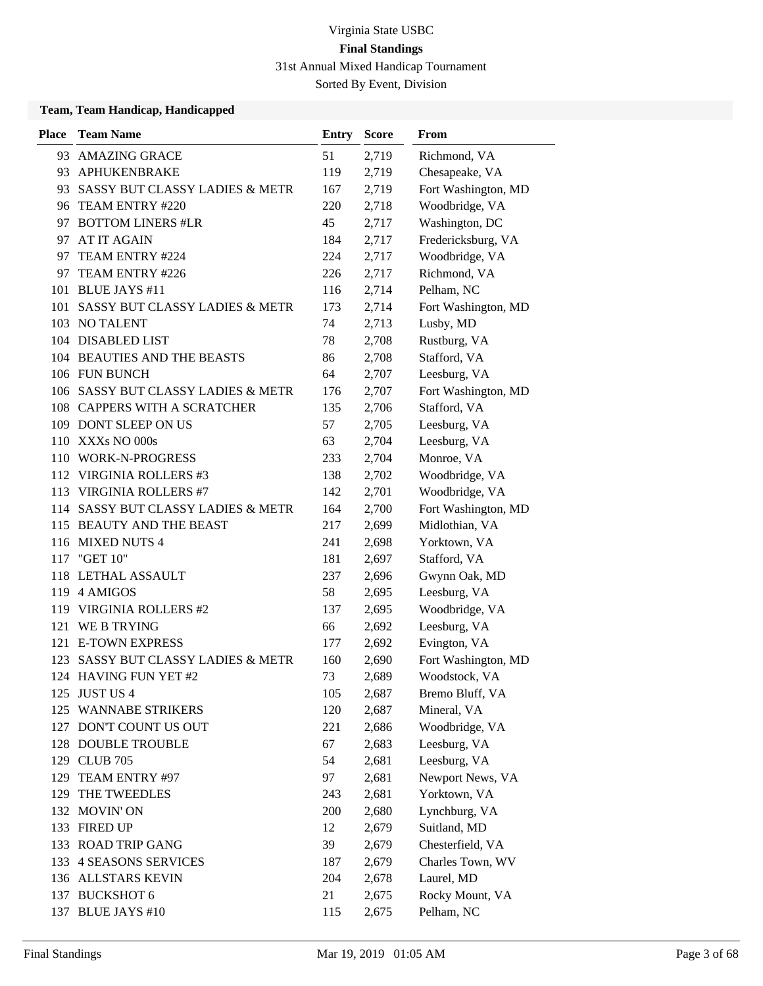Sorted By Event, Division

| <b>Place</b> | <b>Team Name</b>                   | Entry | <b>Score</b> | From                |
|--------------|------------------------------------|-------|--------------|---------------------|
| 93           | <b>AMAZING GRACE</b>               | 51    | 2,719        | Richmond, VA        |
| 93           | APHUKENBRAKE                       | 119   | 2,719        | Chesapeake, VA      |
| 93           | SASSY BUT CLASSY LADIES & METR     | 167   | 2,719        | Fort Washington, MD |
|              | 96 TEAM ENTRY #220                 | 220   | 2,718        | Woodbridge, VA      |
|              | 97 BOTTOM LINERS #LR               | 45    | 2,717        | Washington, DC      |
| 97           | AT IT AGAIN                        | 184   | 2,717        | Fredericksburg, VA  |
| 97           | TEAM ENTRY #224                    | 224   | 2,717        | Woodbridge, VA      |
|              | 97 TEAM ENTRY #226                 | 226   | 2,717        | Richmond, VA        |
| 101          | <b>BLUE JAYS #11</b>               | 116   | 2,714        | Pelham, NC          |
| 101          | SASSY BUT CLASSY LADIES & METR     | 173   | 2,714        | Fort Washington, MD |
|              | 103 NO TALENT                      | 74    | 2,713        | Lusby, MD           |
|              | 104 DISABLED LIST                  | 78    | 2,708        | Rustburg, VA        |
|              | 104 BEAUTIES AND THE BEASTS        | 86    | 2,708        | Stafford, VA        |
|              | 106 FUN BUNCH                      | 64    | 2,707        | Leesburg, VA        |
|              | 106 SASSY BUT CLASSY LADIES & METR | 176   | 2,707        | Fort Washington, MD |
|              | 108 CAPPERS WITH A SCRATCHER       | 135   | 2,706        | Stafford, VA        |
|              | 109 DONT SLEEP ON US               | 57    | 2,705        | Leesburg, VA        |
|              | 110 XXXs NO 000s                   | 63    | 2,704        | Leesburg, VA        |
|              | 110 WORK-N-PROGRESS                | 233   | 2,704        | Monroe, VA          |
|              | 112 VIRGINIA ROLLERS #3            | 138   | 2,702        | Woodbridge, VA      |
| 113          | <b>VIRGINIA ROLLERS #7</b>         | 142   | 2,701        | Woodbridge, VA      |
| 114          | SASSY BUT CLASSY LADIES & METR     | 164   | 2,700        | Fort Washington, MD |
|              | 115 BEAUTY AND THE BEAST           | 217   | 2,699        | Midlothian, VA      |
|              | 116 MIXED NUTS 4                   | 241   | 2,698        | Yorktown, VA        |
|              | 117 "GET 10"                       | 181   | 2,697        | Stafford, VA        |
|              | 118 LETHAL ASSAULT                 | 237   | 2,696        | Gwynn Oak, MD       |
|              | 119 4 AMIGOS                       | 58    | 2,695        | Leesburg, VA        |
|              | 119 VIRGINIA ROLLERS #2            | 137   | 2,695        | Woodbridge, VA      |
| 121          | WE B TRYING                        | 66    | 2,692        | Leesburg, VA        |
|              | 121 E-TOWN EXPRESS                 | 177   | 2,692        | Evington, VA        |
| 123          | SASSY BUT CLASSY LADIES & METR     | 160   | 2,690        | Fort Washington, MD |
|              | 124 HAVING FUN YET #2              | 73    | 2,689        | Woodstock, VA       |
|              | 125 JUST US 4                      | 105   | 2,687        | Bremo Bluff, VA     |
|              | 125 WANNABE STRIKERS               | 120   | 2,687        | Mineral, VA         |
|              | 127 DON'T COUNT US OUT             | 221   | 2,686        | Woodbridge, VA      |
|              | 128 DOUBLE TROUBLE                 | 67    | 2,683        | Leesburg, VA        |
|              | 129 CLUB 705                       | 54    | 2,681        | Leesburg, VA        |
| 129          | TEAM ENTRY #97                     | 97    | 2,681        | Newport News, VA    |
| 129          | THE TWEEDLES                       | 243   | 2,681        | Yorktown, VA        |
|              | 132 MOVIN' ON                      | 200   | 2,680        | Lynchburg, VA       |
|              | 133 FIRED UP                       | 12    | 2,679        | Suitland, MD        |
|              | 133 ROAD TRIP GANG                 | 39    | 2,679        | Chesterfield, VA    |
| 133          | <b>4 SEASONS SERVICES</b>          | 187   | 2,679        | Charles Town, WV    |
|              | 136 ALLSTARS KEVIN                 | 204   | 2,678        | Laurel, MD          |
|              | 137 BUCKSHOT 6                     | 21    | 2,675        | Rocky Mount, VA     |
|              | 137 BLUE JAYS #10                  | 115   | 2,675        | Pelham, NC          |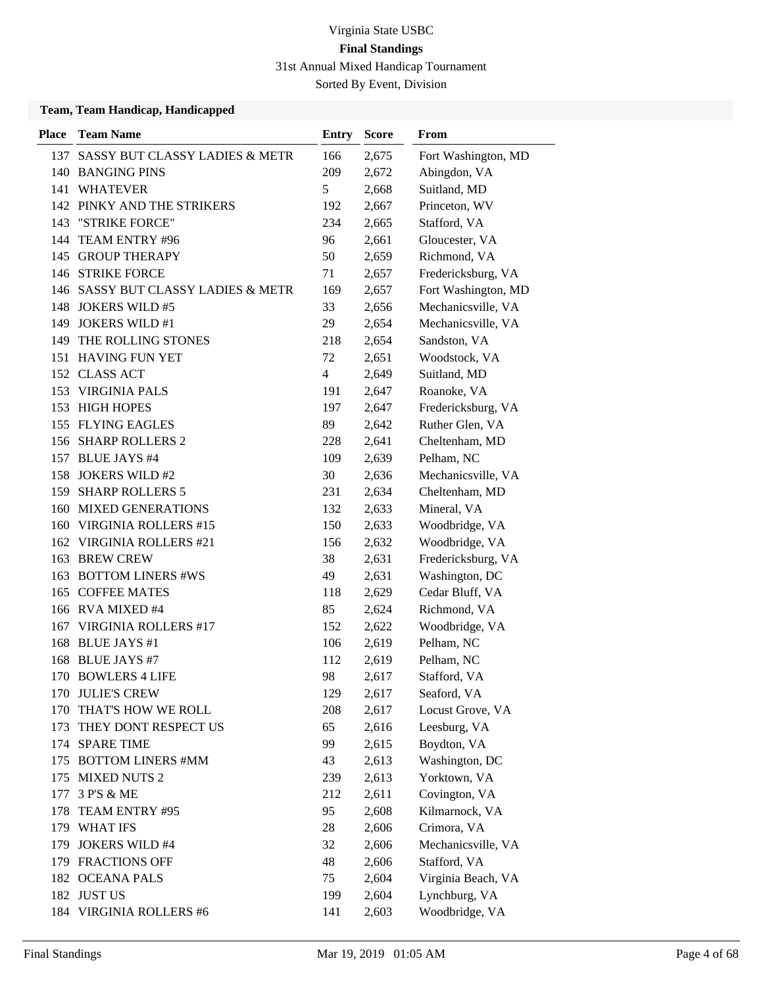Sorted By Event, Division

| <b>Place</b> | <b>Team Name</b>                   | <b>Entry</b>   | <b>Score</b> | <b>From</b>         |
|--------------|------------------------------------|----------------|--------------|---------------------|
| 137          | SASSY BUT CLASSY LADIES & METR     | 166            | 2,675        | Fort Washington, MD |
|              | 140 BANGING PINS                   | 209            | 2,672        | Abingdon, VA        |
| 141          | <b>WHATEVER</b>                    | 5              | 2,668        | Suitland, MD        |
|              | 142 PINKY AND THE STRIKERS         | 192            | 2,667        | Princeton, WV       |
| 143          | "STRIKE FORCE"                     | 234            | 2,665        | Stafford, VA        |
| 144          | TEAM ENTRY #96                     | 96             | 2,661        | Gloucester, VA      |
|              | 145 GROUP THERAPY                  | 50             | 2,659        | Richmond, VA        |
|              | 146 STRIKE FORCE                   | 71             | 2,657        | Fredericksburg, VA  |
|              | 146 SASSY BUT CLASSY LADIES & METR | 169            | 2,657        | Fort Washington, MD |
| 148          | <b>JOKERS WILD #5</b>              | 33             | 2,656        | Mechanicsville, VA  |
| 149          | <b>JOKERS WILD #1</b>              | 29             | 2,654        | Mechanicsville, VA  |
| 149          | THE ROLLING STONES                 | 218            | 2,654        | Sandston, VA        |
|              | 151 HAVING FUN YET                 | 72             | 2,651        | Woodstock, VA       |
| 152          | <b>CLASS ACT</b>                   | $\overline{4}$ | 2,649        | Suitland, MD        |
| 153          | <b>VIRGINIA PALS</b>               | 191            | 2,647        | Roanoke, VA         |
|              | 153 HIGH HOPES                     | 197            | 2,647        | Fredericksburg, VA  |
|              | 155 FLYING EAGLES                  | 89             | 2,642        | Ruther Glen, VA     |
|              | 156 SHARP ROLLERS 2                | 228            | 2,641        | Cheltenham, MD      |
| 157          | <b>BLUE JAYS #4</b>                | 109            | 2,639        | Pelham, NC          |
| 158          | <b>JOKERS WILD #2</b>              | 30             | 2,636        | Mechanicsville, VA  |
| 159          | <b>SHARP ROLLERS 5</b>             | 231            | 2,634        | Cheltenham, MD      |
| 160          | <b>MIXED GENERATIONS</b>           | 132            | 2,633        | Mineral, VA         |
| 160          | <b>VIRGINIA ROLLERS #15</b>        | 150            | 2,633        | Woodbridge, VA      |
| 162          | <b>VIRGINIA ROLLERS #21</b>        | 156            | 2,632        | Woodbridge, VA      |
| 163          | <b>BREW CREW</b>                   | 38             | 2,631        | Fredericksburg, VA  |
| 163          | <b>BOTTOM LINERS #WS</b>           | 49             | 2,631        | Washington, DC      |
| 165          | <b>COFFEE MATES</b>                | 118            | 2,629        | Cedar Bluff, VA     |
|              | 166 RVA MIXED #4                   | 85             | 2,624        | Richmond, VA        |
| 167          | VIRGINIA ROLLERS #17               | 152            | 2,622        | Woodbridge, VA      |
| 168          | <b>BLUE JAYS</b> #1                | 106            | 2,619        | Pelham, NC          |
|              | 168 BLUE JAYS #7                   | 112            | 2,619        | Pelham, NC          |
| 170          | <b>BOWLERS 4 LIFE</b>              | 98             | 2,617        | Stafford, VA        |
|              | 170 JULIE'S CREW                   | 129            | 2,617        | Seaford, VA         |
| 170          | THAT'S HOW WE ROLL                 | 208            | 2,617        | Locust Grove, VA    |
| 173          | THEY DONT RESPECT US               | 65             | 2,616        | Leesburg, VA        |
|              | 174 SPARE TIME                     | 99             | 2,615        | Boydton, VA         |
| 175          | <b>BOTTOM LINERS #MM</b>           | 43             | 2,613        | Washington, DC      |
| 175          | <b>MIXED NUTS 2</b>                | 239            | 2,613        | Yorktown, VA        |
| 177          | 3 P'S & ME                         | 212            | 2,611        | Covington, VA       |
| 178          | TEAM ENTRY #95                     | 95             | 2,608        | Kilmarnock, VA      |
|              | 179 WHAT IFS                       | 28             | 2,606        | Crimora, VA         |
| 179          | <b>JOKERS WILD #4</b>              | 32             | 2,606        | Mechanicsville, VA  |
|              | 179 FRACTIONS OFF                  | 48             | 2,606        | Stafford, VA        |
|              | 182 OCEANA PALS                    | 75             | 2,604        | Virginia Beach, VA  |
|              | 182 JUST US                        | 199            | 2,604        | Lynchburg, VA       |
|              | 184 VIRGINIA ROLLERS #6            | 141            | 2,603        | Woodbridge, VA      |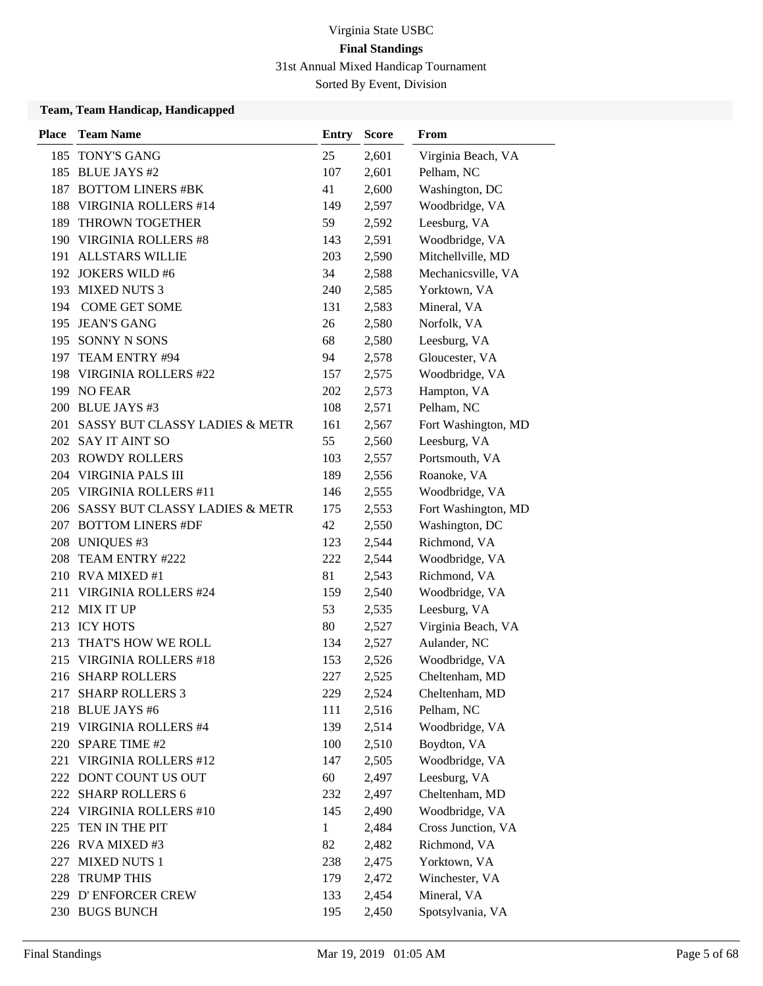Sorted By Event, Division

| <b>Place</b> | <b>Team Name</b>                   | <b>Entry</b> | <b>Score</b> | From                |
|--------------|------------------------------------|--------------|--------------|---------------------|
|              | 185 TONY'S GANG                    | 25           | 2,601        | Virginia Beach, VA  |
|              | 185 BLUE JAYS #2                   | 107          | 2,601        | Pelham, NC          |
|              | 187 BOTTOM LINERS #BK              | 41           | 2,600        | Washington, DC      |
| 188          | <b>VIRGINIA ROLLERS #14</b>        | 149          | 2,597        | Woodbridge, VA      |
| 189          | THROWN TOGETHER                    | 59           | 2,592        | Leesburg, VA        |
|              | 190 VIRGINIA ROLLERS #8            | 143          | 2,591        | Woodbridge, VA      |
|              | 191 ALLSTARS WILLIE                | 203          | 2,590        | Mitchellville, MD   |
|              | 192 JOKERS WILD #6                 | 34           | 2,588        | Mechanicsville, VA  |
|              | 193 MIXED NUTS 3                   | 240          | 2,585        | Yorktown, VA        |
| 194          | <b>COME GET SOME</b>               | 131          | 2,583        | Mineral, VA         |
|              | 195 JEAN'S GANG                    | 26           | 2,580        | Norfolk, VA         |
|              | 195 SONNY N SONS                   | 68           | 2,580        | Leesburg, VA        |
|              | 197 TEAM ENTRY #94                 | 94           | 2,578        | Gloucester, VA      |
|              | 198 VIRGINIA ROLLERS #22           | 157          | 2,575        | Woodbridge, VA      |
|              | 199 NO FEAR                        | 202          | 2,573        | Hampton, VA         |
|              | 200 BLUE JAYS #3                   | 108          | 2,571        | Pelham, NC          |
|              | 201 SASSY BUT CLASSY LADIES & METR | 161          | 2,567        | Fort Washington, MD |
|              | 202 SAY IT AINT SO                 | 55           | 2,560        | Leesburg, VA        |
|              | 203 ROWDY ROLLERS                  | 103          | 2,557        | Portsmouth, VA      |
|              | 204 VIRGINIA PALS III              | 189          | 2,556        | Roanoke, VA         |
|              | 205 VIRGINIA ROLLERS #11           | 146          | 2,555        | Woodbridge, VA      |
|              | 206 SASSY BUT CLASSY LADIES & METR | 175          | 2,553        | Fort Washington, MD |
|              | 207 BOTTOM LINERS #DF              | 42           | 2,550        | Washington, DC      |
|              | 208 UNIQUES #3                     | 123          | 2,544        | Richmond, VA        |
| 208          | TEAM ENTRY #222                    | 222          | 2,544        | Woodbridge, VA      |
|              | 210 RVA MIXED #1                   | 81           | 2,543        | Richmond, VA        |
| 211          | <b>VIRGINIA ROLLERS #24</b>        | 159          | 2,540        | Woodbridge, VA      |
|              | 212 MIX IT UP                      | 53           | 2,535        | Leesburg, VA        |
|              | 213 ICY HOTS                       | 80           | 2,527        | Virginia Beach, VA  |
| 213          | THAT'S HOW WE ROLL                 | 134          | 2,527        | Aulander, NC        |
|              | 215 VIRGINIA ROLLERS #18           | 153          | 2,526        | Woodbridge, VA      |
|              | 216 SHARP ROLLERS                  | 227          | 2,525        | Cheltenham, MD      |
|              | 217 SHARP ROLLERS 3                | 229          | 2,524        | Cheltenham, MD      |
|              | 218 BLUE JAYS #6                   | 111          | 2,516        | Pelham, NC          |
|              | 219 VIRGINIA ROLLERS #4            | 139          | 2,514        | Woodbridge, VA      |
|              | 220 SPARE TIME #2                  | 100          | 2,510        | Boydton, VA         |
|              | 221 VIRGINIA ROLLERS #12           | 147          | 2,505        | Woodbridge, VA      |
|              | 222 DONT COUNT US OUT              | 60           | 2,497        | Leesburg, VA        |
|              | 222 SHARP ROLLERS 6                | 232          | 2,497        | Cheltenham, MD      |
|              | 224 VIRGINIA ROLLERS #10           | 145          | 2,490        | Woodbridge, VA      |
| 225          | TEN IN THE PIT                     | 1            | 2,484        | Cross Junction, VA  |
|              | 226 RVA MIXED #3                   | 82           | 2,482        | Richmond, VA        |
|              | 227 MIXED NUTS 1                   | 238          | 2,475        | Yorktown, VA        |
|              | 228 TRUMP THIS                     | 179          | 2,472        | Winchester, VA      |
|              | 229 D'ENFORCER CREW                | 133          | 2,454        | Mineral, VA         |
|              | 230 BUGS BUNCH                     | 195          | 2,450        | Spotsylvania, VA    |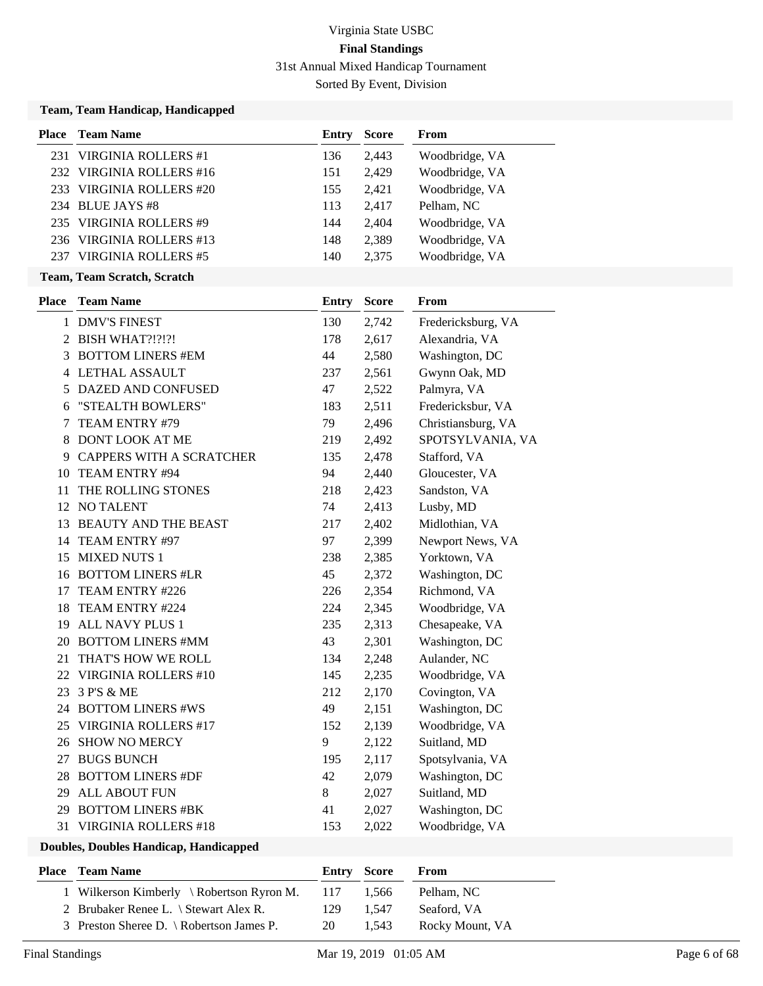Sorted By Event, Division

|     | Team, Team Handicap, Handicapped |              |              |                    |
|-----|----------------------------------|--------------|--------------|--------------------|
|     | <b>Place</b> Team Name           | Entry        | <b>Score</b> | From               |
|     | 231 VIRGINIA ROLLERS #1          | 136          | 2,443        | Woodbridge, VA     |
|     | 232 VIRGINIA ROLLERS #16         | 151          | 2,429        | Woodbridge, VA     |
|     | 233 VIRGINIA ROLLERS #20         | 155          | 2,421        | Woodbridge, VA     |
|     | 234 BLUE JAYS #8                 | 113          | 2,417        | Pelham, NC         |
|     | 235 VIRGINIA ROLLERS #9          | 144          | 2,404        | Woodbridge, VA     |
|     | 236 VIRGINIA ROLLERS #13         | 148          | 2,389        | Woodbridge, VA     |
|     | 237 VIRGINIA ROLLERS #5          | 140          | 2,375        | Woodbridge, VA     |
|     | Team, Team Scratch, Scratch      |              |              |                    |
|     | <b>Place</b> Team Name           | <b>Entry</b> | <b>Score</b> | From               |
|     | 1 DMV'S FINEST                   | 130          | 2,742        | Fredericksburg, VA |
| 2   | <b>BISH WHAT?!?!?!</b>           | 178          | 2,617        | Alexandria, VA     |
| 3   | <b>BOTTOM LINERS #EM</b>         | 44           | 2,580        | Washington, DC     |
| 4   | LETHAL ASSAULT                   | 237          | 2,561        | Gwynn Oak, MD      |
| 5   | DAZED AND CONFUSED               | 47           | 2,522        | Palmyra, VA        |
| 6   | "STEALTH BOWLERS"                | 183          | 2,511        | Fredericksbur, VA  |
| 7   | TEAM ENTRY #79                   | 79           | 2,496        | Christiansburg, VA |
| 8   | <b>DONT LOOK AT ME</b>           | 219          | 2,492        | SPOTSYLVANIA, VA   |
| 9   | <b>CAPPERS WITH A SCRATCHER</b>  | 135          | 2,478        | Stafford, VA       |
| 10  | TEAM ENTRY #94                   | 94           | 2,440        | Gloucester, VA     |
| 11  | THE ROLLING STONES               | 218          | 2,423        | Sandston, VA       |
|     | 12 NO TALENT                     | 74           | 2,413        | Lusby, MD          |
|     | 13 BEAUTY AND THE BEAST          | 217          | 2,402        | Midlothian, VA     |
| 14  | TEAM ENTRY #97                   | 97           | 2,399        | Newport News, VA   |
|     | 15 MIXED NUTS 1                  | 238          | 2,385        | Yorktown, VA       |
|     | 16 BOTTOM LINERS #LR             | 45           | 2,372        | Washington, DC     |
| 17  | TEAM ENTRY #226                  | 226          | 2,354        | Richmond, VA       |
| 18  | TEAM ENTRY #224                  | 224          | 2,345        | Woodbridge, VA     |
|     | 19 ALL NAVY PLUS 1               | 235          | 2,313        | Chesapeake, VA     |
|     | 20 BOTTOM LINERS #MM             | 43           | 2,301        | Washington, DC     |
|     | 21 THAT'S HOW WE ROLL            | 134          | 2,248        | Aulander, NC       |
|     | 22 VIRGINIA ROLLERS #10          | 145          | 2,235        | Woodbridge, VA     |
| 23  | 3 P'S & ME                       | 212          | 2,170        | Covington, VA      |
|     | 24 BOTTOM LINERS #WS             | 49           | 2,151        | Washington, DC     |
|     | 25 VIRGINIA ROLLERS #17          | 152          | 2,139        | Woodbridge, VA     |
|     | 26 SHOW NO MERCY                 | 9            | 2,122        | Suitland, MD       |
| 27  | <b>BUGS BUNCH</b>                | 195          | 2,117        | Spotsylvania, VA   |
| 28  | <b>BOTTOM LINERS #DF</b>         | 42           | 2,079        | Washington, DC     |
| 29  | <b>ALL ABOUT FUN</b>             | 8            | 2,027        | Suitland, MD       |
| 29. | <b>BOTTOM LINERS #BK</b>         | 41           | 2,027        | Washington, DC     |
|     | 31 VIRGINIA ROLLERS #18          | 153          | 2,022        | Woodbridge, VA     |

| <b>Place</b> | <b>Team Name</b>                          |       | Entry Score | From            |
|--------------|-------------------------------------------|-------|-------------|-----------------|
|              | 1 Wilkerson Kimberly \ Robertson Ryron M. | - 117 | 1.566       | Pelham, NC      |
|              | 2 Brubaker Renee L. \ Stewart Alex R.     | 129   | 1.547       | Seaford, VA     |
|              | 3 Preston Sheree D. \ Robertson James P.  | 20    | 1.543       | Rocky Mount, VA |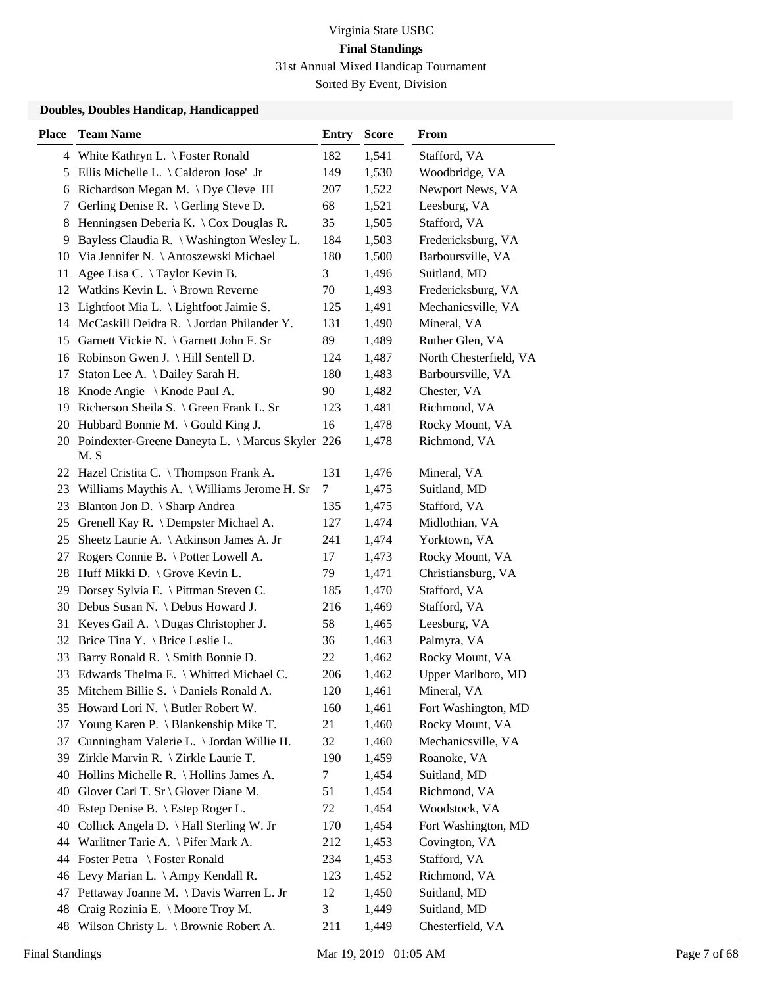Sorted By Event, Division

| 4 White Kathryn L. \ Foster Ronald<br>182<br>1,541<br>Stafford, VA<br>5 Ellis Michelle L. \Calderon Jose' Jr<br>149<br>1,530<br>Woodbridge, VA<br>6 Richardson Megan M. \ Dye Cleve III<br>207<br>1,522<br>Newport News, VA<br>Gerling Denise R. \ Gerling Steve D.<br>68<br>1,521<br>Leesburg, VA<br>7<br>Henningsen Deberia K. $\setminus$ Cox Douglas R.<br>35<br>1,505<br>Stafford, VA<br>8 | Fredericksburg, VA     |
|-------------------------------------------------------------------------------------------------------------------------------------------------------------------------------------------------------------------------------------------------------------------------------------------------------------------------------------------------------------------------------------------------|------------------------|
|                                                                                                                                                                                                                                                                                                                                                                                                 |                        |
|                                                                                                                                                                                                                                                                                                                                                                                                 |                        |
|                                                                                                                                                                                                                                                                                                                                                                                                 |                        |
|                                                                                                                                                                                                                                                                                                                                                                                                 |                        |
|                                                                                                                                                                                                                                                                                                                                                                                                 |                        |
| Bayless Claudia R. \ Washington Wesley L.<br>184<br>1,503<br>9                                                                                                                                                                                                                                                                                                                                  |                        |
| 10 Via Jennifer N. \ Antoszewski Michael<br>180<br>Barboursville, VA<br>1,500                                                                                                                                                                                                                                                                                                                   |                        |
| 3<br>Suitland, MD<br>Agee Lisa C. \Taylor Kevin B.<br>1,496<br>11                                                                                                                                                                                                                                                                                                                               |                        |
| 12 Watkins Kevin L. \ Brown Reverne<br>70<br>Fredericksburg, VA<br>1,493                                                                                                                                                                                                                                                                                                                        |                        |
| Lightfoot Mia L. $\langle$ Lightfoot Jaimie S.<br>125<br>Mechanicsville, VA<br>1,491<br>13                                                                                                                                                                                                                                                                                                      |                        |
| Mineral, VA<br>14 McCaskill Deidra R. \ Jordan Philander Y.<br>131<br>1,490                                                                                                                                                                                                                                                                                                                     |                        |
| 15 Garnett Vickie N. \ Garnett John F. Sr<br>89<br>Ruther Glen, VA<br>1,489                                                                                                                                                                                                                                                                                                                     |                        |
| 16 Robinson Gwen J. \ Hill Sentell D.<br>124<br>1,487                                                                                                                                                                                                                                                                                                                                           | North Chesterfield, VA |
| Staton Lee A. \ Dailey Sarah H.<br>180<br>Barboursville, VA<br>1,483<br>17                                                                                                                                                                                                                                                                                                                      |                        |
| 90<br>18 Knode Angie \ Knode Paul A.<br>Chester, VA<br>1,482                                                                                                                                                                                                                                                                                                                                    |                        |
| 19 Richerson Sheila S. \ Green Frank L. Sr<br>Richmond, VA<br>123<br>1,481                                                                                                                                                                                                                                                                                                                      |                        |
| 20 Hubbard Bonnie M. \ Gould King J.<br>16<br>Rocky Mount, VA<br>1,478                                                                                                                                                                                                                                                                                                                          |                        |
| 20 Poindexter-Greene Daneyta L. \ Marcus Skyler 226<br>Richmond, VA<br>1,478<br>M. S                                                                                                                                                                                                                                                                                                            |                        |
| 22 Hazel Cristita C. \Thompson Frank A.<br>131<br>Mineral, VA<br>1,476                                                                                                                                                                                                                                                                                                                          |                        |
| 23 Williams Maythis A. \ Williams Jerome H. Sr<br>Suitland, MD<br>1,475<br>7                                                                                                                                                                                                                                                                                                                    |                        |
| Blanton Jon D. \ Sharp Andrea<br>135<br>Stafford, VA<br>23<br>1,475                                                                                                                                                                                                                                                                                                                             |                        |
| Grenell Kay R. \ Dempster Michael A.<br>127<br>Midlothian, VA<br>25<br>1,474                                                                                                                                                                                                                                                                                                                    |                        |
| Sheetz Laurie A. \ Atkinson James A. Jr<br>241<br>Yorktown, VA<br>25<br>1,474                                                                                                                                                                                                                                                                                                                   |                        |
| Rogers Connie B. \ Potter Lowell A.<br>Rocky Mount, VA<br>17<br>1,473<br>27                                                                                                                                                                                                                                                                                                                     |                        |
| 28 Huff Mikki D. \ Grove Kevin L.<br>79<br>Christiansburg, VA<br>1,471                                                                                                                                                                                                                                                                                                                          |                        |
| Dorsey Sylvia E. \ Pittman Steven C.<br>185<br>Stafford, VA<br>29<br>1,470                                                                                                                                                                                                                                                                                                                      |                        |
| Debus Susan N. \ Debus Howard J.<br>216<br>Stafford, VA<br>30<br>1,469                                                                                                                                                                                                                                                                                                                          |                        |
| Keyes Gail A. \ Dugas Christopher J.<br>58<br>Leesburg, VA<br>31<br>1,465                                                                                                                                                                                                                                                                                                                       |                        |
| 32 Brice Tina Y. \ Brice Leslie L.<br>Palmyra, VA<br>36<br>1,463                                                                                                                                                                                                                                                                                                                                |                        |
| Rocky Mount, VA<br>Barry Ronald R. \ Smith Bonnie D.<br>22<br>1,462<br>33                                                                                                                                                                                                                                                                                                                       |                        |
| Edwards Thelma E. \ Whitted Michael C.<br>33<br>206<br>1,462                                                                                                                                                                                                                                                                                                                                    | Upper Marlboro, MD     |
| 35 Mitchem Billie S. \ Daniels Ronald A.<br>1,461<br>120<br>Mineral, VA                                                                                                                                                                                                                                                                                                                         |                        |
| Howard Lori N. \ Butler Robert W.<br>160<br>1,461<br>35                                                                                                                                                                                                                                                                                                                                         | Fort Washington, MD    |
| Rocky Mount, VA<br>Young Karen P. \ Blankenship Mike T.<br>21<br>1,460<br>37                                                                                                                                                                                                                                                                                                                    |                        |
| Mechanicsville, VA<br>Cunningham Valerie L. \ Jordan Willie H.<br>32<br>37<br>1,460                                                                                                                                                                                                                                                                                                             |                        |
| Zirkle Marvin R. \ Zirkle Laurie T.<br>Roanoke, VA<br>190<br>1,459<br>39                                                                                                                                                                                                                                                                                                                        |                        |
| Hollins Michelle R. \ Hollins James A.<br>7<br>1,454<br>Suitland, MD<br>40                                                                                                                                                                                                                                                                                                                      |                        |
| Glover Carl T. Sr \ Glover Diane M.<br>51<br>1,454<br>Richmond, VA<br>40                                                                                                                                                                                                                                                                                                                        |                        |
| Estep Denise B. \ Estep Roger L.<br>72<br>1,454<br>Woodstock, VA<br>40                                                                                                                                                                                                                                                                                                                          |                        |
| Collick Angela D. \ Hall Sterling W. Jr<br>1,454<br>40<br>170                                                                                                                                                                                                                                                                                                                                   | Fort Washington, MD    |
| Warlitner Tarie A. \ Pifer Mark A.<br>212<br>1,453<br>Covington, VA<br>44                                                                                                                                                                                                                                                                                                                       |                        |
| Foster Petra \ Foster Ronald<br>234<br>1,453<br>Stafford, VA<br>44                                                                                                                                                                                                                                                                                                                              |                        |
| Richmond, VA<br>Levy Marian L. $\langle$ Ampy Kendall R.<br>123<br>1,452<br>46                                                                                                                                                                                                                                                                                                                  |                        |
| Pettaway Joanne M. \ Davis Warren L. Jr<br>Suitland, MD<br>12<br>1,450<br>47                                                                                                                                                                                                                                                                                                                    |                        |
| Craig Rozinia E. \ Moore Troy M.<br>3<br>1,449<br>Suitland, MD<br>48                                                                                                                                                                                                                                                                                                                            |                        |
| Wilson Christy L. \ Brownie Robert A.<br>Chesterfield, VA<br>211<br>48<br>1,449                                                                                                                                                                                                                                                                                                                 |                        |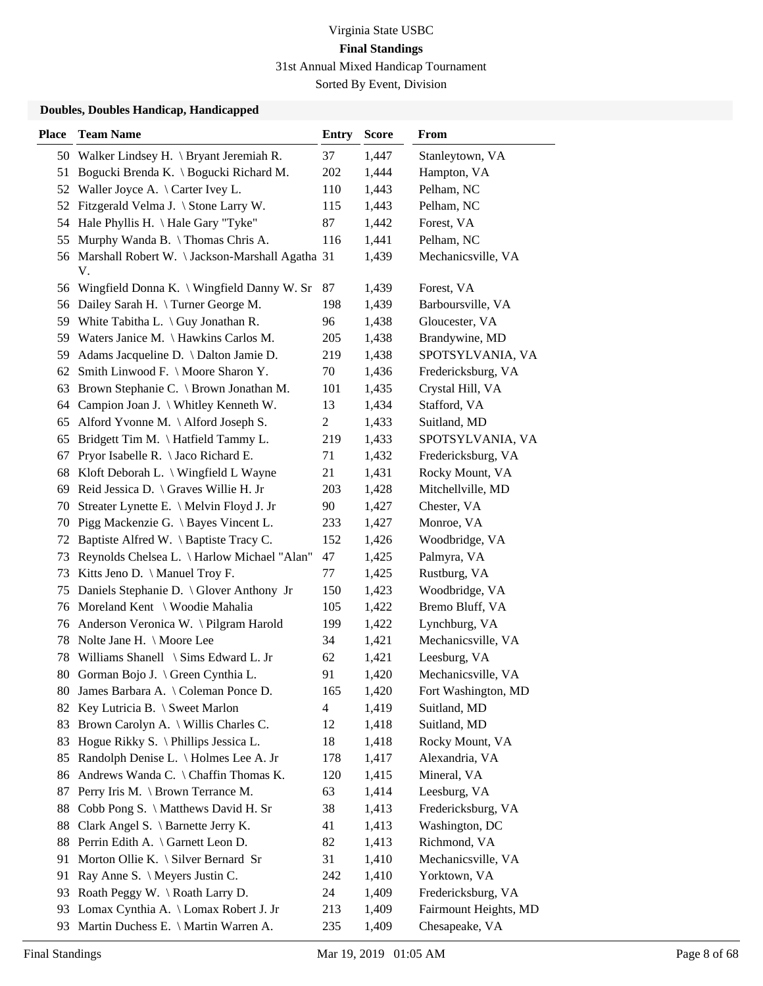Sorted By Event, Division

| <b>Place</b> | <b>Team Name</b>                                        | <b>Entry</b>   | <b>Score</b> | <b>From</b>           |
|--------------|---------------------------------------------------------|----------------|--------------|-----------------------|
|              | 50 Walker Lindsey H. \ Bryant Jeremiah R.               | 37             | 1,447        | Stanleytown, VA       |
| 51           | Bogucki Brenda K. \ Bogucki Richard M.                  | 202            | 1,444        | Hampton, VA           |
|              | 52 Waller Joyce A. \ Carter Ivey L.                     | 110            | 1,443        | Pelham, NC            |
| 52           | Fitzgerald Velma J. \ Stone Larry W.                    | 115            | 1,443        | Pelham, NC            |
|              | 54 Hale Phyllis H. \Hale Gary "Tyke"                    | 87             | 1,442        | Forest, VA            |
| 55           | Murphy Wanda B. \Thomas Chris A.                        | 116            | 1,441        | Pelham, NC            |
|              | 56 Marshall Robert W. \Jackson-Marshall Agatha 31<br>V. |                | 1,439        | Mechanicsville, VA    |
|              | 56 Wingfield Donna K. \ Wingfield Danny W. Sr           | 87             | 1,439        | Forest, VA            |
|              | 56 Dailey Sarah H. \Turner George M.                    | 198            | 1,439        | Barboursville, VA     |
| 59.          | White Tabitha L. $\langle$ Guy Jonathan R.              | 96             | 1,438        | Gloucester, VA        |
|              | 59 Waters Janice M. \ Hawkins Carlos M.                 | 205            | 1,438        | Brandywine, MD        |
| 59.          | Adams Jacqueline D. \ Dalton Jamie D.                   | 219            | 1,438        | SPOTSYLVANIA, VA      |
| 62           | Smith Linwood F. \ Moore Sharon Y.                      | 70             | 1,436        | Fredericksburg, VA    |
| 63           | Brown Stephanie C. \ Brown Jonathan M.                  | 101            | 1,435        | Crystal Hill, VA      |
|              | 64 Campion Joan J. \ Whitley Kenneth W.                 | 13             | 1,434        | Stafford, VA          |
| 65           | Alford Yvonne M. \Alford Joseph S.                      | $\overline{c}$ | 1,433        | Suitland, MD          |
| 65           | Bridgett Tim M. \ Hatfield Tammy L.                     | 219            | 1,433        | SPOTSYLVANIA, VA      |
| 67           | Pryor Isabelle R. \ Jaco Richard E.                     | 71             | 1,432        | Fredericksburg, VA    |
| 68           | Kloft Deborah L. \ Wingfield L Wayne                    | 21             | 1,431        | Rocky Mount, VA       |
| 69           | Reid Jessica D. \ Graves Willie H. Jr                   | 203            | 1,428        | Mitchellville, MD     |
| 70           | Streater Lynette E. \ Melvin Floyd J. Jr                | 90             | 1,427        | Chester, VA           |
| 70           | Pigg Mackenzie G. \ Bayes Vincent L.                    | 233            | 1,427        | Monroe, VA            |
| 72           | Baptiste Alfred W. \ Baptiste Tracy C.                  | 152            | 1,426        | Woodbridge, VA        |
| 73           | Reynolds Chelsea L. \ Harlow Michael "Alan"             | 47             | 1,425        | Palmyra, VA           |
| 73           | Kitts Jeno D. \ Manuel Troy F.                          | 77             | 1,425        | Rustburg, VA          |
| 75           | Daniels Stephanie D. \ Glover Anthony Jr                | 150            | 1,423        | Woodbridge, VA        |
| 76           | Moreland Kent \ Woodie Mahalia                          | 105            | 1,422        | Bremo Bluff, VA       |
| 76           | Anderson Veronica W. \Pilgram Harold                    | 199            | 1,422        | Lynchburg, VA         |
| 78           | Nolte Jane H. \ Moore Lee                               | 34             | 1,421        | Mechanicsville, VA    |
| 78           | Williams Shanell \ Sims Edward L. Jr                    | 62             | 1,421        | Leesburg, VA          |
|              | 80 Gorman Bojo J. \ Green Cynthia L.                    | 91             | 1,420        | Mechanicsville, VA    |
|              | 80 James Barbara A. \ Coleman Ponce D.                  | 165            | 1,420        | Fort Washington, MD   |
| 82           | Key Lutricia B. \ Sweet Marlon                          | 4              | 1,419        | Suitland, MD          |
| 83           | Brown Carolyn A. \ Willis Charles C.                    | 12             | 1,418        | Suitland, MD          |
| 83           | Hogue Rikky S. \ Phillips Jessica L.                    | 18             | 1,418        | Rocky Mount, VA       |
| 85           | Randolph Denise L. \ Holmes Lee A. Jr                   | 178            | 1,417        | Alexandria, VA        |
| 86           | Andrews Wanda C. \ Chaffin Thomas K.                    | 120            | 1,415        | Mineral, VA           |
| 87           | Perry Iris M. \ Brown Terrance M.                       | 63             | 1,414        | Leesburg, VA          |
| 88           | Cobb Pong S. \ Matthews David H. Sr                     | 38             | 1,413        | Fredericksburg, VA    |
| 88           | Clark Angel S. \ Barnette Jerry K.                      | 41             | 1,413        | Washington, DC        |
| 88           | Perrin Edith A. \ Garnett Leon D.                       | 82             | 1,413        | Richmond, VA          |
| 91           | Morton Ollie K. $\setminus$ Silver Bernard Sr           | 31             | 1,410        | Mechanicsville, VA    |
| 91           | Ray Anne S. \ Meyers Justin C.                          | 242            | 1,410        | Yorktown, VA          |
| 93           | Roath Peggy W. \Roath Larry D.                          | 24             | 1,409        | Fredericksburg, VA    |
| 93           | Lomax Cynthia A. \ Lomax Robert J. Jr                   | 213            | 1,409        | Fairmount Heights, MD |
| 93           | Martin Duchess E. \ Martin Warren A.                    | 235            | 1,409        | Chesapeake, VA        |
|              |                                                         |                |              |                       |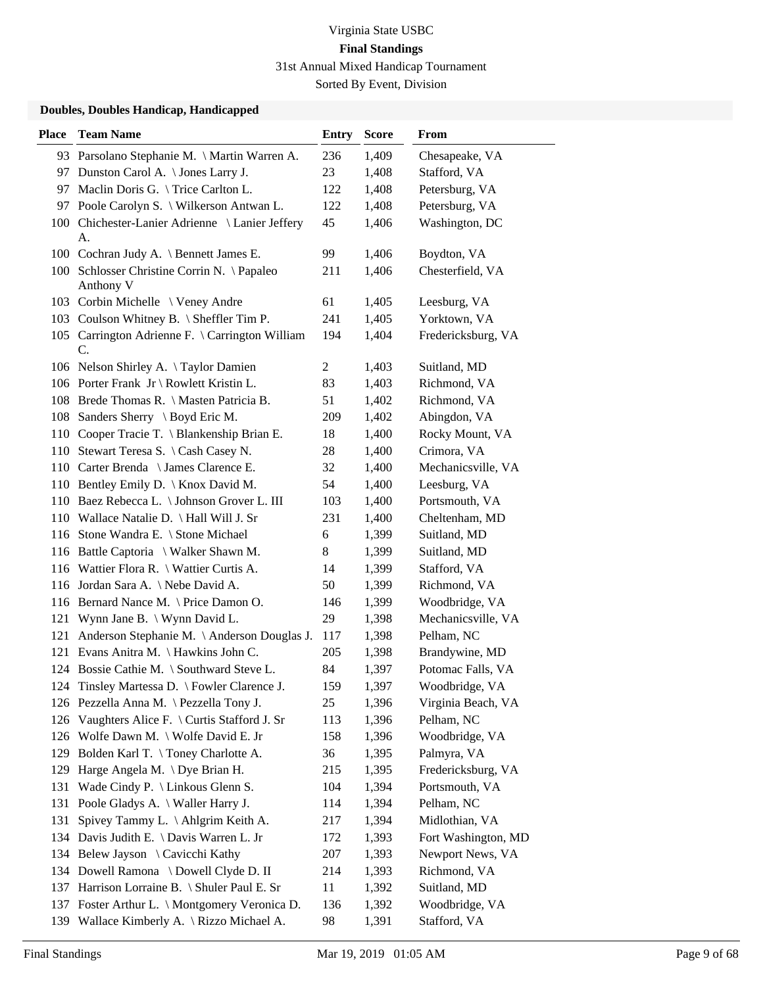Sorted By Event, Division

| <b>Place</b> | <b>Team Name</b>                                         | <b>Entry</b>   | <b>Score</b> | From                |
|--------------|----------------------------------------------------------|----------------|--------------|---------------------|
|              | 93 Parsolano Stephanie M. \ Martin Warren A.             | 236            | 1,409        | Chesapeake, VA      |
|              | 97 Dunston Carol A. \ Jones Larry J.                     | 23             | 1,408        | Stafford, VA        |
|              | 97 Maclin Doris G. \ Trice Carlton L.                    | 122            | 1,408        | Petersburg, VA      |
| 97           | Poole Carolyn S. \ Wilkerson Antwan L.                   | 122            | 1,408        | Petersburg, VA      |
|              | 100 Chichester-Lanier Adrienne \ Lanier Jeffery          | 45             | 1,406        | Washington, DC      |
|              | А.                                                       |                |              |                     |
|              | 100 Cochran Judy A. \ Bennett James E.                   | 99             | 1,406        | Boydton, VA         |
|              | 100 Schlosser Christine Corrin N. \ Papaleo<br>Anthony V | 211            | 1,406        | Chesterfield, VA    |
|              | 103 Corbin Michelle \ Veney Andre                        | 61             | 1,405        | Leesburg, VA        |
|              | 103 Coulson Whitney B. \ Sheffler Tim P.                 | 241            | 1,405        | Yorktown, VA        |
|              | 105 Carrington Adrienne F. \ Carrington William<br>C.    | 194            | 1,404        | Fredericksburg, VA  |
|              | 106 Nelson Shirley A. \Taylor Damien                     | $\overline{c}$ | 1,403        | Suitland, MD        |
|              | 106 Porter Frank Jr \ Rowlett Kristin L.                 | 83             | 1,403        | Richmond, VA        |
|              | 108 Brede Thomas R. \ Masten Patricia B.                 | 51             | 1,402        | Richmond, VA        |
| 108          | Sanders Sherry \ Boyd Eric M.                            | 209            | 1,402        | Abingdon, VA        |
|              | 110 Cooper Tracie T. \ Blankenship Brian E.              | 18             | 1,400        | Rocky Mount, VA     |
|              | 110 Stewart Teresa S. \ Cash Casey N.                    | 28             | 1,400        | Crimora, VA         |
|              | 110 Carter Brenda \ James Clarence E.                    | 32             | 1,400        | Mechanicsville, VA  |
|              | 110 Bentley Emily D. \ Knox David M.                     | 54             | 1,400        | Leesburg, VA        |
| 110          | Baez Rebecca L. \ Johnson Grover L. III                  | 103            | 1,400        | Portsmouth, VA      |
|              | 110 Wallace Natalie D. \ Hall Will J. Sr                 | 231            | 1,400        | Cheltenham, MD      |
|              | 116 Stone Wandra E. \ Stone Michael                      | 6              | 1,399        | Suitland, MD        |
|              | 116 Battle Captoria \ Walker Shawn M.                    | 8              | 1,399        | Suitland, MD        |
|              | 116 Wattier Flora R. \ Wattier Curtis A.                 | 14             | 1,399        | Stafford, VA        |
|              | 116 Jordan Sara A. \Nebe David A.                        | 50             | 1,399        | Richmond, VA        |
|              | 116 Bernard Nance M. \ Price Damon O.                    | 146            | 1,399        | Woodbridge, VA      |
| 121          | Wynn Jane B. \ Wynn David L.                             | 29             | 1,398        | Mechanicsville, VA  |
| 121          | Anderson Stephanie M. \ Anderson Douglas J.              | 117            | 1,398        | Pelham, NC          |
|              | 121 Evans Anitra M. \Hawkins John C.                     | 205            | 1,398        | Brandywine, MD      |
|              | 124 Bossie Cathie M. \ Southward Steve L.                | 84             | 1,397        | Potomac Falls, VA   |
| 124          | Tinsley Martessa D. \ Fowler Clarence J.                 | 159            | 1,397        | Woodbridge, VA      |
|              | 126 Pezzella Anna M. \ Pezzella Tony J.                  | 25             | 1,396        | Virginia Beach, VA  |
| 126          | Vaughters Alice F. \ Curtis Stafford J. Sr               | 113            | 1,396        | Pelham, NC          |
|              | 126 Wolfe Dawn M. \ Wolfe David E. Jr                    | 158            | 1,396        | Woodbridge, VA      |
| 129          | Bolden Karl T. \Toney Charlotte A.                       | 36             | 1,395        | Palmyra, VA         |
| 129          | Harge Angela M. \Dye Brian H.                            | 215            | 1,395        | Fredericksburg, VA  |
| 131          | Wade Cindy P. $\Lambda$ Linkous Glenn S.                 | 104            | 1,394        | Portsmouth, VA      |
| 131          | Poole Gladys A. \ Waller Harry J.                        | 114            | 1,394        | Pelham, NC          |
| 131          | Spivey Tammy L. \Ahlgrim Keith A.                        | 217            | 1,394        | Midlothian, VA      |
|              | 134 Davis Judith E. \ Davis Warren L. Jr                 | 172            | 1,393        | Fort Washington, MD |
|              | 134 Belew Jayson \ Cavicchi Kathy                        | 207            | 1,393        | Newport News, VA    |
|              | 134 Dowell Ramona \ Dowell Clyde D. II                   | 214            | 1,393        | Richmond, VA        |
| 137          | Harrison Lorraine B. \ Shuler Paul E. Sr                 | 11             | 1,392        | Suitland, MD        |
| 137          | Foster Arthur L. \ Montgomery Veronica D.                | 136            | 1,392        | Woodbridge, VA      |
|              | 139 Wallace Kimberly A. \ Rizzo Michael A.               | 98             | 1,391        | Stafford, VA        |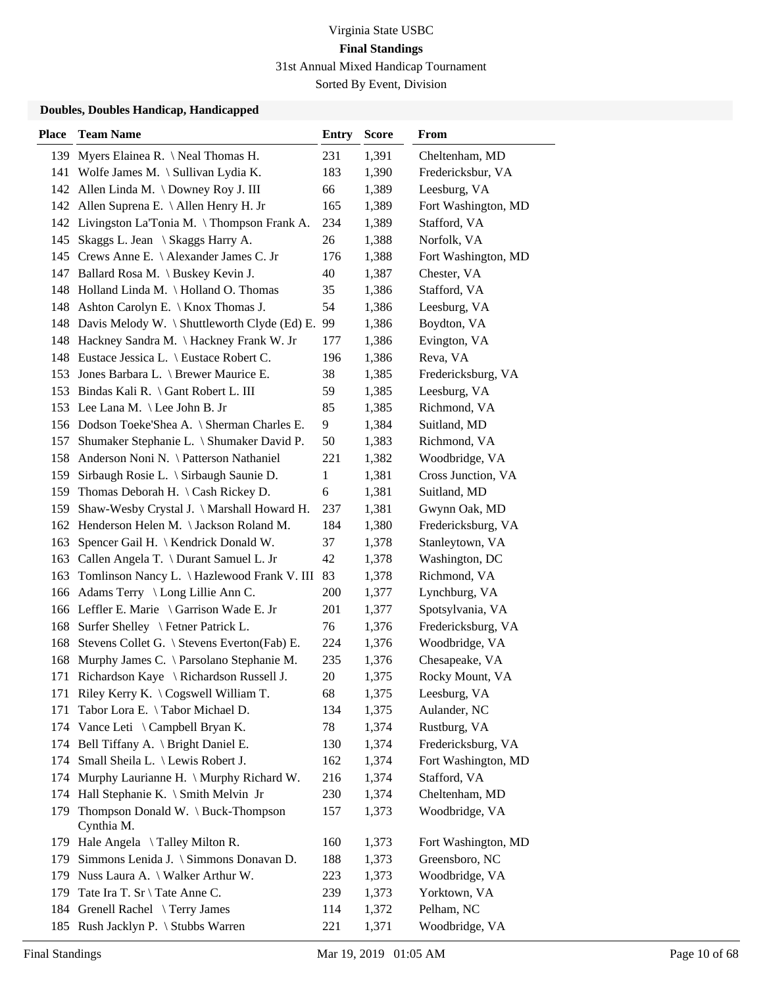| <b>Place</b> | <b>Team Name</b>                                 | <b>Entry</b> | <b>Score</b> | From                |
|--------------|--------------------------------------------------|--------------|--------------|---------------------|
| 139          | Myers Elainea R. \ Neal Thomas H.                | 231          | 1,391        | Cheltenham, MD      |
|              | 141 Wolfe James M. \ Sullivan Lydia K.           | 183          | 1,390        | Fredericksbur, VA   |
|              | 142 Allen Linda M. \Downey Roy J. III            | 66           | 1,389        | Leesburg, VA        |
| 142          | Allen Suprena E. \ Allen Henry H. Jr             | 165          | 1,389        | Fort Washington, MD |
|              | 142 Livingston La'Tonia M. \Thompson Frank A.    | 234          | 1,389        | Stafford, VA        |
| 145          | Skaggs L. Jean \ Skaggs Harry A.                 | 26           | 1,388        | Norfolk, VA         |
|              | 145 Crews Anne E. \ Alexander James C. Jr        | 176          | 1,388        | Fort Washington, MD |
|              | 147 Ballard Rosa M. \ Buskey Kevin J.            | 40           | 1,387        | Chester, VA         |
|              | 148 Holland Linda M. \ Holland O. Thomas         | 35           | 1,386        | Stafford, VA        |
|              | 148 Ashton Carolyn E. \ Knox Thomas J.           | 54           | 1,386        | Leesburg, VA        |
|              | 148 Davis Melody W. \Shuttleworth Clyde (Ed) E.  | 99           | 1,386        | Boydton, VA         |
|              | 148 Hackney Sandra M. \Hackney Frank W. Jr       | 177          | 1,386        | Evington, VA        |
|              | 148 Eustace Jessica L. \ Eustace Robert C.       | 196          | 1,386        | Reva, VA            |
| 153          | Jones Barbara L. \ Brewer Maurice E.             | 38           | 1,385        | Fredericksburg, VA  |
| 153          | Bindas Kali R. \ Gant Robert L. III              | 59           | 1,385        | Leesburg, VA        |
|              | 153 Lee Lana M. \ Lee John B. Jr                 | 85           | 1,385        | Richmond, VA        |
|              | 156 Dodson Toeke'Shea A. \ Sherman Charles E.    | 9            | 1,384        | Suitland, MD        |
| 157          | Shumaker Stephanie L. \ Shumaker David P.        | 50           | 1,383        | Richmond, VA        |
| 158          | Anderson Noni N. \ Patterson Nathaniel           | 221          | 1,382        | Woodbridge, VA      |
| 159          | Sirbaugh Rosie L. \ Sirbaugh Saunie D.           | 1            | 1,381        | Cross Junction, VA  |
| 159          | Thomas Deborah H. $\setminus$ Cash Rickey D.     | 6            | 1,381        | Suitland, MD        |
| 159          | Shaw-Wesby Crystal J. \ Marshall Howard H.       | 237          | 1,381        | Gwynn Oak, MD       |
|              | 162 Henderson Helen M. \Jackson Roland M.        | 184          | 1,380        | Fredericksburg, VA  |
| 163          | Spencer Gail H. \ Kendrick Donald W.             | 37           | 1,378        | Stanleytown, VA     |
|              | 163 Callen Angela T. \ Durant Samuel L. Jr       | 42           | 1,378        | Washington, DC      |
| 163          | Tomlinson Nancy L. \ Hazlewood Frank V. III      | 83           | 1,378        | Richmond, VA        |
|              | 166 Adams Terry \ Long Lillie Ann C.             | 200          | 1,377        | Lynchburg, VA       |
|              | 166 Leffler E. Marie \ Garrison Wade E. Jr       | 201          | 1,377        | Spotsylvania, VA    |
| 168          | Surfer Shelley \ Fetner Patrick L.               | 76           | 1,376        | Fredericksburg, VA  |
| 168          | Stevens Collet G. \ Stevens Everton(Fab) E.      | 224          | 1,376        | Woodbridge, VA      |
| 168          | Murphy James C. \ Parsolano Stephanie M.         | 235          | 1,376        | Chesapeake, VA      |
| 171          | Richardson Kaye \ Richardson Russell J.          | 20           | 1,375        | Rocky Mount, VA     |
|              | 171 Riley Kerry K. \ Cogswell William T.         | 68           | 1,375        | Leesburg, VA        |
| 171          | Tabor Lora E. \Tabor Michael D.                  | 134          | 1,375        | Aulander, NC        |
| 174          | Vance Leti $\setminus$ Campbell Bryan K.         | 78           | 1,374        | Rustburg, VA        |
|              | 174 Bell Tiffany A. \ Bright Daniel E.           | 130          | 1,374        | Fredericksburg, VA  |
| 174          | Small Sheila L. \ Lewis Robert J.                | 162          | 1,374        | Fort Washington, MD |
| 174          | Murphy Laurianne H. \ Murphy Richard W.          | 216          | 1,374        | Stafford, VA        |
| 174          | Hall Stephanie K. \ Smith Melvin Jr              | 230          | 1,374        | Cheltenham, MD      |
| 179          | Thompson Donald W. \ Buck-Thompson<br>Cynthia M. | 157          | 1,373        | Woodbridge, VA      |
|              | 179 Hale Angela \Talley Milton R.                | 160          | 1,373        | Fort Washington, MD |
| 179          | Simmons Lenida J. \ Simmons Donavan D.           | 188          | 1,373        | Greensboro, NC      |
| 179          | Nuss Laura A. \ Walker Arthur W.                 | 223          | 1,373        | Woodbridge, VA      |
| 179          | Tate Ira T. Sr \ Tate Anne C.                    | 239          | 1,373        | Yorktown, VA        |
|              | 184 Grenell Rachel \Terry James                  | 114          | 1,372        | Pelham, NC          |
|              | 185 Rush Jacklyn P. \ Stubbs Warren              | 221          | 1,371        | Woodbridge, VA      |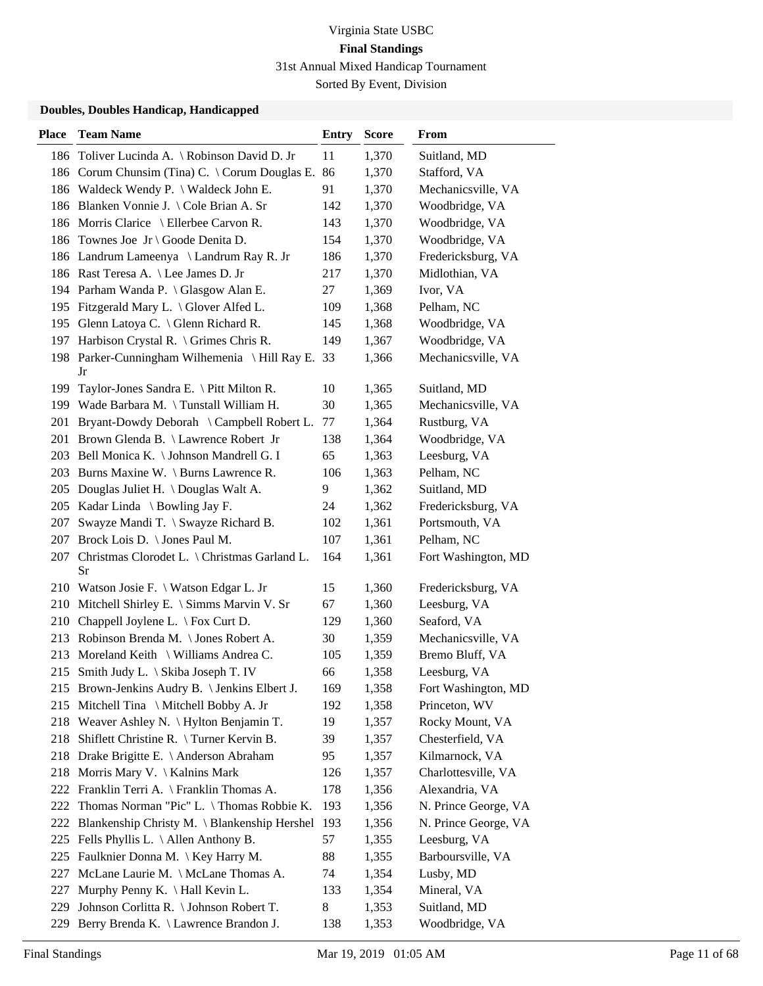| <b>Place</b> | <b>Team Name</b>                                       | <b>Entry</b> | <b>Score</b> | From                 |
|--------------|--------------------------------------------------------|--------------|--------------|----------------------|
|              | 186 Toliver Lucinda A. \ Robinson David D. Jr          | 11           | 1,370        | Suitland, MD         |
|              | 186 Corum Chunsim (Tina) C. \ Corum Douglas E.         | 86           | 1,370        | Stafford, VA         |
|              | 186 Waldeck Wendy P. \ Waldeck John E.                 | 91           | 1,370        | Mechanicsville, VA   |
|              | 186 Blanken Vonnie J. \ Cole Brian A. Sr               | 142          | 1,370        | Woodbridge, VA       |
|              | 186 Morris Clarice \ Ellerbee Carvon R.                | 143          | 1,370        | Woodbridge, VA       |
| 186          | Townes Joe Jr \ Goode Denita D.                        | 154          | 1,370        | Woodbridge, VA       |
|              | 186 Landrum Lameenya \ Landrum Ray R. Jr               | 186          | 1,370        | Fredericksburg, VA   |
|              | 186 Rast Teresa A. \ Lee James D. Jr                   | 217          | 1,370        | Midlothian, VA       |
|              | 194 Parham Wanda P. \ Glasgow Alan E.                  | 27           | 1,369        | Ivor, VA             |
|              | 195 Fitzgerald Mary L. \ Glover Alfed L.               | 109          | 1,368        | Pelham, NC           |
|              | 195 Glenn Latoya C. \ Glenn Richard R.                 | 145          | 1,368        | Woodbridge, VA       |
|              | 197 Harbison Crystal R. \ Grimes Chris R.              | 149          | 1,367        | Woodbridge, VA       |
|              | 198 Parker-Cunningham Wilhemenia \Hill Ray E. 33<br>Jr |              | 1,366        | Mechanicsville, VA   |
| 199          | Taylor-Jones Sandra E. \ Pitt Milton R.                | 10           | 1,365        | Suitland, MD         |
|              | 199 Wade Barbara M. \Tunstall William H.               | 30           | 1,365        | Mechanicsville, VA   |
|              | 201 Bryant-Dowdy Deborah \ Campbell Robert L.          | 77           | 1,364        | Rustburg, VA         |
|              | 201 Brown Glenda B. \ Lawrence Robert Jr               | 138          | 1,364        | Woodbridge, VA       |
|              | 203 Bell Monica K. \ Johnson Mandrell G. I             | 65           | 1,363        | Leesburg, VA         |
| 203          | Burns Maxine W. \ Burns Lawrence R.                    | 106          | 1,363        | Pelham, NC           |
|              | 205 Douglas Juliet H. \Douglas Walt A.                 | 9            | 1,362        | Suitland, MD         |
|              | 205 Kadar Linda \ Bowling Jay F.                       | 24           | 1,362        | Fredericksburg, VA   |
| 207          | Swayze Mandi T. \ Swayze Richard B.                    | 102          | 1,361        | Portsmouth, VA       |
| 207          | Brock Lois D. \ Jones Paul M.                          | 107          | 1,361        | Pelham, NC           |
| 207          | Christmas Clorodet L. \ Christmas Garland L.<br>Sr     | 164          | 1,361        | Fort Washington, MD  |
|              | 210 Watson Josie F. \ Watson Edgar L. Jr               | 15           | 1,360        | Fredericksburg, VA   |
| 210          | Mitchell Shirley E. \ Simms Marvin V. Sr               | 67           | 1,360        | Leesburg, VA         |
| 210          | Chappell Joylene L. \ Fox Curt D.                      | 129          | 1,360        | Seaford, VA          |
|              | 213 Robinson Brenda M. \ Jones Robert A.               | 30           | 1,359        | Mechanicsville, VA   |
| 213          | Moreland Keith \ Williams Andrea C.                    | 105          | 1,359        | Bremo Bluff, VA      |
|              | 215 Smith Judy L. \ Skiba Joseph T. IV                 | 66           | 1,358        | Leesburg, VA         |
|              | 215 Brown-Jenkins Audry B. \ Jenkins Elbert J.         | 169          | 1,358        | Fort Washington, MD  |
|              | 215 Mitchell Tina \ Mitchell Bobby A. Jr               | 192          | 1,358        | Princeton, WV        |
|              | 218 Weaver Ashley N. \ Hylton Benjamin T.              | 19           | 1,357        | Rocky Mount, VA      |
|              | 218 Shiflett Christine R. \Turner Kervin B.            | 39           | 1,357        | Chesterfield, VA     |
|              | 218 Drake Brigitte E. \ Anderson Abraham               | 95           | 1,357        | Kilmarnock, VA       |
|              | 218 Morris Mary V. \ Kalnins Mark                      | 126          | 1,357        | Charlottesville, VA  |
|              | 222 Franklin Terri A. \ Franklin Thomas A.             | 178          | 1,356        | Alexandria, VA       |
| 222          | Thomas Norman "Pic" L. \Thomas Robbie K.               | 193          | 1,356        | N. Prince George, VA |
| 222          | Blankenship Christy M. \ Blankenship Hershel           | 193          | 1,356        | N. Prince George, VA |
|              | 225 Fells Phyllis L. \ Allen Anthony B.                | 57           | 1,355        | Leesburg, VA         |
| 225          | Faulknier Donna M. \ Key Harry M.                      | 88           | 1,355        | Barboursville, VA    |
| 227          | McLane Laurie M. \ McLane Thomas A.                    | 74           | 1,354        | Lusby, MD            |
| 227          | Murphy Penny K. \ Hall Kevin L.                        | 133          | 1,354        | Mineral, VA          |
| 229          | Johnson Corlitta R. \ Johnson Robert T.                | 8            | 1,353        | Suitland, MD         |
| 229          | Berry Brenda K. \ Lawrence Brandon J.                  | 138          | 1,353        | Woodbridge, VA       |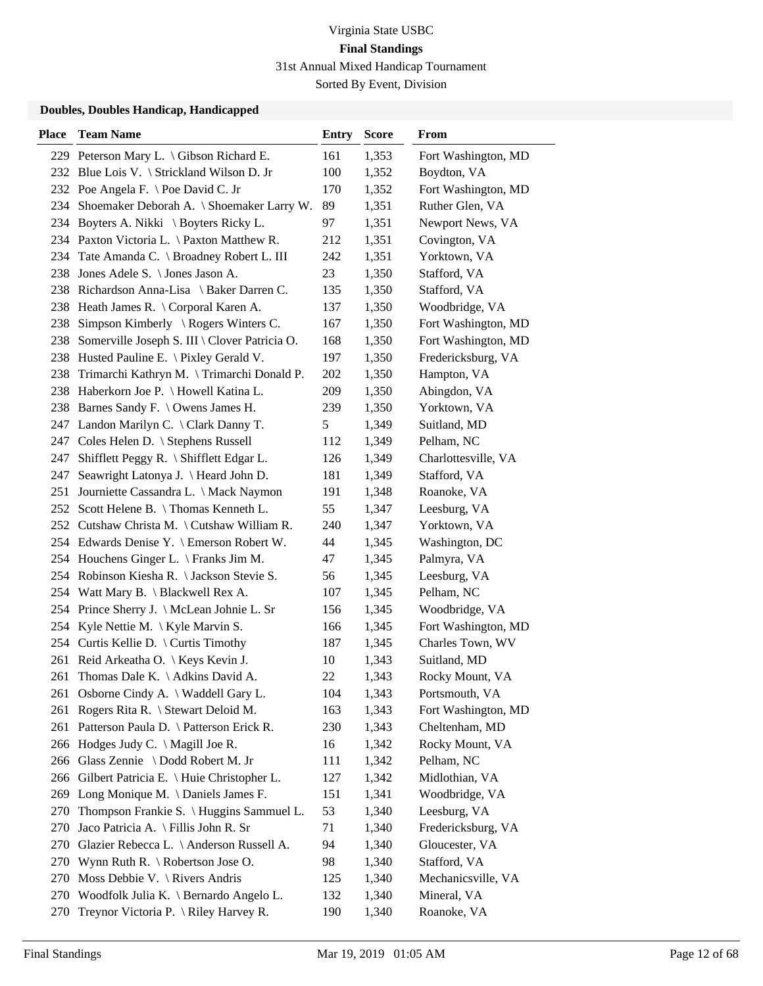Sorted By Event, Division

| <b>Place</b> | <b>Team Name</b>                                  | <b>Entry</b> | <b>Score</b> | From                |
|--------------|---------------------------------------------------|--------------|--------------|---------------------|
|              | 229 Peterson Mary L. \ Gibson Richard E.          | 161          | 1,353        | Fort Washington, MD |
|              | 232 Blue Lois V. \ Strickland Wilson D. Jr        | 100          | 1,352        | Boydton, VA         |
|              | 232 Poe Angela F. \ Poe David C. Jr               | 170          | 1,352        | Fort Washington, MD |
| 234          | Shoemaker Deborah A. \ Shoemaker Larry W.         | 89           | 1,351        | Ruther Glen, VA     |
|              | 234 Boyters A. Nikki \ Boyters Ricky L.           | 97           | 1,351        | Newport News, VA    |
|              | 234 Paxton Victoria L. \ Paxton Matthew R.        | 212          | 1,351        | Covington, VA       |
|              | 234 Tate Amanda C. \ Broadney Robert L. III       | 242          | 1,351        | Yorktown, VA        |
| 238          | Jones Adele S. \ Jones Jason A.                   | 23           | 1,350        | Stafford, VA        |
|              | 238 Richardson Anna-Lisa \ Baker Darren C.        | 135          | 1,350        | Stafford, VA        |
|              | 238 Heath James R. \ Corporal Karen A.            | 137          | 1,350        | Woodbridge, VA      |
| 238          | Simpson Kimberly $\setminus$ Rogers Winters C.    | 167          | 1,350        | Fort Washington, MD |
|              | 238 Somerville Joseph S. III \ Clover Patricia O. | 168          | 1,350        | Fort Washington, MD |
| 238          | Husted Pauline E. \ Pixley Gerald V.              | 197          | 1,350        | Fredericksburg, VA  |
| 238          | Trimarchi Kathryn M. \Trimarchi Donald P.         | 202          | 1,350        | Hampton, VA         |
|              | 238 Haberkorn Joe P. \ Howell Katina L.           | 209          | 1,350        | Abingdon, VA        |
|              | 238 Barnes Sandy F. \ Owens James H.              | 239          | 1,350        | Yorktown, VA        |
|              | 247 Landon Marilyn C. \ Clark Danny T.            | 5            | 1,349        | Suitland, MD        |
| 247          | Coles Helen D. \ Stephens Russell                 | 112          | 1,349        | Pelham, NC          |
| 247          | Shifflett Peggy R. \ Shifflett Edgar L.           | 126          | 1,349        | Charlottesville, VA |
| 247          | Seawright Latonya J. \ Heard John D.              | 181          | 1,349        | Stafford, VA        |
| 251          | Journiette Cassandra L. \ Mack Naymon             | 191          | 1,348        | Roanoke, VA         |
|              | 252 Scott Helene B. \Thomas Kenneth L.            | 55           | 1,347        | Leesburg, VA        |
|              | 252 Cutshaw Christa M. \Cutshaw William R.        | 240          | 1,347        | Yorktown, VA        |
|              | 254 Edwards Denise Y. \ Emerson Robert W.         | 44           | 1,345        | Washington, DC      |
|              | 254 Houchens Ginger L. \ Franks Jim M.            | 47           | 1,345        | Palmyra, VA         |
|              | 254 Robinson Kiesha R. \ Jackson Stevie S.        | 56           | 1,345        | Leesburg, VA        |
|              | 254 Watt Mary B. \ Blackwell Rex A.               | 107          | 1,345        | Pelham, NC          |
| 254          | Prince Sherry J. \ McLean Johnie L. Sr            | 156          | 1,345        | Woodbridge, VA      |
|              | 254 Kyle Nettie M. \ Kyle Marvin S.               | 166          | 1,345        | Fort Washington, MD |
|              | 254 Curtis Kellie D. \ Curtis Timothy             | 187          | 1,345        | Charles Town, WV    |
|              | 261 Reid Arkeatha O. \ Keys Kevin J.              | 10           | 1,343        | Suitland, MD        |
| 261          | Thomas Dale K. \ Adkins David A.                  | 22           | 1,343        | Rocky Mount, VA     |
|              | 261 Osborne Cindy A. \ Waddell Gary L.            | 104          | 1,343        | Portsmouth, VA      |
| 261          | Rogers Rita R. \ Stewart Deloid M.                | 163          | 1,343        | Fort Washington, MD |
| 261          | Patterson Paula D. \ Patterson Erick R.           | 230          | 1,343        | Cheltenham, MD      |
|              | 266 Hodges Judy C. \ Magill Joe R.                | 16           | 1,342        | Rocky Mount, VA     |
|              | 266 Glass Zennie \ Dodd Robert M. Jr              | 111          | 1,342        | Pelham, NC          |
| 266          | Gilbert Patricia E. \ Huie Christopher L.         | 127          | 1,342        | Midlothian, VA      |
|              | 269 Long Monique M. \Daniels James F.             | 151          | 1,341        | Woodbridge, VA      |
| 270          | Thompson Frankie S. \ Huggins Sammuel L.          | 53           | 1,340        | Leesburg, VA        |
| 270          | Jaco Patricia A. \ Fillis John R. Sr              | 71           | 1,340        | Fredericksburg, VA  |
| 270          | Glazier Rebecca L. \ Anderson Russell A.          | 94           | 1,340        | Gloucester, VA      |
|              | 270 Wynn Ruth R. \ Robertson Jose O.              | 98           | 1,340        | Stafford, VA        |
| 270          | Moss Debbie V. $\setminus$ Rivers Andris          | 125          | 1,340        | Mechanicsville, VA  |
| 270          | Woodfolk Julia K. $\setminus$ Bernardo Angelo L.  | 132          | 1,340        | Mineral, VA         |
| 270          | Treynor Victoria P. \ Riley Harvey R.             | 190          | 1,340        | Roanoke, VA         |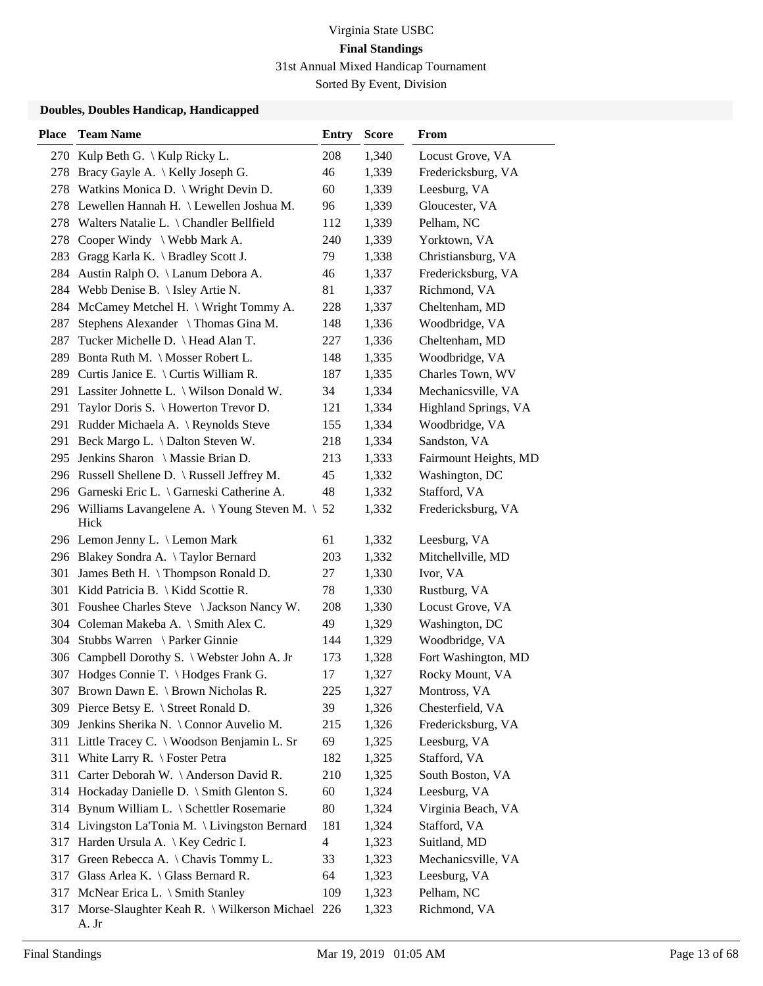Sorted By Event, Division

| <b>Place</b> | <b>Team Name</b>                                             | Entry                    | <b>Score</b> | From                  |
|--------------|--------------------------------------------------------------|--------------------------|--------------|-----------------------|
|              | 270 Kulp Beth G. \ Kulp Ricky L.                             | 208                      | 1,340        | Locust Grove, VA      |
|              | 278 Bracy Gayle A. \ Kelly Joseph G.                         | 46                       | 1,339        | Fredericksburg, VA    |
|              | 278 Watkins Monica D. \ Wright Devin D.                      | 60                       | 1,339        | Leesburg, VA          |
|              | 278 Lewellen Hannah H. \ Lewellen Joshua M.                  | 96                       | 1,339        | Gloucester, VA        |
|              | 278 Walters Natalie L. \ Chandler Bellfield                  | 112                      | 1,339        | Pelham, NC            |
|              | 278 Cooper Windy \ Webb Mark A.                              | 240                      | 1,339        | Yorktown, VA          |
|              | 283 Gragg Karla K. \ Bradley Scott J.                        | 79                       | 1,338        | Christiansburg, VA    |
| 284          | Austin Ralph O. \ Lanum Debora A.                            | 46                       | 1,337        | Fredericksburg, VA    |
|              | 284 Webb Denise B. \ Isley Artie N.                          | 81                       | 1,337        | Richmond, VA          |
| 284          | McCamey Metchel H. \ Wright Tommy A.                         | 228                      | 1,337        | Cheltenham, MD        |
| 287          | Stephens Alexander \Thomas Gina M.                           | 148                      | 1,336        | Woodbridge, VA        |
| 287          | Tucker Michelle D. \ Head Alan T.                            | 227                      | 1,336        | Cheltenham, MD        |
| 289          | Bonta Ruth M. \ Mosser Robert L.                             | 148                      | 1,335        | Woodbridge, VA        |
|              | 289 Curtis Janice E. \ Curtis William R.                     | 187                      | 1,335        | Charles Town, WV      |
|              | 291 Lassiter Johnette L. \ Wilson Donald W.                  | 34                       | 1,334        | Mechanicsville, VA    |
|              | 291 Taylor Doris S. \ Howerton Trevor D.                     | 121                      | 1,334        | Highland Springs, VA  |
|              | 291 Rudder Michaela A. \ Reynolds Steve                      | 155                      | 1,334        | Woodbridge, VA        |
| 291          | Beck Margo L. \ Dalton Steven W.                             | 218                      | 1,334        | Sandston, VA          |
|              | 295 Jenkins Sharon \ Massie Brian D.                         | 213                      | 1,333        | Fairmount Heights, MD |
|              | 296 Russell Shellene D. \ Russell Jeffrey M.                 | 45                       | 1,332        | Washington, DC        |
|              | 296 Garneski Eric L. \ Garneski Catherine A.                 | 48                       | 1,332        | Stafford, VA          |
|              | 296 Williams Lavangelene A. \Young Steven M. \ 52<br>Hick    |                          | 1,332        | Fredericksburg, VA    |
|              | 296 Lemon Jenny L. \ Lemon Mark                              | 61                       | 1,332        | Leesburg, VA          |
|              | 296 Blakey Sondra A. \Taylor Bernard                         | 203                      | 1,332        | Mitchellville, MD     |
| 301          | James Beth H. \Thompson Ronald D.                            | 27                       | 1,330        | Ivor, VA              |
| 301          | Kidd Patricia B.   Kidd Scottie R.                           | 78                       | 1,330        | Rustburg, VA          |
|              | 301 Foushee Charles Steve \ Jackson Nancy W.                 | 208                      | 1,330        | Locust Grove, VA      |
|              | 304 Coleman Makeba A. \ Smith Alex C.                        | 49                       | 1,329        | Washington, DC        |
|              | 304 Stubbs Warren \ Parker Ginnie                            | 144                      | 1,329        | Woodbridge, VA        |
| 306          | Campbell Dorothy S. \ Webster John A. Jr                     | 173                      | 1,328        | Fort Washington, MD   |
|              | 307 Hodges Connie T. \ Hodges Frank G.                       | 17                       | 1,327        | Rocky Mount, VA       |
|              | 307 Brown Dawn E. \ Brown Nicholas R.                        | 225                      | 1,327        | Montross, VA          |
|              | 309 Pierce Betsy E. \ Street Ronald D.                       | 39                       | 1,326        | Chesterfield, VA      |
| 309          | Jenkins Sherika N. \ Connor Auvelio M.                       | 215                      | 1,326        | Fredericksburg, VA    |
| 311          | Little Tracey C. \ Woodson Benjamin L. Sr                    | 69                       | 1,325        | Leesburg, VA          |
| 311          | White Larry R. $\setminus$ Foster Petra                      | 182                      | 1,325        | Stafford, VA          |
| 311          | Carter Deborah W. \ Anderson David R.                        | 210                      | 1,325        | South Boston, VA      |
|              | 314 Hockaday Danielle D. \ Smith Glenton S.                  | 60                       | 1,324        | Leesburg, VA          |
|              | 314 Bynum William L. \ Schettler Rosemarie                   | 80                       | 1,324        | Virginia Beach, VA    |
|              | 314 Livingston La'Tonia M. \ Livingston Bernard              | 181                      | 1,324        | Stafford, VA          |
| 317          | Harden Ursula A.   Key Cedric I.                             | $\overline{\mathcal{A}}$ | 1,323        | Suitland, MD          |
| 317          | Green Rebecca A. \ Chavis Tommy L.                           | 33                       | 1,323        | Mechanicsville, VA    |
|              | 317 Glass Arlea K. \ Glass Bernard R.                        | 64                       | 1,323        | Leesburg, VA          |
|              | 317 McNear Erica L. \ Smith Stanley                          | 109                      | 1,323        | Pelham, NC            |
|              | 317 Morse-Slaughter Keah R. \ Wilkerson Michael 226<br>A. Jr |                          | 1,323        | Richmond, VA          |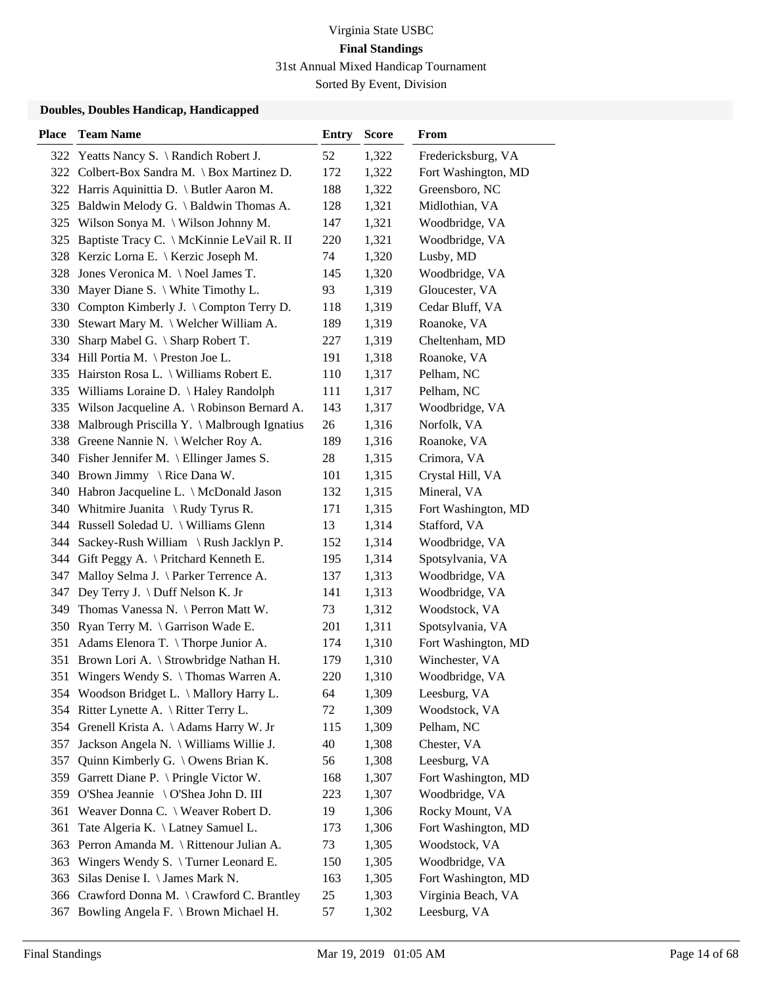| <b>Place</b> | <b>Team Name</b>                               | <b>Entry</b> | <b>Score</b> | From                |
|--------------|------------------------------------------------|--------------|--------------|---------------------|
|              | 322 Yeatts Nancy S. \ Randich Robert J.        | 52           | 1,322        | Fredericksburg, VA  |
|              | 322 Colbert-Box Sandra M. \ Box Martinez D.    | 172          | 1,322        | Fort Washington, MD |
|              | 322 Harris Aquinittia D. \ Butler Aaron M.     | 188          | 1,322        | Greensboro, NC      |
|              | 325 Baldwin Melody G. \ Baldwin Thomas A.      | 128          | 1,321        | Midlothian, VA      |
|              | 325 Wilson Sonya M. \ Wilson Johnny M.         | 147          | 1,321        | Woodbridge, VA      |
| 325          | Baptiste Tracy C. \ McKinnie LeVail R. II      | 220          | 1,321        | Woodbridge, VA      |
|              | 328 Kerzic Lorna E. \ Kerzic Joseph M.         | 74           | 1,320        | Lusby, MD           |
|              | 328 Jones Veronica M. \Noel James T.           | 145          | 1,320        | Woodbridge, VA      |
|              | 330 Mayer Diane S. \ White Timothy L.          | 93           | 1,319        | Gloucester, VA      |
|              | 330 Compton Kimberly J. \ Compton Terry D.     | 118          | 1,319        | Cedar Bluff, VA     |
| 330          | Stewart Mary M. \ Welcher William A.           | 189          | 1,319        | Roanoke, VA         |
|              | 330 Sharp Mabel G. \ Sharp Robert T.           | 227          | 1,319        | Cheltenham, MD      |
|              | 334 Hill Portia M. \ Preston Joe L.            | 191          | 1,318        | Roanoke, VA         |
|              | 335 Hairston Rosa L. \ Williams Robert E.      | 110          | 1,317        | Pelham, NC          |
| 335          | Williams Loraine D. \Haley Randolph            | 111          | 1,317        | Pelham, NC          |
|              | 335 Wilson Jacqueline A. \ Robinson Bernard A. | 143          | 1,317        | Woodbridge, VA      |
| 338          | Malbrough Priscilla Y. \ Malbrough Ignatius    | 26           | 1,316        | Norfolk, VA         |
|              | 338 Greene Nannie N. \ Welcher Roy A.          | 189          | 1,316        | Roanoke, VA         |
|              | 340 Fisher Jennifer M. \ Ellinger James S.     | 28           | 1,315        | Crimora, VA         |
|              | 340 Brown Jimmy \ Rice Dana W.                 | 101          | 1,315        | Crystal Hill, VA    |
|              | 340 Habron Jacqueline L. \ McDonald Jason      | 132          | 1,315        | Mineral, VA         |
|              | 340 Whitmire Juanita \ Rudy Tyrus R.           | 171          | 1,315        | Fort Washington, MD |
|              | 344 Russell Soledad U. \ Williams Glenn        | 13           | 1,314        | Stafford, VA        |
|              | 344 Sackey-Rush William \ Rush Jacklyn P.      | 152          | 1,314        | Woodbridge, VA      |
|              | 344 Gift Peggy A. \ Pritchard Kenneth E.       | 195          | 1,314        | Spotsylvania, VA    |
| 347          | Malloy Selma J. \ Parker Terrence A.           | 137          | 1,313        | Woodbridge, VA      |
| 347          | Dey Terry J. \ Duff Nelson K. Jr               | 141          | 1,313        | Woodbridge, VA      |
|              | 349 Thomas Vanessa N. \ Perron Matt W.         | 73           | 1,312        | Woodstock, VA       |
|              | 350 Ryan Terry M. \ Garrison Wade E.           | 201          | 1,311        | Spotsylvania, VA    |
| 351          | Adams Elenora T. \Thorpe Junior A.             | 174          | 1,310        | Fort Washington, MD |
| 351          | Brown Lori A. \ Strowbridge Nathan H.          | 179          | 1,310        | Winchester, VA      |
|              | 351 Wingers Wendy S. \Thomas Warren A.         | 220          | 1,310        | Woodbridge, VA      |
|              | 354 Woodson Bridget L. \ Mallory Harry L.      | 64           | 1,309        | Leesburg, VA        |
|              | 354 Ritter Lynette A. \ Ritter Terry L.        | 72           | 1,309        | Woodstock, VA       |
|              | 354 Grenell Krista A. \Adams Harry W. Jr       | 115          | 1,309        | Pelham, NC          |
| 357          | Jackson Angela N. \ Williams Willie J.         | 40           | 1,308        | Chester, VA         |
| 357          | Quinn Kimberly G. \ Owens Brian K.             | 56           | 1,308        | Leesburg, VA        |
| 359          | Garrett Diane P. \ Pringle Victor W.           | 168          | 1,307        | Fort Washington, MD |
| 359          | O'Shea Jeannie \ O'Shea John D. III            | 223          | 1,307        | Woodbridge, VA      |
| 361          | Weaver Donna C. \ Weaver Robert D.             | 19           | 1,306        | Rocky Mount, VA     |
| 361          | Tate Algeria K. \ Latney Samuel L.             | 173          | 1,306        | Fort Washington, MD |
| 363          | Perron Amanda M. \ Rittenour Julian A.         | 73           | 1,305        | Woodstock, VA       |
| 363          | Wingers Wendy S. \Turner Leonard E.            | 150          | 1,305        | Woodbridge, VA      |
| 363          | Silas Denise I. \ James Mark N.                | 163          | 1,305        | Fort Washington, MD |
| 366          | Crawford Donna M. \ Crawford C. Brantley       | 25           | 1,303        | Virginia Beach, VA  |
| 367          | Bowling Angela F. \ Brown Michael H.           | 57           | 1,302        | Leesburg, VA        |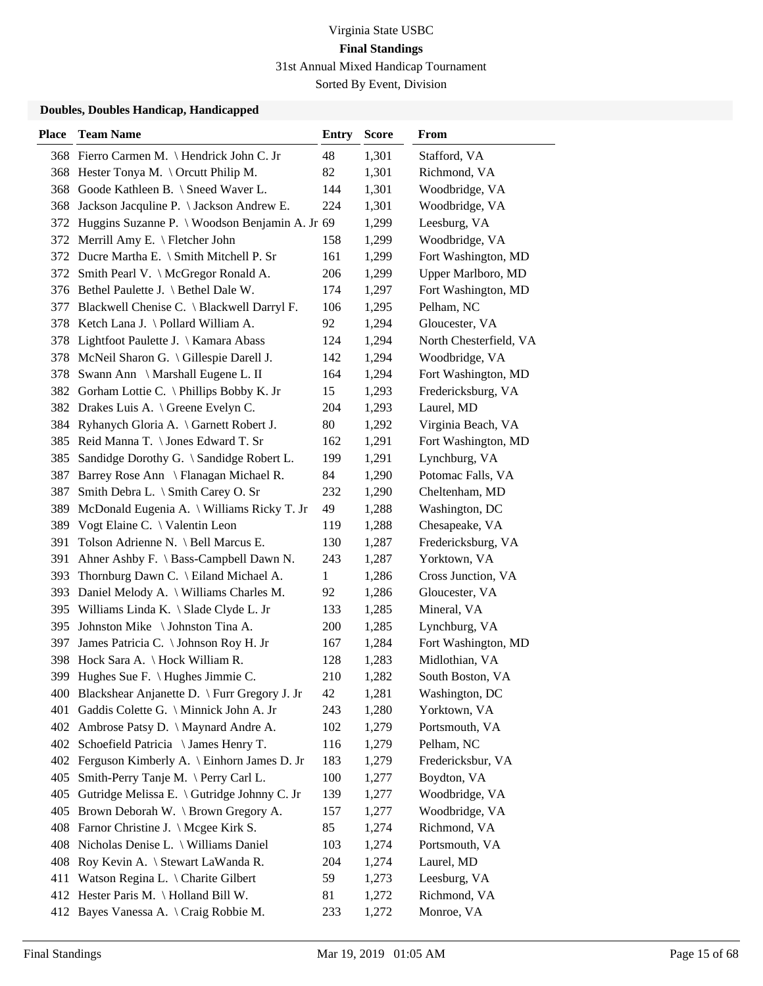Sorted By Event, Division

| <b>Place</b> | <b>Team Name</b>                                   | <b>Entry</b> | <b>Score</b> | From                   |
|--------------|----------------------------------------------------|--------------|--------------|------------------------|
|              | 368 Fierro Carmen M. \Hendrick John C. Jr          | 48           | 1,301        | Stafford, VA           |
|              | 368 Hester Tonya M. \Orcutt Philip M.              | 82           | 1,301        | Richmond, VA           |
| 368          | Goode Kathleen B. \ Sneed Waver L.                 | 144          | 1,301        | Woodbridge, VA         |
| 368          | Jackson Jacquline P. \ Jackson Andrew E.           | 224          | 1,301        | Woodbridge, VA         |
|              | 372 Huggins Suzanne P. \ Woodson Benjamin A. Jr 69 |              | 1,299        | Leesburg, VA           |
|              | 372 Merrill Amy E. \ Fletcher John                 | 158          | 1,299        | Woodbridge, VA         |
|              | 372 Ducre Martha E. \ Smith Mitchell P. Sr         | 161          | 1,299        | Fort Washington, MD    |
|              | 372 Smith Pearl V. \ McGregor Ronald A.            | 206          | 1,299        | Upper Marlboro, MD     |
|              | 376 Bethel Paulette J. \ Bethel Dale W.            | 174          | 1,297        | Fort Washington, MD    |
| 377          | Blackwell Chenise C. \ Blackwell Darryl F.         | 106          | 1,295        | Pelham, NC             |
|              | 378 Ketch Lana J. \ Pollard William A.             | 92           | 1,294        | Gloucester, VA         |
|              | 378 Lightfoot Paulette J. \ Kamara Abass           | 124          | 1,294        | North Chesterfield, VA |
| 378          | McNeil Sharon G. \ Gillespie Darell J.             | 142          | 1,294        | Woodbridge, VA         |
| 378          | Swann Ann \ Marshall Eugene L. II                  | 164          | 1,294        | Fort Washington, MD    |
|              | 382 Gorham Lottie C. \Phillips Bobby K. Jr         | 15           | 1,293        | Fredericksburg, VA     |
|              | 382 Drakes Luis A. \ Greene Evelyn C.              | 204          | 1,293        | Laurel, MD             |
| 384          | Ryhanych Gloria A. \ Garnett Robert J.             | 80           | 1,292        | Virginia Beach, VA     |
|              | 385 Reid Manna T. \ Jones Edward T. Sr             | 162          | 1,291        | Fort Washington, MD    |
| 385          | Sandidge Dorothy G. \ Sandidge Robert L.           | 199          | 1,291        | Lynchburg, VA          |
| 387          | Barrey Rose Ann \ Flanagan Michael R.              | 84           | 1,290        | Potomac Falls, VA      |
| 387          | Smith Debra L. \ Smith Carey O. Sr                 | 232          | 1,290        | Cheltenham, MD         |
| 389          | McDonald Eugenia A. \ Williams Ricky T. Jr         | 49           | 1,288        | Washington, DC         |
| 389          | Vogt Elaine C. $\setminus$ Valentin Leon           | 119          | 1,288        | Chesapeake, VA         |
| 391          | Tolson Adrienne N. \ Bell Marcus E.                | 130          | 1,287        | Fredericksburg, VA     |
| 391          | Ahner Ashby F. \ Bass-Campbell Dawn N.             | 243          | 1,287        | Yorktown, VA           |
| 393          | Thornburg Dawn C. \ Eiland Michael A.              | 1            | 1,286        | Cross Junction, VA     |
| 393          | Daniel Melody A. \ Williams Charles M.             | 92           | 1,286        | Gloucester, VA         |
| 395          | Williams Linda K. \ Slade Clyde L. Jr              | 133          | 1,285        | Mineral, VA            |
| 395          | Johnston Mike \ Johnston Tina A.                   | 200          | 1,285        | Lynchburg, VA          |
| 397          | James Patricia C. \ Johnson Roy H. Jr              | 167          | 1,284        | Fort Washington, MD    |
|              | 398 Hock Sara A. \Hock William R.                  | 128          | 1,283        | Midlothian, VA         |
|              | 399 Hughes Sue F. \ Hughes Jimmie C.               | 210          | 1,282        | South Boston, VA       |
|              | 400 Blackshear Anjanette D. \ Furr Gregory J. Jr   | 42           | 1,281        | Washington, DC         |
| 401          | Gaddis Colette G. \ Minnick John A. Jr             | 243          | 1,280        | Yorktown, VA           |
|              | 402 Ambrose Patsy D. \ Maynard Andre A.            | 102          | 1,279        | Portsmouth, VA         |
|              | 402 Schoefield Patricia \ James Henry T.           | 116          | 1,279        | Pelham, NC             |
|              | 402 Ferguson Kimberly A. \ Einhorn James D. Jr     | 183          | 1,279        | Fredericksbur, VA      |
| 405          | Smith-Perry Tanje M. \Perry Carl L.                | 100          | 1,277        | Boydton, VA            |
| 405          | Gutridge Melissa E. \ Gutridge Johnny C. Jr        | 139          | 1,277        | Woodbridge, VA         |
| 405          | Brown Deborah W. \ Brown Gregory A.                | 157          | 1,277        | Woodbridge, VA         |
| 408          | Farnor Christine J. \ Mcgee Kirk S.                | 85           | 1,274        | Richmond, VA           |
| 408          | Nicholas Denise L. \ Williams Daniel               | 103          | 1,274        | Portsmouth, VA         |
| 408          | Roy Kevin A. \ Stewart LaWanda R.                  | 204          | 1,274        | Laurel, MD             |
| 411          | Watson Regina L. \ Charite Gilbert                 | 59           | 1,273        | Leesburg, VA           |
|              | 412 Hester Paris M. \Holland Bill W.               | 81           | 1,272        | Richmond, VA           |
|              | 412 Bayes Vanessa A. \ Craig Robbie M.             | 233          | 1,272        | Monroe, VA             |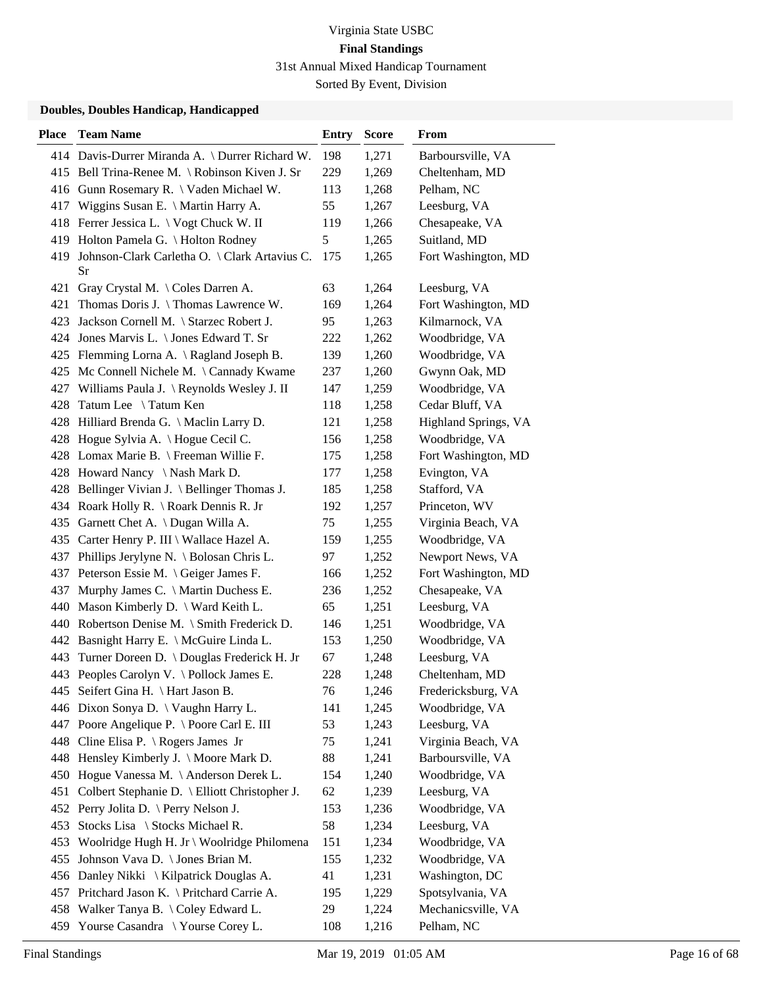| <b>Place</b> | <b>Team Name</b>                                    | <b>Entry</b> | <b>Score</b> | From                 |
|--------------|-----------------------------------------------------|--------------|--------------|----------------------|
|              | 414 Davis-Durrer Miranda A. \ Durrer Richard W.     | 198          | 1,271        | Barboursville, VA    |
|              | 415 Bell Trina-Renee M. \ Robinson Kiven J. Sr      | 229          | 1,269        | Cheltenham, MD       |
|              | 416 Gunn Rosemary R. \ Vaden Michael W.             | 113          | 1,268        | Pelham, NC           |
| 417          | Wiggins Susan E. \ Martin Harry A.                  | 55           | 1,267        | Leesburg, VA         |
| 418          | Ferrer Jessica L. \ Vogt Chuck W. II                | 119          | 1,266        | Chesapeake, VA       |
| 419          | Holton Pamela G. \ Holton Rodney                    | 5            | 1,265        | Suitland, MD         |
| 419          | Johnson-Clark Carletha O. \ Clark Artavius C.<br>Sr | 175          | 1,265        | Fort Washington, MD  |
| 421          | Gray Crystal M. \ Coles Darren A.                   | 63           | 1,264        | Leesburg, VA         |
| 421          | Thomas Doris J. \Thomas Lawrence W.                 | 169          | 1,264        | Fort Washington, MD  |
| 423          | Jackson Cornell M. \ Starzec Robert J.              | 95           | 1,263        | Kilmarnock, VA       |
| 424          | Jones Marvis L. \ Jones Edward T. Sr                | 222          | 1,262        | Woodbridge, VA       |
|              | 425 Flemming Lorna A. \ Ragland Joseph B.           | 139          | 1,260        | Woodbridge, VA       |
| 425          | Mc Connell Nichele M. \ Cannady Kwame               | 237          | 1,260        | Gwynn Oak, MD        |
| 427          | Williams Paula J. \ Reynolds Wesley J. II           | 147          | 1,259        | Woodbridge, VA       |
| 428          | Tatum Lee \Tatum Ken                                | 118          | 1,258        | Cedar Bluff, VA      |
|              | 428 Hilliard Brenda G. \ Maclin Larry D.            | 121          | 1,258        | Highland Springs, VA |
|              | 428 Hogue Sylvia A. \Hogue Cecil C.                 | 156          | 1,258        | Woodbridge, VA       |
|              | 428 Lomax Marie B. \ Freeman Willie F.              | 175          | 1,258        | Fort Washington, MD  |
|              | 428 Howard Nancy \Nash Mark D.                      | 177          | 1,258        | Evington, VA         |
|              | 428 Bellinger Vivian J. \ Bellinger Thomas J.       | 185          | 1,258        | Stafford, VA         |
|              | 434 Roark Holly R. \ Roark Dennis R. Jr             | 192          | 1,257        | Princeton, WV        |
| 435          | Garnett Chet A. \ Dugan Willa A.                    | 75           | 1,255        | Virginia Beach, VA   |
|              | 435 Carter Henry P. III \ Wallace Hazel A.          | 159          | 1,255        | Woodbridge, VA       |
|              | 437 Phillips Jerylyne N. \ Bolosan Chris L.         | 97           | 1,252        | Newport News, VA     |
| 437          | Peterson Essie M. \ Geiger James F.                 | 166          | 1,252        | Fort Washington, MD  |
| 437          | Murphy James C. \ Martin Duchess E.                 | 236          | 1,252        | Chesapeake, VA       |
| 440          | Mason Kimberly D. \ Ward Keith L.                   | 65           | 1,251        | Leesburg, VA         |
| 440          | Robertson Denise M. \ Smith Frederick D.            | 146          | 1,251        | Woodbridge, VA       |
| 442          | Basnight Harry E. \ McGuire Linda L.                | 153          | 1,250        | Woodbridge, VA       |
| 443          | Turner Doreen D. \ Douglas Frederick H. Jr          | 67           | 1,248        | Leesburg, VA         |
|              | 443 Peoples Carolyn V. \ Pollock James E.           | 228          | 1,248        | Cheltenham, MD       |
|              | 445 Seifert Gina H. \ Hart Jason B.                 | 76           | 1,246        | Fredericksburg, VA   |
|              | 446 Dixon Sonya D. \ Vaughn Harry L.                | 141          | 1,245        | Woodbridge, VA       |
|              | 447 Poore Angelique P. \ Poore Carl E. III          | 53           | 1,243        | Leesburg, VA         |
| 448          | Cline Elisa P. $\setminus$ Rogers James Jr          | 75           | 1,241        | Virginia Beach, VA   |
| 448          | Hensley Kimberly J. \ Moore Mark D.                 | 88           | 1,241        | Barboursville, VA    |
| 450          | Hogue Vanessa M. \Anderson Derek L.                 | 154          | 1,240        | Woodbridge, VA       |
| 451          | Colbert Stephanie D. \ Elliott Christopher J.       | 62           | 1,239        | Leesburg, VA         |
| 452          | Perry Jolita D. \ Perry Nelson J.                   | 153          | 1,236        | Woodbridge, VA       |
| 453          | Stocks Lisa \ Stocks Michael R.                     | 58           | 1,234        | Leesburg, VA         |
| 453          | Woolridge Hugh H. Jr \ Woolridge Philomena          | 151          | 1,234        | Woodbridge, VA       |
| 455          | Johnson Vava D. \ Jones Brian M.                    | 155          | 1,232        | Woodbridge, VA       |
| 456          | Danley Nikki \ Kilpatrick Douglas A.                | 41           | 1,231        | Washington, DC       |
| 457          | Pritchard Jason K. \ Pritchard Carrie A.            | 195          | 1,229        | Spotsylvania, VA     |
| 458          | Walker Tanya B. \ Coley Edward L.                   | 29           | 1,224        | Mechanicsville, VA   |
| 459          | Yourse Casandra \ Yourse Corey L.                   | 108          | 1,216        | Pelham, NC           |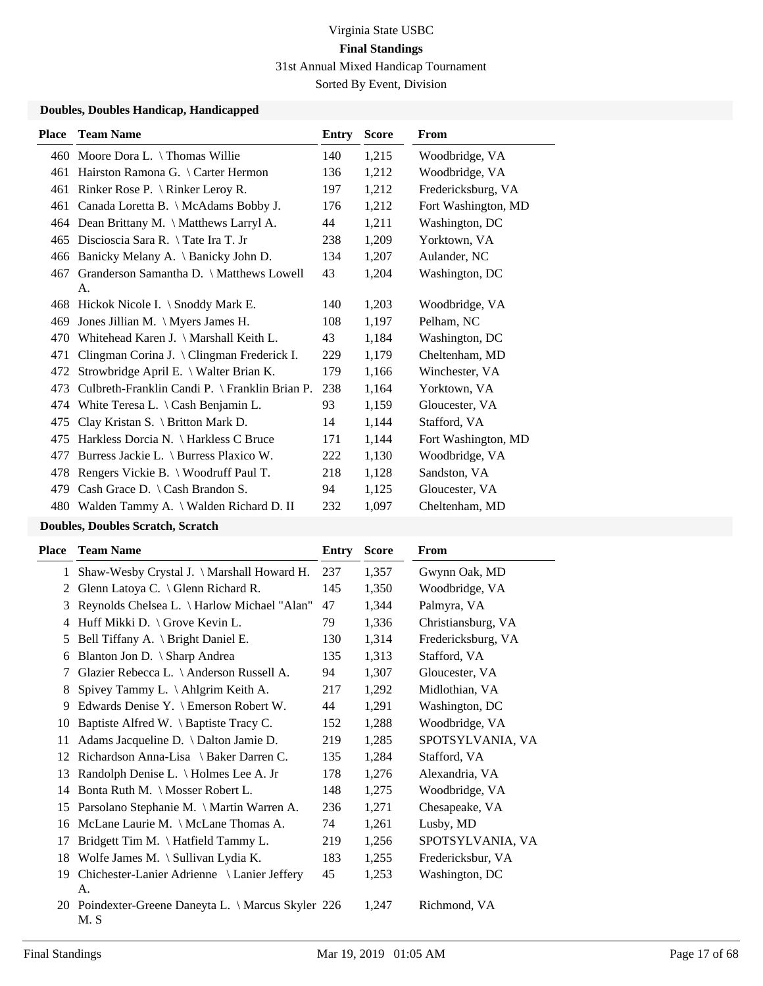#### **Doubles, Doubles Handicap, Handicapped**

| <b>Team Name</b>                                   | Entry | <b>Score</b>                                   | <b>From</b>         |
|----------------------------------------------------|-------|------------------------------------------------|---------------------|
| 460 Moore Dora L. \Thomas Willie                   | 140   | 1,215                                          | Woodbridge, VA      |
| Hairston Ramona G. \ Carter Hermon                 | 136   | 1,212                                          | Woodbridge, VA      |
| 461 Rinker Rose P. \ Rinker Leroy R.               | 197   | 1,212                                          | Fredericksburg, VA  |
| Canada Loretta B. \ McAdams Bobby J.<br>461        | 176   | 1,212                                          | Fort Washington, MD |
| 464 Dean Brittany M. \ Matthews Larryl A.          | 44    | 1,211                                          | Washington, DC      |
| Discioscia Sara R. \Tate Ira T. Jr                 | 238   | 1,209                                          | Yorktown, VA        |
| Banicky Melany A. \ Banicky John D.                | 134   | 1,207                                          | Aulander, NC        |
| 467 Granderson Samantha D. \ Matthews Lowell<br>A. | 43    | 1,204                                          | Washington, DC      |
| 468 Hickok Nicole I. \ Snoddy Mark E.              | 140   | 1,203                                          | Woodbridge, VA      |
| Jones Jillian M. $\M$ yers James H.                | 108   | 1,197                                          | Pelham, NC          |
| Whitehead Karen J. \ Marshall Keith L.             | 43    | 1,184                                          | Washington, DC      |
| Clingman Corina J. \ Clingman Frederick I.         | 229   | 1,179                                          | Cheltenham, MD      |
| Strowbridge April E. \ Walter Brian K.             | 179   | 1,166                                          | Winchester, VA      |
|                                                    | 238   | 1,164                                          | Yorktown, VA        |
| White Teresa L. $\setminus$ Cash Benjamin L.       | 93    | 1,159                                          | Gloucester, VA      |
| Clay Kristan S. \ Britton Mark D.                  | 14    | 1,144                                          | Stafford, VA        |
| Harkless Dorcia N. \ Harkless C Bruce              | 171   | 1,144                                          | Fort Washington, MD |
| Burress Jackie L. \ Burress Plaxico W.             | 222   | 1,130                                          | Woodbridge, VA      |
| Rengers Vickie B. \ Woodruff Paul T.               | 218   | 1,128                                          | Sandston, VA        |
| Cash Grace D. $\setminus$ Cash Brandon S.          | 94    | 1,125                                          | Gloucester, VA      |
| 480 Walden Tammy A. \ Walden Richard D. II         | 232   | 1,097                                          | Cheltenham, MD      |
|                                                    |       | Culbreth-Franklin Candi P. \ Franklin Brian P. |                     |

#### **Doubles, Doubles Scratch, Scratch**

| Place        | <b>Team Name</b>                                           | Entry | <b>Score</b> | From               |
|--------------|------------------------------------------------------------|-------|--------------|--------------------|
| $\mathbf{1}$ | Shaw-Wesby Crystal J. \ Marshall Howard H.                 | 237   | 1,357        | Gwynn Oak, MD      |
| 2            | Glenn Latoya C. \ Glenn Richard R.                         | 145   | 1,350        | Woodbridge, VA     |
| 3            | Reynolds Chelsea L. \ Harlow Michael "Alan"                | 47    | 1,344        | Palmyra, VA        |
| 4            | Huff Mikki D. \ Grove Kevin L.                             | 79    | 1,336        | Christiansburg, VA |
| 5            | Bell Tiffany A. \ Bright Daniel E.                         | 130   | 1,314        | Fredericksburg, VA |
| 6            | Blanton Jon D. \ Sharp Andrea                              | 135   | 1,313        | Stafford, VA       |
| 7            | Glazier Rebecca L. \ Anderson Russell A.                   | 94    | 1,307        | Gloucester, VA     |
| 8            | Spivey Tammy L. \Ahlgrim Keith A.                          | 217   | 1,292        | Midlothian, VA     |
| 9            | Edwards Denise Y. \ Emerson Robert W.                      | 44    | 1,291        | Washington, DC     |
| 10           | Baptiste Alfred W. \ Baptiste Tracy C.                     | 152   | 1,288        | Woodbridge, VA     |
| 11           | Adams Jacqueline D. \ Dalton Jamie D.                      | 219   | 1,285        | SPOTSYLVANIA, VA   |
| 12           | Richardson Anna-Lisa \ Baker Darren C.                     | 135   | 1,284        | Stafford, VA       |
| 13           | Randolph Denise L. \ Holmes Lee A. Jr                      | 178   | 1,276        | Alexandria, VA     |
| 14           | Bonta Ruth M. \ Mosser Robert L.                           | 148   | 1,275        | Woodbridge, VA     |
| 15           | Parsolano Stephanie M. \ Martin Warren A.                  | 236   | 1,271        | Chesapeake, VA     |
| 16           | McLane Laurie M. \ McLane Thomas A.                        | 74    | 1,261        | Lusby, MD          |
| 17           | Bridgett Tim M. \Hatfield Tammy L.                         | 219   | 1,256        | SPOTSYLVANIA, VA   |
| 18           | Wolfe James M. \ Sullivan Lydia K.                         | 183   | 1,255        | Fredericksbur, VA  |
| 19           | Chichester-Lanier Adrienne \ Lanier Jeffery<br>A.          | 45    | 1,253        | Washington, DC     |
|              | 20 Poindexter-Greene Daneyta L. \ Marcus Skyler 226<br>M.S |       | 1,247        | Richmond, VA       |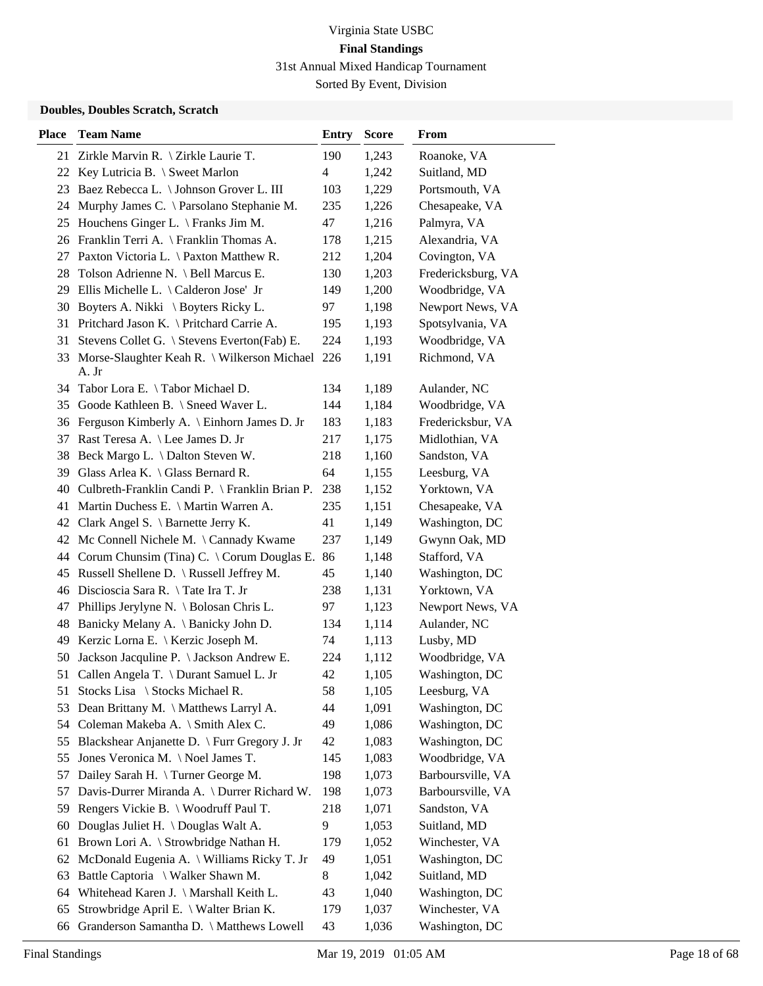Sorted By Event, Division

### **Doubles, Doubles Scratch, Scratch**

| <b>Place</b> | <b>Team Name</b>                                         | <b>Entry</b> | <b>Score</b> | From               |
|--------------|----------------------------------------------------------|--------------|--------------|--------------------|
|              | 21 Zirkle Marvin R. \ Zirkle Laurie T.                   | 190          | 1,243        | Roanoke, VA        |
|              | 22 Key Lutricia B. \ Sweet Marlon                        | 4            | 1,242        | Suitland, MD       |
| 23           | Baez Rebecca L. \ Johnson Grover L. III                  | 103          | 1,229        | Portsmouth, VA     |
|              | 24 Murphy James C. \ Parsolano Stephanie M.              | 235          | 1,226        | Chesapeake, VA     |
|              | 25 Houchens Ginger L. \ Franks Jim M.                    | 47           | 1,216        | Palmyra, VA        |
|              | 26 Franklin Terri A. \ Franklin Thomas A.                | 178          | 1,215        | Alexandria, VA     |
| 27           | Paxton Victoria L. \ Paxton Matthew R.                   | 212          | 1,204        | Covington, VA      |
|              | 28 Tolson Adrienne N. \ Bell Marcus E.                   | 130          | 1,203        | Fredericksburg, VA |
|              | 29 Ellis Michelle L. \ Calderon Jose' Jr                 | 149          | 1,200        | Woodbridge, VA     |
| 30           | Boyters A. Nikki \ Boyters Ricky L.                      | 97           | 1,198        | Newport News, VA   |
| 31           | Pritchard Jason K. \ Pritchard Carrie A.                 | 195          | 1,193        | Spotsylvania, VA   |
| 31           | Stevens Collet G. \ Stevens Everton(Fab) E.              | 224          | 1,193        | Woodbridge, VA     |
| 33           | Morse-Slaughter Keah R. \ Wilkerson Michael 226<br>A. Jr |              | 1,191        | Richmond, VA       |
| 34           | Tabor Lora E. \Tabor Michael D.                          | 134          | 1,189        | Aulander, NC       |
| 35           | Goode Kathleen B. \ Sneed Waver L.                       | 144          | 1,184        | Woodbridge, VA     |
|              | 36 Ferguson Kimberly A. \ Einhorn James D. Jr            | 183          | 1,183        | Fredericksbur, VA  |
| 37           | Rast Teresa A. \ Lee James D. Jr                         | 217          | 1,175        | Midlothian, VA     |
| 38           | Beck Margo L. \ Dalton Steven W.                         | 218          | 1,160        | Sandston, VA       |
| 39           | Glass Arlea K. $\setminus$ Glass Bernard R.              | 64           | 1,155        | Leesburg, VA       |
|              | 40 Culbreth-Franklin Candi P. \ Franklin Brian P.        | 238          | 1,152        | Yorktown, VA       |
| 41           | Martin Duchess E. \ Martin Warren A.                     | 235          | 1,151        | Chesapeake, VA     |
| 42           | Clark Angel S. \ Barnette Jerry K.                       | 41           | 1,149        | Washington, DC     |
|              | 42 Mc Connell Nichele M. \Cannady Kwame                  | 237          | 1,149        | Gwynn Oak, MD      |
|              | 44 Corum Chunsim (Tina) C. \ Corum Douglas E.            | 86           | 1,148        | Stafford, VA       |
|              | 45 Russell Shellene D. \ Russell Jeffrey M.              | 45           | 1,140        | Washington, DC     |
|              | 46 Discioscia Sara R. \Tate Ira T. Jr                    | 238          | 1,131        | Yorktown, VA       |
| 47           | Phillips Jerylyne N. \ Bolosan Chris L.                  | 97           | 1,123        | Newport News, VA   |
| 48           | Banicky Melany A. \ Banicky John D.                      | 134          | 1,114        | Aulander, NC       |
| 49           | Kerzic Lorna E. \ Kerzic Joseph M.                       | 74           | 1,113        | Lusby, MD          |
| 50           | Jackson Jacquline P. \ Jackson Andrew E.                 | 224          | 1,112        | Woodbridge, VA     |
| 51           | Callen Angela T. \ Durant Samuel L. Jr                   | 42           | 1,105        | Washington, DC     |
| 51           | Stocks Lisa \ Stocks Michael R.                          | 58           | 1,105        | Leesburg, VA       |
| 53           | Dean Brittany M. \ Matthews Larryl A.                    | 44           | 1,091        | Washington, DC     |
| 54           | Coleman Makeba A. \ Smith Alex C.                        | 49           | 1,086        | Washington, DC     |
| 55           | Blackshear Anjanette D. \ Furr Gregory J. Jr             | 42           | 1,083        | Washington, DC     |
| 55           | Jones Veronica M. \Noel James T.                         | 145          | 1,083        | Woodbridge, VA     |
| 57           | Dailey Sarah H. \ Turner George M.                       | 198          | 1,073        | Barboursville, VA  |
| 57           | Davis-Durrer Miranda A. \ Durrer Richard W.              | 198          | 1,073        | Barboursville, VA  |
| 59           | Rengers Vickie B. \ Woodruff Paul T.                     | 218          | 1,071        | Sandston, VA       |
| 60           | Douglas Juliet H. \ Douglas Walt A.                      | 9            | 1,053        | Suitland, MD       |
| 61           | Brown Lori A. \ Strowbridge Nathan H.                    | 179          | 1,052        | Winchester, VA     |
| 62           | McDonald Eugenia A. \ Williams Ricky T. Jr               | 49           | 1,051        | Washington, DC     |
| 63           | Battle Captoria \ Walker Shawn M.                        | 8            | 1,042        | Suitland, MD       |
| 64           | Whitehead Karen J. \ Marshall Keith L.                   | 43           | 1,040        | Washington, DC     |
| 65           | Strowbridge April E. \ Walter Brian K.                   | 179          | 1,037        | Winchester, VA     |
| 66           | Granderson Samantha D. \ Matthews Lowell                 | 43           | 1,036        | Washington, DC     |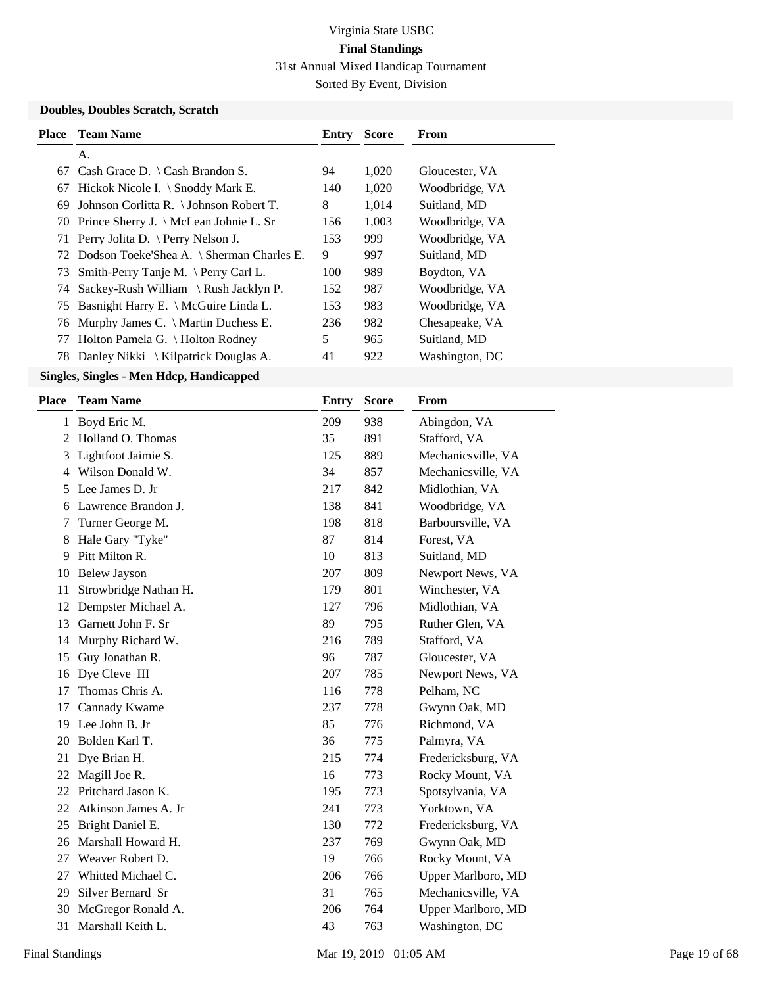Sorted By Event, Division

### **Doubles, Doubles Scratch, Scratch**

|    | <b>Place</b> Team Name                       | Entry | <b>Score</b> | From           |
|----|----------------------------------------------|-------|--------------|----------------|
|    | А.                                           |       |              |                |
| 67 | Cash Grace D. $\setminus$ Cash Brandon S.    | 94    | 1,020        | Gloucester, VA |
| 67 | Hickok Nicole I. $\setminus$ Snoddy Mark E.  | 140   | 1,020        | Woodbridge, VA |
| 69 | Johnson Corlitta R. \ Johnson Robert T.      | 8     | 1,014        | Suitland, MD   |
|    | 70 Prince Sherry J. \ McLean Johnie L. Sr    | 156   | 1,003        | Woodbridge, VA |
|    | 71 Perry Jolita D. \ Perry Nelson J.         | 153   | 999          | Woodbridge, VA |
|    | 72 Dodson Toeke'Shea A. \ Sherman Charles E. | 9     | 997          | Suitland, MD   |
| 73 | Smith-Perry Tanje M. $\Pery$ Carl L.         | 100   | 989          | Boydton, VA    |
|    | 74 Sackey-Rush William \ Rush Jacklyn P.     | 152   | 987          | Woodbridge, VA |
|    | 75 Basnight Harry E. \ McGuire Linda L.      | 153   | 983          | Woodbridge, VA |
|    | 76 Murphy James C. \ Martin Duchess E.       | 236   | 982          | Chesapeake, VA |
| 77 | Holton Pamela G. \ Holton Rodney             | 5     | 965          | Suitland, MD   |
|    | 78 Danley Nikki \ Kilpatrick Douglas A.      | 41    | 922          | Washington, DC |
|    |                                              |       |              |                |

| Place | <b>Team Name</b>      | <b>Entry</b> | <b>Score</b> | From               |
|-------|-----------------------|--------------|--------------|--------------------|
|       | 1 Boyd Eric M.        | 209          | 938          | Abingdon, VA       |
| 2     | Holland O. Thomas     | 35           | 891          | Stafford, VA       |
| 3     | Lightfoot Jaimie S.   | 125          | 889          | Mechanicsville, VA |
| 4     | Wilson Donald W.      | 34           | 857          | Mechanicsville, VA |
| 5     | Lee James D. Jr       | 217          | 842          | Midlothian, VA     |
| 6     | Lawrence Brandon J.   | 138          | 841          | Woodbridge, VA     |
| 7     | Turner George M.      | 198          | 818          | Barboursville, VA  |
| 8     | Hale Gary "Tyke"      | 87           | 814          | Forest, VA         |
| 9     | Pitt Milton R.        | 10           | 813          | Suitland, MD       |
| 10    | <b>Belew Jayson</b>   | 207          | 809          | Newport News, VA   |
| 11    | Strowbridge Nathan H. | 179          | 801          | Winchester, VA     |
| 12    | Dempster Michael A.   | 127          | 796          | Midlothian, VA     |
| 13    | Garnett John F. Sr    | 89           | 795          | Ruther Glen, VA    |
| 14    | Murphy Richard W.     | 216          | 789          | Stafford, VA       |
| 15    | Guy Jonathan R.       | 96           | 787          | Gloucester, VA     |
| 16    | Dye Cleve III         | 207          | 785          | Newport News, VA   |
| 17    | Thomas Chris A.       | 116          | 778          | Pelham, NC         |
| 17    | Cannady Kwame         | 237          | 778          | Gwynn Oak, MD      |
| 19    | Lee John B. Jr        | 85           | 776          | Richmond, VA       |
| 20    | Bolden Karl T.        | 36           | 775          | Palmyra, VA        |
| 21    | Dye Brian H.          | 215          | 774          | Fredericksburg, VA |
| 22    | Magill Joe R.         | 16           | 773          | Rocky Mount, VA    |
| 22    | Pritchard Jason K.    | 195          | 773          | Spotsylvania, VA   |
| 22    | Atkinson James A. Jr  | 241          | 773          | Yorktown, VA       |
| 25    | Bright Daniel E.      | 130          | 772          | Fredericksburg, VA |
| 26    | Marshall Howard H.    | 237          | 769          | Gwynn Oak, MD      |
| 27    | Weaver Robert D.      | 19           | 766          | Rocky Mount, VA    |
| 27    | Whitted Michael C.    | 206          | 766          | Upper Marlboro, MD |
| 29    | Silver Bernard Sr     | 31           | 765          | Mechanicsville, VA |
| 30    | McGregor Ronald A.    | 206          | 764          | Upper Marlboro, MD |
| 31    | Marshall Keith L.     | 43           | 763          | Washington, DC     |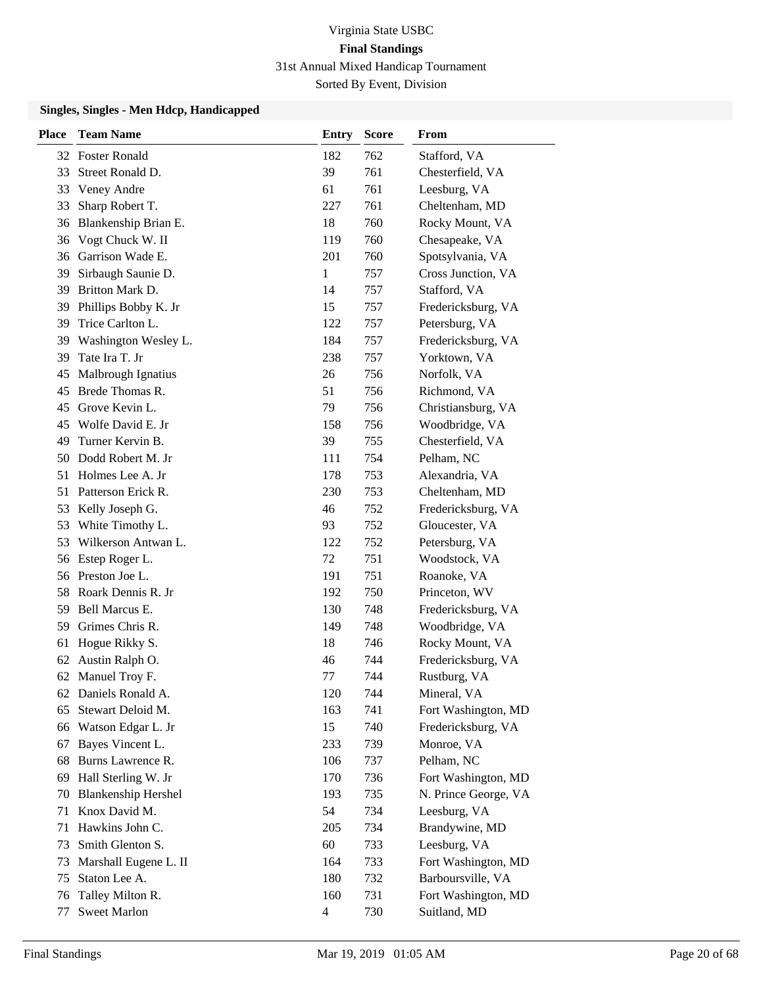| <b>Place</b> | <b>Team Name</b>           | <b>Entry</b>   | <b>Score</b> | From                 |
|--------------|----------------------------|----------------|--------------|----------------------|
|              | 32 Foster Ronald           | 182            | 762          | Stafford, VA         |
| 33           | Street Ronald D.           | 39             | 761          | Chesterfield, VA     |
| 33           | Veney Andre                | 61             | 761          | Leesburg, VA         |
| 33           | Sharp Robert T.            | 227            | 761          | Cheltenham, MD       |
| 36           | Blankenship Brian E.       | 18             | 760          | Rocky Mount, VA      |
| 36           | Vogt Chuck W. II           | 119            | 760          | Chesapeake, VA       |
| 36           | Garrison Wade E.           | 201            | 760          | Spotsylvania, VA     |
| 39           | Sirbaugh Saunie D.         | 1              | 757          | Cross Junction, VA   |
| 39           | Britton Mark D.            | 14             | 757          | Stafford, VA         |
| 39           | Phillips Bobby K. Jr       | 15             | 757          | Fredericksburg, VA   |
| 39           | Trice Carlton L.           | 122            | 757          | Petersburg, VA       |
| 39           | Washington Wesley L.       | 184            | 757          | Fredericksburg, VA   |
| 39           | Tate Ira T. Jr             | 238            | 757          | Yorktown, VA         |
| 45           | Malbrough Ignatius         | 26             | 756          | Norfolk, VA          |
| 45           | Brede Thomas R.            | 51             | 756          | Richmond, VA         |
| 45           | Grove Kevin L.             | 79             | 756          | Christiansburg, VA   |
| 45           | Wolfe David E. Jr          | 158            | 756          | Woodbridge, VA       |
| 49           | Turner Kervin B.           | 39             | 755          | Chesterfield, VA     |
| 50           | Dodd Robert M. Jr          | 111            | 754          | Pelham, NC           |
| 51           | Holmes Lee A. Jr           | 178            | 753          | Alexandria, VA       |
| 51           | Patterson Erick R.         | 230            | 753          | Cheltenham, MD       |
| 53           | Kelly Joseph G.            | 46             | 752          | Fredericksburg, VA   |
| 53           | White Timothy L.           | 93             | 752          | Gloucester, VA       |
| 53           | Wilkerson Antwan L.        | 122            | 752          | Petersburg, VA       |
| 56           | Estep Roger L.             | 72             | 751          | Woodstock, VA        |
|              | 56 Preston Joe L.          | 191            | 751          | Roanoke, VA          |
| 58           | Roark Dennis R. Jr         | 192            | 750          | Princeton, WV        |
| 59           | Bell Marcus E.             | 130            | 748          | Fredericksburg, VA   |
| 59           | Grimes Chris R.            | 149            | 748          | Woodbridge, VA       |
| 61           | Hogue Rikky S.             | 18             | 746          | Rocky Mount, VA      |
| 62           | Austin Ralph O.            | 46             | 744          | Fredericksburg, VA   |
|              | 62 Manuel Troy F.          | 77             | 744          | Rustburg, VA         |
|              | 62 Daniels Ronald A.       | 120            | 744          | Mineral, VA          |
| 65           | Stewart Deloid M.          | 163            | 741          | Fort Washington, MD  |
| 66           | Watson Edgar L. Jr         | 15             | 740          | Fredericksburg, VA   |
| 67           | Bayes Vincent L.           | 233            | 739          | Monroe, VA           |
| 68           | Burns Lawrence R.          | 106            | 737          | Pelham, NC           |
| 69           | Hall Sterling W. Jr        | 170            | 736          | Fort Washington, MD  |
| 70           | <b>Blankenship Hershel</b> | 193            | 735          | N. Prince George, VA |
| 71           | Knox David M.              | 54             | 734          | Leesburg, VA         |
| 71           | Hawkins John C.            | 205            | 734          | Brandywine, MD       |
| 73           | Smith Glenton S.           | 60             | 733          | Leesburg, VA         |
| 73           | Marshall Eugene L. II      | 164            | 733          | Fort Washington, MD  |
| 75           | Staton Lee A.              | 180            | 732          | Barboursville, VA    |
| 76           | Talley Milton R.           | 160            | 731          | Fort Washington, MD  |
| 77           | <b>Sweet Marlon</b>        | $\overline{4}$ | 730          | Suitland, MD         |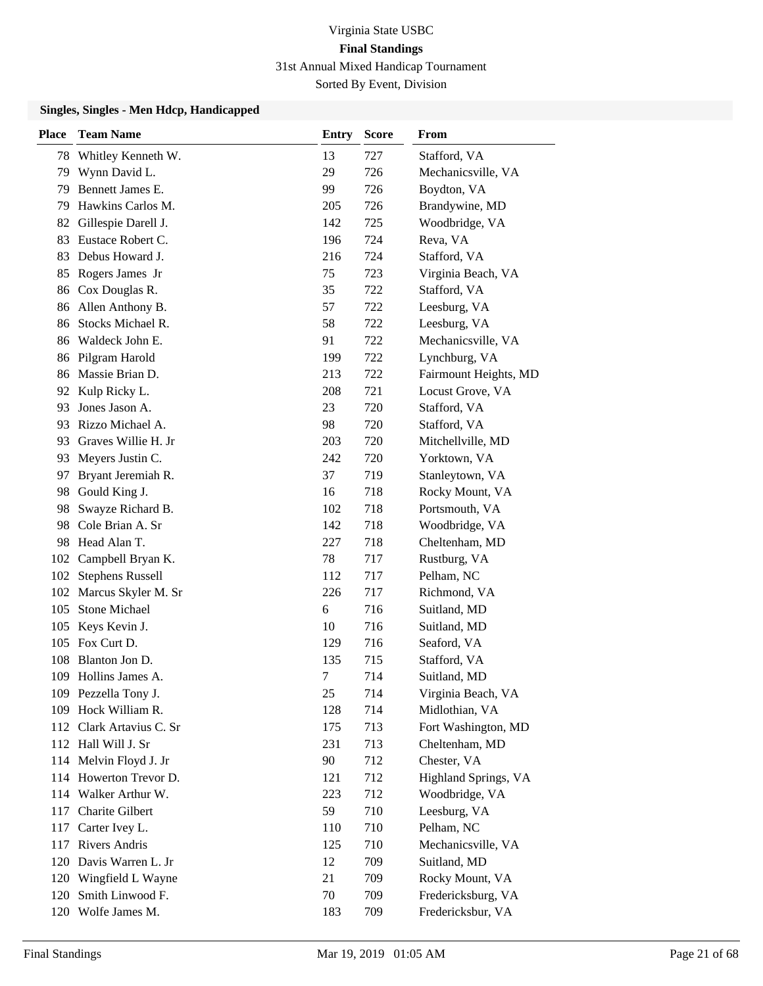| <b>Place</b> | <b>Team Name</b>         | <b>Entry</b> | Score | From                  |
|--------------|--------------------------|--------------|-------|-----------------------|
| 78           | Whitley Kenneth W.       | 13           | 727   | Stafford, VA          |
| 79           | Wynn David L.            | 29           | 726   | Mechanicsville, VA    |
| 79           | Bennett James E.         | 99           | 726   | Boydton, VA           |
| 79           | Hawkins Carlos M.        | 205          | 726   | Brandywine, MD        |
| 82           | Gillespie Darell J.      | 142          | 725   | Woodbridge, VA        |
| 83           | Eustace Robert C.        | 196          | 724   | Reva, VA              |
| 83           | Debus Howard J.          | 216          | 724   | Stafford, VA          |
| 85           | Rogers James Jr          | 75           | 723   | Virginia Beach, VA    |
| 86           | Cox Douglas R.           | 35           | 722   | Stafford, VA          |
| 86           | Allen Anthony B.         | 57           | 722   | Leesburg, VA          |
| 86           | Stocks Michael R.        | 58           | 722   | Leesburg, VA          |
|              | 86 Waldeck John E.       | 91           | 722   | Mechanicsville, VA    |
| 86           | Pilgram Harold           | 199          | 722   | Lynchburg, VA         |
| 86           | Massie Brian D.          | 213          | 722   | Fairmount Heights, MD |
|              | 92 Kulp Ricky L.         | 208          | 721   | Locust Grove, VA      |
| 93           | Jones Jason A.           | 23           | 720   | Stafford, VA          |
| 93           | Rizzo Michael A.         | 98           | 720   | Stafford, VA          |
| 93           | Graves Willie H. Jr      | 203          | 720   | Mitchellville, MD     |
| 93           | Meyers Justin C.         | 242          | 720   | Yorktown, VA          |
| 97           | Bryant Jeremiah R.       | 37           | 719   | Stanleytown, VA       |
| 98           | Gould King J.            | 16           | 718   | Rocky Mount, VA       |
| 98           | Swayze Richard B.        | 102          | 718   | Portsmouth, VA        |
| 98           | Cole Brian A. Sr         | 142          | 718   | Woodbridge, VA        |
|              | 98 Head Alan T.          | 227          | 718   | Cheltenham, MD        |
| 102          | Campbell Bryan K.        | 78           | 717   | Rustburg, VA          |
| 102          | <b>Stephens Russell</b>  | 112          | 717   | Pelham, NC            |
| 102          | Marcus Skyler M. Sr      | 226          | 717   | Richmond, VA          |
| 105          | <b>Stone Michael</b>     | 6            | 716   | Suitland, MD          |
| 105          | Keys Kevin J.            | 10           | 716   | Suitland, MD          |
|              | 105 Fox Curt D.          | 129          | 716   | Seaford, VA           |
| 108          | Blanton Jon D.           | 135          | 715   | Stafford, VA          |
|              | 109 Hollins James A.     | 7            | 714   | Suitland, MD          |
|              | 109 Pezzella Tony J.     | 25           | 714   | Virginia Beach, VA    |
|              | 109 Hock William R.      | 128          | 714   | Midlothian, VA        |
|              | 112 Clark Artavius C. Sr | 175          | 713   | Fort Washington, MD   |
|              | 112 Hall Will J. Sr      | 231          | 713   | Cheltenham, MD        |
|              | 114 Melvin Floyd J. Jr   | 90           | 712   | Chester, VA           |
|              | 114 Howerton Trevor D.   | 121          | 712   | Highland Springs, VA  |
| 114          | Walker Arthur W.         | 223          | 712   | Woodbridge, VA        |
| 117          | Charite Gilbert          | 59           | 710   | Leesburg, VA          |
| 117          | Carter Ivey L.           | 110          | 710   | Pelham, NC            |
|              | 117 Rivers Andris        | 125          | 710   | Mechanicsville, VA    |
|              | 120 Davis Warren L. Jr   | 12           | 709   | Suitland, MD          |
|              | 120 Wingfield L Wayne    | 21           | 709   | Rocky Mount, VA       |
| 120          | Smith Linwood F.         | 70           | 709   | Fredericksburg, VA    |
|              | 120 Wolfe James M.       | 183          | 709   | Fredericksbur, VA     |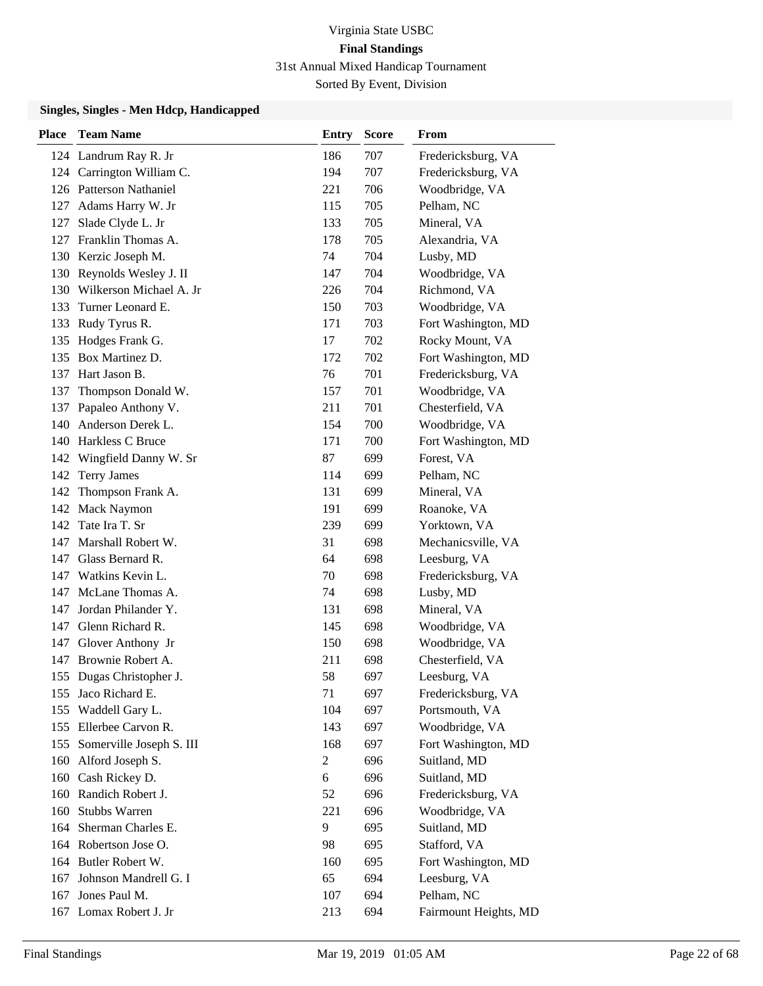| <b>Place</b> | <b>Team Name</b>          | <b>Entry</b>   | <b>Score</b> | From                  |
|--------------|---------------------------|----------------|--------------|-----------------------|
|              | 124 Landrum Ray R. Jr     | 186            | 707          | Fredericksburg, VA    |
|              | 124 Carrington William C. | 194            | 707          | Fredericksburg, VA    |
|              | 126 Patterson Nathaniel   | 221            | 706          | Woodbridge, VA        |
| 127          | Adams Harry W. Jr         | 115            | 705          | Pelham, NC            |
| 127          | Slade Clyde L. Jr         | 133            | 705          | Mineral, VA           |
| 127          | Franklin Thomas A.        | 178            | 705          | Alexandria, VA        |
|              | 130 Kerzic Joseph M.      | 74             | 704          | Lusby, MD             |
|              | 130 Reynolds Wesley J. II | 147            | 704          | Woodbridge, VA        |
| 130          | Wilkerson Michael A. Jr   | 226            | 704          | Richmond, VA          |
| 133          | Turner Leonard E.         | 150            | 703          | Woodbridge, VA        |
| 133          | Rudy Tyrus R.             | 171            | 703          | Fort Washington, MD   |
| 135          | Hodges Frank G.           | 17             | 702          | Rocky Mount, VA       |
| 135          | Box Martinez D.           | 172            | 702          | Fort Washington, MD   |
| 137          | Hart Jason B.             | 76             | 701          | Fredericksburg, VA    |
| 137          | Thompson Donald W.        | 157            | 701          | Woodbridge, VA        |
| 137          | Papaleo Anthony V.        | 211            | 701          | Chesterfield, VA      |
| 140          | Anderson Derek L.         | 154            | 700          | Woodbridge, VA        |
| 140          | Harkless C Bruce          | 171            | 700          | Fort Washington, MD   |
| 142          | Wingfield Danny W. Sr     | 87             | 699          | Forest, VA            |
| 142          | <b>Terry James</b>        | 114            | 699          | Pelham, NC            |
| 142          | Thompson Frank A.         | 131            | 699          | Mineral, VA           |
| 142          | <b>Mack Naymon</b>        | 191            | 699          | Roanoke, VA           |
| 142          | Tate Ira T. Sr            | 239            | 699          | Yorktown, VA          |
| 147          | Marshall Robert W.        | 31             | 698          | Mechanicsville, VA    |
| 147          | Glass Bernard R.          | 64             | 698          | Leesburg, VA          |
| 147          | Watkins Kevin L.          | 70             | 698          | Fredericksburg, VA    |
| 147          | McLane Thomas A.          | 74             | 698          | Lusby, MD             |
| 147          | Jordan Philander Y.       | 131            | 698          | Mineral, VA           |
| 147          | Glenn Richard R.          | 145            | 698          | Woodbridge, VA        |
| 147          | Glover Anthony Jr         | 150            | 698          | Woodbridge, VA        |
| 147          | Brownie Robert A.         | 211            | 698          | Chesterfield, VA      |
|              | 155 Dugas Christopher J.  | 58             | 697          | Leesburg, VA          |
| 155          | Jaco Richard E.           | 71             | 697          | Fredericksburg, VA    |
| 155          | Waddell Gary L.           | 104            | 697          | Portsmouth, VA        |
|              | 155 Ellerbee Carvon R.    | 143            | 697          | Woodbridge, VA        |
| 155          | Somerville Joseph S. III  | 168            | 697          | Fort Washington, MD   |
| 160          | Alford Joseph S.          | $\overline{c}$ | 696          | Suitland, MD          |
| 160          | Cash Rickey D.            | 6              | 696          | Suitland, MD          |
| 160          | Randich Robert J.         | 52             | 696          | Fredericksburg, VA    |
| 160          | <b>Stubbs Warren</b>      | 221            | 696          | Woodbridge, VA        |
| 164          | Sherman Charles E.        | 9              | 695          | Suitland, MD          |
|              | 164 Robertson Jose O.     | 98             | 695          | Stafford, VA          |
|              | 164 Butler Robert W.      | 160            | 695          | Fort Washington, MD   |
| 167          | Johnson Mandrell G. I     | 65             | 694          | Leesburg, VA          |
| 167          | Jones Paul M.             | 107            | 694          | Pelham, NC            |
|              | 167 Lomax Robert J. Jr    | 213            | 694          | Fairmount Heights, MD |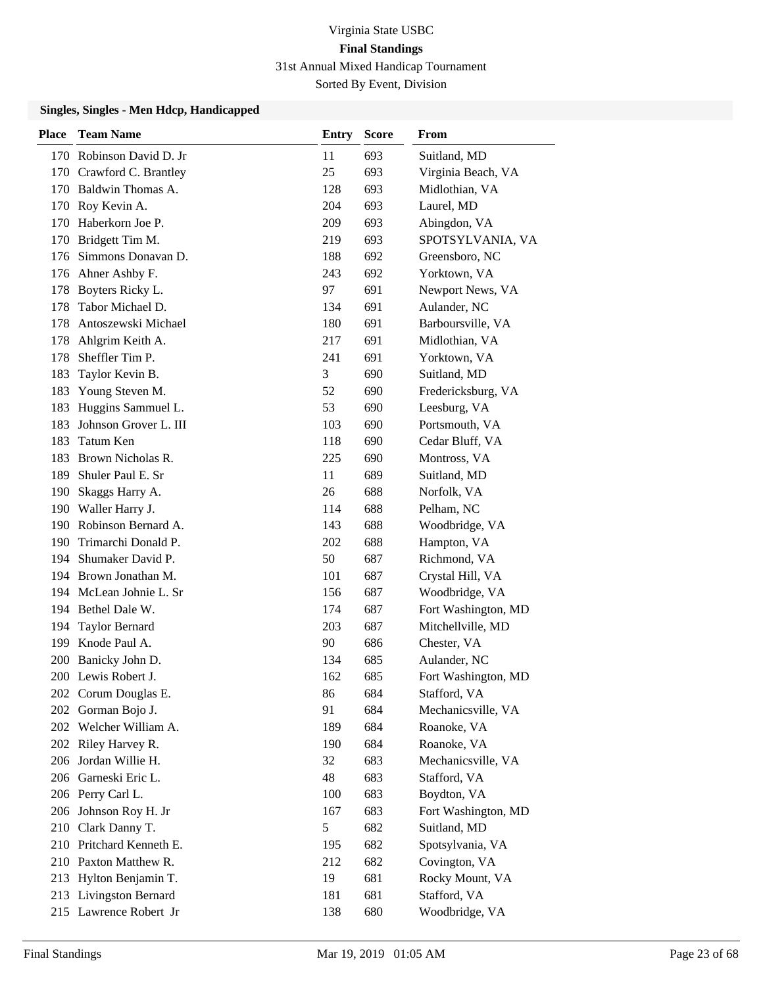| <b>Place</b> | <b>Team Name</b>         | <b>Entry</b> | <b>Score</b> | From                |
|--------------|--------------------------|--------------|--------------|---------------------|
|              | 170 Robinson David D. Jr | 11           | 693          | Suitland, MD        |
|              | 170 Crawford C. Brantley | 25           | 693          | Virginia Beach, VA  |
|              | 170 Baldwin Thomas A.    | 128          | 693          | Midlothian, VA      |
|              | 170 Roy Kevin A.         | 204          | 693          | Laurel, MD          |
| 170          | Haberkorn Joe P.         | 209          | 693          | Abingdon, VA        |
| 170          | Bridgett Tim M.          | 219          | 693          | SPOTSYLVANIA, VA    |
| 176          | Simmons Donavan D.       | 188          | 692          | Greensboro, NC      |
|              | 176 Ahner Ashby F.       | 243          | 692          | Yorktown, VA        |
| 178          | Boyters Ricky L.         | 97           | 691          | Newport News, VA    |
| 178          | Tabor Michael D.         | 134          | 691          | Aulander, NC        |
| 178          | Antoszewski Michael      | 180          | 691          | Barboursville, VA   |
| 178          | Ahlgrim Keith A.         | 217          | 691          | Midlothian, VA      |
| 178          | Sheffler Tim P.          | 241          | 691          | Yorktown, VA        |
| 183          | Taylor Kevin B.          | 3            | 690          | Suitland, MD        |
| 183          | Young Steven M.          | 52           | 690          | Fredericksburg, VA  |
| 183          | Huggins Sammuel L.       | 53           | 690          | Leesburg, VA        |
| 183          | Johnson Grover L. III    | 103          | 690          | Portsmouth, VA      |
| 183          | Tatum Ken                | 118          | 690          | Cedar Bluff, VA     |
| 183          | Brown Nicholas R.        | 225          | 690          | Montross, VA        |
| 189          | Shuler Paul E. Sr        | 11           | 689          | Suitland, MD        |
| 190          | Skaggs Harry A.          | 26           | 688          | Norfolk, VA         |
|              | 190 Waller Harry J.      | 114          | 688          | Pelham, NC          |
|              | 190 Robinson Bernard A.  | 143          | 688          | Woodbridge, VA      |
|              | 190 Trimarchi Donald P.  | 202          | 688          | Hampton, VA         |
| 194          | Shumaker David P.        | 50           | 687          | Richmond, VA        |
|              | 194 Brown Jonathan M.    | 101          | 687          | Crystal Hill, VA    |
|              | 194 McLean Johnie L. Sr  | 156          | 687          | Woodbridge, VA      |
|              | 194 Bethel Dale W.       | 174          | 687          | Fort Washington, MD |
| 194          | <b>Taylor Bernard</b>    | 203          | 687          | Mitchellville, MD   |
| 199          | Knode Paul A.            | 90           | 686          | Chester, VA         |
| <b>200</b>   | Banicky John D.          | 134          | 685          | Aulander, NC        |
|              | 200 Lewis Robert J.      | 162          | 685          | Fort Washington, MD |
|              | 202 Corum Douglas E.     | 86           | 684          | Stafford, VA        |
| 202          | Gorman Bojo J.           | 91           | 684          | Mechanicsville, VA  |
|              | 202 Welcher William A.   | 189          | 684          | Roanoke, VA         |
|              | 202 Riley Harvey R.      | 190          | 684          | Roanoke, VA         |
|              | 206 Jordan Willie H.     | 32           | 683          | Mechanicsville, VA  |
| 206          | Garneski Eric L.         | 48           | 683          | Stafford, VA        |
|              | 206 Perry Carl L.        | 100          | 683          | Boydton, VA         |
|              | 206 Johnson Roy H. Jr    | 167          | 683          | Fort Washington, MD |
|              | 210 Clark Danny T.       | 5            | 682          | Suitland, MD        |
|              | 210 Pritchard Kenneth E. | 195          | 682          | Spotsylvania, VA    |
|              | 210 Paxton Matthew R.    | 212          | 682          | Covington, VA       |
|              | 213 Hylton Benjamin T.   | 19           | 681          | Rocky Mount, VA     |
|              | 213 Livingston Bernard   | 181          | 681          | Stafford, VA        |
|              | 215 Lawrence Robert Jr   | 138          | 680          | Woodbridge, VA      |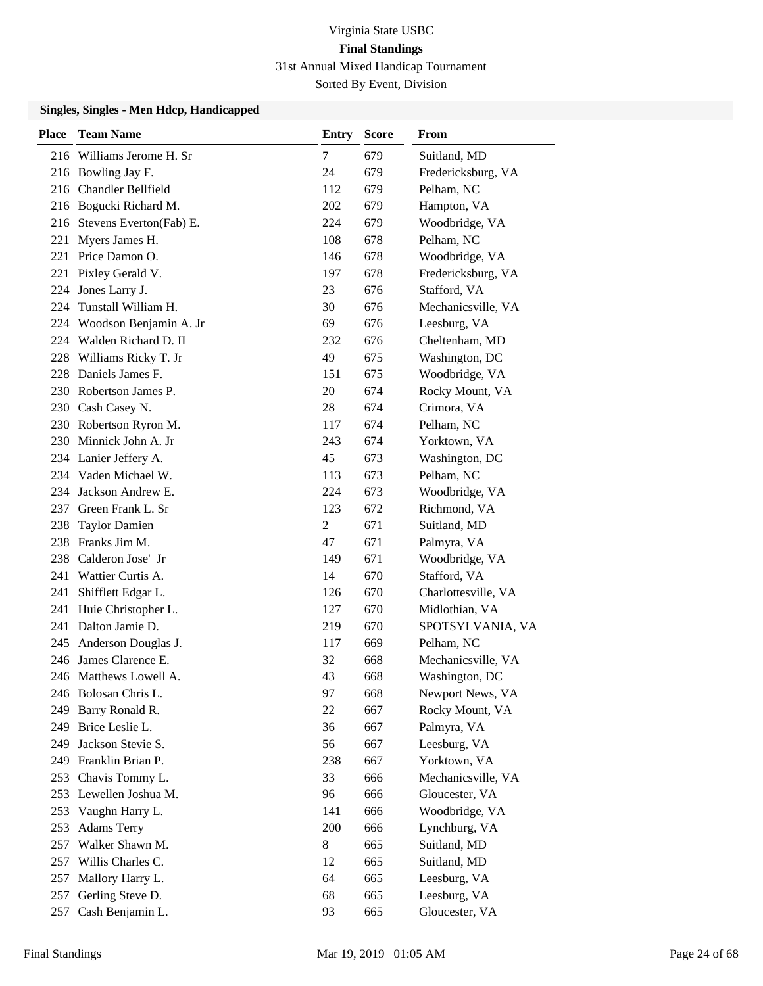| <b>Place</b> | <b>Team Name</b>            | <b>Entry</b>   | Score | From                |
|--------------|-----------------------------|----------------|-------|---------------------|
|              | 216 Williams Jerome H. Sr   | 7              | 679   | Suitland, MD        |
|              | 216 Bowling Jay F.          | 24             | 679   | Fredericksburg, VA  |
|              | 216 Chandler Bellfield      | 112            | 679   | Pelham, NC          |
|              | 216 Bogucki Richard M.      | 202            | 679   | Hampton, VA         |
|              | 216 Stevens Everton(Fab) E. | 224            | 679   | Woodbridge, VA      |
| 221          | Myers James H.              | 108            | 678   | Pelham, NC          |
| 221          | Price Damon O.              | 146            | 678   | Woodbridge, VA      |
|              | 221 Pixley Gerald V.        | 197            | 678   | Fredericksburg, VA  |
| 224          | Jones Larry J.              | 23             | 676   | Stafford, VA        |
| 224          | Tunstall William H.         | 30             | 676   | Mechanicsville, VA  |
| 224          | Woodson Benjamin A. Jr      | 69             | 676   | Leesburg, VA        |
| 224          | Walden Richard D. II        | 232            | 676   | Cheltenham, MD      |
| 228          | Williams Ricky T. Jr        | 49             | 675   | Washington, DC      |
| 228          | Daniels James F.            | 151            | 675   | Woodbridge, VA      |
|              | 230 Robertson James P.      | 20             | 674   | Rocky Mount, VA     |
|              | 230 Cash Casey N.           | 28             | 674   | Crimora, VA         |
|              | 230 Robertson Ryron M.      | 117            | 674   | Pelham, NC          |
|              | 230 Minnick John A. Jr      | 243            | 674   | Yorktown, VA        |
|              | 234 Lanier Jeffery A.       | 45             | 673   | Washington, DC      |
|              | 234 Vaden Michael W.        | 113            | 673   | Pelham, NC          |
| 234          | Jackson Andrew E.           | 224            | 673   | Woodbridge, VA      |
| 237          | Green Frank L. Sr           | 123            | 672   | Richmond, VA        |
| 238          | <b>Taylor Damien</b>        | $\overline{2}$ | 671   | Suitland, MD        |
|              | 238 Franks Jim M.           | 47             | 671   | Palmyra, VA         |
| 238          | Calderon Jose' Jr           | 149            | 671   | Woodbridge, VA      |
| 241          | Wattier Curtis A.           | 14             | 670   | Stafford, VA        |
| 241          | Shifflett Edgar L.          | 126            | 670   | Charlottesville, VA |
| 241          | Huie Christopher L.         | 127            | 670   | Midlothian, VA      |
| 241          | Dalton Jamie D.             | 219            | 670   | SPOTSYLVANIA, VA    |
| 245          | Anderson Douglas J.         | 117            | 669   | Pelham, NC          |
| 246          | James Clarence E.           | 32             | 668   | Mechanicsville, VA  |
|              | 246 Matthews Lowell A.      | 43             | 668   | Washington, DC      |
|              | 246 Bolosan Chris L.        | 97             | 668   | Newport News, VA    |
| 249          | Barry Ronald R.             | 22             | 667   | Rocky Mount, VA     |
| 249          | Brice Leslie L.             | 36             | 667   | Palmyra, VA         |
| 249          | Jackson Stevie S.           | 56             | 667   | Leesburg, VA        |
|              | 249 Franklin Brian P.       | 238            | 667   | Yorktown, VA        |
| 253          | Chavis Tommy L.             | 33             | 666   | Mechanicsville, VA  |
|              | 253 Lewellen Joshua M.      | 96             | 666   | Gloucester, VA      |
| 253          | Vaughn Harry L.             | 141            | 666   | Woodbridge, VA      |
| 253          | <b>Adams Terry</b>          | 200            | 666   | Lynchburg, VA       |
| 257          | Walker Shawn M.             | 8              | 665   | Suitland, MD        |
| 257          | Willis Charles C.           | 12             | 665   | Suitland, MD        |
| 257          | Mallory Harry L.            | 64             | 665   | Leesburg, VA        |
| 257          | Gerling Steve D.            | 68             | 665   | Leesburg, VA        |
| 257          | Cash Benjamin L.            | 93             | 665   | Gloucester, VA      |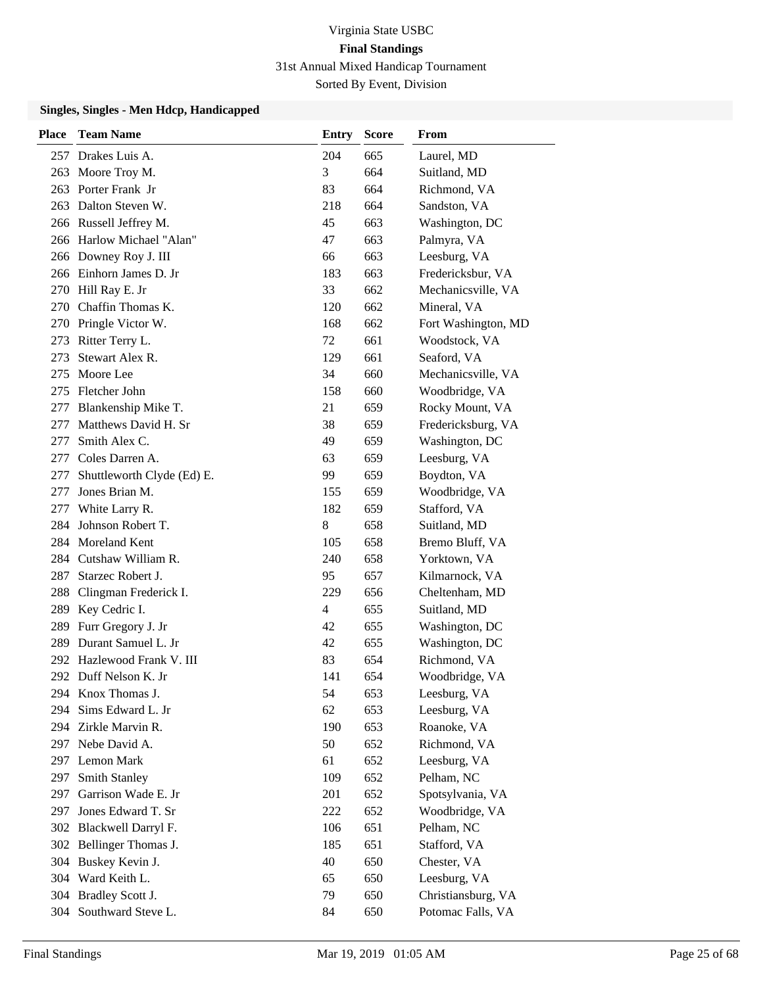| <b>Place</b> | <b>Team Name</b>           | Entry          | <b>Score</b> | From                |
|--------------|----------------------------|----------------|--------------|---------------------|
|              | 257 Drakes Luis A.         | 204            | 665          | Laurel, MD          |
| 263          | Moore Troy M.              | 3              | 664          | Suitland, MD        |
|              | 263 Porter Frank Jr        | 83             | 664          | Richmond, VA        |
|              | 263 Dalton Steven W.       | 218            | 664          | Sandston, VA        |
|              | 266 Russell Jeffrey M.     | 45             | 663          | Washington, DC      |
|              | 266 Harlow Michael "Alan"  | 47             | 663          | Palmyra, VA         |
|              | 266 Downey Roy J. III      | 66             | 663          | Leesburg, VA        |
|              | 266 Einhorn James D. Jr    | 183            | 663          | Fredericksbur, VA   |
|              | 270 Hill Ray E. Jr         | 33             | 662          | Mechanicsville, VA  |
| 270          | Chaffin Thomas K.          | 120            | 662          | Mineral, VA         |
|              | 270 Pringle Victor W.      | 168            | 662          | Fort Washington, MD |
| 273          | Ritter Terry L.            | 72             | 661          | Woodstock, VA       |
| 273          | Stewart Alex R.            | 129            | 661          | Seaford, VA         |
| 275          | Moore Lee                  | 34             | 660          | Mechanicsville, VA  |
|              | 275 Fletcher John          | 158            | 660          | Woodbridge, VA      |
| 277          | Blankenship Mike T.        | 21             | 659          | Rocky Mount, VA     |
| 277          | Matthews David H. Sr       | 38             | 659          | Fredericksburg, VA  |
| 277          | Smith Alex C.              | 49             | 659          | Washington, DC      |
| 277          | Coles Darren A.            | 63             | 659          | Leesburg, VA        |
| 277          | Shuttleworth Clyde (Ed) E. | 99             | 659          | Boydton, VA         |
| 277          | Jones Brian M.             | 155            | 659          | Woodbridge, VA      |
| 277          | White Larry R.             | 182            | 659          | Stafford, VA        |
| 284          | Johnson Robert T.          | 8              | 658          | Suitland, MD        |
|              | 284 Moreland Kent          | 105            | 658          | Bremo Bluff, VA     |
|              | 284 Cutshaw William R.     | 240            | 658          | Yorktown, VA        |
| 287          | Starzec Robert J.          | 95             | 657          | Kilmarnock, VA      |
| 288          | Clingman Frederick I.      | 229            | 656          | Cheltenham, MD      |
| 289          | Key Cedric I.              | $\overline{4}$ | 655          | Suitland, MD        |
| 289          | Furr Gregory J. Jr         | 42             | 655          | Washington, DC      |
| 289          | Durant Samuel L. Jr        | 42             | 655          | Washington, DC      |
|              | 292 Hazlewood Frank V. III | 83             | 654          | Richmond, VA        |
|              | 292 Duff Nelson K. Jr      | 141            | 654          | Woodbridge, VA      |
|              | 294 Knox Thomas J.         | 54             | 653          | Leesburg, VA        |
| 294          | Sims Edward L. Jr          | 62             | 653          | Leesburg, VA        |
|              | 294 Zirkle Marvin R.       | 190            | 653          | Roanoke, VA         |
|              | 297 Nebe David A.          | 50             | 652          | Richmond, VA        |
|              | 297 Lemon Mark             | 61             | 652          | Leesburg, VA        |
| 297          | Smith Stanley              | 109            | 652          | Pelham, NC          |
| 297          | Garrison Wade E. Jr        | 201            | 652          | Spotsylvania, VA    |
| 297          | Jones Edward T. Sr         | 222            | 652          | Woodbridge, VA      |
|              | 302 Blackwell Darryl F.    | 106            | 651          | Pelham, NC          |
|              | 302 Bellinger Thomas J.    | 185            | 651          | Stafford, VA        |
|              | 304 Buskey Kevin J.        | 40             | 650          | Chester, VA         |
|              | 304 Ward Keith L.          | 65             | 650          | Leesburg, VA        |
| 304          | Bradley Scott J.           | 79             | 650          | Christiansburg, VA  |
| 304          | Southward Steve L.         | 84             | 650          | Potomac Falls, VA   |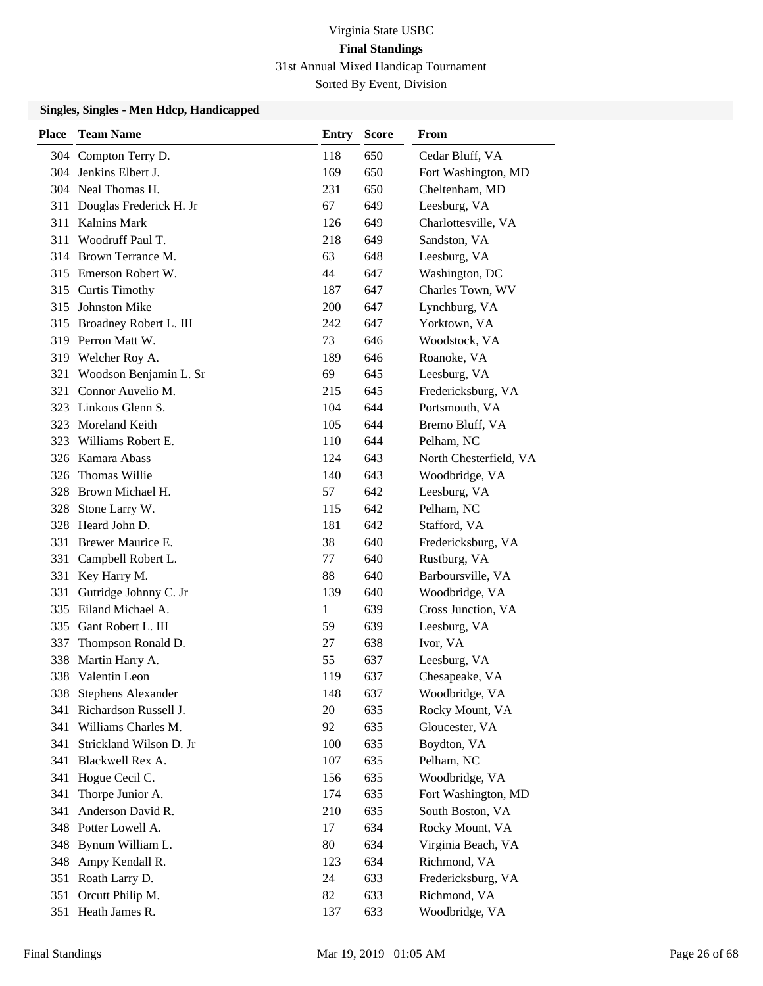| <b>Place</b> | <b>Team Name</b>           | <b>Entry</b> | Score | <b>From</b>            |
|--------------|----------------------------|--------------|-------|------------------------|
| 304          | Compton Terry D.           | 118          | 650   | Cedar Bluff, VA        |
|              | 304 Jenkins Elbert J.      | 169          | 650   | Fort Washington, MD    |
|              | 304 Neal Thomas H.         | 231          | 650   | Cheltenham, MD         |
| 311          | Douglas Frederick H. Jr    | 67           | 649   | Leesburg, VA           |
| 311          | <b>Kalnins Mark</b>        | 126          | 649   | Charlottesville, VA    |
| 311          | Woodruff Paul T.           | 218          | 649   | Sandston, VA           |
|              | 314 Brown Terrance M.      | 63           | 648   | Leesburg, VA           |
|              | 315 Emerson Robert W.      | 44           | 647   | Washington, DC         |
|              | 315 Curtis Timothy         | 187          | 647   | Charles Town, WV       |
| 315          | Johnston Mike              | 200          | 647   | Lynchburg, VA          |
|              | 315 Broadney Robert L. III | 242          | 647   | Yorktown, VA           |
|              | 319 Perron Matt W.         | 73           | 646   | Woodstock, VA          |
|              | 319 Welcher Roy A.         | 189          | 646   | Roanoke, VA            |
| 321          | Woodson Benjamin L. Sr     | 69           | 645   | Leesburg, VA           |
| 321          | Connor Auvelio M.          | 215          | 645   | Fredericksburg, VA     |
|              | 323 Linkous Glenn S.       | 104          | 644   | Portsmouth, VA         |
| 323          | Moreland Keith             | 105          | 644   | Bremo Bluff, VA        |
| 323          | Williams Robert E.         | 110          | 644   | Pelham, NC             |
|              | 326 Kamara Abass           | 124          | 643   | North Chesterfield, VA |
| 326          | Thomas Willie              | 140          | 643   | Woodbridge, VA         |
| 328          | Brown Michael H.           | 57           | 642   | Leesburg, VA           |
| 328          | Stone Larry W.             | 115          | 642   | Pelham, NC             |
| 328          | Heard John D.              | 181          | 642   | Stafford, VA           |
| 331          | Brewer Maurice E.          | 38           | 640   | Fredericksburg, VA     |
| 331          | Campbell Robert L.         | 77           | 640   | Rustburg, VA           |
| 331          | Key Harry M.               | 88           | 640   | Barboursville, VA      |
| 331          | Gutridge Johnny C. Jr      | 139          | 640   | Woodbridge, VA         |
|              | 335 Eiland Michael A.      | $\mathbf{1}$ | 639   | Cross Junction, VA     |
|              | 335 Gant Robert L. III     | 59           | 639   | Leesburg, VA           |
| 337          | Thompson Ronald D.         | 27           | 638   | Ivor, VA               |
| 338          | Martin Harry A.            | 55           | 637   | Leesburg, VA           |
| 338          | Valentin Leon              | 119          | 637   | Chesapeake, VA         |
| 338          | Stephens Alexander         | 148          | 637   | Woodbridge, VA         |
| 341          | Richardson Russell J.      | 20           | 635   | Rocky Mount, VA        |
| 341          | Williams Charles M.        | 92           | 635   | Gloucester, VA         |
| 341          | Strickland Wilson D. Jr    | 100          | 635   | Boydton, VA            |
| 341          | Blackwell Rex A.           | 107          | 635   | Pelham, NC             |
| 341          | Hogue Cecil C.             | 156          | 635   | Woodbridge, VA         |
| 341          | Thorpe Junior A.           | 174          | 635   | Fort Washington, MD    |
| 341          | Anderson David R.          | 210          | 635   | South Boston, VA       |
|              | 348 Potter Lowell A.       | 17           | 634   | Rocky Mount, VA        |
| 348          | Bynum William L.           | 80           | 634   | Virginia Beach, VA     |
|              | 348 Ampy Kendall R.        | 123          | 634   | Richmond, VA           |
| 351          | Roath Larry D.             | 24           | 633   | Fredericksburg, VA     |
| 351          | Orcutt Philip M.           | 82           | 633   | Richmond, VA           |
|              | 351 Heath James R.         | 137          | 633   | Woodbridge, VA         |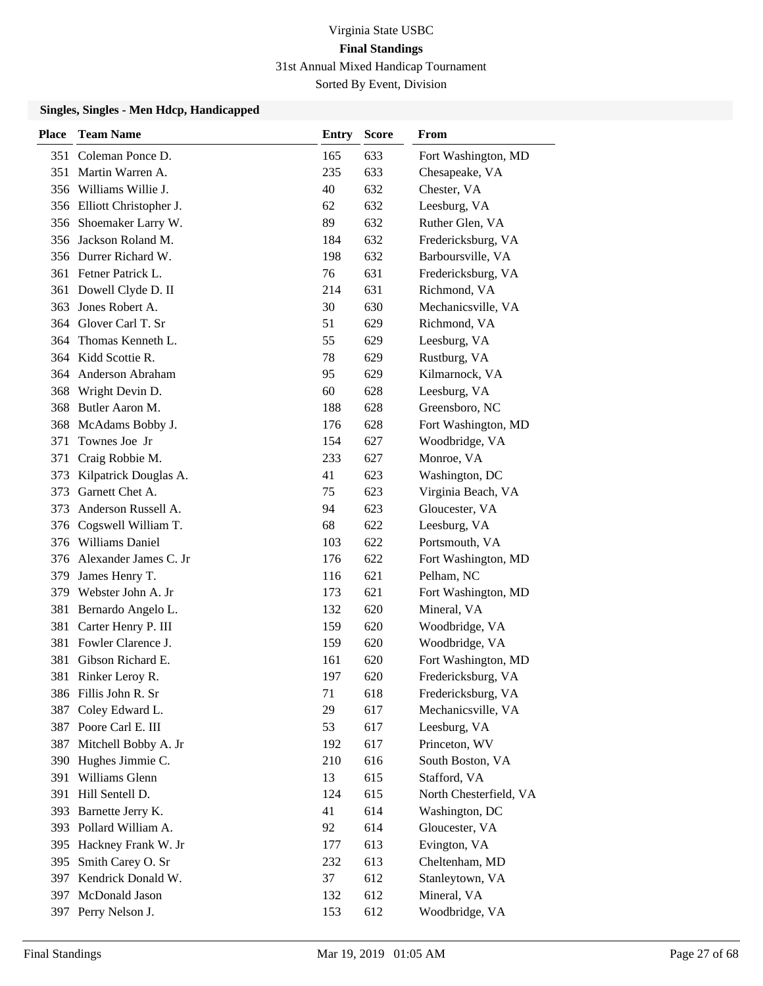| <b>Place</b> | <b>Team Name</b>           | <b>Entry</b> | <b>Score</b> | From                   |
|--------------|----------------------------|--------------|--------------|------------------------|
| 351          | Coleman Ponce D.           | 165          | 633          | Fort Washington, MD    |
| 351          | Martin Warren A.           | 235          | 633          | Chesapeake, VA         |
| 356          | Williams Willie J.         | 40           | 632          | Chester, VA            |
|              | 356 Elliott Christopher J. | 62           | 632          | Leesburg, VA           |
| 356          | Shoemaker Larry W.         | 89           | 632          | Ruther Glen, VA        |
| 356          | Jackson Roland M.          | 184          | 632          | Fredericksburg, VA     |
|              | 356 Durrer Richard W.      | 198          | 632          | Barboursville, VA      |
|              | 361 Fetner Patrick L.      | 76           | 631          | Fredericksburg, VA     |
| 361          | Dowell Clyde D. II         | 214          | 631          | Richmond, VA           |
| 363          | Jones Robert A.            | 30           | 630          | Mechanicsville, VA     |
|              | 364 Glover Carl T. Sr      | 51           | 629          | Richmond, VA           |
| 364          | Thomas Kenneth L.          | 55           | 629          | Leesburg, VA           |
|              | 364 Kidd Scottie R.        | 78           | 629          | Rustburg, VA           |
| 364          | Anderson Abraham           | 95           | 629          | Kilmarnock, VA         |
| 368          | Wright Devin D.            | 60           | 628          | Leesburg, VA           |
| 368          | Butler Aaron M.            | 188          | 628          | Greensboro, NC         |
| 368          | McAdams Bobby J.           | 176          | 628          | Fort Washington, MD    |
| 371          | Townes Joe Jr              | 154          | 627          | Woodbridge, VA         |
| 371          | Craig Robbie M.            | 233          | 627          | Monroe, VA             |
| 373          | Kilpatrick Douglas A.      | 41           | 623          | Washington, DC         |
| 373          | Garnett Chet A.            | 75           | 623          | Virginia Beach, VA     |
| 373          | Anderson Russell A.        | 94           | 623          | Gloucester, VA         |
|              | 376 Cogswell William T.    | 68           | 622          | Leesburg, VA           |
| 376          | <b>Williams Daniel</b>     | 103          | 622          | Portsmouth, VA         |
| 376          | Alexander James C. Jr      | 176          | 622          | Fort Washington, MD    |
| 379          | James Henry T.             | 116          | 621          | Pelham, NC             |
| 379          | Webster John A. Jr         | 173          | 621          | Fort Washington, MD    |
| 381          | Bernardo Angelo L.         | 132          | 620          | Mineral, VA            |
| 381          | Carter Henry P. III        | 159          | 620          | Woodbridge, VA         |
| 381          | Fowler Clarence J.         | 159          | 620          | Woodbridge, VA         |
| 381          | Gibson Richard E.          | 161          | 620          | Fort Washington, MD    |
|              | 381 Rinker Leroy R.        | 197          | 620          | Fredericksburg, VA     |
|              | 386 Fillis John R. Sr      | 71           | 618          | Fredericksburg, VA     |
| 387          | Coley Edward L.            | 29           | 617          | Mechanicsville, VA     |
| 387          | Poore Carl E. III          | 53           | 617          | Leesburg, VA           |
| 387          | Mitchell Bobby A. Jr       | 192          | 617          | Princeton, WV          |
| 390          | Hughes Jimmie C.           | 210          | 616          | South Boston, VA       |
| 391          | Williams Glenn             | 13           | 615          | Stafford, VA           |
| 391          | Hill Sentell D.            | 124          | 615          | North Chesterfield, VA |
| 393          | Barnette Jerry K.          | 41           | 614          | Washington, DC         |
| 393          | Pollard William A.         | 92           | 614          | Gloucester, VA         |
| 395          | Hackney Frank W. Jr        | 177          | 613          | Evington, VA           |
| 395          | Smith Carey O. Sr          | 232          | 613          | Cheltenham, MD         |
| 397          | Kendrick Donald W.         | 37           | 612          | Stanleytown, VA        |
| 397          | McDonald Jason             | 132          | 612          | Mineral, VA            |
| 397          | Perry Nelson J.            | 153          | 612          | Woodbridge, VA         |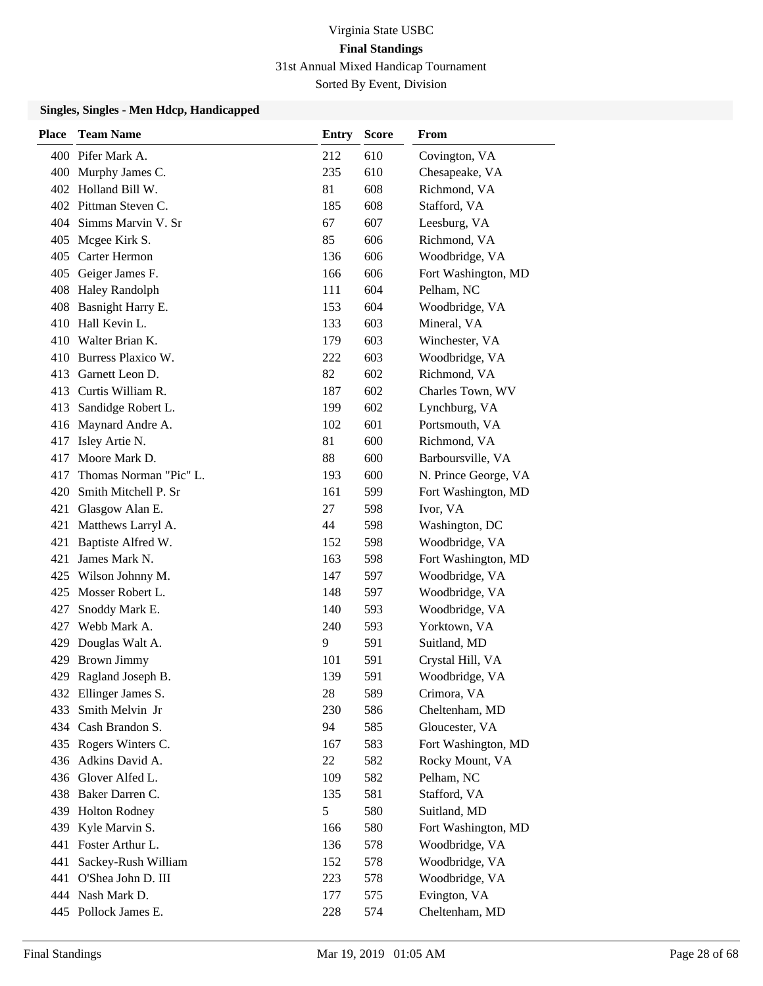| <b>Place</b> | <b>Team Name</b>       | <b>Entry</b> | <b>Score</b> | From                 |
|--------------|------------------------|--------------|--------------|----------------------|
|              | 400 Pifer Mark A.      | 212          | 610          | Covington, VA        |
|              | 400 Murphy James C.    | 235          | 610          | Chesapeake, VA       |
|              | 402 Holland Bill W.    | 81           | 608          | Richmond, VA         |
|              | 402 Pittman Steven C.  | 185          | 608          | Stafford, VA         |
|              | 404 Simms Marvin V. Sr | 67           | 607          | Leesburg, VA         |
|              | 405 Mcgee Kirk S.      | 85           | 606          | Richmond, VA         |
|              | 405 Carter Hermon      | 136          | 606          | Woodbridge, VA       |
|              | 405 Geiger James F.    | 166          | 606          | Fort Washington, MD  |
|              | 408 Haley Randolph     | 111          | 604          | Pelham, NC           |
| 408          | Basnight Harry E.      | 153          | 604          | Woodbridge, VA       |
|              | 410 Hall Kevin L.      | 133          | 603          | Mineral, VA          |
|              | 410 Walter Brian K.    | 179          | 603          | Winchester, VA       |
|              | 410 Burress Plaxico W. | 222          | 603          | Woodbridge, VA       |
|              | 413 Garnett Leon D.    | 82           | 602          | Richmond, VA         |
|              | 413 Curtis William R.  | 187          | 602          | Charles Town, WV     |
| 413          | Sandidge Robert L.     | 199          | 602          | Lynchburg, VA        |
|              | 416 Maynard Andre A.   | 102          | 601          | Portsmouth, VA       |
|              | 417 Isley Artie N.     | 81           | 600          | Richmond, VA         |
|              | 417 Moore Mark D.      | 88           | 600          | Barboursville, VA    |
| 417          | Thomas Norman "Pic" L. | 193          | 600          | N. Prince George, VA |
| 420          | Smith Mitchell P. Sr   | 161          | 599          | Fort Washington, MD  |
| 421          | Glasgow Alan E.        | 27           | 598          | Ivor, VA             |
| 421          | Matthews Larryl A.     | 44           | 598          | Washington, DC       |
| 421          | Baptiste Alfred W.     | 152          | 598          | Woodbridge, VA       |
| 421          | James Mark N.          | 163          | 598          | Fort Washington, MD  |
| 425          | Wilson Johnny M.       | 147          | 597          | Woodbridge, VA       |
|              | 425 Mosser Robert L.   | 148          | 597          | Woodbridge, VA       |
| 427          | Snoddy Mark E.         | 140          | 593          | Woodbridge, VA       |
| 427          | Webb Mark A.           | 240          | 593          | Yorktown, VA         |
|              | 429 Douglas Walt A.    | 9            | 591          | Suitland, MD         |
|              | 429 Brown Jimmy        | 101          | 591          | Crystal Hill, VA     |
|              | 429 Ragland Joseph B.  | 139          | 591          | Woodbridge, VA       |
|              | 432 Ellinger James S.  | 28           | 589          | Crimora, VA          |
| 433          | Smith Melvin Jr        | 230          | 586          | Cheltenham, MD       |
|              | 434 Cash Brandon S.    | 94           | 585          | Gloucester, VA       |
|              | 435 Rogers Winters C.  | 167          | 583          | Fort Washington, MD  |
|              | 436 Adkins David A.    | 22           | 582          | Rocky Mount, VA      |
|              | 436 Glover Alfed L.    | 109          | 582          | Pelham, NC           |
|              | 438 Baker Darren C.    | 135          | 581          | Stafford, VA         |
|              | 439 Holton Rodney      | 5            | 580          | Suitland, MD         |
|              | 439 Kyle Marvin S.     | 166          | 580          | Fort Washington, MD  |
|              | 441 Foster Arthur L.   | 136          | 578          | Woodbridge, VA       |
| 441          | Sackey-Rush William    | 152          | 578          | Woodbridge, VA       |
|              | 441 O'Shea John D. III | 223          | 578          | Woodbridge, VA       |
|              | 444 Nash Mark D.       | 177          | 575          | Evington, VA         |
|              | 445 Pollock James E.   | 228          | 574          | Cheltenham, MD       |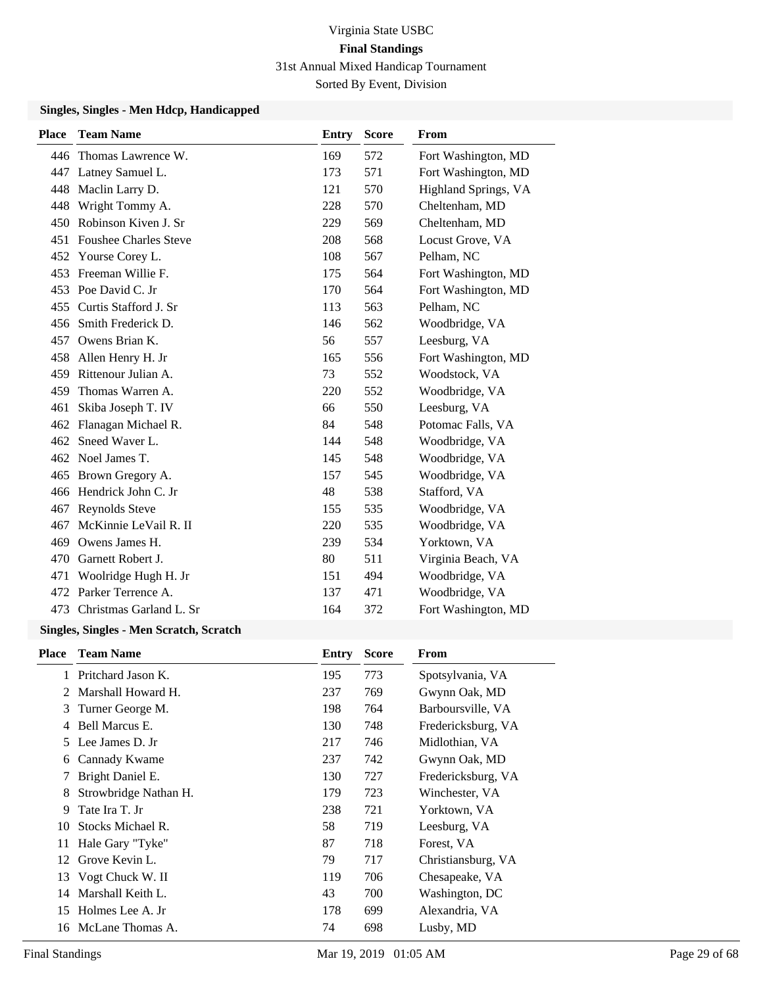#### **Singles, Singles - Men Hdcp, Handicapped**

| <b>Place</b> | <b>Team Name</b>             | <b>Entry</b> | <b>Score</b> | From                 |
|--------------|------------------------------|--------------|--------------|----------------------|
|              | 446 Thomas Lawrence W.       | 169          | 572          | Fort Washington, MD  |
|              | 447 Latney Samuel L.         | 173          | 571          | Fort Washington, MD  |
| 448          | Maclin Larry D.              | 121          | 570          | Highland Springs, VA |
| 448          | Wright Tommy A.              | 228          | 570          | Cheltenham, MD       |
| 450          | Robinson Kiven J. Sr         | 229          | 569          | Cheltenham, MD       |
| 451          | <b>Foushee Charles Steve</b> | 208          | 568          | Locust Grove, VA     |
| 452          | Yourse Corey L.              | 108          | 567          | Pelham, NC           |
| 453          | Freeman Willie F.            | 175          | 564          | Fort Washington, MD  |
| 453          | Poe David C. Jr              | 170          | 564          | Fort Washington, MD  |
| 455          | Curtis Stafford J. Sr        | 113          | 563          | Pelham, NC           |
| 456          | Smith Frederick D.           | 146          | 562          | Woodbridge, VA       |
| 457          | Owens Brian K.               | 56           | 557          | Leesburg, VA         |
| 458          | Allen Henry H. Jr            | 165          | 556          | Fort Washington, MD  |
| 459          | Rittenour Julian A.          | 73           | 552          | Woodstock, VA        |
| 459          | Thomas Warren A.             | 220          | 552          | Woodbridge, VA       |
| 461          | Skiba Joseph T. IV           | 66           | 550          | Leesburg, VA         |
| 462          | Flanagan Michael R.          | 84           | 548          | Potomac Falls, VA    |
| 462          | Sneed Waver L.               | 144          | 548          | Woodbridge, VA       |
|              | 462 Noel James T.            | 145          | 548          | Woodbridge, VA       |
| 465          | Brown Gregory A.             | 157          | 545          | Woodbridge, VA       |
| 466          | Hendrick John C. Jr          | 48           | 538          | Stafford, VA         |
| 467          | <b>Reynolds Steve</b>        | 155          | 535          | Woodbridge, VA       |
| 467          | McKinnie LeVail R. II        | 220          | 535          | Woodbridge, VA       |
| 469          | Owens James H.               | 239          | 534          | Yorktown, VA         |
| 470          | Garnett Robert J.            | 80           | 511          | Virginia Beach, VA   |
| 471          | Woolridge Hugh H. Jr         | 151          | 494          | Woodbridge, VA       |
| 472          | Parker Terrence A.           | 137          | 471          | Woodbridge, VA       |
| 473          | Christmas Garland L. Sr      | 164          | 372          | Fort Washington, MD  |

### **Singles, Singles - Men Scratch, Scratch**

| <b>Place</b> | <b>Team Name</b>      | Entry | <b>Score</b> | From               |
|--------------|-----------------------|-------|--------------|--------------------|
|              | Pritchard Jason K.    | 195   | 773          | Spotsylvania, VA   |
| 2            | Marshall Howard H.    | 237   | 769          | Gwynn Oak, MD      |
| 3            | Turner George M.      | 198   | 764          | Barboursville, VA  |
|              | Bell Marcus E.        | 130   | 748          | Fredericksburg, VA |
| 5.           | Lee James D. Jr       | 217   | 746          | Midlothian, VA     |
| 6            | Cannady Kwame         | 237   | 742          | Gwynn Oak, MD      |
| 7            | Bright Daniel E.      | 130   | 727          | Fredericksburg, VA |
| 8            | Strowbridge Nathan H. | 179   | 723          | Winchester, VA     |
| 9            | Tate Ira T. Jr        | 238   | 721          | Yorktown, VA       |
| 10           | Stocks Michael R.     | 58    | 719          | Leesburg, VA       |
| 11           | Hale Gary "Tyke"      | 87    | 718          | Forest, VA         |
| 12           | Grove Kevin L.        | 79    | 717          | Christiansburg, VA |
| 13           | Vogt Chuck W. II      | 119   | 706          | Chesapeake, VA     |
| 14           | Marshall Keith L.     | 43    | 700          | Washington, DC     |
| 15           | Holmes Lee A. Jr      | 178   | 699          | Alexandria, VA     |
|              | 16 McLane Thomas A.   | 74    | 698          | Lusby, MD          |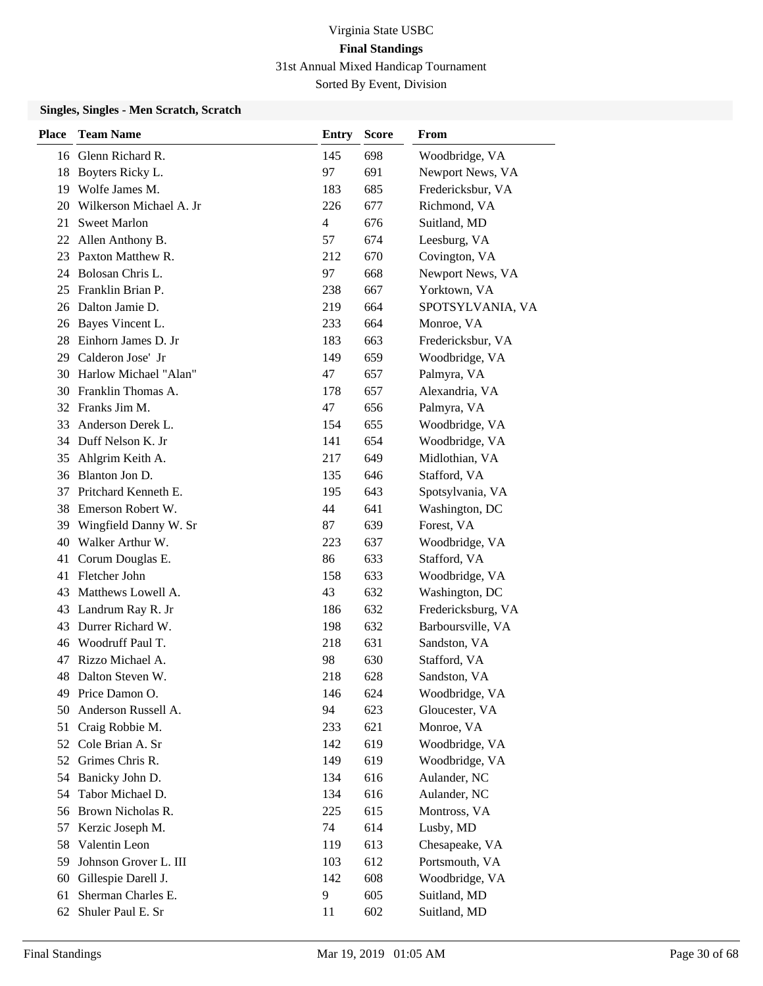#### **Singles, Singles - Men Scratch, Scratch**

| <b>Place</b> | <b>Team Name</b>        | Entry | <b>Score</b> | From               |
|--------------|-------------------------|-------|--------------|--------------------|
|              | 16 Glenn Richard R.     | 145   | 698          | Woodbridge, VA     |
| 18           | Boyters Ricky L.        | 97    | 691          | Newport News, VA   |
| 19           | Wolfe James M.          | 183   | 685          | Fredericksbur, VA  |
| 20           | Wilkerson Michael A. Jr | 226   | 677          | Richmond, VA       |
| 21           | <b>Sweet Marlon</b>     | 4     | 676          | Suitland, MD       |
| 22           | Allen Anthony B.        | 57    | 674          | Leesburg, VA       |
| 23           | Paxton Matthew R.       | 212   | 670          | Covington, VA      |
|              | 24 Bolosan Chris L.     | 97    | 668          | Newport News, VA   |
| 25           | Franklin Brian P.       | 238   | 667          | Yorktown, VA       |
| 26           | Dalton Jamie D.         | 219   | 664          | SPOTSYLVANIA, VA   |
| 26           | Bayes Vincent L.        | 233   | 664          | Monroe, VA         |
| 28           | Einhorn James D. Jr     | 183   | 663          | Fredericksbur, VA  |
| 29           | Calderon Jose' Jr       | 149   | 659          | Woodbridge, VA     |
| 30           | Harlow Michael "Alan"   | 47    | 657          | Palmyra, VA        |
| 30           | Franklin Thomas A.      | 178   | 657          | Alexandria, VA     |
|              | 32 Franks Jim M.        | 47    | 656          | Palmyra, VA        |
| 33           | Anderson Derek L.       | 154   | 655          | Woodbridge, VA     |
| 34           | Duff Nelson K. Jr       | 141   | 654          | Woodbridge, VA     |
| 35           | Ahlgrim Keith A.        | 217   | 649          | Midlothian, VA     |
| 36           | Blanton Jon D.          | 135   | 646          | Stafford, VA       |
| 37           | Pritchard Kenneth E.    | 195   | 643          | Spotsylvania, VA   |
| 38           | Emerson Robert W.       | 44    | 641          | Washington, DC     |
| 39           | Wingfield Danny W. Sr   | 87    | 639          | Forest, VA         |
| 40           | Walker Arthur W.        | 223   | 637          | Woodbridge, VA     |
| 41           | Corum Douglas E.        | 86    | 633          | Stafford, VA       |
| 41           | Fletcher John           | 158   | 633          | Woodbridge, VA     |
| 43           | Matthews Lowell A.      | 43    | 632          | Washington, DC     |
| 43           | Landrum Ray R. Jr       | 186   | 632          | Fredericksburg, VA |
| 43           | Durrer Richard W.       | 198   | 632          | Barboursville, VA  |
| 46           | Woodruff Paul T.        | 218   | 631          | Sandston, VA       |
| 47           | Rizzo Michael A.        | 98    | 630          | Stafford, VA       |
| 48           | Dalton Steven W.        | 218   | 628          | Sandston, VA       |
| 49           | Price Damon O.          | 146   | 624          | Woodbridge, VA     |
| 50           | Anderson Russell A.     | 94    | 623          | Gloucester, VA     |
| 51           | Craig Robbie M.         | 233   | 621          | Monroe, VA         |
| 52           | Cole Brian A. Sr        | 142   | 619          | Woodbridge, VA     |
| 52           | Grimes Chris R.         | 149   | 619          | Woodbridge, VA     |
| 54           | Banicky John D.         | 134   | 616          | Aulander, NC       |
| 54           | Tabor Michael D.        | 134   | 616          | Aulander, NC       |
| 56           | Brown Nicholas R.       | 225   | 615          | Montross, VA       |
| 57           | Kerzic Joseph M.        | 74    | 614          | Lusby, MD          |
| 58           | Valentin Leon           | 119   | 613          | Chesapeake, VA     |
| 59           | Johnson Grover L. III   | 103   | 612          | Portsmouth, VA     |
| 60           | Gillespie Darell J.     | 142   | 608          | Woodbridge, VA     |
| 61           | Sherman Charles E.      | 9     | 605          | Suitland, MD       |
| 62           | Shuler Paul E. Sr       | 11    | 602          | Suitland, MD       |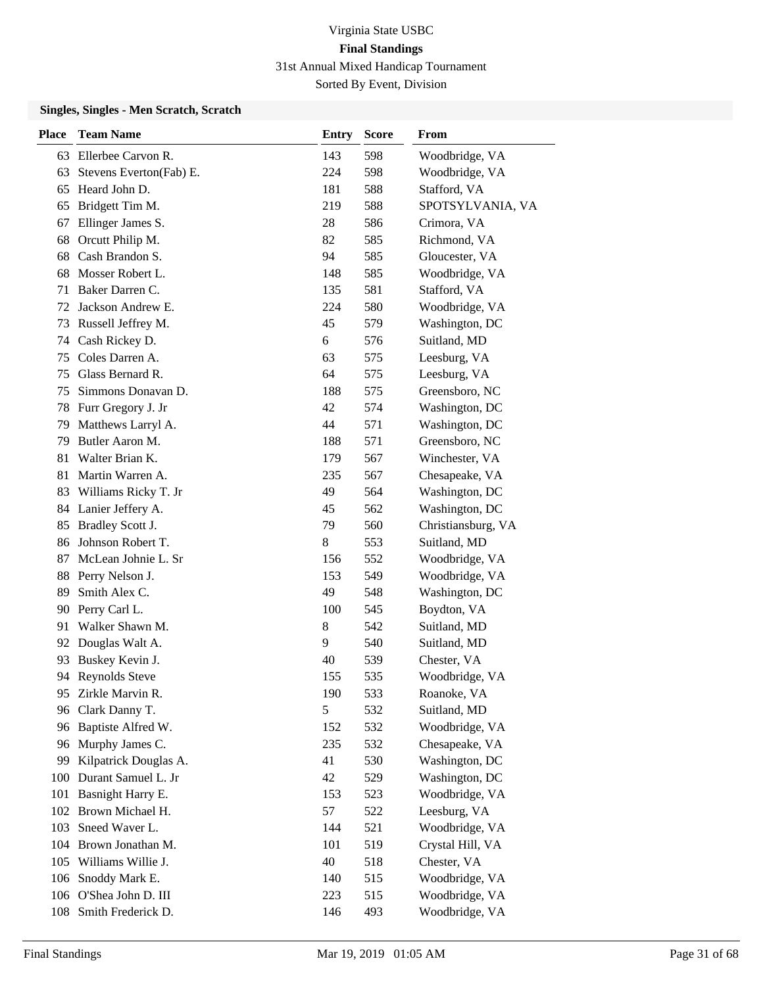#### **Singles, Singles - Men Scratch, Scratch**

| <b>Place</b> | <b>Team Name</b>        | <b>Entry</b> | Score | <b>From</b>        |
|--------------|-------------------------|--------------|-------|--------------------|
| 63           | Ellerbee Carvon R.      | 143          | 598   | Woodbridge, VA     |
| 63           | Stevens Everton(Fab) E. | 224          | 598   | Woodbridge, VA     |
| 65           | Heard John D.           | 181          | 588   | Stafford, VA       |
| 65           | Bridgett Tim M.         | 219          | 588   | SPOTSYLVANIA, VA   |
| 67           | Ellinger James S.       | 28           | 586   | Crimora, VA        |
| 68           | Orcutt Philip M.        | 82           | 585   | Richmond, VA       |
| 68           | Cash Brandon S.         | 94           | 585   | Gloucester, VA     |
| 68           | Mosser Robert L.        | 148          | 585   | Woodbridge, VA     |
| 71           | Baker Darren C.         | 135          | 581   | Stafford, VA       |
| 72           | Jackson Andrew E.       | 224          | 580   | Woodbridge, VA     |
| 73           | Russell Jeffrey M.      | 45           | 579   | Washington, DC     |
| 74           | Cash Rickey D.          | 6            | 576   | Suitland, MD       |
| 75           | Coles Darren A.         | 63           | 575   | Leesburg, VA       |
| 75           | Glass Bernard R.        | 64           | 575   | Leesburg, VA       |
| 75           | Simmons Donavan D.      | 188          | 575   | Greensboro, NC     |
| 78           | Furr Gregory J. Jr      | 42           | 574   | Washington, DC     |
| 79           | Matthews Larryl A.      | 44           | 571   | Washington, DC     |
| 79           | Butler Aaron M.         | 188          | 571   | Greensboro, NC     |
| 81           | Walter Brian K.         | 179          | 567   | Winchester, VA     |
| 81           | Martin Warren A.        | 235          | 567   | Chesapeake, VA     |
| 83           | Williams Ricky T. Jr    | 49           | 564   | Washington, DC     |
| 84           | Lanier Jeffery A.       | 45           | 562   | Washington, DC     |
| 85           | Bradley Scott J.        | 79           | 560   | Christiansburg, VA |
| 86           | Johnson Robert T.       | 8            | 553   | Suitland, MD       |
| 87           | McLean Johnie L. Sr     | 156          | 552   | Woodbridge, VA     |
| 88           | Perry Nelson J.         | 153          | 549   | Woodbridge, VA     |
| 89           | Smith Alex C.           | 49           | 548   | Washington, DC     |
| 90           | Perry Carl L.           | 100          | 545   | Boydton, VA        |
| 91           | Walker Shawn M.         | 8            | 542   | Suitland, MD       |
| 92           | Douglas Walt A.         | 9            | 540   | Suitland, MD       |
| 93           | Buskey Kevin J.         | 40           | 539   | Chester, VA        |
|              | 94 Reynolds Steve       | 155          | 535   | Woodbridge, VA     |
| 95           | Zirkle Marvin R.        | 190          | 533   | Roanoke, VA        |
| 96           | Clark Danny T.          | 5            | 532   | Suitland, MD       |
| 96           | Baptiste Alfred W.      | 152          | 532   | Woodbridge, VA     |
| 96           | Murphy James C.         | 235          | 532   | Chesapeake, VA     |
| 99           | Kilpatrick Douglas A.   | 41           | 530   | Washington, DC     |
| 100          | Durant Samuel L. Jr     | 42           | 529   | Washington, DC     |
| 101          | Basnight Harry E.       | 153          | 523   | Woodbridge, VA     |
|              | 102 Brown Michael H.    | 57           | 522   | Leesburg, VA       |
| 103          | Sneed Waver L.          | 144          | 521   | Woodbridge, VA     |
|              | 104 Brown Jonathan M.   | 101          | 519   | Crystal Hill, VA   |
| 105          | Williams Willie J.      | 40           | 518   | Chester, VA        |
| 106          | Snoddy Mark E.          | 140          | 515   | Woodbridge, VA     |
|              | 106 O'Shea John D. III  | 223          | 515   | Woodbridge, VA     |
|              | 108 Smith Frederick D.  | 146          | 493   | Woodbridge, VA     |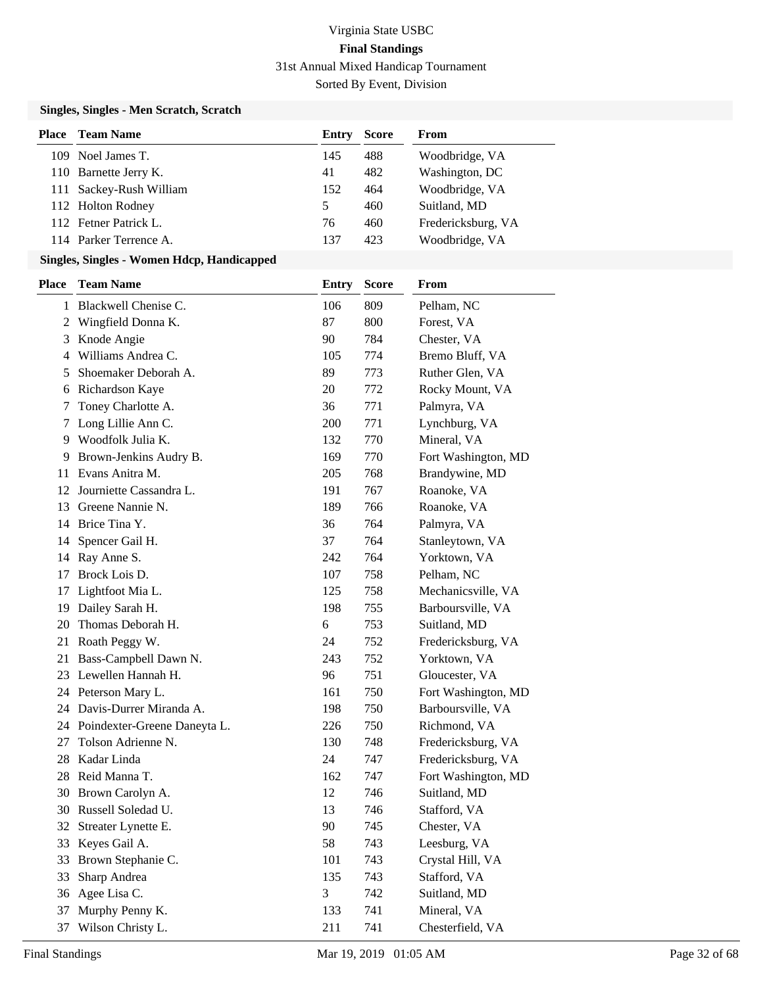### **Singles, Singles - Men Scratch, Scratch**

| Place | <b>Team Name</b>        | Entry | <b>Score</b> | From               |
|-------|-------------------------|-------|--------------|--------------------|
|       | 109 Noel James T.       | 145   | 488          | Woodbridge, VA     |
|       | 110 Barnette Jerry K.   | 41    | 482          | Washington, DC     |
|       | 111 Sackey-Rush William | 152   | 464          | Woodbridge, VA     |
|       | 112 Holton Rodney       | 5     | 460          | Suitland, MD       |
|       | 112 Fetner Patrick L.   | 76    | 460          | Fredericksburg, VA |
|       | 114 Parker Terrence A.  | 137   | 423          | Woodbridge, VA     |

| <b>Place</b> | <b>Team Name</b>                | <b>Entry</b> | <b>Score</b> | From                |
|--------------|---------------------------------|--------------|--------------|---------------------|
|              | 1 Blackwell Chenise C.          | 106          | 809          | Pelham, NC          |
|              | 2 Wingfield Donna K.            | 87           | 800          | Forest, VA          |
| 3            | Knode Angie                     | 90           | 784          | Chester, VA         |
| 4            | Williams Andrea C.              | 105          | 774          | Bremo Bluff, VA     |
| 5            | Shoemaker Deborah A.            | 89           | 773          | Ruther Glen, VA     |
| 6            | Richardson Kaye                 | 20           | 772          | Rocky Mount, VA     |
| 7            | Toney Charlotte A.              | 36           | 771          | Palmyra, VA         |
| 7            | Long Lillie Ann C.              | 200          | 771          | Lynchburg, VA       |
|              | 9 Woodfolk Julia K.             | 132          | 770          | Mineral, VA         |
| 9.           | Brown-Jenkins Audry B.          | 169          | 770          | Fort Washington, MD |
|              | 11 Evans Anitra M.              | 205          | 768          | Brandywine, MD      |
|              | 12 Journiette Cassandra L.      | 191          | 767          | Roanoke, VA         |
| 13           | Greene Nannie N.                | 189          | 766          | Roanoke, VA         |
|              | 14 Brice Tina Y.                | 36           | 764          | Palmyra, VA         |
| 14           | Spencer Gail H.                 | 37           | 764          | Stanleytown, VA     |
| 14           | Ray Anne S.                     | 242          | 764          | Yorktown, VA        |
| 17           | Brock Lois D.                   | 107          | 758          | Pelham, NC          |
| 17           | Lightfoot Mia L.                | 125          | 758          | Mechanicsville, VA  |
|              | 19 Dailey Sarah H.              | 198          | 755          | Barboursville, VA   |
| 20           | Thomas Deborah H.               | 6            | 753          | Suitland, MD        |
| 21           | Roath Peggy W.                  | 24           | 752          | Fredericksburg, VA  |
| 21           | Bass-Campbell Dawn N.           | 243          | 752          | Yorktown, VA        |
|              | 23 Lewellen Hannah H.           | 96           | 751          | Gloucester, VA      |
|              | 24 Peterson Mary L.             | 161          | 750          | Fort Washington, MD |
|              | 24 Davis-Durrer Miranda A.      | 198          | 750          | Barboursville, VA   |
|              | 24 Poindexter-Greene Daneyta L. | 226          | 750          | Richmond, VA        |
| 27           | Tolson Adrienne N.              | 130          | 748          | Fredericksburg, VA  |
| 28           | Kadar Linda                     | 24           | 747          | Fredericksburg, VA  |
|              | 28 Reid Manna T.                | 162          | 747          | Fort Washington, MD |
| 30           | Brown Carolyn A.                | 12           | 746          | Suitland, MD        |
| 30           | Russell Soledad U.              | 13           | 746          | Stafford, VA        |
| 32           | Streater Lynette E.             | 90           | 745          | Chester, VA         |
|              | 33 Keyes Gail A.                | 58           | 743          | Leesburg, VA        |
| 33           | Brown Stephanie C.              | 101          | 743          | Crystal Hill, VA    |
| 33           | Sharp Andrea                    | 135          | 743          | Stafford, VA        |
| 36           | Agee Lisa C.                    | 3            | 742          | Suitland, MD        |
| 37           | Murphy Penny K.                 | 133          | 741          | Mineral, VA         |
| 37           | Wilson Christy L.               | 211          | 741          | Chesterfield, VA    |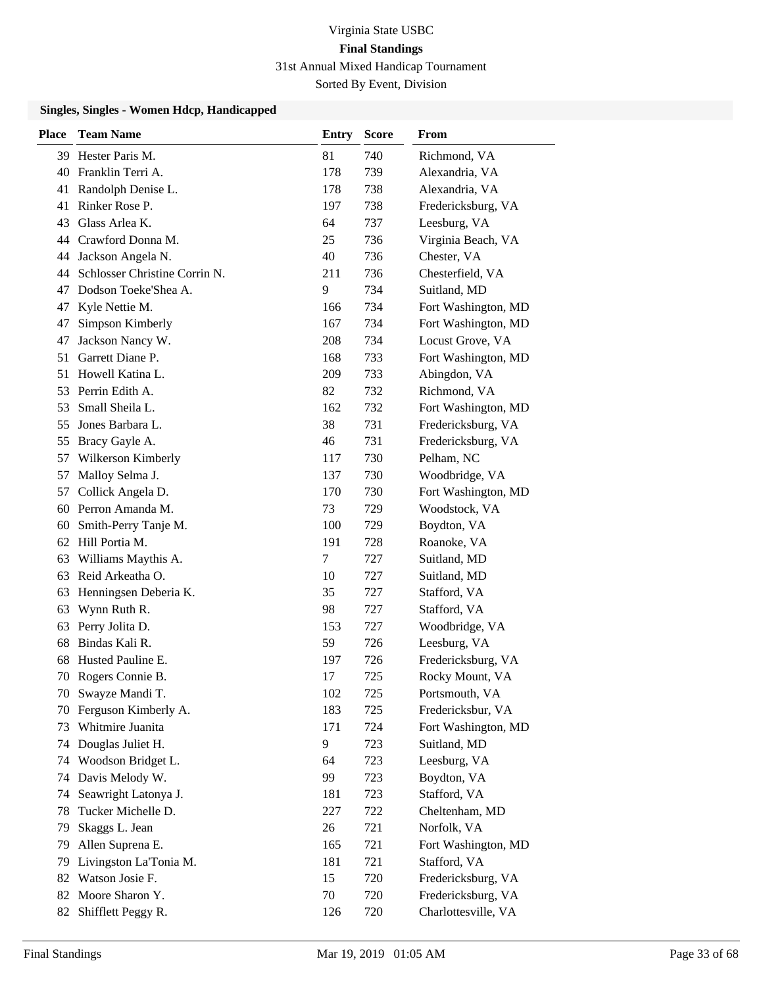| <b>Place</b> | <b>Team Name</b>              | <b>Entry</b> | <b>Score</b> | From                |
|--------------|-------------------------------|--------------|--------------|---------------------|
| 39.          | Hester Paris M.               | 81           | 740          | Richmond, VA        |
| 40           | Franklin Terri A.             | 178          | 739          | Alexandria, VA      |
| 41           | Randolph Denise L.            | 178          | 738          | Alexandria, VA      |
| 41           | Rinker Rose P.                | 197          | 738          | Fredericksburg, VA  |
| 43           | Glass Arlea K.                | 64           | 737          | Leesburg, VA        |
| 44           | Crawford Donna M.             | 25           | 736          | Virginia Beach, VA  |
| 44           | Jackson Angela N.             | 40           | 736          | Chester, VA         |
| 44           | Schlosser Christine Corrin N. | 211          | 736          | Chesterfield, VA    |
| 47           | Dodson Toeke'Shea A.          | 9            | 734          | Suitland, MD        |
| 47           | Kyle Nettie M.                | 166          | 734          | Fort Washington, MD |
| 47           | Simpson Kimberly              | 167          | 734          | Fort Washington, MD |
| 47           | Jackson Nancy W.              | 208          | 734          | Locust Grove, VA    |
| 51           | Garrett Diane P.              | 168          | 733          | Fort Washington, MD |
| 51           | Howell Katina L.              | 209          | 733          | Abingdon, VA        |
| 53           | Perrin Edith A.               | 82           | 732          | Richmond, VA        |
| 53           | Small Sheila L.               | 162          | 732          | Fort Washington, MD |
| 55           | Jones Barbara L.              | 38           | 731          | Fredericksburg, VA  |
| 55           | Bracy Gayle A.                | 46           | 731          | Fredericksburg, VA  |
| 57           | Wilkerson Kimberly            | 117          | 730          | Pelham, NC          |
| 57           | Malloy Selma J.               | 137          | 730          | Woodbridge, VA      |
| 57           | Collick Angela D.             | 170          | 730          | Fort Washington, MD |
| 60           | Perron Amanda M.              | 73           | 729          | Woodstock, VA       |
| 60           | Smith-Perry Tanje M.          | 100          | 729          | Boydton, VA         |
|              | 62 Hill Portia M.             | 191          | 728          | Roanoke, VA         |
| 63           | Williams Maythis A.           | 7            | 727          | Suitland, MD        |
| 63           | Reid Arkeatha O.              | 10           | 727          | Suitland, MD        |
| 63           | Henningsen Deberia K.         | 35           | 727          | Stafford, VA        |
| 63           | Wynn Ruth R.                  | 98           | 727          | Stafford, VA        |
| 63           | Perry Jolita D.               | 153          | 727          | Woodbridge, VA      |
| 68           | Bindas Kali R.                | 59           | 726          | Leesburg, VA        |
| 68           | Husted Pauline E.             | 197          | 726          | Fredericksburg, VA  |
| 70           | Rogers Connie B.              | 17           | 725          | Rocky Mount, VA     |
|              | 70 Swayze Mandi T.            | 102          | 725          | Portsmouth, VA      |
|              | 70 Ferguson Kimberly A.       | 183          | 725          | Fredericksbur, VA   |
| 73           | Whitmire Juanita              | 171          | 724          | Fort Washington, MD |
| 74           | Douglas Juliet H.             | 9            | 723          | Suitland, MD        |
| 74           | Woodson Bridget L.            | 64           | 723          | Leesburg, VA        |
| 74           | Davis Melody W.               | 99           | 723          | Boydton, VA         |
| 74           | Seawright Latonya J.          | 181          | 723          | Stafford, VA        |
| 78           | Tucker Michelle D.            | 227          | 722          | Cheltenham, MD      |
| 79           | Skaggs L. Jean                | 26           | 721          | Norfolk, VA         |
| 79           | Allen Suprena E.              | 165          | 721          | Fort Washington, MD |
| 79           | Livingston La'Tonia M.        | 181          | 721          | Stafford, VA        |
|              | 82 Watson Josie F.            | 15           | 720          | Fredericksburg, VA  |
| 82           | Moore Sharon Y.               | 70           | 720          | Fredericksburg, VA  |
| 82           | Shifflett Peggy R.            | 126          | 720          | Charlottesville, VA |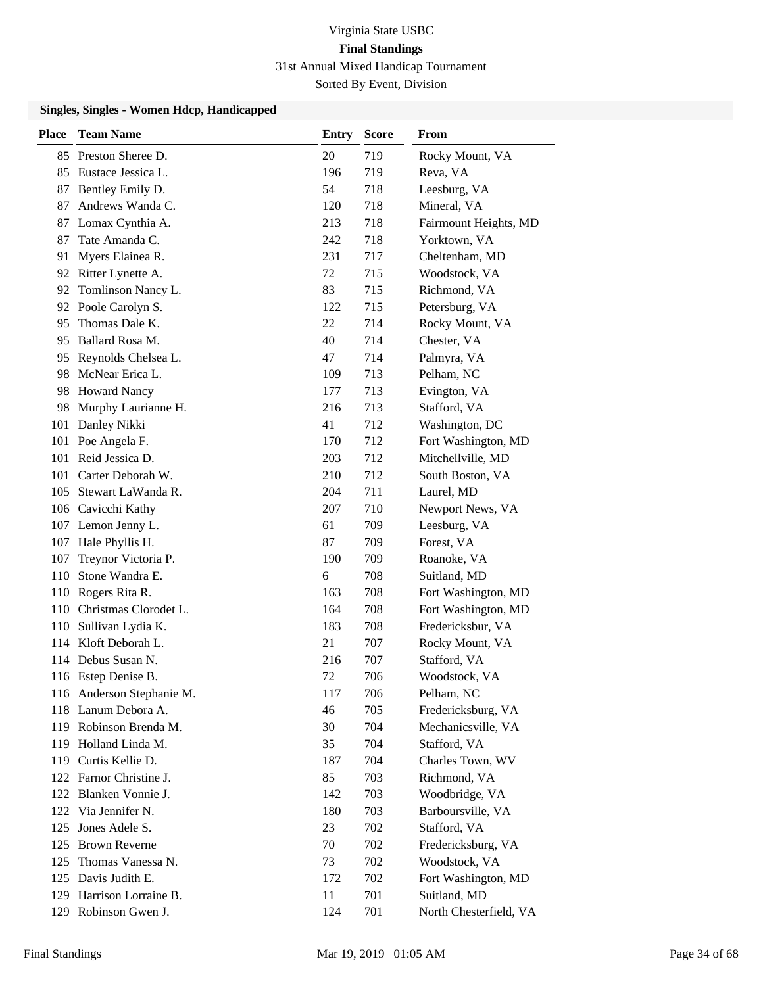| <b>Place</b> | <b>Team Name</b>          | <b>Entry</b> | <b>Score</b> | From                   |
|--------------|---------------------------|--------------|--------------|------------------------|
|              | 85 Preston Sheree D.      | 20           | 719          | Rocky Mount, VA        |
| 85           | Eustace Jessica L.        | 196          | 719          | Reva, VA               |
| 87           | Bentley Emily D.          | 54           | 718          | Leesburg, VA           |
| 87           | Andrews Wanda C.          | 120          | 718          | Mineral, VA            |
| 87           | Lomax Cynthia A.          | 213          | 718          | Fairmount Heights, MD  |
| 87           | Tate Amanda C.            | 242          | 718          | Yorktown, VA           |
| 91           | Myers Elainea R.          | 231          | 717          | Cheltenham, MD         |
| 92           | Ritter Lynette A.         | 72           | 715          | Woodstock, VA          |
| 92           | Tomlinson Nancy L.        | 83           | 715          | Richmond, VA           |
| 92           | Poole Carolyn S.          | 122          | 715          | Petersburg, VA         |
| 95           | Thomas Dale K.            | 22           | 714          | Rocky Mount, VA        |
| 95           | Ballard Rosa M.           | 40           | 714          | Chester, VA            |
| 95           | Reynolds Chelsea L.       | 47           | 714          | Palmyra, VA            |
| 98           | McNear Erica L.           | 109          | 713          | Pelham, NC             |
| 98           | <b>Howard Nancy</b>       | 177          | 713          | Evington, VA           |
| 98           | Murphy Laurianne H.       | 216          | 713          | Stafford, VA           |
| 101          | Danley Nikki              | 41           | 712          | Washington, DC         |
|              | 101 Poe Angela F.         | 170          | 712          | Fort Washington, MD    |
| 101          | Reid Jessica D.           | 203          | 712          | Mitchellville, MD      |
|              | 101 Carter Deborah W.     | 210          | 712          | South Boston, VA       |
| 105          | Stewart LaWanda R.        | 204          | 711          | Laurel, MD             |
|              | 106 Cavicchi Kathy        | 207          | 710          | Newport News, VA       |
|              | 107 Lemon Jenny L.        | 61           | 709          | Leesburg, VA           |
|              | 107 Hale Phyllis H.       | 87           | 709          | Forest, VA             |
| 107          | Treynor Victoria P.       | 190          | 709          | Roanoke, VA            |
| 110          | Stone Wandra E.           | 6            | 708          | Suitland, MD           |
| 110          | Rogers Rita R.            | 163          | 708          | Fort Washington, MD    |
|              | 110 Christmas Clorodet L. | 164          | 708          | Fort Washington, MD    |
| 110          | Sullivan Lydia K.         | 183          | 708          | Fredericksbur, VA      |
|              | 114 Kloft Deborah L.      | 21           | 707          | Rocky Mount, VA        |
| 114          | Debus Susan N.            | 216          | 707          | Stafford, VA           |
|              | 116 Estep Denise B.       | 72           | 706          | Woodstock, VA          |
|              | 116 Anderson Stephanie M. | 117          | 706          | Pelham, NC             |
|              | 118 Lanum Debora A.       | 46           | 705          | Fredericksburg, VA     |
|              | 119 Robinson Brenda M.    | 30           | 704          | Mechanicsville, VA     |
| 119          | Holland Linda M.          | 35           | 704          | Stafford, VA           |
|              | 119 Curtis Kellie D.      | 187          | 704          | Charles Town, WV       |
|              | 122 Farnor Christine J.   | 85           | 703          | Richmond, VA           |
| 122          | Blanken Vonnie J.         | 142          | 703          | Woodbridge, VA         |
| 122          | Via Jennifer N.           | 180          | 703          | Barboursville, VA      |
| 125          | Jones Adele S.            | 23           | 702          | Stafford, VA           |
| 125          | <b>Brown Reverne</b>      | 70           | 702          | Fredericksburg, VA     |
| 125          | Thomas Vanessa N.         | 73           | 702          | Woodstock, VA          |
|              | 125 Davis Judith E.       | 172          | 702          | Fort Washington, MD    |
| 129          | Harrison Lorraine B.      | 11           | 701          | Suitland, MD           |
|              | 129 Robinson Gwen J.      | 124          | 701          | North Chesterfield, VA |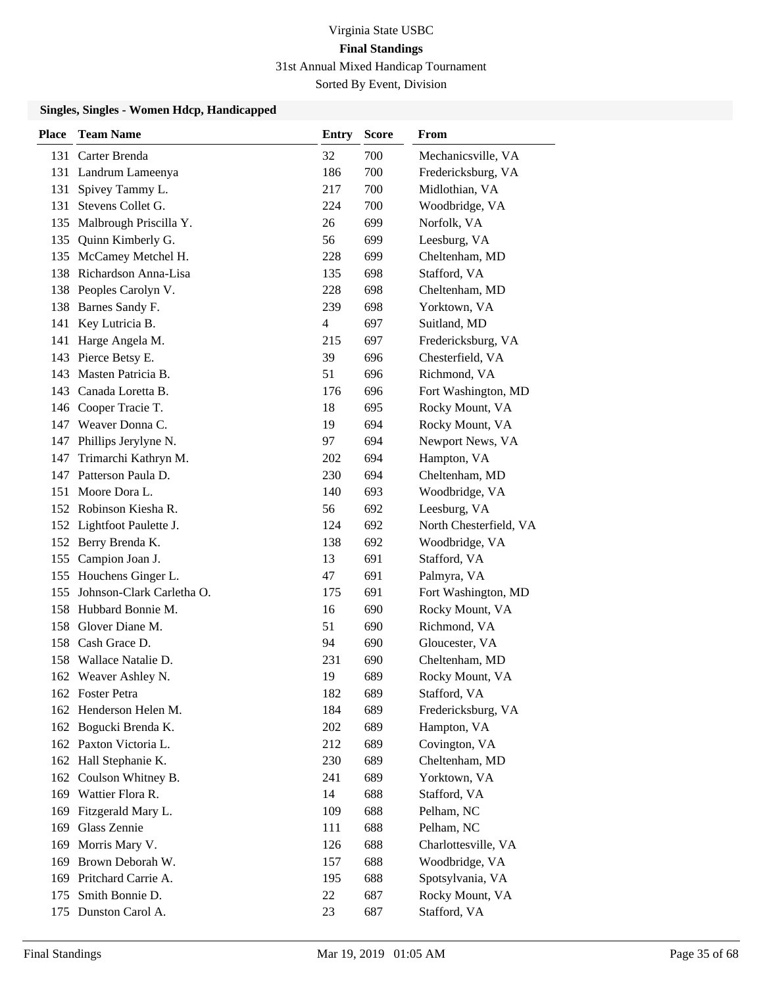| <b>Place</b> | <b>Team Name</b>          | <b>Entry</b>   | <b>Score</b> | <b>From</b>            |
|--------------|---------------------------|----------------|--------------|------------------------|
| 131          | Carter Brenda             | 32             | 700          | Mechanicsville, VA     |
| 131          | Landrum Lameenya          | 186            | 700          | Fredericksburg, VA     |
| 131          | Spivey Tammy L.           | 217            | 700          | Midlothian, VA         |
| 131          | Stevens Collet G.         | 224            | 700          | Woodbridge, VA         |
| 135          | Malbrough Priscilla Y.    | 26             | 699          | Norfolk, VA            |
| 135          | Quinn Kimberly G.         | 56             | 699          | Leesburg, VA           |
|              | 135 McCamey Metchel H.    | 228            | 699          | Cheltenham, MD         |
|              | 138 Richardson Anna-Lisa  | 135            | 698          | Stafford, VA           |
|              | 138 Peoples Carolyn V.    | 228            | 698          | Cheltenham, MD         |
| 138          | Barnes Sandy F.           | 239            | 698          | Yorktown, VA           |
| 141          | Key Lutricia B.           | $\overline{4}$ | 697          | Suitland, MD           |
| 141          | Harge Angela M.           | 215            | 697          | Fredericksburg, VA     |
|              | 143 Pierce Betsy E.       | 39             | 696          | Chesterfield, VA       |
| 143          | Masten Patricia B.        | 51             | 696          | Richmond, VA           |
|              | 143 Canada Loretta B.     | 176            | 696          | Fort Washington, MD    |
|              | 146 Cooper Tracie T.      | 18             | 695          | Rocky Mount, VA        |
|              | 147 Weaver Donna C.       | 19             | 694          | Rocky Mount, VA        |
|              | 147 Phillips Jerylyne N.  | 97             | 694          | Newport News, VA       |
| 147          | Trimarchi Kathryn M.      | 202            | 694          | Hampton, VA            |
| 147          | Patterson Paula D.        | 230            | 694          | Cheltenham, MD         |
| 151          | Moore Dora L.             | 140            | 693          | Woodbridge, VA         |
|              | 152 Robinson Kiesha R.    | 56             | 692          | Leesburg, VA           |
|              | 152 Lightfoot Paulette J. | 124            | 692          | North Chesterfield, VA |
|              | 152 Berry Brenda K.       | 138            | 692          | Woodbridge, VA         |
| 155          | Campion Joan J.           | 13             | 691          | Stafford, VA           |
|              | 155 Houchens Ginger L.    | 47             | 691          | Palmyra, VA            |
| 155          | Johnson-Clark Carletha O. | 175            | 691          | Fort Washington, MD    |
|              | 158 Hubbard Bonnie M.     | 16             | 690          | Rocky Mount, VA        |
| 158          | Glover Diane M.           | 51             | 690          | Richmond, VA           |
|              | 158 Cash Grace D.         | 94             | 690          | Gloucester, VA         |
|              | 158 Wallace Natalie D.    | 231            | 690          | Cheltenham, MD         |
|              | 162 Weaver Ashley N.      | 19             | 689          | Rocky Mount, VA        |
|              | 162 Foster Petra          | 182            | 689          | Stafford, VA           |
|              | 162 Henderson Helen M.    | 184            | 689          | Fredericksburg, VA     |
|              | 162 Bogucki Brenda K.     | 202            | 689          | Hampton, VA            |
|              | 162 Paxton Victoria L.    | 212            | 689          | Covington, VA          |
|              | 162 Hall Stephanie K.     | 230            | 689          | Cheltenham, MD         |
| 162          | Coulson Whitney B.        | 241            | 689          | Yorktown, VA           |
|              | 169 Wattier Flora R.      | 14             | 688          | Stafford, VA           |
| 169          | Fitzgerald Mary L.        | 109            | 688          | Pelham, NC             |
| 169          | Glass Zennie              | 111            | 688          | Pelham, NC             |
| 169          | Morris Mary V.            | 126            | 688          | Charlottesville, VA    |
|              | 169 Brown Deborah W.      | 157            | 688          | Woodbridge, VA         |
|              | 169 Pritchard Carrie A.   | 195            | 688          | Spotsylvania, VA       |
| 175          | Smith Bonnie D.           | 22             | 687          | Rocky Mount, VA        |
| 175          | Dunston Carol A.          | 23             | 687          | Stafford, VA           |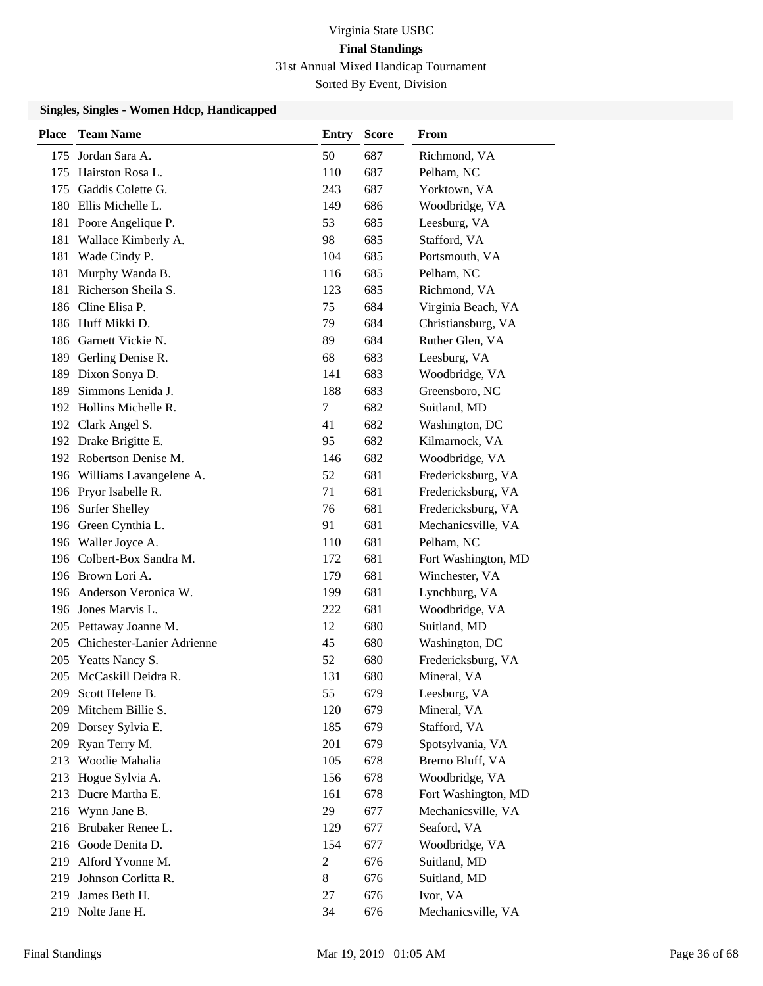Sorted By Event, Division

| <b>Place</b> | <b>Team Name</b>            | <b>Entry</b>   | <b>Score</b> | From                |
|--------------|-----------------------------|----------------|--------------|---------------------|
| 175          | Jordan Sara A.              | 50             | 687          | Richmond, VA        |
| 175          | Hairston Rosa L.            | 110            | 687          | Pelham, NC          |
| 175          | Gaddis Colette G.           | 243            | 687          | Yorktown, VA        |
| 180          | Ellis Michelle L.           | 149            | 686          | Woodbridge, VA      |
| 181          | Poore Angelique P.          | 53             | 685          | Leesburg, VA        |
| 181          | Wallace Kimberly A.         | 98             | 685          | Stafford, VA        |
| 181          | Wade Cindy P.               | 104            | 685          | Portsmouth, VA      |
| 181          | Murphy Wanda B.             | 116            | 685          | Pelham, NC          |
| 181          | Richerson Sheila S.         | 123            | 685          | Richmond, VA        |
| 186          | Cline Elisa P.              | 75             | 684          | Virginia Beach, VA  |
|              | 186 Huff Mikki D.           | 79             | 684          | Christiansburg, VA  |
| 186          | Garnett Vickie N.           | 89             | 684          | Ruther Glen, VA     |
| 189          | Gerling Denise R.           | 68             | 683          | Leesburg, VA        |
| 189          | Dixon Sonya D.              | 141            | 683          | Woodbridge, VA      |
| 189          | Simmons Lenida J.           | 188            | 683          | Greensboro, NC      |
|              | 192 Hollins Michelle R.     | 7              | 682          | Suitland, MD        |
|              | 192 Clark Angel S.          | 41             | 682          | Washington, DC      |
|              | 192 Drake Brigitte E.       | 95             | 682          | Kilmarnock, VA      |
|              | 192 Robertson Denise M.     | 146            | 682          | Woodbridge, VA      |
|              | 196 Williams Lavangelene A. | 52             | 681          | Fredericksburg, VA  |
|              | 196 Pryor Isabelle R.       | 71             | 681          | Fredericksburg, VA  |
|              | 196 Surfer Shelley          | 76             | 681          | Fredericksburg, VA  |
|              | 196 Green Cynthia L.        | 91             | 681          | Mechanicsville, VA  |
|              | 196 Waller Joyce A.         | 110            | 681          | Pelham, NC          |
|              | 196 Colbert-Box Sandra M.   | 172            | 681          | Fort Washington, MD |
|              | 196 Brown Lori A.           | 179            | 681          | Winchester, VA      |
|              | 196 Anderson Veronica W.    | 199            | 681          | Lynchburg, VA       |
|              | 196 Jones Marvis L.         | 222            | 681          | Woodbridge, VA      |
|              | 205 Pettaway Joanne M.      | 12             | 680          | Suitland, MD        |
| 205          | Chichester-Lanier Adrienne  | 45             | 680          | Washington, DC      |
| 205          | Yeatts Nancy S.             | 52             | 680          | Fredericksburg, VA  |
| 205          | McCaskill Deidra R.         | 131            | 680          | Mineral, VA         |
|              | 209 Scott Helene B.         | 55             | 679          | Leesburg, VA        |
| 209          | Mitchem Billie S.           | 120            | 679          | Mineral, VA         |
|              | 209 Dorsey Sylvia E.        | 185            | 679          | Stafford, VA        |
| 209          | Ryan Terry M.               | 201            | 679          | Spotsylvania, VA    |
|              | 213 Woodie Mahalia          | 105            | 678          | Bremo Bluff, VA     |
| 213          | Hogue Sylvia A.             | 156            | 678          | Woodbridge, VA      |
| 213          | Ducre Martha E.             | 161            | 678          | Fort Washington, MD |
| 216          | Wynn Jane B.                | 29             | 677          | Mechanicsville, VA  |
|              | 216 Brubaker Renee L.       | 129            | 677          | Seaford, VA         |
| 216          | Goode Denita D.             | 154            | 677          | Woodbridge, VA      |
|              | 219 Alford Yvonne M.        | $\overline{c}$ | 676          | Suitland, MD        |
| 219          | Johnson Corlitta R.         | $\,8\,$        | 676          | Suitland, MD        |
| 219          | James Beth H.               | 27             | 676          | Ivor, VA            |
| 219          | Nolte Jane H.               | 34             | 676          | Mechanicsville, VA  |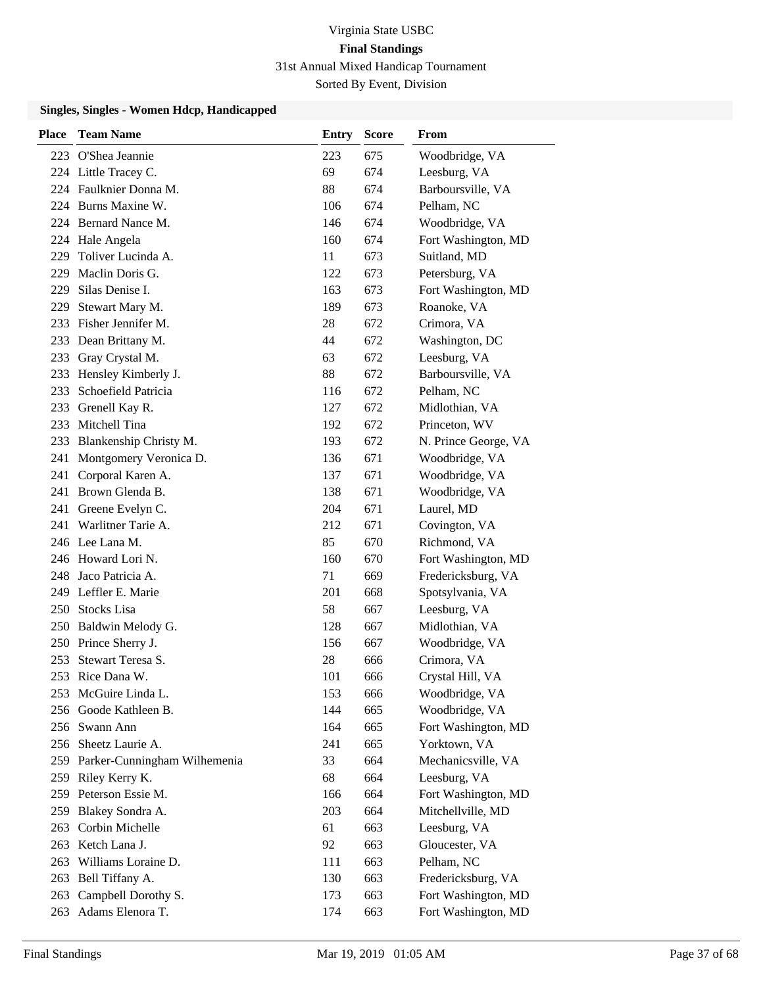| <b>Place</b> | <b>Team Name</b>                 | Entry | <b>Score</b> | From                 |
|--------------|----------------------------------|-------|--------------|----------------------|
|              | 223 O'Shea Jeannie               | 223   | 675          | Woodbridge, VA       |
|              | 224 Little Tracey C.             | 69    | 674          | Leesburg, VA         |
|              | 224 Faulknier Donna M.           | 88    | 674          | Barboursville, VA    |
|              | 224 Burns Maxine W.              | 106   | 674          | Pelham, NC           |
|              | 224 Bernard Nance M.             | 146   | 674          | Woodbridge, VA       |
|              | 224 Hale Angela                  | 160   | 674          | Fort Washington, MD  |
| 229          | Toliver Lucinda A.               | 11    | 673          | Suitland, MD         |
| 229          | Maclin Doris G.                  | 122   | 673          | Petersburg, VA       |
| 229          | Silas Denise I.                  | 163   | 673          | Fort Washington, MD  |
| 229          | Stewart Mary M.                  | 189   | 673          | Roanoke, VA          |
|              | 233 Fisher Jennifer M.           | 28    | 672          | Crimora, VA          |
|              | 233 Dean Brittany M.             | 44    | 672          | Washington, DC       |
| 233          | Gray Crystal M.                  | 63    | 672          | Leesburg, VA         |
| 233          | Hensley Kimberly J.              | 88    | 672          | Barboursville, VA    |
| 233          | Schoefield Patricia              | 116   | 672          | Pelham, NC           |
| 233          | Grenell Kay R.                   | 127   | 672          | Midlothian, VA       |
| 233          | Mitchell Tina                    | 192   | 672          | Princeton, WV        |
| 233          | Blankenship Christy M.           | 193   | 672          | N. Prince George, VA |
| 241          | Montgomery Veronica D.           | 136   | 671          | Woodbridge, VA       |
| 241          | Corporal Karen A.                | 137   | 671          | Woodbridge, VA       |
|              | 241 Brown Glenda B.              | 138   | 671          | Woodbridge, VA       |
|              | 241 Greene Evelyn C.             | 204   | 671          | Laurel, MD           |
|              | 241 Warlitner Tarie A.           | 212   | 671          | Covington, VA        |
|              | 246 Lee Lana M.                  | 85    | 670          | Richmond, VA         |
|              | 246 Howard Lori N.               | 160   | 670          | Fort Washington, MD  |
| 248          | Jaco Patricia A.                 | 71    | 669          | Fredericksburg, VA   |
|              | 249 Leffler E. Marie             | 201   | 668          | Spotsylvania, VA     |
|              | 250 Stocks Lisa                  | 58    | 667          | Leesburg, VA         |
|              | 250 Baldwin Melody G.            | 128   | 667          | Midlothian, VA       |
|              | 250 Prince Sherry J.             | 156   | 667          | Woodbridge, VA       |
| 253          | Stewart Teresa S.                | 28    | 666          | Crimora, VA          |
|              | 253 Rice Dana W.                 | 101   | 666          | Crystal Hill, VA     |
|              | 253 McGuire Linda L.             | 153   | 666          | Woodbridge, VA       |
|              | 256 Goode Kathleen B.            | 144   | 665          | Woodbridge, VA       |
|              | 256 Swann Ann                    | 164   | 665          | Fort Washington, MD  |
|              | 256 Sheetz Laurie A.             | 241   | 665          | Yorktown, VA         |
|              | 259 Parker-Cunningham Wilhemenia | 33    | 664          | Mechanicsville, VA   |
|              | 259 Riley Kerry K.               | 68    | 664          | Leesburg, VA         |
| 259          | Peterson Essie M.                | 166   | 664          | Fort Washington, MD  |
| 259          | Blakey Sondra A.                 | 203   | 664          | Mitchellville, MD    |
| 263          | Corbin Michelle                  | 61    | 663          | Leesburg, VA         |
|              | 263 Ketch Lana J.                | 92    | 663          | Gloucester, VA       |
|              | 263 Williams Loraine D.          | 111   | 663          | Pelham, NC           |
|              | 263 Bell Tiffany A.              | 130   | 663          | Fredericksburg, VA   |
| 263          | Campbell Dorothy S.              | 173   | 663          | Fort Washington, MD  |
|              | 263 Adams Elenora T.             | 174   | 663          | Fort Washington, MD  |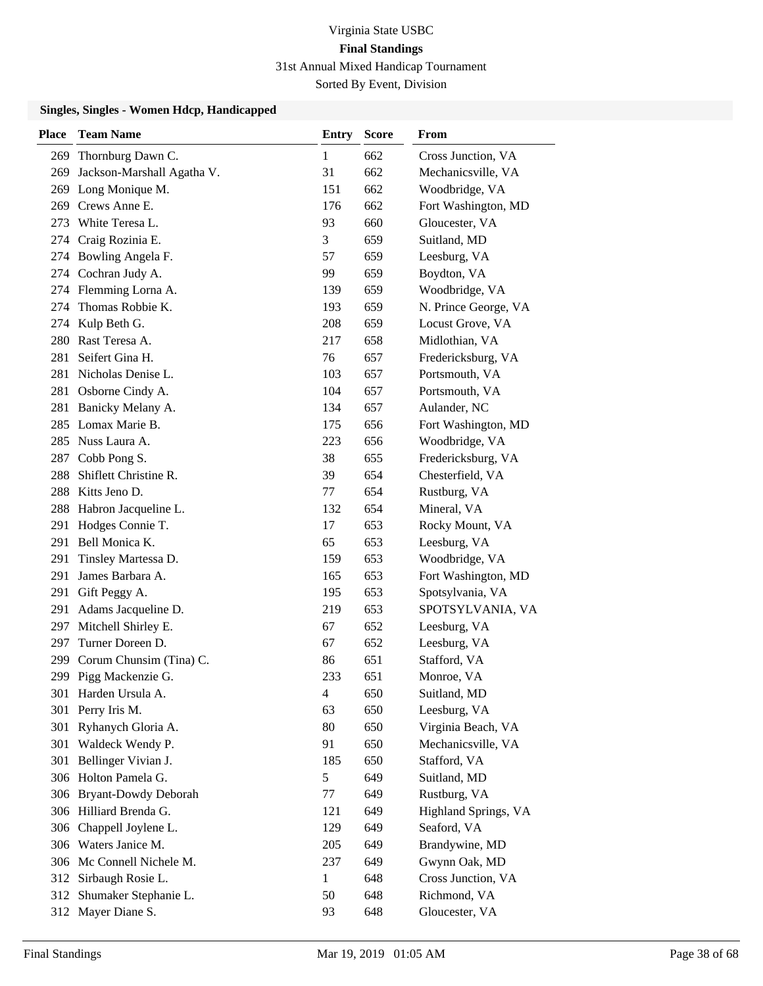| <b>Place</b> | <b>Team Name</b>            | Entry          | <b>Score</b> | From                 |
|--------------|-----------------------------|----------------|--------------|----------------------|
| 269          | Thornburg Dawn C.           | 1              | 662          | Cross Junction, VA   |
| 269          | Jackson-Marshall Agatha V.  | 31             | 662          | Mechanicsville, VA   |
|              | 269 Long Monique M.         | 151            | 662          | Woodbridge, VA       |
|              | 269 Crews Anne E.           | 176            | 662          | Fort Washington, MD  |
| 273          | White Teresa L.             | 93             | 660          | Gloucester, VA       |
| 274          | Craig Rozinia E.            | 3              | 659          | Suitland, MD         |
| 274          | Bowling Angela F.           | 57             | 659          | Leesburg, VA         |
|              | 274 Cochran Judy A.         | 99             | 659          | Boydton, VA          |
|              | 274 Flemming Lorna A.       | 139            | 659          | Woodbridge, VA       |
| 274          | Thomas Robbie K.            | 193            | 659          | N. Prince George, VA |
| 274          | Kulp Beth G.                | 208            | 659          | Locust Grove, VA     |
| 280          | Rast Teresa A.              | 217            | 658          | Midlothian, VA       |
| 281          | Seifert Gina H.             | 76             | 657          | Fredericksburg, VA   |
| 281          | Nicholas Denise L.          | 103            | 657          | Portsmouth, VA       |
|              | 281 Osborne Cindy A.        | 104            | 657          | Portsmouth, VA       |
| 281          | Banicky Melany A.           | 134            | 657          | Aulander, NC         |
| 285          | Lomax Marie B.              | 175            | 656          | Fort Washington, MD  |
| 285          | Nuss Laura A.               | 223            | 656          | Woodbridge, VA       |
|              | 287 Cobb Pong S.            | 38             | 655          | Fredericksburg, VA   |
| 288          | Shiflett Christine R.       | 39             | 654          | Chesterfield, VA     |
| 288          | Kitts Jeno D.               | 77             | 654          | Rustburg, VA         |
| 288          | Habron Jacqueline L.        | 132            | 654          | Mineral, VA          |
| 291          | Hodges Connie T.            | 17             | 653          | Rocky Mount, VA      |
| 291          | Bell Monica K.              | 65             | 653          | Leesburg, VA         |
| 291          | Tinsley Martessa D.         | 159            | 653          | Woodbridge, VA       |
| 291          | James Barbara A.            | 165            | 653          | Fort Washington, MD  |
| 291          | Gift Peggy A.               | 195            | 653          | Spotsylvania, VA     |
| 291          | Adams Jacqueline D.         | 219            | 653          | SPOTSYLVANIA, VA     |
| 297          | Mitchell Shirley E.         | 67             | 652          | Leesburg, VA         |
| 297          | Turner Doreen D.            | 67             | 652          | Leesburg, VA         |
|              | 299 Corum Chunsim (Tina) C. | 86             | 651          | Stafford, VA         |
|              | 299 Pigg Mackenzie G.       | 233            | 651          | Monroe, VA           |
|              | 301 Harden Ursula A.        | $\overline{4}$ | 650          | Suitland, MD         |
| 301          | Perry Iris M.               | 63             | 650          | Leesburg, VA         |
| 301          | Ryhanych Gloria A.          | 80             | 650          | Virginia Beach, VA   |
| 301          | Waldeck Wendy P.            | 91             | 650          | Mechanicsville, VA   |
| 301          | Bellinger Vivian J.         | 185            | 650          | Stafford, VA         |
|              | 306 Holton Pamela G.        | 5              | 649          | Suitland, MD         |
|              | 306 Bryant-Dowdy Deborah    | 77             | 649          | Rustburg, VA         |
|              | 306 Hilliard Brenda G.      | 121            | 649          | Highland Springs, VA |
| 306          | Chappell Joylene L.         | 129            | 649          | Seaford, VA          |
|              | 306 Waters Janice M.        | 205            | 649          | Brandywine, MD       |
|              | 306 Mc Connell Nichele M.   | 237            | 649          | Gwynn Oak, MD        |
|              | 312 Sirbaugh Rosie L.       | $\mathbf{1}$   | 648          | Cross Junction, VA   |
| 312          | Shumaker Stephanie L.       | 50             | 648          | Richmond, VA         |
|              | 312 Mayer Diane S.          | 93             | 648          | Gloucester, VA       |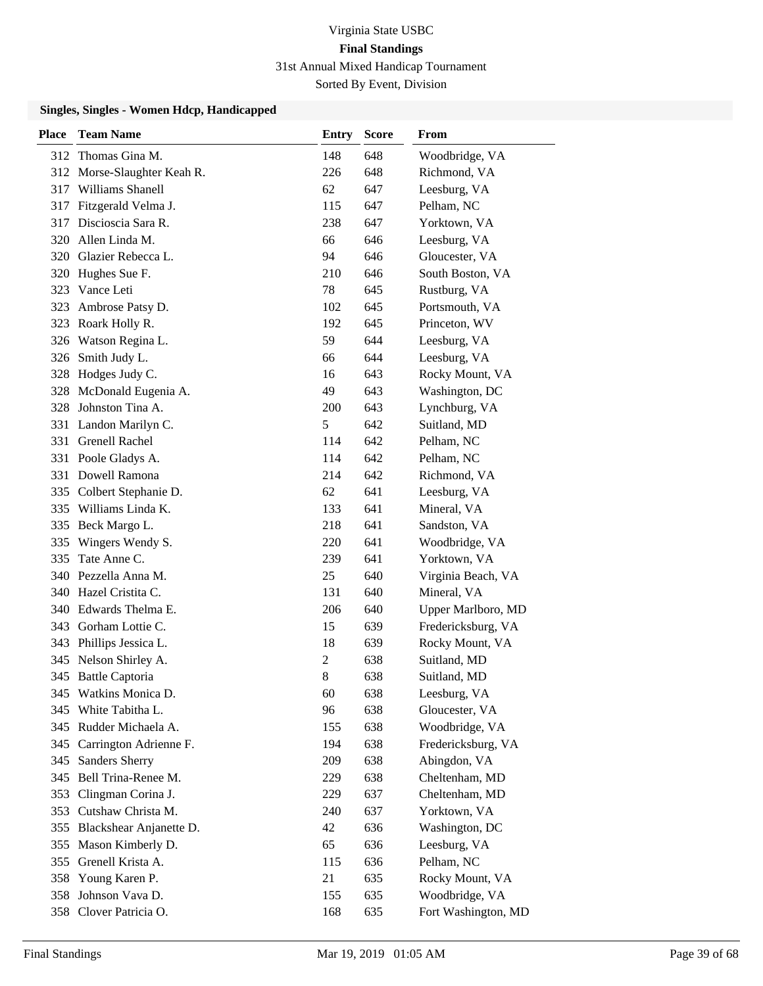| <b>Place</b> | <b>Team Name</b>            | <b>Entry</b>   | <b>Score</b> | From                |
|--------------|-----------------------------|----------------|--------------|---------------------|
|              | 312 Thomas Gina M.          | 148            | 648          | Woodbridge, VA      |
|              | 312 Morse-Slaughter Keah R. | 226            | 648          | Richmond, VA        |
| 317          | Williams Shanell            | 62             | 647          | Leesburg, VA        |
| 317          | Fitzgerald Velma J.         | 115            | 647          | Pelham, NC          |
| 317          | Discioscia Sara R.          | 238            | 647          | Yorktown, VA        |
| 320          | Allen Linda M.              | 66             | 646          | Leesburg, VA        |
| 320          | Glazier Rebecca L.          | 94             | 646          | Gloucester, VA      |
| 320          | Hughes Sue F.               | 210            | 646          | South Boston, VA    |
| 323          | Vance Leti                  | 78             | 645          | Rustburg, VA        |
| 323          | Ambrose Patsy D.            | 102            | 645          | Portsmouth, VA      |
| 323          | Roark Holly R.              | 192            | 645          | Princeton, WV       |
|              | 326 Watson Regina L.        | 59             | 644          | Leesburg, VA        |
| 326          | Smith Judy L.               | 66             | 644          | Leesburg, VA        |
| 328          | Hodges Judy C.              | 16             | 643          | Rocky Mount, VA     |
| 328          | McDonald Eugenia A.         | 49             | 643          | Washington, DC      |
| 328          | Johnston Tina A.            | 200            | 643          | Lynchburg, VA       |
| 331          | Landon Marilyn C.           | 5              | 642          | Suitland, MD        |
| 331          | <b>Grenell Rachel</b>       | 114            | 642          | Pelham, NC          |
|              | 331 Poole Gladys A.         | 114            | 642          | Pelham, NC          |
| 331          | Dowell Ramona               | 214            | 642          | Richmond, VA        |
| 335          | Colbert Stephanie D.        | 62             | 641          | Leesburg, VA        |
| 335          | Williams Linda K.           | 133            | 641          | Mineral, VA         |
|              | 335 Beck Margo L.           | 218            | 641          | Sandston, VA        |
| 335          | Wingers Wendy S.            | 220            | 641          | Woodbridge, VA      |
| 335          | Tate Anne C.                | 239            | 641          | Yorktown, VA        |
| 340          | Pezzella Anna M.            | 25             | 640          | Virginia Beach, VA  |
|              | 340 Hazel Cristita C.       | 131            | 640          | Mineral, VA         |
| 340          | Edwards Thelma E.           | 206            | 640          | Upper Marlboro, MD  |
| 343          | Gorham Lottie C.            | 15             | 639          | Fredericksburg, VA  |
| 343          | Phillips Jessica L.         | 18             | 639          | Rocky Mount, VA     |
|              | 345 Nelson Shirley A.       | $\mathfrak{2}$ | 638          | Suitland, MD        |
|              | 345 Battle Captoria         | 8              | 638          | Suitland, MD        |
|              | 345 Watkins Monica D.       | 60             | 638          | Leesburg, VA        |
| 345          | White Tabitha L.            | 96             | 638          | Gloucester, VA      |
|              | 345 Rudder Michaela A.      | 155            | 638          | Woodbridge, VA      |
| 345          | Carrington Adrienne F.      | 194            | 638          | Fredericksburg, VA  |
| 345          | <b>Sanders Sherry</b>       | 209            | 638          | Abingdon, VA        |
| 345          | Bell Trina-Renee M.         | 229            | 638          | Cheltenham, MD      |
| 353          | Clingman Corina J.          | 229            | 637          | Cheltenham, MD      |
| 353          | Cutshaw Christa M.          | 240            | 637          | Yorktown, VA        |
| 355          | Blackshear Anjanette D.     | 42             | 636          | Washington, DC      |
| 355          | Mason Kimberly D.           | 65             | 636          | Leesburg, VA        |
| 355          | Grenell Krista A.           | 115            | 636          | Pelham, NC          |
| 358          | Young Karen P.              | 21             | 635          | Rocky Mount, VA     |
| 358          | Johnson Vava D.             | 155            | 635          | Woodbridge, VA      |
| 358          | Clover Patricia O.          | 168            | 635          | Fort Washington, MD |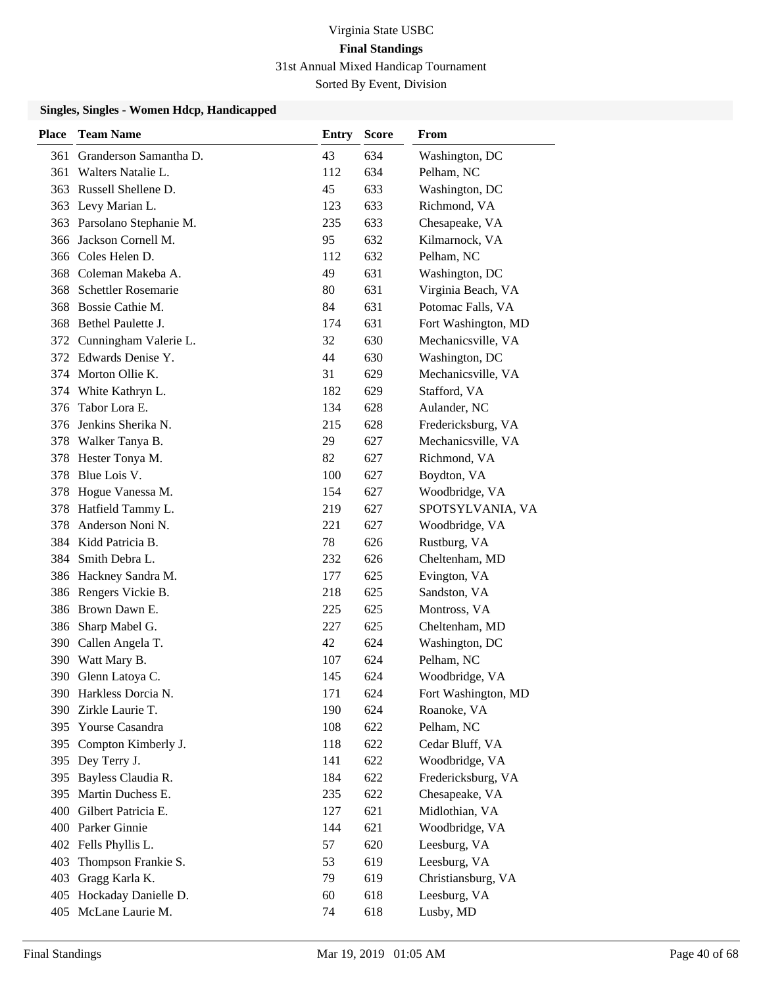| <b>Place</b> | <b>Team Name</b>          | <b>Entry</b> | <b>Score</b> | From                |
|--------------|---------------------------|--------------|--------------|---------------------|
| 361          | Granderson Samantha D.    | 43           | 634          | Washington, DC      |
| 361          | Walters Natalie L.        | 112          | 634          | Pelham, NC          |
| 363          | Russell Shellene D.       | 45           | 633          | Washington, DC      |
|              | 363 Levy Marian L.        | 123          | 633          | Richmond, VA        |
| 363          | Parsolano Stephanie M.    | 235          | 633          | Chesapeake, VA      |
| 366          | Jackson Cornell M.        | 95           | 632          | Kilmarnock, VA      |
| 366          | Coles Helen D.            | 112          | 632          | Pelham, NC          |
| 368          | Coleman Makeba A.         | 49           | 631          | Washington, DC      |
| 368          | Schettler Rosemarie       | 80           | 631          | Virginia Beach, VA  |
| 368          | Bossie Cathie M.          | 84           | 631          | Potomac Falls, VA   |
| 368          | Bethel Paulette J.        | 174          | 631          | Fort Washington, MD |
|              | 372 Cunningham Valerie L. | 32           | 630          | Mechanicsville, VA  |
| 372          | Edwards Denise Y.         | 44           | 630          | Washington, DC      |
| 374          | Morton Ollie K.           | 31           | 629          | Mechanicsville, VA  |
| 374          | White Kathryn L.          | 182          | 629          | Stafford, VA        |
| 376          | Tabor Lora E.             | 134          | 628          | Aulander, NC        |
| 376          | Jenkins Sherika N.        | 215          | 628          | Fredericksburg, VA  |
| 378          | Walker Tanya B.           | 29           | 627          | Mechanicsville, VA  |
| 378          | Hester Tonya M.           | 82           | 627          | Richmond, VA        |
| 378          | Blue Lois V.              | 100          | 627          | Boydton, VA         |
| 378          | Hogue Vanessa M.          | 154          | 627          | Woodbridge, VA      |
| 378          | Hatfield Tammy L.         | 219          | 627          | SPOTSYLVANIA, VA    |
| 378          | Anderson Noni N.          | 221          | 627          | Woodbridge, VA      |
| 384          | Kidd Patricia B.          | 78           | 626          | Rustburg, VA        |
| 384          | Smith Debra L.            | 232          | 626          | Cheltenham, MD      |
| 386          | Hackney Sandra M.         | 177          | 625          | Evington, VA        |
|              | 386 Rengers Vickie B.     | 218          | 625          | Sandston, VA        |
|              | 386 Brown Dawn E.         | 225          | 625          | Montross, VA        |
| 386          | Sharp Mabel G.            | 227          | 625          | Cheltenham, MD      |
| 390          | Callen Angela T.          | 42           | 624          | Washington, DC      |
| 390          | Watt Mary B.              | 107          | 624          | Pelham, NC          |
|              | 390 Glenn Latoya C.       | 145          | 624          | Woodbridge, VA      |
|              | 390 Harkless Dorcia N.    | 171          | 624          | Fort Washington, MD |
| 390          | Zirkle Laurie T.          | 190          | 624          | Roanoke, VA         |
| 395          | Yourse Casandra           | 108          | 622          | Pelham, NC          |
| 395          | Compton Kimberly J.       | 118          | 622          | Cedar Bluff, VA     |
|              | 395 Dey Terry J.          | 141          | 622          | Woodbridge, VA      |
| 395          | Bayless Claudia R.        | 184          | 622          | Fredericksburg, VA  |
| 395          | Martin Duchess E.         | 235          | 622          | Chesapeake, VA      |
| 400          | Gilbert Patricia E.       | 127          | 621          | Midlothian, VA      |
| 400          | Parker Ginnie             | 144          | 621          | Woodbridge, VA      |
| 402          | Fells Phyllis L.          | 57           | 620          | Leesburg, VA        |
| 403          | Thompson Frankie S.       | 53           | 619          | Leesburg, VA        |
| 403          | Gragg Karla K.            | 79           | 619          | Christiansburg, VA  |
| 405          | Hockaday Danielle D.      | 60           | 618          | Leesburg, VA        |
| 405          | McLane Laurie M.          | 74           | 618          | Lusby, MD           |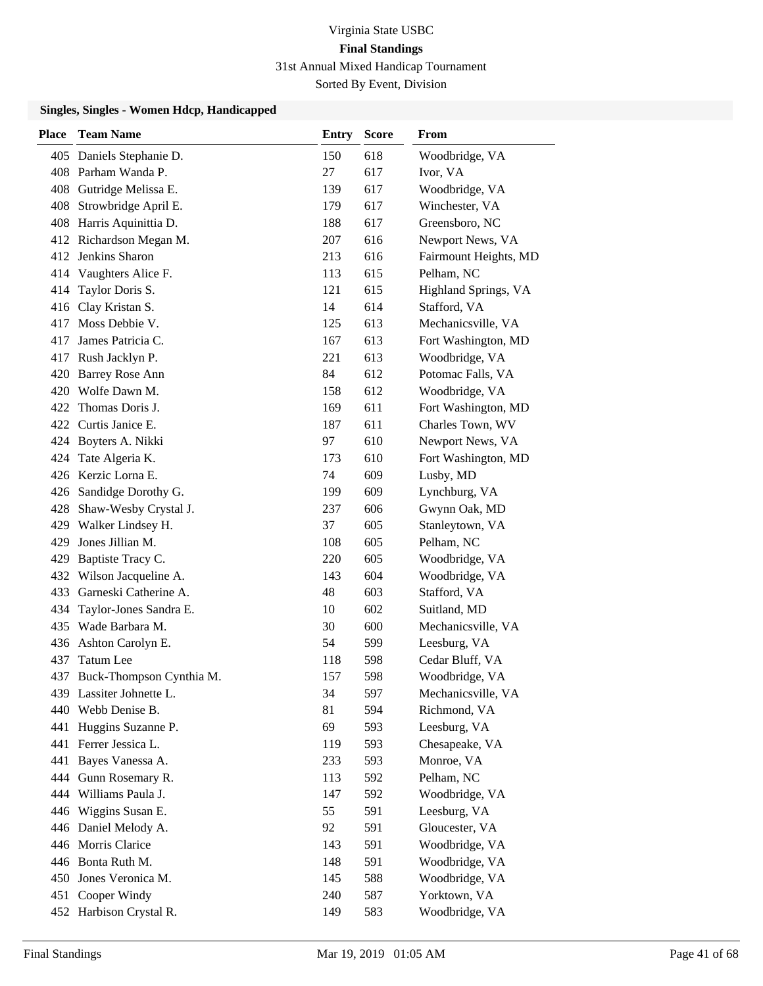| <b>Place</b> | <b>Team Name</b>          | <b>Entry</b> | <b>Score</b> | From                  |
|--------------|---------------------------|--------------|--------------|-----------------------|
|              | 405 Daniels Stephanie D.  | 150          | 618          | Woodbridge, VA        |
|              | 408 Parham Wanda P.       | 27           | 617          | Ivor, VA              |
|              | 408 Gutridge Melissa E.   | 139          | 617          | Woodbridge, VA        |
| 408          | Strowbridge April E.      | 179          | 617          | Winchester, VA        |
|              | 408 Harris Aquinittia D.  | 188          | 617          | Greensboro, NC        |
|              | 412 Richardson Megan M.   | 207          | 616          | Newport News, VA      |
|              | 412 Jenkins Sharon        | 213          | 616          | Fairmount Heights, MD |
|              | 414 Vaughters Alice F.    | 113          | 615          | Pelham, NC            |
| 414          | Taylor Doris S.           | 121          | 615          | Highland Springs, VA  |
|              | 416 Clay Kristan S.       | 14           | 614          | Stafford, VA          |
|              | 417 Moss Debbie V.        | 125          | 613          | Mechanicsville, VA    |
| 417          | James Patricia C.         | 167          | 613          | Fort Washington, MD   |
|              | 417 Rush Jacklyn P.       | 221          | 613          | Woodbridge, VA        |
|              | 420 Barrey Rose Ann       | 84           | 612          | Potomac Falls, VA     |
|              | 420 Wolfe Dawn M.         | 158          | 612          | Woodbridge, VA        |
|              | 422 Thomas Doris J.       | 169          | 611          | Fort Washington, MD   |
|              | 422 Curtis Janice E.      | 187          | 611          | Charles Town, WV      |
|              | 424 Boyters A. Nikki      | 97           | 610          | Newport News, VA      |
| 424          | Tate Algeria K.           | 173          | 610          | Fort Washington, MD   |
|              | 426 Kerzic Lorna E.       | 74           | 609          | Lusby, MD             |
|              | 426 Sandidge Dorothy G.   | 199          | 609          | Lynchburg, VA         |
|              | 428 Shaw-Wesby Crystal J. | 237          | 606          | Gwynn Oak, MD         |
|              | 429 Walker Lindsey H.     | 37           | 605          | Stanleytown, VA       |
| 429          | Jones Jillian M.          | 108          | 605          | Pelham, NC            |
| 429          | Baptiste Tracy C.         | 220          | 605          | Woodbridge, VA        |
|              | 432 Wilson Jacqueline A.  | 143          | 604          | Woodbridge, VA        |
|              | 433 Garneski Catherine A. | 48           | 603          | Stafford, VA          |
| 434          | Taylor-Jones Sandra E.    | 10           | 602          | Suitland, MD          |
|              | 435 Wade Barbara M.       | 30           | 600          | Mechanicsville, VA    |
|              | 436 Ashton Carolyn E.     | 54           | 599          | Leesburg, VA          |
| 437          | Tatum Lee                 | 118          | 598          | Cedar Bluff, VA       |
| 437          | Buck-Thompson Cynthia M.  | 157          | 598          | Woodbridge, VA        |
|              | 439 Lassiter Johnette L.  | 34           | 597          | Mechanicsville, VA    |
|              | 440 Webb Denise B.        | 81           | 594          | Richmond, VA          |
|              | 441 Huggins Suzanne P.    | 69           | 593          | Leesburg, VA          |
|              | 441 Ferrer Jessica L.     | 119          | 593          | Chesapeake, VA        |
| 441          | Bayes Vanessa A.          | 233          | 593          | Monroe, VA            |
|              | 444 Gunn Rosemary R.      | 113          | 592          | Pelham, NC            |
|              | 444 Williams Paula J.     | 147          | 592          | Woodbridge, VA        |
| 446          | Wiggins Susan E.          | 55           | 591          | Leesburg, VA          |
|              | 446 Daniel Melody A.      | 92           | 591          | Gloucester, VA        |
|              | 446 Morris Clarice        | 143          | 591          | Woodbridge, VA        |
|              | 446 Bonta Ruth M.         | 148          | 591          | Woodbridge, VA        |
|              | 450 Jones Veronica M.     | 145          | 588          | Woodbridge, VA        |
| 451          | Cooper Windy              | 240          | 587          | Yorktown, VA          |
|              | 452 Harbison Crystal R.   | 149          | 583          | Woodbridge, VA        |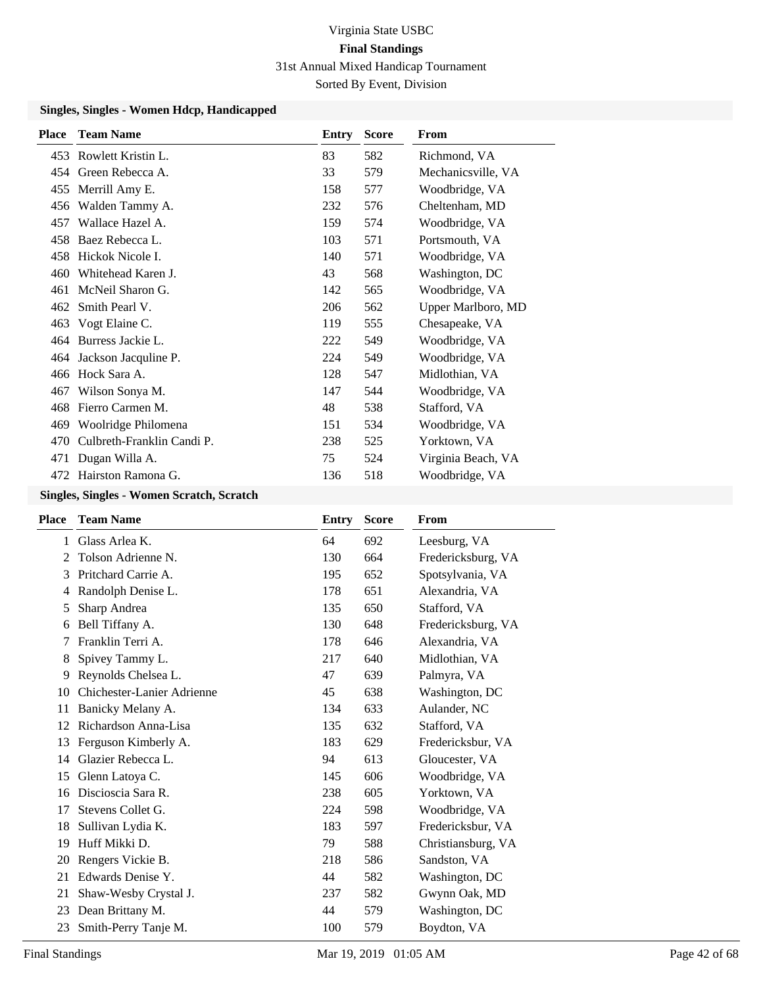### Sorted By Event, Division

### **Singles, Singles - Women Hdcp, Handicapped**

| <b>Place</b> | <b>Team Name</b>           | Entry | <b>Score</b> | <b>From</b>        |
|--------------|----------------------------|-------|--------------|--------------------|
| 453          | Rowlett Kristin L.         | 83    | 582          | Richmond, VA       |
|              | 454 Green Rebecca A.       | 33    | 579          | Mechanicsville, VA |
|              | 455 Merrill Amy E.         | 158   | 577          | Woodbridge, VA     |
| 456          | Walden Tammy A.            | 232   | 576          | Cheltenham, MD     |
| 457          | Wallace Hazel A.           | 159   | 574          | Woodbridge, VA     |
| 458          | Baez Rebecca L.            | 103   | 571          | Portsmouth, VA     |
|              | 458 Hickok Nicole I.       | 140   | 571          | Woodbridge, VA     |
| 460          | Whitehead Karen J.         | 43    | 568          | Washington, DC     |
| 461          | McNeil Sharon G.           | 142   | 565          | Woodbridge, VA     |
| 462          | Smith Pearl V.             | 206   | 562          | Upper Marlboro, MD |
| 463          | Vogt Elaine C.             | 119   | 555          | Chesapeake, VA     |
| 464          | Burress Jackie L.          | 222   | 549          | Woodbridge, VA     |
|              | 464 Jackson Jacquline P.   | 224   | 549          | Woodbridge, VA     |
|              | 466 Hock Sara A.           | 128   | 547          | Midlothian, VA     |
| 467          | Wilson Sonya M.            | 147   | 544          | Woodbridge, VA     |
| 468          | Fierro Carmen M.           | 48    | 538          | Stafford, VA       |
| 469          | Woolridge Philomena        | 151   | 534          | Woodbridge, VA     |
| 470          | Culbreth-Franklin Candi P. | 238   | 525          | Yorktown, VA       |
|              | 471 Dugan Willa A.         | 75    | 524          | Virginia Beach, VA |
| 472          | Hairston Ramona G.         | 136   | 518          | Woodbridge, VA     |

#### **Singles, Singles - Women Scratch, Scratch**

| <b>Team Name</b>           | Entry | <b>Score</b> | From               |
|----------------------------|-------|--------------|--------------------|
| Glass Arlea K.             | 64    | 692          | Leesburg, VA       |
| Tolson Adrienne N.         | 130   | 664          | Fredericksburg, VA |
| Pritchard Carrie A.        | 195   | 652          | Spotsylvania, VA   |
| Randolph Denise L.         | 178   | 651          | Alexandria, VA     |
| Sharp Andrea               | 135   | 650          | Stafford, VA       |
| Bell Tiffany A.            | 130   | 648          | Fredericksburg, VA |
| Franklin Terri A.          | 178   | 646          | Alexandria, VA     |
| Spivey Tammy L.            | 217   | 640          | Midlothian, VA     |
| Reynolds Chelsea L.        | 47    | 639          | Palmyra, VA        |
| Chichester-Lanier Adrienne | 45    | 638          | Washington, DC     |
| Banicky Melany A.          | 134   | 633          | Aulander, NC       |
| Richardson Anna-Lisa       | 135   | 632          | Stafford, VA       |
| Ferguson Kimberly A.       | 183   | 629          | Fredericksbur, VA  |
| Glazier Rebecca L.         | 94    | 613          | Gloucester, VA     |
| Glenn Latoya C.            | 145   | 606          | Woodbridge, VA     |
| Discioscia Sara R.         | 238   | 605          | Yorktown, VA       |
| Stevens Collet G.          | 224   | 598          | Woodbridge, VA     |
| Sullivan Lydia K.          | 183   | 597          | Fredericksbur, VA  |
| Huff Mikki D.              | 79    | 588          | Christiansburg, VA |
| Rengers Vickie B.          | 218   | 586          | Sandston, VA       |
| Edwards Denise Y.          | 44    | 582          | Washington, DC     |
| Shaw-Wesby Crystal J.      | 237   | 582          | Gwynn Oak, MD      |
| Dean Brittany M.           | 44    | 579          | Washington, DC     |
| Smith-Perry Tanje M.       | 100   | 579          | Boydton, VA        |
|                            |       |              |                    |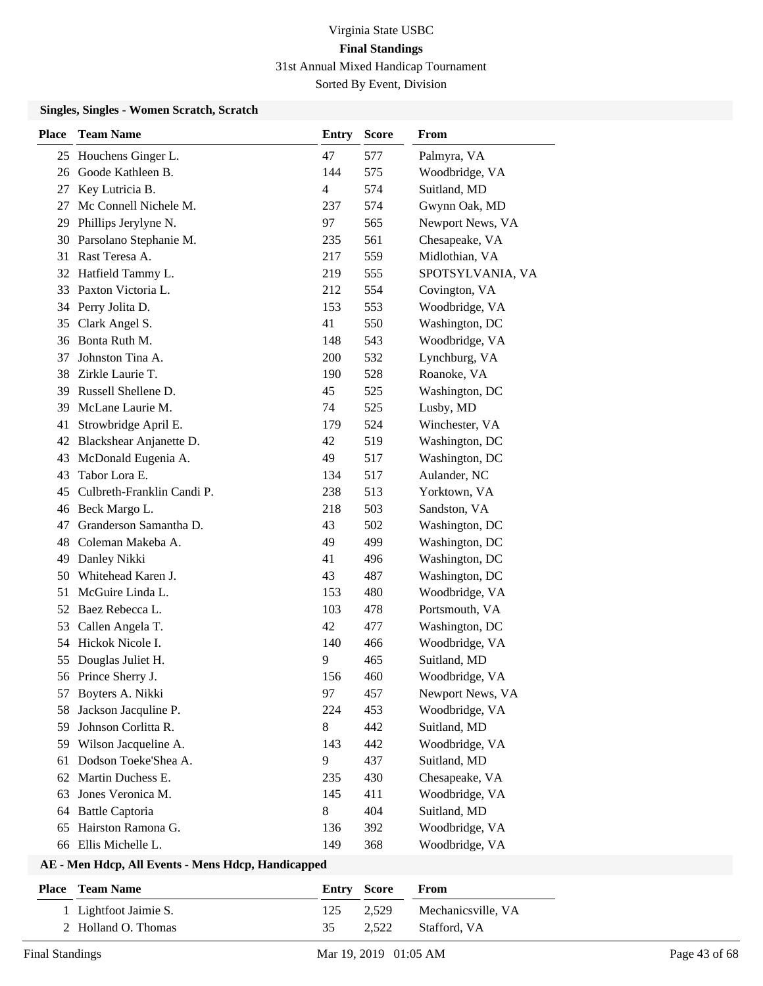#### **Singles, Singles - Women Scratch, Scratch**

| <b>Place</b> | <b>Team Name</b>           | <b>Entry</b> | <b>Score</b> | From             |
|--------------|----------------------------|--------------|--------------|------------------|
| 25           | Houchens Ginger L.         | 47           | 577          | Palmyra, VA      |
| 26           | Goode Kathleen B.          | 144          | 575          | Woodbridge, VA   |
| 27           | Key Lutricia B.            | 4            | 574          | Suitland, MD     |
| 27           | Mc Connell Nichele M.      | 237          | 574          | Gwynn Oak, MD    |
| 29           | Phillips Jerylyne N.       | 97           | 565          | Newport News, VA |
| 30           | Parsolano Stephanie M.     | 235          | 561          | Chesapeake, VA   |
|              | 31 Rast Teresa A.          | 217          | 559          | Midlothian, VA   |
|              | 32 Hatfield Tammy L.       | 219          | 555          | SPOTSYLVANIA, VA |
| 33           | Paxton Victoria L.         | 212          | 554          | Covington, VA    |
|              | 34 Perry Jolita D.         | 153          | 553          | Woodbridge, VA   |
| 35           | Clark Angel S.             | 41           | 550          | Washington, DC   |
|              | 36 Bonta Ruth M.           | 148          | 543          | Woodbridge, VA   |
| 37           | Johnston Tina A.           | 200          | 532          | Lynchburg, VA    |
|              | 38 Zirkle Laurie T.        | 190          | 528          | Roanoke, VA      |
|              | 39 Russell Shellene D.     | 45           | 525          | Washington, DC   |
| 39           | McLane Laurie M.           | 74           | 525          | Lusby, MD        |
| 41           | Strowbridge April E.       | 179          | 524          | Winchester, VA   |
|              | 42 Blackshear Anjanette D. | 42           | 519          | Washington, DC   |
| 43           | McDonald Eugenia A.        | 49           | 517          | Washington, DC   |
| 43           | Tabor Lora E.              | 134          | 517          | Aulander, NC     |
| 45           | Culbreth-Franklin Candi P. | 238          | 513          | Yorktown, VA     |
|              | 46 Beck Margo L.           | 218          | 503          | Sandston, VA     |
| 47           | Granderson Samantha D.     | 43           | 502          | Washington, DC   |
|              | 48 Coleman Makeba A.       | 49           | 499          | Washington, DC   |
| 49           | Danley Nikki               | 41           | 496          | Washington, DC   |
| 50           | Whitehead Karen J.         | 43           | 487          | Washington, DC   |
| 51           | McGuire Linda L.           | 153          | 480          | Woodbridge, VA   |
|              | 52 Baez Rebecca L.         | 103          | 478          | Portsmouth, VA   |
| 53           | Callen Angela T.           | 42           | 477          | Washington, DC   |
|              | 54 Hickok Nicole I.        | 140          | 466          | Woodbridge, VA   |
| 55           | Douglas Juliet H.          | 9            | 465          | Suitland, MD     |
|              | 56 Prince Sherry J.        | 156          | 460          | Woodbridge, VA   |
| 57           | Boyters A. Nikki           | 97           | 457          | Newport News, VA |
| 58           | Jackson Jacquline P.       | 224          | 453          | Woodbridge, VA   |
| 59           | Johnson Corlitta R.        | 8            | 442          | Suitland, MD     |
| 59           | Wilson Jacqueline A.       | 143          | 442          | Woodbridge, VA   |
| 61           | Dodson Toeke'Shea A.       | 9            | 437          | Suitland, MD     |
| 62           | Martin Duchess E.          | 235          | 430          | Chesapeake, VA   |
| 63           | Jones Veronica M.          | 145          | 411          | Woodbridge, VA   |
| 64           | <b>Battle Captoria</b>     | 8            | 404          | Suitland, MD     |
| 65           | Hairston Ramona G.         | 136          | 392          | Woodbridge, VA   |
|              | 66 Ellis Michelle L.       | 149          | 368          | Woodbridge, VA   |

| <b>Place – Team Name</b> | <b>Entry Score</b> | <b>From</b>                  |
|--------------------------|--------------------|------------------------------|
| 1 Lightfoot Jaimie S.    |                    | 125 2.529 Mechanicsville, VA |
| 2 Holland O. Thomas      | 35                 | 2.522 Stafford, VA           |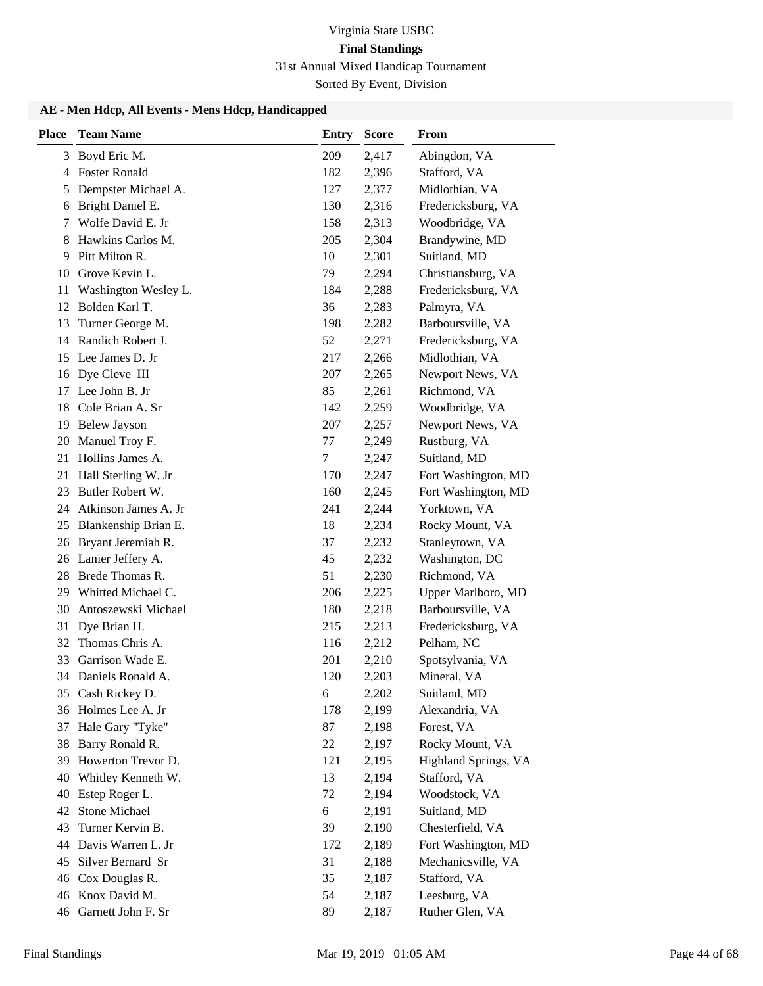Sorted By Event, Division

| <b>Place</b> | <b>Team Name</b>        | <b>Entry</b> | <b>Score</b> | <b>From</b>          |
|--------------|-------------------------|--------------|--------------|----------------------|
|              | 3 Boyd Eric M.          | 209          | 2,417        | Abingdon, VA         |
| 4            | <b>Foster Ronald</b>    | 182          | 2,396        | Stafford, VA         |
| 5            | Dempster Michael A.     | 127          | 2,377        | Midlothian, VA       |
| 6            | Bright Daniel E.        | 130          | 2,316        | Fredericksburg, VA   |
| 7            | Wolfe David E. Jr       | 158          | 2,313        | Woodbridge, VA       |
| 8            | Hawkins Carlos M.       | 205          | 2,304        | Brandywine, MD       |
| 9            | Pitt Milton R.          | 10           | 2,301        | Suitland, MD         |
| 10           | Grove Kevin L.          | 79           | 2,294        | Christiansburg, VA   |
| 11           | Washington Wesley L.    | 184          | 2,288        | Fredericksburg, VA   |
| 12           | Bolden Karl T.          | 36           | 2,283        | Palmyra, VA          |
| 13           | Turner George M.        | 198          | 2,282        | Barboursville, VA    |
| 14           | Randich Robert J.       | 52           | 2,271        | Fredericksburg, VA   |
| 15           | Lee James D. Jr         | 217          | 2,266        | Midlothian, VA       |
| 16           | Dye Cleve III           | 207          | 2,265        | Newport News, VA     |
| 17           | Lee John B. Jr          | 85           | 2,261        | Richmond, VA         |
| 18           | Cole Brian A. Sr        | 142          | 2,259        | Woodbridge, VA       |
| 19           | <b>Belew Jayson</b>     | 207          | 2,257        | Newport News, VA     |
| 20           | Manuel Troy F.          | 77           | 2,249        | Rustburg, VA         |
| 21           | Hollins James A.        | 7            | 2,247        | Suitland, MD         |
| 21           | Hall Sterling W. Jr     | 170          | 2,247        | Fort Washington, MD  |
| 23           | Butler Robert W.        | 160          | 2,245        | Fort Washington, MD  |
| 24           | Atkinson James A. Jr    | 241          | 2,244        | Yorktown, VA         |
|              | 25 Blankenship Brian E. | 18           | 2,234        | Rocky Mount, VA      |
| 26           | Bryant Jeremiah R.      | 37           | 2,232        | Stanleytown, VA      |
| 26           | Lanier Jeffery A.       | 45           | 2,232        | Washington, DC       |
| 28           | Brede Thomas R.         | 51           | 2,230        | Richmond, VA         |
| 29           | Whitted Michael C.      | 206          | 2,225        | Upper Marlboro, MD   |
| 30           | Antoszewski Michael     | 180          | 2,218        | Barboursville, VA    |
| 31           | Dye Brian H.            | 215          | 2,213        | Fredericksburg, VA   |
| 32           | Thomas Chris A.         | 116          | 2,212        | Pelham, NC           |
| 33           | Garrison Wade E.        | 201          | 2,210        | Spotsylvania, VA     |
|              | 34 Daniels Ronald A.    | 120          | 2,203        | Mineral, VA          |
|              | 35 Cash Rickey D.       | 6            | 2,202        | Suitland, MD         |
| 36           | Holmes Lee A. Jr        | 178          | 2,199        | Alexandria, VA       |
| 37           | Hale Gary "Tyke"        | 87           | 2,198        | Forest, VA           |
| 38           | Barry Ronald R.         | 22           | 2,197        | Rocky Mount, VA      |
| 39           | Howerton Trevor D.      | 121          | 2,195        | Highland Springs, VA |
| 40           | Whitley Kenneth W.      | 13           | 2,194        | Stafford, VA         |
| 40           | Estep Roger L.          | 72           | 2,194        | Woodstock, VA        |
| 42           | <b>Stone Michael</b>    | 6            | 2,191        | Suitland, MD         |
| 43           | Turner Kervin B.        | 39           | 2,190        | Chesterfield, VA     |
| 44           | Davis Warren L. Jr      | 172          | 2,189        | Fort Washington, MD  |
| 45           | Silver Bernard Sr       | 31           | 2,188        | Mechanicsville, VA   |
| 46           | Cox Douglas R.          | 35           | 2,187        | Stafford, VA         |
| 46           | Knox David M.           | 54           | 2,187        | Leesburg, VA         |
| 46           | Garnett John F. Sr      | 89           | 2,187        | Ruther Glen, VA      |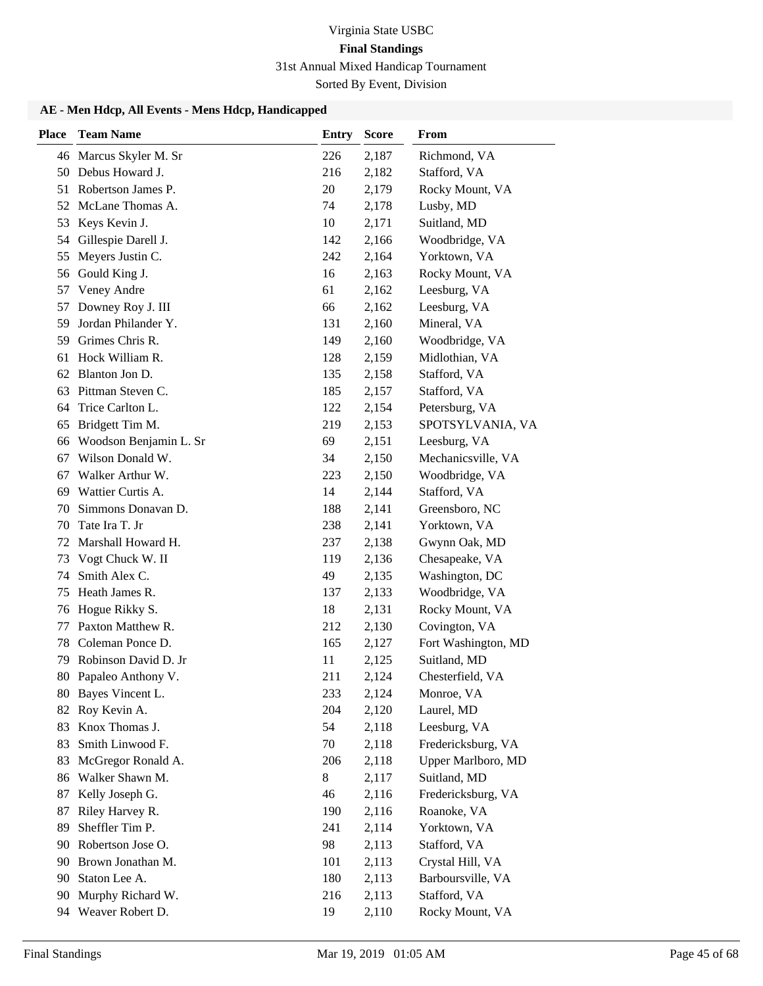Sorted By Event, Division

| 46 Marcus Skyler M. Sr<br>226<br>Richmond, VA<br>2,187<br>Debus Howard J.<br>Stafford, VA<br>216<br>2,182<br>50<br>Robertson James P.<br>Rocky Mount, VA<br>51<br>20<br>2,179<br>Lusby, MD<br>52<br>McLane Thomas A.<br>2,178<br>74<br>Keys Kevin J.<br>10<br>2,171<br>Suitland, MD<br>53<br>54 Gillespie Darell J.<br>142<br>2,166<br>Woodbridge, VA<br>Meyers Justin C.<br>242<br>Yorktown, VA<br>55<br>2,164<br>Gould King J.<br>Rocky Mount, VA<br>2,163<br>56<br>16<br>Veney Andre<br>61<br>2,162<br>Leesburg, VA<br>57<br>Downey Roy J. III<br>Leesburg, VA<br>66<br>2,162<br>57<br>Jordan Philander Y.<br>Mineral, VA<br>59<br>2,160<br>131<br>Grimes Chris R.<br>Woodbridge, VA<br>59<br>149<br>2,160<br>Hock William R.<br>Midlothian, VA<br>2,159<br>61<br>128<br>Blanton Jon D.<br>Stafford, VA<br>135<br>2,158<br>62<br>Pittman Steven C.<br>185<br>Stafford, VA<br>63<br>2,157<br>Trice Carlton L.<br>122<br>2,154<br>Petersburg, VA<br>64<br>Bridgett Tim M.<br>219<br>2,153<br>SPOTSYLVANIA, VA<br>65<br>Woodson Benjamin L. Sr<br>Leesburg, VA<br>69<br>2,151<br>66<br>Wilson Donald W.<br>Mechanicsville, VA<br>2,150<br>34<br>67<br>Walker Arthur W.<br>Woodbridge, VA<br>2,150<br>67<br>223<br>Wattier Curtis A.<br>Stafford, VA<br>2,144<br>69<br>14<br>Simmons Donavan D.<br>188<br>2,141<br>Greensboro, NC<br>70<br>Tate Ira T. Jr<br>238<br>2,141<br>Yorktown, VA<br>70<br>Marshall Howard H.<br>72<br>237<br>2,138<br>Gwynn Oak, MD<br>Vogt Chuck W. II<br>2,136<br>Chesapeake, VA<br>73<br>119<br>Smith Alex C.<br>74<br>49<br>Washington, DC<br>2,135<br>Heath James R.<br>75<br>2,133<br>Woodbridge, VA<br>137<br>Hogue Rikky S.<br>Rocky Mount, VA<br>18<br>2,131<br>76<br>Paxton Matthew R.<br>212<br>Covington, VA<br>77<br>2,130<br>Coleman Ponce D.<br>Fort Washington, MD<br>78<br>165<br>2,127<br>Robinson David D. Jr<br>11<br>Suitland, MD<br>79<br>2,125<br>80 Papaleo Anthony V.<br>211<br>2,124<br>Chesterfield, VA<br>233<br>2,124<br>Monroe, VA<br>80 Bayes Vincent L.<br>82 Roy Kevin A.<br>204<br>Laurel, MD<br>2,120<br>Knox Thomas J.<br>54<br>Leesburg, VA<br>2,118<br>83<br>Smith Linwood F.<br>Fredericksburg, VA<br>83<br>70<br>2,118<br>McGregor Ronald A.<br>Upper Marlboro, MD<br>206<br>2,118<br>83<br>Walker Shawn M.<br>8<br>2,117<br>Suitland, MD<br>86<br>Kelly Joseph G.<br>46<br>2,116<br>Fredericksburg, VA<br>87<br>Riley Harvey R.<br>2,116<br>Roanoke, VA<br>87<br>190<br>Sheffler Tim P.<br>89<br>241<br>2,114<br>Yorktown, VA<br>Robertson Jose O.<br>98<br>Stafford, VA<br>2,113<br>90<br>Brown Jonathan M.<br>101<br>2,113<br>Crystal Hill, VA<br>90<br>Staton Lee A.<br>180<br>2,113<br>Barboursville, VA<br>90<br>Murphy Richard W.<br>Stafford, VA<br>90<br>216<br>2,113<br>94 Weaver Robert D.<br>19<br>2,110<br>Rocky Mount, VA | <b>Place</b> | <b>Team Name</b> | <b>Entry</b> | <b>Score</b> | From |
|---------------------------------------------------------------------------------------------------------------------------------------------------------------------------------------------------------------------------------------------------------------------------------------------------------------------------------------------------------------------------------------------------------------------------------------------------------------------------------------------------------------------------------------------------------------------------------------------------------------------------------------------------------------------------------------------------------------------------------------------------------------------------------------------------------------------------------------------------------------------------------------------------------------------------------------------------------------------------------------------------------------------------------------------------------------------------------------------------------------------------------------------------------------------------------------------------------------------------------------------------------------------------------------------------------------------------------------------------------------------------------------------------------------------------------------------------------------------------------------------------------------------------------------------------------------------------------------------------------------------------------------------------------------------------------------------------------------------------------------------------------------------------------------------------------------------------------------------------------------------------------------------------------------------------------------------------------------------------------------------------------------------------------------------------------------------------------------------------------------------------------------------------------------------------------------------------------------------------------------------------------------------------------------------------------------------------------------------------------------------------------------------------------------------------------------------------------------------------------------------------------------------------------------------------------------------------------------------------------------------------------------------------------------------------------------------------------------------------------------------------------------------------------------------------------|--------------|------------------|--------------|--------------|------|
|                                                                                                                                                                                                                                                                                                                                                                                                                                                                                                                                                                                                                                                                                                                                                                                                                                                                                                                                                                                                                                                                                                                                                                                                                                                                                                                                                                                                                                                                                                                                                                                                                                                                                                                                                                                                                                                                                                                                                                                                                                                                                                                                                                                                                                                                                                                                                                                                                                                                                                                                                                                                                                                                                                                                                                                                         |              |                  |              |              |      |
|                                                                                                                                                                                                                                                                                                                                                                                                                                                                                                                                                                                                                                                                                                                                                                                                                                                                                                                                                                                                                                                                                                                                                                                                                                                                                                                                                                                                                                                                                                                                                                                                                                                                                                                                                                                                                                                                                                                                                                                                                                                                                                                                                                                                                                                                                                                                                                                                                                                                                                                                                                                                                                                                                                                                                                                                         |              |                  |              |              |      |
|                                                                                                                                                                                                                                                                                                                                                                                                                                                                                                                                                                                                                                                                                                                                                                                                                                                                                                                                                                                                                                                                                                                                                                                                                                                                                                                                                                                                                                                                                                                                                                                                                                                                                                                                                                                                                                                                                                                                                                                                                                                                                                                                                                                                                                                                                                                                                                                                                                                                                                                                                                                                                                                                                                                                                                                                         |              |                  |              |              |      |
|                                                                                                                                                                                                                                                                                                                                                                                                                                                                                                                                                                                                                                                                                                                                                                                                                                                                                                                                                                                                                                                                                                                                                                                                                                                                                                                                                                                                                                                                                                                                                                                                                                                                                                                                                                                                                                                                                                                                                                                                                                                                                                                                                                                                                                                                                                                                                                                                                                                                                                                                                                                                                                                                                                                                                                                                         |              |                  |              |              |      |
|                                                                                                                                                                                                                                                                                                                                                                                                                                                                                                                                                                                                                                                                                                                                                                                                                                                                                                                                                                                                                                                                                                                                                                                                                                                                                                                                                                                                                                                                                                                                                                                                                                                                                                                                                                                                                                                                                                                                                                                                                                                                                                                                                                                                                                                                                                                                                                                                                                                                                                                                                                                                                                                                                                                                                                                                         |              |                  |              |              |      |
|                                                                                                                                                                                                                                                                                                                                                                                                                                                                                                                                                                                                                                                                                                                                                                                                                                                                                                                                                                                                                                                                                                                                                                                                                                                                                                                                                                                                                                                                                                                                                                                                                                                                                                                                                                                                                                                                                                                                                                                                                                                                                                                                                                                                                                                                                                                                                                                                                                                                                                                                                                                                                                                                                                                                                                                                         |              |                  |              |              |      |
|                                                                                                                                                                                                                                                                                                                                                                                                                                                                                                                                                                                                                                                                                                                                                                                                                                                                                                                                                                                                                                                                                                                                                                                                                                                                                                                                                                                                                                                                                                                                                                                                                                                                                                                                                                                                                                                                                                                                                                                                                                                                                                                                                                                                                                                                                                                                                                                                                                                                                                                                                                                                                                                                                                                                                                                                         |              |                  |              |              |      |
|                                                                                                                                                                                                                                                                                                                                                                                                                                                                                                                                                                                                                                                                                                                                                                                                                                                                                                                                                                                                                                                                                                                                                                                                                                                                                                                                                                                                                                                                                                                                                                                                                                                                                                                                                                                                                                                                                                                                                                                                                                                                                                                                                                                                                                                                                                                                                                                                                                                                                                                                                                                                                                                                                                                                                                                                         |              |                  |              |              |      |
|                                                                                                                                                                                                                                                                                                                                                                                                                                                                                                                                                                                                                                                                                                                                                                                                                                                                                                                                                                                                                                                                                                                                                                                                                                                                                                                                                                                                                                                                                                                                                                                                                                                                                                                                                                                                                                                                                                                                                                                                                                                                                                                                                                                                                                                                                                                                                                                                                                                                                                                                                                                                                                                                                                                                                                                                         |              |                  |              |              |      |
|                                                                                                                                                                                                                                                                                                                                                                                                                                                                                                                                                                                                                                                                                                                                                                                                                                                                                                                                                                                                                                                                                                                                                                                                                                                                                                                                                                                                                                                                                                                                                                                                                                                                                                                                                                                                                                                                                                                                                                                                                                                                                                                                                                                                                                                                                                                                                                                                                                                                                                                                                                                                                                                                                                                                                                                                         |              |                  |              |              |      |
|                                                                                                                                                                                                                                                                                                                                                                                                                                                                                                                                                                                                                                                                                                                                                                                                                                                                                                                                                                                                                                                                                                                                                                                                                                                                                                                                                                                                                                                                                                                                                                                                                                                                                                                                                                                                                                                                                                                                                                                                                                                                                                                                                                                                                                                                                                                                                                                                                                                                                                                                                                                                                                                                                                                                                                                                         |              |                  |              |              |      |
|                                                                                                                                                                                                                                                                                                                                                                                                                                                                                                                                                                                                                                                                                                                                                                                                                                                                                                                                                                                                                                                                                                                                                                                                                                                                                                                                                                                                                                                                                                                                                                                                                                                                                                                                                                                                                                                                                                                                                                                                                                                                                                                                                                                                                                                                                                                                                                                                                                                                                                                                                                                                                                                                                                                                                                                                         |              |                  |              |              |      |
|                                                                                                                                                                                                                                                                                                                                                                                                                                                                                                                                                                                                                                                                                                                                                                                                                                                                                                                                                                                                                                                                                                                                                                                                                                                                                                                                                                                                                                                                                                                                                                                                                                                                                                                                                                                                                                                                                                                                                                                                                                                                                                                                                                                                                                                                                                                                                                                                                                                                                                                                                                                                                                                                                                                                                                                                         |              |                  |              |              |      |
|                                                                                                                                                                                                                                                                                                                                                                                                                                                                                                                                                                                                                                                                                                                                                                                                                                                                                                                                                                                                                                                                                                                                                                                                                                                                                                                                                                                                                                                                                                                                                                                                                                                                                                                                                                                                                                                                                                                                                                                                                                                                                                                                                                                                                                                                                                                                                                                                                                                                                                                                                                                                                                                                                                                                                                                                         |              |                  |              |              |      |
|                                                                                                                                                                                                                                                                                                                                                                                                                                                                                                                                                                                                                                                                                                                                                                                                                                                                                                                                                                                                                                                                                                                                                                                                                                                                                                                                                                                                                                                                                                                                                                                                                                                                                                                                                                                                                                                                                                                                                                                                                                                                                                                                                                                                                                                                                                                                                                                                                                                                                                                                                                                                                                                                                                                                                                                                         |              |                  |              |              |      |
|                                                                                                                                                                                                                                                                                                                                                                                                                                                                                                                                                                                                                                                                                                                                                                                                                                                                                                                                                                                                                                                                                                                                                                                                                                                                                                                                                                                                                                                                                                                                                                                                                                                                                                                                                                                                                                                                                                                                                                                                                                                                                                                                                                                                                                                                                                                                                                                                                                                                                                                                                                                                                                                                                                                                                                                                         |              |                  |              |              |      |
|                                                                                                                                                                                                                                                                                                                                                                                                                                                                                                                                                                                                                                                                                                                                                                                                                                                                                                                                                                                                                                                                                                                                                                                                                                                                                                                                                                                                                                                                                                                                                                                                                                                                                                                                                                                                                                                                                                                                                                                                                                                                                                                                                                                                                                                                                                                                                                                                                                                                                                                                                                                                                                                                                                                                                                                                         |              |                  |              |              |      |
|                                                                                                                                                                                                                                                                                                                                                                                                                                                                                                                                                                                                                                                                                                                                                                                                                                                                                                                                                                                                                                                                                                                                                                                                                                                                                                                                                                                                                                                                                                                                                                                                                                                                                                                                                                                                                                                                                                                                                                                                                                                                                                                                                                                                                                                                                                                                                                                                                                                                                                                                                                                                                                                                                                                                                                                                         |              |                  |              |              |      |
|                                                                                                                                                                                                                                                                                                                                                                                                                                                                                                                                                                                                                                                                                                                                                                                                                                                                                                                                                                                                                                                                                                                                                                                                                                                                                                                                                                                                                                                                                                                                                                                                                                                                                                                                                                                                                                                                                                                                                                                                                                                                                                                                                                                                                                                                                                                                                                                                                                                                                                                                                                                                                                                                                                                                                                                                         |              |                  |              |              |      |
|                                                                                                                                                                                                                                                                                                                                                                                                                                                                                                                                                                                                                                                                                                                                                                                                                                                                                                                                                                                                                                                                                                                                                                                                                                                                                                                                                                                                                                                                                                                                                                                                                                                                                                                                                                                                                                                                                                                                                                                                                                                                                                                                                                                                                                                                                                                                                                                                                                                                                                                                                                                                                                                                                                                                                                                                         |              |                  |              |              |      |
|                                                                                                                                                                                                                                                                                                                                                                                                                                                                                                                                                                                                                                                                                                                                                                                                                                                                                                                                                                                                                                                                                                                                                                                                                                                                                                                                                                                                                                                                                                                                                                                                                                                                                                                                                                                                                                                                                                                                                                                                                                                                                                                                                                                                                                                                                                                                                                                                                                                                                                                                                                                                                                                                                                                                                                                                         |              |                  |              |              |      |
|                                                                                                                                                                                                                                                                                                                                                                                                                                                                                                                                                                                                                                                                                                                                                                                                                                                                                                                                                                                                                                                                                                                                                                                                                                                                                                                                                                                                                                                                                                                                                                                                                                                                                                                                                                                                                                                                                                                                                                                                                                                                                                                                                                                                                                                                                                                                                                                                                                                                                                                                                                                                                                                                                                                                                                                                         |              |                  |              |              |      |
|                                                                                                                                                                                                                                                                                                                                                                                                                                                                                                                                                                                                                                                                                                                                                                                                                                                                                                                                                                                                                                                                                                                                                                                                                                                                                                                                                                                                                                                                                                                                                                                                                                                                                                                                                                                                                                                                                                                                                                                                                                                                                                                                                                                                                                                                                                                                                                                                                                                                                                                                                                                                                                                                                                                                                                                                         |              |                  |              |              |      |
|                                                                                                                                                                                                                                                                                                                                                                                                                                                                                                                                                                                                                                                                                                                                                                                                                                                                                                                                                                                                                                                                                                                                                                                                                                                                                                                                                                                                                                                                                                                                                                                                                                                                                                                                                                                                                                                                                                                                                                                                                                                                                                                                                                                                                                                                                                                                                                                                                                                                                                                                                                                                                                                                                                                                                                                                         |              |                  |              |              |      |
|                                                                                                                                                                                                                                                                                                                                                                                                                                                                                                                                                                                                                                                                                                                                                                                                                                                                                                                                                                                                                                                                                                                                                                                                                                                                                                                                                                                                                                                                                                                                                                                                                                                                                                                                                                                                                                                                                                                                                                                                                                                                                                                                                                                                                                                                                                                                                                                                                                                                                                                                                                                                                                                                                                                                                                                                         |              |                  |              |              |      |
|                                                                                                                                                                                                                                                                                                                                                                                                                                                                                                                                                                                                                                                                                                                                                                                                                                                                                                                                                                                                                                                                                                                                                                                                                                                                                                                                                                                                                                                                                                                                                                                                                                                                                                                                                                                                                                                                                                                                                                                                                                                                                                                                                                                                                                                                                                                                                                                                                                                                                                                                                                                                                                                                                                                                                                                                         |              |                  |              |              |      |
|                                                                                                                                                                                                                                                                                                                                                                                                                                                                                                                                                                                                                                                                                                                                                                                                                                                                                                                                                                                                                                                                                                                                                                                                                                                                                                                                                                                                                                                                                                                                                                                                                                                                                                                                                                                                                                                                                                                                                                                                                                                                                                                                                                                                                                                                                                                                                                                                                                                                                                                                                                                                                                                                                                                                                                                                         |              |                  |              |              |      |
|                                                                                                                                                                                                                                                                                                                                                                                                                                                                                                                                                                                                                                                                                                                                                                                                                                                                                                                                                                                                                                                                                                                                                                                                                                                                                                                                                                                                                                                                                                                                                                                                                                                                                                                                                                                                                                                                                                                                                                                                                                                                                                                                                                                                                                                                                                                                                                                                                                                                                                                                                                                                                                                                                                                                                                                                         |              |                  |              |              |      |
|                                                                                                                                                                                                                                                                                                                                                                                                                                                                                                                                                                                                                                                                                                                                                                                                                                                                                                                                                                                                                                                                                                                                                                                                                                                                                                                                                                                                                                                                                                                                                                                                                                                                                                                                                                                                                                                                                                                                                                                                                                                                                                                                                                                                                                                                                                                                                                                                                                                                                                                                                                                                                                                                                                                                                                                                         |              |                  |              |              |      |
|                                                                                                                                                                                                                                                                                                                                                                                                                                                                                                                                                                                                                                                                                                                                                                                                                                                                                                                                                                                                                                                                                                                                                                                                                                                                                                                                                                                                                                                                                                                                                                                                                                                                                                                                                                                                                                                                                                                                                                                                                                                                                                                                                                                                                                                                                                                                                                                                                                                                                                                                                                                                                                                                                                                                                                                                         |              |                  |              |              |      |
|                                                                                                                                                                                                                                                                                                                                                                                                                                                                                                                                                                                                                                                                                                                                                                                                                                                                                                                                                                                                                                                                                                                                                                                                                                                                                                                                                                                                                                                                                                                                                                                                                                                                                                                                                                                                                                                                                                                                                                                                                                                                                                                                                                                                                                                                                                                                                                                                                                                                                                                                                                                                                                                                                                                                                                                                         |              |                  |              |              |      |
|                                                                                                                                                                                                                                                                                                                                                                                                                                                                                                                                                                                                                                                                                                                                                                                                                                                                                                                                                                                                                                                                                                                                                                                                                                                                                                                                                                                                                                                                                                                                                                                                                                                                                                                                                                                                                                                                                                                                                                                                                                                                                                                                                                                                                                                                                                                                                                                                                                                                                                                                                                                                                                                                                                                                                                                                         |              |                  |              |              |      |
|                                                                                                                                                                                                                                                                                                                                                                                                                                                                                                                                                                                                                                                                                                                                                                                                                                                                                                                                                                                                                                                                                                                                                                                                                                                                                                                                                                                                                                                                                                                                                                                                                                                                                                                                                                                                                                                                                                                                                                                                                                                                                                                                                                                                                                                                                                                                                                                                                                                                                                                                                                                                                                                                                                                                                                                                         |              |                  |              |              |      |
|                                                                                                                                                                                                                                                                                                                                                                                                                                                                                                                                                                                                                                                                                                                                                                                                                                                                                                                                                                                                                                                                                                                                                                                                                                                                                                                                                                                                                                                                                                                                                                                                                                                                                                                                                                                                                                                                                                                                                                                                                                                                                                                                                                                                                                                                                                                                                                                                                                                                                                                                                                                                                                                                                                                                                                                                         |              |                  |              |              |      |
|                                                                                                                                                                                                                                                                                                                                                                                                                                                                                                                                                                                                                                                                                                                                                                                                                                                                                                                                                                                                                                                                                                                                                                                                                                                                                                                                                                                                                                                                                                                                                                                                                                                                                                                                                                                                                                                                                                                                                                                                                                                                                                                                                                                                                                                                                                                                                                                                                                                                                                                                                                                                                                                                                                                                                                                                         |              |                  |              |              |      |
|                                                                                                                                                                                                                                                                                                                                                                                                                                                                                                                                                                                                                                                                                                                                                                                                                                                                                                                                                                                                                                                                                                                                                                                                                                                                                                                                                                                                                                                                                                                                                                                                                                                                                                                                                                                                                                                                                                                                                                                                                                                                                                                                                                                                                                                                                                                                                                                                                                                                                                                                                                                                                                                                                                                                                                                                         |              |                  |              |              |      |
|                                                                                                                                                                                                                                                                                                                                                                                                                                                                                                                                                                                                                                                                                                                                                                                                                                                                                                                                                                                                                                                                                                                                                                                                                                                                                                                                                                                                                                                                                                                                                                                                                                                                                                                                                                                                                                                                                                                                                                                                                                                                                                                                                                                                                                                                                                                                                                                                                                                                                                                                                                                                                                                                                                                                                                                                         |              |                  |              |              |      |
|                                                                                                                                                                                                                                                                                                                                                                                                                                                                                                                                                                                                                                                                                                                                                                                                                                                                                                                                                                                                                                                                                                                                                                                                                                                                                                                                                                                                                                                                                                                                                                                                                                                                                                                                                                                                                                                                                                                                                                                                                                                                                                                                                                                                                                                                                                                                                                                                                                                                                                                                                                                                                                                                                                                                                                                                         |              |                  |              |              |      |
|                                                                                                                                                                                                                                                                                                                                                                                                                                                                                                                                                                                                                                                                                                                                                                                                                                                                                                                                                                                                                                                                                                                                                                                                                                                                                                                                                                                                                                                                                                                                                                                                                                                                                                                                                                                                                                                                                                                                                                                                                                                                                                                                                                                                                                                                                                                                                                                                                                                                                                                                                                                                                                                                                                                                                                                                         |              |                  |              |              |      |
|                                                                                                                                                                                                                                                                                                                                                                                                                                                                                                                                                                                                                                                                                                                                                                                                                                                                                                                                                                                                                                                                                                                                                                                                                                                                                                                                                                                                                                                                                                                                                                                                                                                                                                                                                                                                                                                                                                                                                                                                                                                                                                                                                                                                                                                                                                                                                                                                                                                                                                                                                                                                                                                                                                                                                                                                         |              |                  |              |              |      |
|                                                                                                                                                                                                                                                                                                                                                                                                                                                                                                                                                                                                                                                                                                                                                                                                                                                                                                                                                                                                                                                                                                                                                                                                                                                                                                                                                                                                                                                                                                                                                                                                                                                                                                                                                                                                                                                                                                                                                                                                                                                                                                                                                                                                                                                                                                                                                                                                                                                                                                                                                                                                                                                                                                                                                                                                         |              |                  |              |              |      |
|                                                                                                                                                                                                                                                                                                                                                                                                                                                                                                                                                                                                                                                                                                                                                                                                                                                                                                                                                                                                                                                                                                                                                                                                                                                                                                                                                                                                                                                                                                                                                                                                                                                                                                                                                                                                                                                                                                                                                                                                                                                                                                                                                                                                                                                                                                                                                                                                                                                                                                                                                                                                                                                                                                                                                                                                         |              |                  |              |              |      |
|                                                                                                                                                                                                                                                                                                                                                                                                                                                                                                                                                                                                                                                                                                                                                                                                                                                                                                                                                                                                                                                                                                                                                                                                                                                                                                                                                                                                                                                                                                                                                                                                                                                                                                                                                                                                                                                                                                                                                                                                                                                                                                                                                                                                                                                                                                                                                                                                                                                                                                                                                                                                                                                                                                                                                                                                         |              |                  |              |              |      |
|                                                                                                                                                                                                                                                                                                                                                                                                                                                                                                                                                                                                                                                                                                                                                                                                                                                                                                                                                                                                                                                                                                                                                                                                                                                                                                                                                                                                                                                                                                                                                                                                                                                                                                                                                                                                                                                                                                                                                                                                                                                                                                                                                                                                                                                                                                                                                                                                                                                                                                                                                                                                                                                                                                                                                                                                         |              |                  |              |              |      |
|                                                                                                                                                                                                                                                                                                                                                                                                                                                                                                                                                                                                                                                                                                                                                                                                                                                                                                                                                                                                                                                                                                                                                                                                                                                                                                                                                                                                                                                                                                                                                                                                                                                                                                                                                                                                                                                                                                                                                                                                                                                                                                                                                                                                                                                                                                                                                                                                                                                                                                                                                                                                                                                                                                                                                                                                         |              |                  |              |              |      |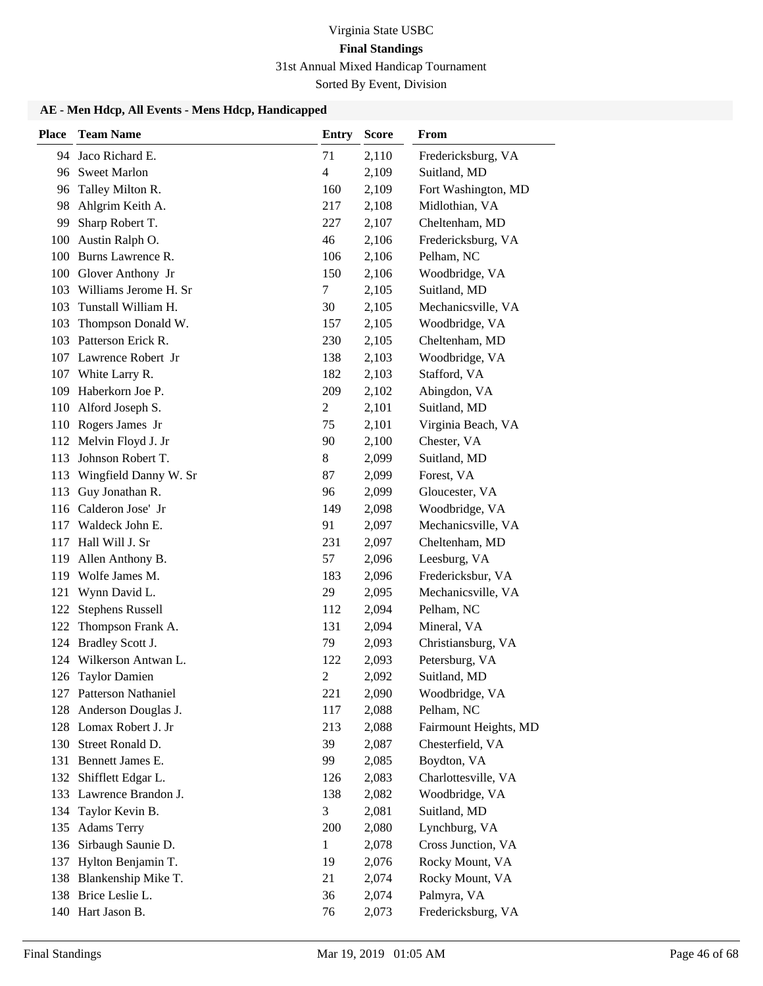Sorted By Event, Division

| <b>Place</b> | <b>Team Name</b>        | Entry          | Score | From                  |
|--------------|-------------------------|----------------|-------|-----------------------|
| 94           | Jaco Richard E.         | 71             | 2,110 | Fredericksburg, VA    |
|              | 96 Sweet Marlon         | $\overline{4}$ | 2,109 | Suitland, MD          |
| 96           | Talley Milton R.        | 160            | 2,109 | Fort Washington, MD   |
| 98           | Ahlgrim Keith A.        | 217            | 2,108 | Midlothian, VA        |
| 99           | Sharp Robert T.         | 227            | 2,107 | Cheltenham, MD        |
| 100          | Austin Ralph O.         | 46             | 2,106 | Fredericksburg, VA    |
|              | 100 Burns Lawrence R.   | 106            | 2,106 | Pelham, NC            |
|              | 100 Glover Anthony Jr   | 150            | 2,106 | Woodbridge, VA        |
| 103          | Williams Jerome H. Sr   | 7              | 2,105 | Suitland, MD          |
| 103          | Tunstall William H.     | 30             | 2,105 | Mechanicsville, VA    |
| 103          | Thompson Donald W.      | 157            | 2,105 | Woodbridge, VA        |
| 103          | Patterson Erick R.      | 230            | 2,105 | Cheltenham, MD        |
|              | 107 Lawrence Robert Jr  | 138            | 2,103 | Woodbridge, VA        |
|              | 107 White Larry R.      | 182            | 2,103 | Stafford, VA          |
| 109          | Haberkorn Joe P.        | 209            | 2,102 | Abingdon, VA          |
| 110          | Alford Joseph S.        | $\overline{c}$ | 2,101 | Suitland, MD          |
|              | 110 Rogers James Jr     | 75             | 2,101 | Virginia Beach, VA    |
|              | 112 Melvin Floyd J. Jr  | 90             | 2,100 | Chester, VA           |
| 113          | Johnson Robert T.       | 8              | 2,099 | Suitland, MD          |
| 113          | Wingfield Danny W. Sr   | 87             | 2,099 | Forest, VA            |
| 113          | Guy Jonathan R.         | 96             | 2,099 | Gloucester, VA        |
|              | 116 Calderon Jose' Jr   | 149            | 2,098 | Woodbridge, VA        |
| 117          | Waldeck John E.         | 91             | 2,097 | Mechanicsville, VA    |
| 117          | Hall Will J. Sr         | 231            | 2,097 | Cheltenham, MD        |
| 119          | Allen Anthony B.        | 57             | 2,096 | Leesburg, VA          |
| 119          | Wolfe James M.          | 183            | 2,096 | Fredericksbur, VA     |
| 121          | Wynn David L.           | 29             | 2,095 | Mechanicsville, VA    |
| 122          | <b>Stephens Russell</b> | 112            | 2,094 | Pelham, NC            |
| 122          | Thompson Frank A.       | 131            | 2,094 | Mineral, VA           |
| 124          | <b>Bradley Scott J.</b> | 79             | 2,093 | Christiansburg, VA    |
|              | 124 Wilkerson Antwan L. | 122            | 2,093 | Petersburg, VA        |
|              | 126 Taylor Damien       | $\overline{c}$ | 2,092 | Suitland, MD          |
|              | 127 Patterson Nathaniel | 221            | 2,090 | Woodbridge, VA        |
|              | 128 Anderson Douglas J. | 117            | 2,088 | Pelham, NC            |
|              | 128 Lomax Robert J. Jr  | 213            | 2,088 | Fairmount Heights, MD |
| 130          | Street Ronald D.        | 39             | 2,087 | Chesterfield, VA      |
| 131          | Bennett James E.        | 99             | 2,085 | Boydton, VA           |
| 132          | Shifflett Edgar L.      | 126            | 2,083 | Charlottesville, VA   |
|              | 133 Lawrence Brandon J. | 138            | 2,082 | Woodbridge, VA        |
| 134          | Taylor Kevin B.         | 3              | 2,081 | Suitland, MD          |
| 135          | <b>Adams Terry</b>      | 200            | 2,080 | Lynchburg, VA         |
| 136          | Sirbaugh Saunie D.      | $\mathbf{1}$   | 2,078 | Cross Junction, VA    |
| 137          | Hylton Benjamin T.      | 19             | 2,076 | Rocky Mount, VA       |
| 138          | Blankenship Mike T.     | 21             | 2,074 | Rocky Mount, VA       |
|              | 138 Brice Leslie L.     | 36             | 2,074 | Palmyra, VA           |
|              | 140 Hart Jason B.       | 76             | 2,073 | Fredericksburg, VA    |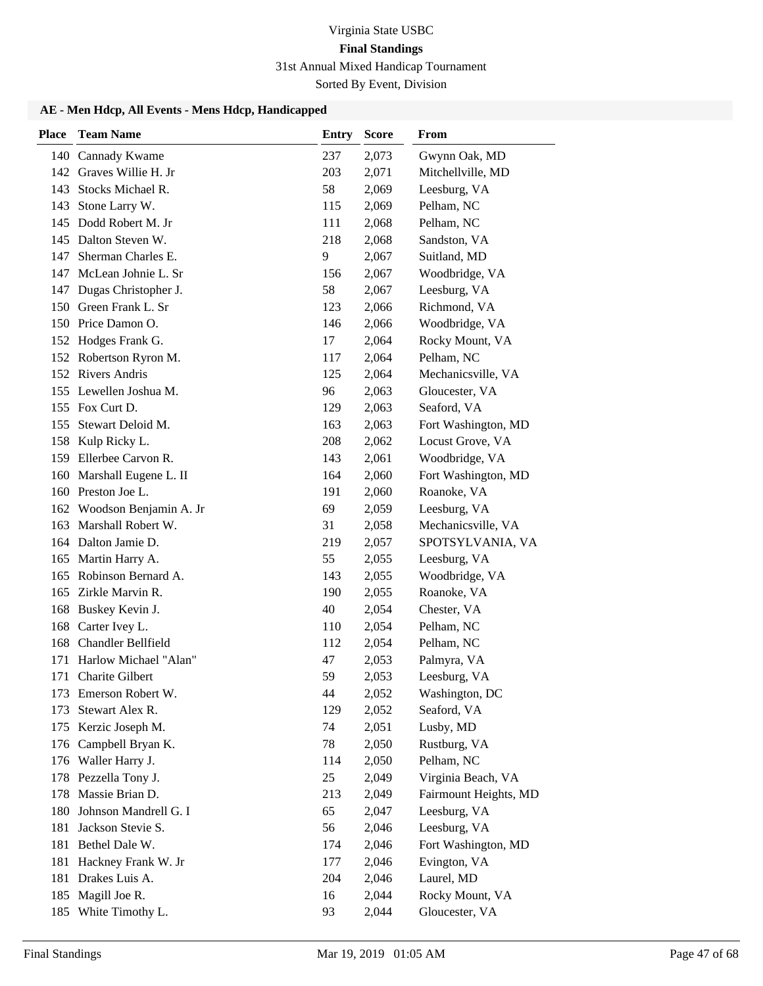Sorted By Event, Division

| <b>Place</b> | <b>Team Name</b>           | <b>Entry</b> | <b>Score</b> | From                  |
|--------------|----------------------------|--------------|--------------|-----------------------|
|              | 140 Cannady Kwame          | 237          | 2,073        | Gwynn Oak, MD         |
|              | 142 Graves Willie H. Jr    | 203          | 2,071        | Mitchellville, MD     |
| 143          | Stocks Michael R.          | 58           | 2,069        | Leesburg, VA          |
| 143          | Stone Larry W.             | 115          | 2,069        | Pelham, NC            |
|              | 145 Dodd Robert M. Jr      | 111          | 2,068        | Pelham, NC            |
|              | 145 Dalton Steven W.       | 218          | 2,068        | Sandston, VA          |
| 147          | Sherman Charles E.         | 9            | 2,067        | Suitland, MD          |
| 147          | McLean Johnie L. Sr        | 156          | 2,067        | Woodbridge, VA        |
| 147          | Dugas Christopher J.       | 58           | 2,067        | Leesburg, VA          |
| 150          | Green Frank L. Sr          | 123          | 2,066        | Richmond, VA          |
|              | 150 Price Damon O.         | 146          | 2,066        | Woodbridge, VA        |
| 152          | Hodges Frank G.            | 17           | 2,064        | Rocky Mount, VA       |
|              | 152 Robertson Ryron M.     | 117          | 2,064        | Pelham, NC            |
|              | 152 Rivers Andris          | 125          | 2,064        | Mechanicsville, VA    |
|              | 155 Lewellen Joshua M.     | 96           | 2,063        | Gloucester, VA        |
|              | 155 Fox Curt D.            | 129          | 2,063        | Seaford, VA           |
| 155          | Stewart Deloid M.          | 163          | 2,063        | Fort Washington, MD   |
| 158          | Kulp Ricky L.              | 208          | 2,062        | Locust Grove, VA      |
|              | 159 Ellerbee Carvon R.     | 143          | 2,061        | Woodbridge, VA        |
| 160          | Marshall Eugene L. II      | 164          | 2,060        | Fort Washington, MD   |
|              | 160 Preston Joe L.         | 191          | 2,060        | Roanoke, VA           |
|              | 162 Woodson Benjamin A. Jr | 69           | 2,059        | Leesburg, VA          |
| 163          | Marshall Robert W.         | 31           | 2,058        | Mechanicsville, VA    |
|              | 164 Dalton Jamie D.        | 219          | 2,057        | SPOTSYLVANIA, VA      |
| 165          | Martin Harry A.            | 55           | 2,055        | Leesburg, VA          |
| 165          | Robinson Bernard A.        | 143          | 2,055        | Woodbridge, VA        |
| 165          | Zirkle Marvin R.           | 190          | 2,055        | Roanoke, VA           |
| 168          | Buskey Kevin J.            | 40           | 2,054        | Chester, VA           |
| 168          | Carter Ivey L.             | 110          | 2,054        | Pelham, NC            |
| 168          | Chandler Bellfield         | 112          | 2,054        | Pelham, NC            |
| 171          | Harlow Michael "Alan"      | 47           | 2,053        | Palmyra, VA           |
| 171          | Charite Gilbert            | 59           | 2,053        | Leesburg, VA          |
|              | 173 Emerson Robert W.      | 44           | 2,052        | Washington, DC        |
| 173          | Stewart Alex R.            | 129          | 2,052        | Seaford, VA           |
|              | 175 Kerzic Joseph M.       | 74           | 2,051        | Lusby, MD             |
| 176          | Campbell Bryan K.          | 78           | 2,050        | Rustburg, VA          |
|              | 176 Waller Harry J.        | 114          | 2,050        | Pelham, NC            |
|              | 178 Pezzella Tony J.       | 25           | 2,049        | Virginia Beach, VA    |
| 178          | Massie Brian D.            | 213          | 2,049        | Fairmount Heights, MD |
| 180          | Johnson Mandrell G. I      | 65           | 2,047        | Leesburg, VA          |
| 181          | Jackson Stevie S.          | 56           | 2,046        | Leesburg, VA          |
| 181          | Bethel Dale W.             | 174          | 2,046        | Fort Washington, MD   |
| 181          | Hackney Frank W. Jr        | 177          | 2,046        | Evington, VA          |
| 181          | Drakes Luis A.             | 204          | 2,046        | Laurel, MD            |
| 185          | Magill Joe R.              | 16           | 2,044        | Rocky Mount, VA       |
| 185          | White Timothy L.           | 93           | 2,044        | Gloucester, VA        |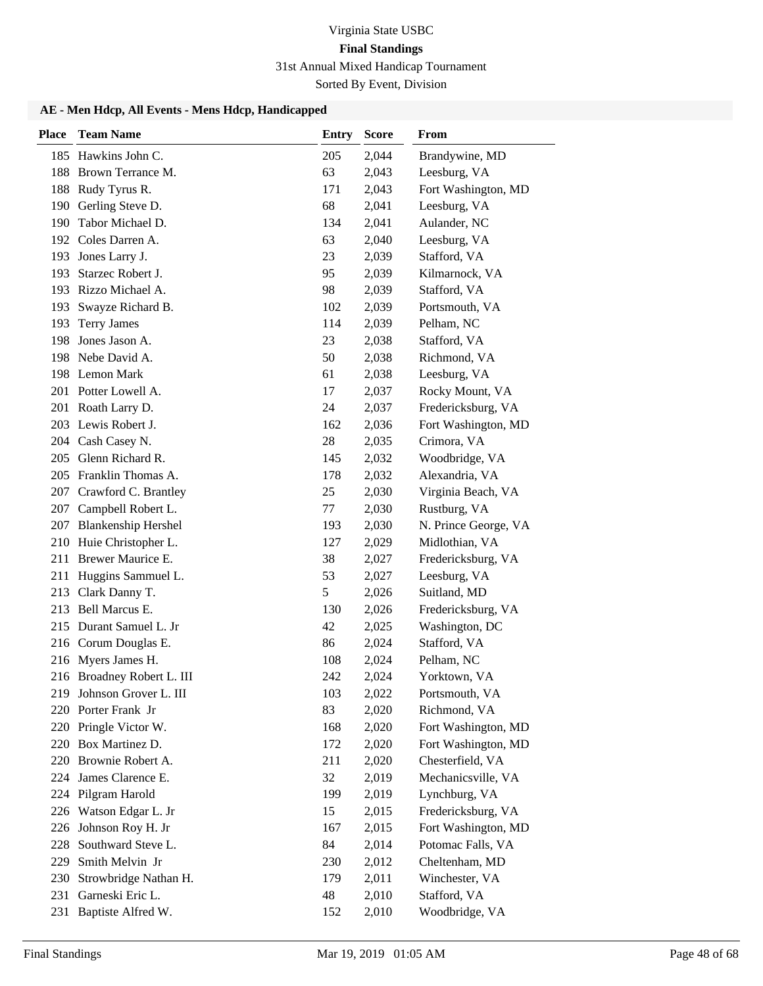Sorted By Event, Division

| <b>Place</b> | <b>Team Name</b>           | <b>Entry</b> | <b>Score</b> | From                 |
|--------------|----------------------------|--------------|--------------|----------------------|
|              | 185 Hawkins John C.        | 205          | 2,044        | Brandywine, MD       |
| 188          | Brown Terrance M.          | 63           | 2,043        | Leesburg, VA         |
|              | 188 Rudy Tyrus R.          | 171          | 2,043        | Fort Washington, MD  |
| 190          | Gerling Steve D.           | 68           | 2,041        | Leesburg, VA         |
| 190          | Tabor Michael D.           | 134          | 2,041        | Aulander, NC         |
|              | 192 Coles Darren A.        | 63           | 2,040        | Leesburg, VA         |
|              | 193 Jones Larry J.         | 23           | 2,039        | Stafford, VA         |
| 193          | Starzec Robert J.          | 95           | 2,039        | Kilmarnock, VA       |
|              | 193 Rizzo Michael A.       | 98           | 2,039        | Stafford, VA         |
| 193          | Swayze Richard B.          | 102          | 2,039        | Portsmouth, VA       |
| 193          | <b>Terry James</b>         | 114          | 2,039        | Pelham, NC           |
| 198          | Jones Jason A.             | 23           | 2,038        | Stafford, VA         |
|              | 198 Nebe David A.          | 50           | 2,038        | Richmond, VA         |
|              | 198 Lemon Mark             | 61           | 2,038        | Leesburg, VA         |
|              | 201 Potter Lowell A.       | 17           | 2,037        | Rocky Mount, VA      |
|              | 201 Roath Larry D.         | 24           | 2,037        | Fredericksburg, VA   |
|              | 203 Lewis Robert J.        | 162          | 2,036        | Fort Washington, MD  |
|              | 204 Cash Casey N.          | 28           | 2,035        | Crimora, VA          |
|              | 205 Glenn Richard R.       | 145          | 2,032        | Woodbridge, VA       |
|              | 205 Franklin Thomas A.     | 178          | 2,032        | Alexandria, VA       |
|              | 207 Crawford C. Brantley   | 25           | 2,030        | Virginia Beach, VA   |
|              | 207 Campbell Robert L.     | 77           | 2,030        | Rustburg, VA         |
|              | 207 Blankenship Hershel    | 193          | 2,030        | N. Prince George, VA |
|              | 210 Huie Christopher L.    | 127          | 2,029        | Midlothian, VA       |
|              | 211 Brewer Maurice E.      | 38           | 2,027        | Fredericksburg, VA   |
| 211          | Huggins Sammuel L.         | 53           | 2,027        | Leesburg, VA         |
| 213          | Clark Danny T.             | 5            | 2,026        | Suitland, MD         |
| 213          | Bell Marcus E.             | 130          | 2,026        | Fredericksburg, VA   |
|              | 215 Durant Samuel L. Jr    | 42           | 2,025        | Washington, DC       |
|              | 216 Corum Douglas E.       | 86           | 2,024        | Stafford, VA         |
|              | 216 Myers James H.         | 108          | 2,024        | Pelham, NC           |
|              | 216 Broadney Robert L. III | 242          | 2,024        | Yorktown, VA         |
|              | 219 Johnson Grover L. III  | 103          | 2,022        | Portsmouth, VA       |
|              | 220 Porter Frank Jr        | 83           | 2,020        | Richmond, VA         |
|              | 220 Pringle Victor W.      | 168          | 2,020        | Fort Washington, MD  |
|              | 220 Box Martinez D.        | 172          | 2,020        | Fort Washington, MD  |
|              | 220 Brownie Robert A.      | 211          | 2,020        | Chesterfield, VA     |
|              | 224 James Clarence E.      | 32           | 2,019        | Mechanicsville, VA   |
|              | 224 Pilgram Harold         | 199          | 2,019        | Lynchburg, VA        |
| 226          | Watson Edgar L. Jr         | 15           | 2,015        | Fredericksburg, VA   |
| 226          | Johnson Roy H. Jr          | 167          | 2,015        | Fort Washington, MD  |
| 228          | Southward Steve L.         | 84           | 2,014        | Potomac Falls, VA    |
| 229          | Smith Melvin Jr            | 230          | 2,012        | Cheltenham, MD       |
| 230          | Strowbridge Nathan H.      | 179          | 2,011        | Winchester, VA       |
| 231          | Garneski Eric L.           | 48           | 2,010        | Stafford, VA         |
| 231          | Baptiste Alfred W.         | 152          | 2,010        | Woodbridge, VA       |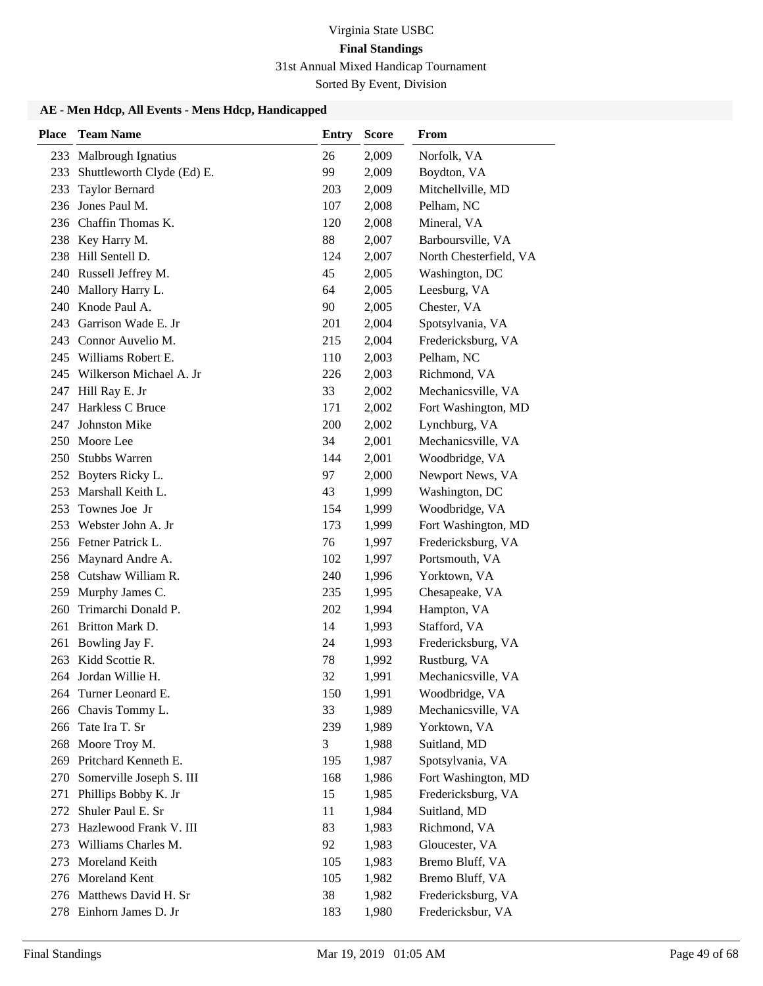# Virginia State USBC **Final Standings**

31st Annual Mixed Handicap Tournament

Sorted By Event, Division

| <b>Place</b> | <b>Team Name</b>                              | Entry      | <b>Score</b>   | <b>From</b>                        |
|--------------|-----------------------------------------------|------------|----------------|------------------------------------|
| 233          | <b>Malbrough Ignatius</b>                     | 26         | 2,009          | Norfolk, VA                        |
| 233          | Shuttleworth Clyde (Ed) E.                    | 99         | 2,009          | Boydton, VA                        |
| 233          | <b>Taylor Bernard</b>                         | 203        | 2,009          | Mitchellville, MD                  |
| 236          | Jones Paul M.                                 | 107        | 2,008          | Pelham, NC                         |
|              | 236 Chaffin Thomas K.                         | 120        | 2,008          | Mineral, VA                        |
|              | 238 Key Harry M.                              | 88         | 2,007          | Barboursville, VA                  |
|              | 238 Hill Sentell D.                           | 124        | 2,007          | North Chesterfield, VA             |
|              | 240 Russell Jeffrey M.                        | 45         | 2,005          | Washington, DC                     |
| 240          | Mallory Harry L.                              | 64         | 2,005          | Leesburg, VA                       |
|              | 240 Knode Paul A.                             | 90         | 2,005          | Chester, VA                        |
|              | 243 Garrison Wade E. Jr                       | 201        | 2,004          | Spotsylvania, VA                   |
|              | 243 Connor Auvelio M.                         | 215        | 2,004          | Fredericksburg, VA                 |
|              | 245 Williams Robert E.                        | 110        | 2,003          | Pelham, NC                         |
|              | 245 Wilkerson Michael A. Jr                   | 226        | 2,003          | Richmond, VA                       |
| 247          | Hill Ray E. Jr                                | 33         | 2,002          | Mechanicsville, VA                 |
| 247          | Harkless C Bruce                              | 171        | 2,002          | Fort Washington, MD                |
| 247          | <b>Johnston Mike</b>                          | 200        | 2,002          | Lynchburg, VA                      |
|              | 250 Moore Lee                                 | 34         | 2,001          | Mechanicsville, VA                 |
| 250          | <b>Stubbs Warren</b>                          | 144        | 2,001          | Woodbridge, VA                     |
| 252          | Boyters Ricky L.                              | 97         | 2,000          | Newport News, VA                   |
| 253          | Marshall Keith L.                             | 43         | 1,999          | Washington, DC                     |
|              | 253 Townes Joe Jr                             | 154        | 1,999          | Woodbridge, VA                     |
| 253          | Webster John A. Jr                            | 173        | 1,999          | Fort Washington, MD                |
|              | 256 Fetner Patrick L.                         | 76         | 1,997          | Fredericksburg, VA                 |
|              | 256 Maynard Andre A.                          | 102        | 1,997          | Portsmouth, VA                     |
|              | 258 Cutshaw William R.                        | 240        | 1,996          | Yorktown, VA                       |
| 259          | Murphy James C.                               | 235        | 1,995          | Chesapeake, VA                     |
| 260          | Trimarchi Donald P.                           | 202        | 1,994          | Hampton, VA                        |
| 261          | Britton Mark D.                               | 14         | 1,993          | Stafford, VA                       |
| 261          | Bowling Jay F.                                | 24         | 1,993          | Fredericksburg, VA                 |
|              | 263 Kidd Scottie R.                           | 78         | 1,992          | Rustburg, VA                       |
|              | 264 Jordan Willie H.                          | 32         | 1,991          | Mechanicsville, VA                 |
|              | 264 Turner Leonard E.                         | 150        | 1,991          | Woodbridge, VA                     |
|              | 266 Chavis Tommy L.                           | 33         | 1,989          | Mechanicsville, VA                 |
|              | 266 Tate Ira T. Sr                            | 239        | 1,989          | Yorktown, VA                       |
| 268          | Moore Troy M.                                 | 3          | 1,988          | Suitland, MD                       |
| 269          | Pritchard Kenneth E.                          | 195        | 1,987          | Spotsylvania, VA                   |
| 270          | Somerville Joseph S. III                      | 168        | 1,986          | Fort Washington, MD                |
| 271          | Phillips Bobby K. Jr<br>Shuler Paul E. Sr     | 15         | 1,985          | Fredericksburg, VA                 |
| 272          |                                               | 11         | 1,984          | Suitland, MD                       |
| 273          | Hazlewood Frank V. III<br>Williams Charles M. | 83<br>92   | 1,983          | Richmond, VA                       |
| 273<br>273   | Moreland Keith                                |            | 1,983          | Gloucester, VA                     |
|              | 276 Moreland Kent                             | 105<br>105 | 1,983<br>1,982 | Bremo Bluff, VA<br>Bremo Bluff, VA |
|              | 276 Matthews David H. Sr                      | 38         | 1,982          | Fredericksburg, VA                 |
|              | 278 Einhorn James D. Jr                       | 183        | 1,980          | Fredericksbur, VA                  |
|              |                                               |            |                |                                    |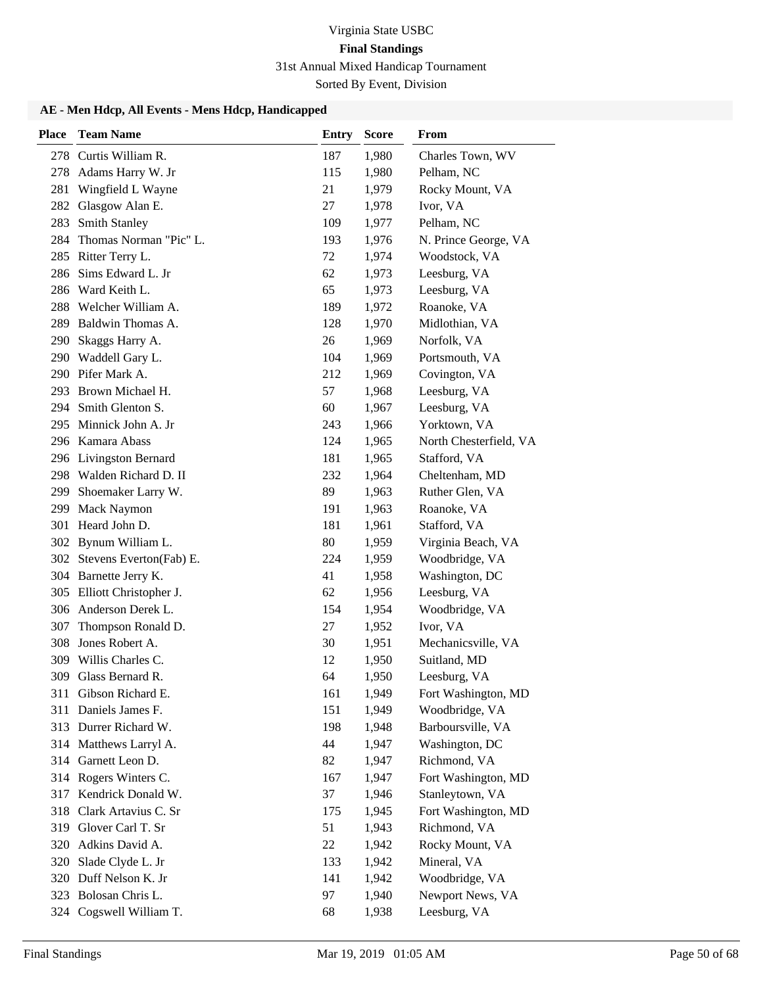Sorted By Event, Division

| <b>Place</b> | <b>Team Name</b>                          | <b>Entry</b> | <b>Score</b> | From                   |
|--------------|-------------------------------------------|--------------|--------------|------------------------|
|              | 278 Curtis William R.                     | 187          | 1,980        | Charles Town, WV       |
| 278          | Adams Harry W. Jr                         | 115          | 1,980        | Pelham, NC             |
| 281          | Wingfield L Wayne                         | 21           | 1,979        | Rocky Mount, VA        |
| 282          | Glasgow Alan E.                           | 27           | 1,978        | Ivor, VA               |
| 283          | <b>Smith Stanley</b>                      | 109          | 1,977        | Pelham, NC             |
| 284          | Thomas Norman "Pic" L.                    | 193          | 1,976        | N. Prince George, VA   |
|              | 285 Ritter Terry L.                       | 72           | 1,974        | Woodstock, VA          |
| 286          | Sims Edward L. Jr                         | 62           | 1,973        | Leesburg, VA           |
| 286          | Ward Keith L.                             | 65           | 1,973        | Leesburg, VA           |
| 288          | Welcher William A.                        | 189          | 1,972        | Roanoke, VA            |
| 289          | Baldwin Thomas A.                         | 128          | 1,970        | Midlothian, VA         |
| 290          | Skaggs Harry A.                           | 26           | 1,969        | Norfolk, VA            |
| 290          | Waddell Gary L.                           | 104          | 1,969        | Portsmouth, VA         |
|              | 290 Pifer Mark A.                         | 212          | 1,969        | Covington, VA          |
|              | 293 Brown Michael H.                      | 57           | 1,968        | Leesburg, VA           |
| 294          | Smith Glenton S.                          | 60           | 1,967        | Leesburg, VA           |
| 295          | Minnick John A. Jr                        | 243          | 1,966        | Yorktown, VA           |
|              | 296 Kamara Abass                          | 124          | 1,965        | North Chesterfield, VA |
|              | 296 Livingston Bernard                    | 181          | 1,965        | Stafford, VA           |
|              | 298 Walden Richard D. II                  | 232          | 1,964        | Cheltenham, MD         |
| 299          | Shoemaker Larry W.                        | 89           | 1,963        | Ruther Glen, VA        |
| 299          | <b>Mack Naymon</b>                        | 191          | 1,963        | Roanoke, VA            |
|              | 301 Heard John D.                         | 181          | 1,961        | Stafford, VA           |
|              | 302 Bynum William L.                      | 80           | 1,959        | Virginia Beach, VA     |
|              | 302 Stevens Everton(Fab) E.               | 224          | 1,959        | Woodbridge, VA         |
|              | 304 Barnette Jerry K.                     | 41           | 1,958        | Washington, DC         |
|              | 305 Elliott Christopher J.                | 62           | 1,956        | Leesburg, VA           |
| 306          | Anderson Derek L.                         | 154          | 1,954        | Woodbridge, VA         |
| 307          | Thompson Ronald D.                        | 27           | 1,952        | Ivor, VA               |
| 308          | Jones Robert A.                           | 30           | 1,951        | Mechanicsville, VA     |
|              | 309 Willis Charles C.                     | 12           | 1,950        | Suitland, MD           |
| 309          | Glass Bernard R.                          | 64           | 1,950        | Leesburg, VA           |
|              | 311 Gibson Richard E.                     | 161          | 1,949        | Fort Washington, MD    |
| 311          | Daniels James F.                          | 151          | 1,949        | Woodbridge, VA         |
|              | 313 Durrer Richard W.                     | 198          | 1,948        | Barboursville, VA      |
|              | 314 Matthews Larryl A.                    | 44           | 1,947        | Washington, DC         |
| 314          | Garnett Leon D.                           | 82           | 1,947        | Richmond, VA           |
|              | 314 Rogers Winters C.                     | 167          | 1,947        | Fort Washington, MD    |
| 317          | Kendrick Donald W.                        | 37           | 1,946        | Stanleytown, VA        |
| 318          | Clark Artavius C. Sr                      | 175          | 1,945        | Fort Washington, MD    |
| 319          | Glover Carl T. Sr                         | 51           | 1,943        | Richmond, VA           |
| 320          | Adkins David A.                           | 22           | 1,942        | Rocky Mount, VA        |
| 320          | Slade Clyde L. Jr                         | 133          | 1,942        | Mineral, VA            |
| 320          | Duff Nelson K. Jr<br>323 Bolosan Chris L. | 141          | 1,942        | Woodbridge, VA         |
|              |                                           | 97           | 1,940        | Newport News, VA       |
| 324          | Cogswell William T.                       | 68           | 1,938        | Leesburg, VA           |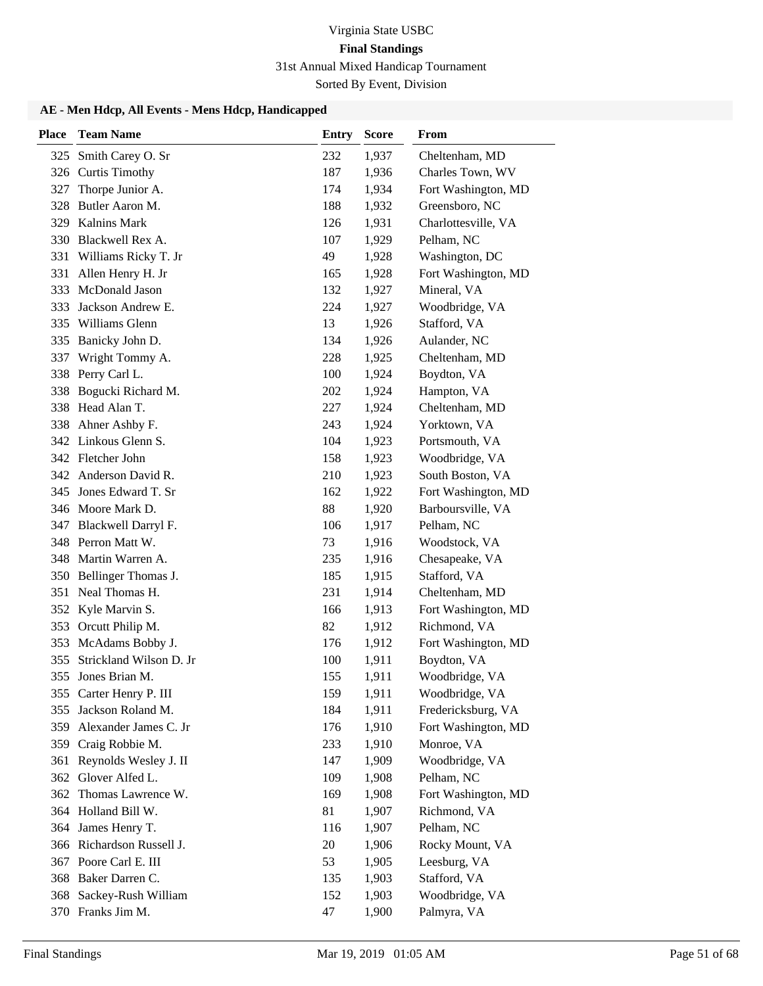Sorted By Event, Division

| <b>Place</b> | <b>Team Name</b>          | <b>Entry</b> | <b>Score</b> | From                |
|--------------|---------------------------|--------------|--------------|---------------------|
| 325          | Smith Carey O. Sr         | 232          | 1,937        | Cheltenham, MD      |
| 326          | <b>Curtis Timothy</b>     | 187          | 1,936        | Charles Town, WV    |
| 327          | Thorpe Junior A.          | 174          | 1,934        | Fort Washington, MD |
| 328          | Butler Aaron M.           | 188          | 1,932        | Greensboro, NC      |
| 329          | <b>Kalnins Mark</b>       | 126          | 1,931        | Charlottesville, VA |
| 330          | Blackwell Rex A.          | 107          | 1,929        | Pelham, NC          |
| 331          | Williams Ricky T. Jr      | 49           | 1,928        | Washington, DC      |
| 331          | Allen Henry H. Jr         | 165          | 1,928        | Fort Washington, MD |
| 333          | McDonald Jason            | 132          | 1,927        | Mineral, VA         |
| 333          | Jackson Andrew E.         | 224          | 1,927        | Woodbridge, VA      |
| 335          | Williams Glenn            | 13           | 1,926        | Stafford, VA        |
| 335          | Banicky John D.           | 134          | 1,926        | Aulander, NC        |
| 337          | Wright Tommy A.           | 228          | 1,925        | Cheltenham, MD      |
| 338          | Perry Carl L.             | 100          | 1,924        | Boydton, VA         |
| 338          | Bogucki Richard M.        | 202          | 1,924        | Hampton, VA         |
| 338          | Head Alan T.              | 227          | 1,924        | Cheltenham, MD      |
| 338          | Ahner Ashby F.            | 243          | 1,924        | Yorktown, VA        |
|              | 342 Linkous Glenn S.      | 104          | 1,923        | Portsmouth, VA      |
|              | 342 Fletcher John         | 158          | 1,923        | Woodbridge, VA      |
|              | 342 Anderson David R.     | 210          | 1,923        | South Boston, VA    |
| 345          | Jones Edward T. Sr        | 162          | 1,922        | Fort Washington, MD |
|              | 346 Moore Mark D.         | 88           | 1,920        | Barboursville, VA   |
| 347          | Blackwell Darryl F.       | 106          | 1,917        | Pelham, NC          |
|              | 348 Perron Matt W.        | 73           | 1,916        | Woodstock, VA       |
| 348          | Martin Warren A.          | 235          | 1,916        | Chesapeake, VA      |
| 350          | Bellinger Thomas J.       | 185          | 1,915        | Stafford, VA        |
| 351          | Neal Thomas H.            | 231          | 1,914        | Cheltenham, MD      |
|              | 352 Kyle Marvin S.        | 166          | 1,913        | Fort Washington, MD |
| 353          | Orcutt Philip M.          | 82           | 1,912        | Richmond, VA        |
| 353          | McAdams Bobby J.          | 176          | 1,912        | Fort Washington, MD |
| 355          | Strickland Wilson D. Jr   | 100          | 1,911        | Boydton, VA         |
| 355          | Jones Brian M.            | 155          | 1,911        | Woodbridge, VA      |
|              | 355 Carter Henry P. III   | 159          | 1,911        | Woodbridge, VA      |
| 355          | Jackson Roland M.         | 184          | 1,911        | Fredericksburg, VA  |
| 359          | Alexander James C. Jr     | 176          | 1,910        | Fort Washington, MD |
| 359          | Craig Robbie M.           | 233          | 1,910        | Monroe, VA          |
| 361          | Reynolds Wesley J. II     | 147          | 1,909        | Woodbridge, VA      |
| 362          | Glover Alfed L.           | 109          | 1,908        | Pelham, NC          |
| 362          | Thomas Lawrence W.        | 169          | 1,908        | Fort Washington, MD |
|              | 364 Holland Bill W.       | 81           | 1,907        | Richmond, VA        |
|              | 364 James Henry T.        | 116          | 1,907        | Pelham, NC          |
|              | 366 Richardson Russell J. | 20           | 1,906        | Rocky Mount, VA     |
|              | 367 Poore Carl E. III     | 53           | 1,905        | Leesburg, VA        |
|              | 368 Baker Darren C.       | 135          | 1,903        | Stafford, VA        |
| 368          | Sackey-Rush William       | 152          | 1,903        | Woodbridge, VA      |
|              | 370 Franks Jim M.         | 47           | 1,900        | Palmyra, VA         |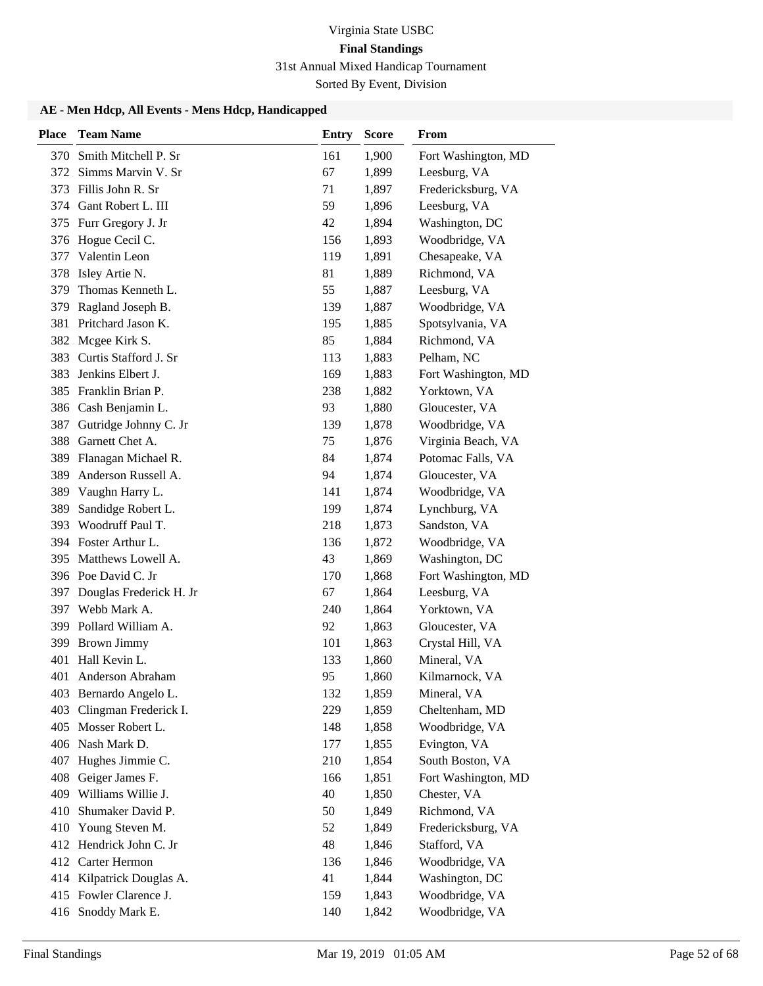Sorted By Event, Division

| <b>Place</b> | <b>Team Name</b>        | <b>Entry</b> | <b>Score</b> | From                |
|--------------|-------------------------|--------------|--------------|---------------------|
| 370          | Smith Mitchell P. Sr    | 161          | 1,900        | Fort Washington, MD |
| 372          | Simms Marvin V. Sr      | 67           | 1,899        | Leesburg, VA        |
| 373          | Fillis John R. Sr       | 71           | 1,897        | Fredericksburg, VA  |
| 374          | Gant Robert L. III      | 59           | 1,896        | Leesburg, VA        |
| 375          | Furr Gregory J. Jr      | 42           | 1,894        | Washington, DC      |
| 376          | Hogue Cecil C.          | 156          | 1,893        | Woodbridge, VA      |
| 377          | Valentin Leon           | 119          | 1,891        | Chesapeake, VA      |
| 378          | Isley Artie N.          | 81           | 1,889        | Richmond, VA        |
| 379          | Thomas Kenneth L.       | 55           | 1,887        | Leesburg, VA        |
| 379          | Ragland Joseph B.       | 139          | 1,887        | Woodbridge, VA      |
| 381          | Pritchard Jason K.      | 195          | 1,885        | Spotsylvania, VA    |
| 382          | Mcgee Kirk S.           | 85           | 1,884        | Richmond, VA        |
| 383          | Curtis Stafford J. Sr   | 113          | 1,883        | Pelham, NC          |
| 383          | Jenkins Elbert J.       | 169          | 1,883        | Fort Washington, MD |
| 385          | Franklin Brian P.       | 238          | 1,882        | Yorktown, VA        |
| 386          | Cash Benjamin L.        | 93           | 1,880        | Gloucester, VA      |
| 387          | Gutridge Johnny C. Jr   | 139          | 1,878        | Woodbridge, VA      |
| 388          | Garnett Chet A.         | 75           | 1,876        | Virginia Beach, VA  |
| 389          | Flanagan Michael R.     | 84           | 1,874        | Potomac Falls, VA   |
| 389          | Anderson Russell A.     | 94           | 1,874        | Gloucester, VA      |
| 389          | Vaughn Harry L.         | 141          | 1,874        | Woodbridge, VA      |
| 389          | Sandidge Robert L.      | 199          | 1,874        | Lynchburg, VA       |
| 393          | Woodruff Paul T.        | 218          | 1,873        | Sandston, VA        |
|              | 394 Foster Arthur L.    | 136          | 1,872        | Woodbridge, VA      |
| 395          | Matthews Lowell A.      | 43           | 1,869        | Washington, DC      |
|              | 396 Poe David C. Jr     | 170          | 1,868        | Fort Washington, MD |
| 397          | Douglas Frederick H. Jr | 67           | 1,864        | Leesburg, VA        |
| 397          | Webb Mark A.            | 240          | 1,864        | Yorktown, VA        |
| 399          | Pollard William A.      | 92           | 1,863        | Gloucester, VA      |
| 399          | <b>Brown Jimmy</b>      | 101          | 1,863        | Crystal Hill, VA    |
| 401          | Hall Kevin L.           | 133          | 1,860        | Mineral, VA         |
| 401          | Anderson Abraham        | 95           | 1,860        | Kilmarnock, VA      |
|              | 403 Bernardo Angelo L.  | 132          | 1,859        | Mineral, VA         |
| 403          | Clingman Frederick I.   | 229          | 1,859        | Cheltenham, MD      |
|              | 405 Mosser Robert L.    | 148          | 1,858        | Woodbridge, VA      |
| 406          | Nash Mark D.            | 177          | 1,855        | Evington, VA        |
| 407          | Hughes Jimmie C.        | 210          | 1,854        | South Boston, VA    |
| 408          | Geiger James F.         | 166          | 1,851        | Fort Washington, MD |
| 409          | Williams Willie J.      | 40           | 1,850        | Chester, VA         |
| 410          | Shumaker David P.       | 50           | 1,849        | Richmond, VA        |
| 410          | Young Steven M.         | 52           | 1,849        | Fredericksburg, VA  |
|              | 412 Hendrick John C. Jr | 48           | 1,846        | Stafford, VA        |
| 412          | Carter Hermon           | 136          | 1,846        | Woodbridge, VA      |
| 414          | Kilpatrick Douglas A.   | 41           | 1,844        | Washington, DC      |
|              | 415 Fowler Clarence J.  | 159          | 1,843        | Woodbridge, VA      |
|              | 416 Snoddy Mark E.      | 140          | 1,842        | Woodbridge, VA      |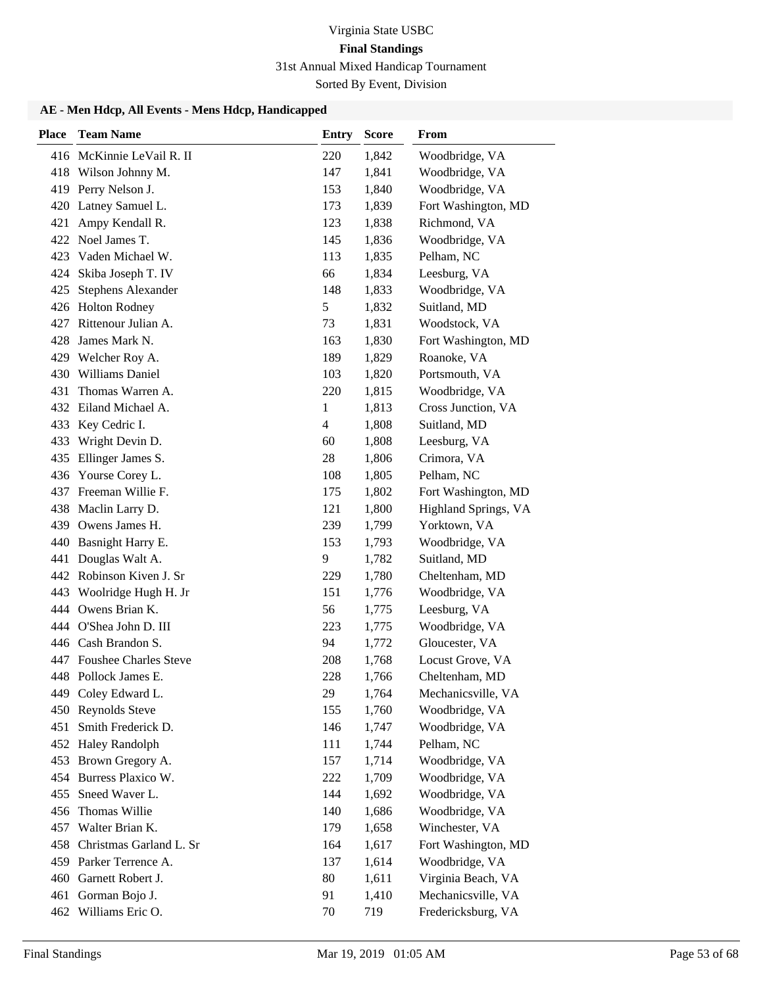Sorted By Event, Division

| <b>Place</b> | <b>Team Name</b>            | <b>Entry</b>   | <b>Score</b> | From                 |
|--------------|-----------------------------|----------------|--------------|----------------------|
|              | 416 McKinnie LeVail R. II   | 220            | 1,842        | Woodbridge, VA       |
|              | 418 Wilson Johnny M.        | 147            | 1,841        | Woodbridge, VA       |
|              | 419 Perry Nelson J.         | 153            | 1,840        | Woodbridge, VA       |
|              | 420 Latney Samuel L.        | 173            | 1,839        | Fort Washington, MD  |
| 421          | Ampy Kendall R.             | 123            | 1,838        | Richmond, VA         |
|              | 422 Noel James T.           | 145            | 1,836        | Woodbridge, VA       |
| 423          | Vaden Michael W.            | 113            | 1,835        | Pelham, NC           |
| 424          | Skiba Joseph T. IV          | 66             | 1,834        | Leesburg, VA         |
| 425          | Stephens Alexander          | 148            | 1,833        | Woodbridge, VA       |
|              | 426 Holton Rodney           | 5              | 1,832        | Suitland, MD         |
|              | 427 Rittenour Julian A.     | 73             | 1,831        | Woodstock, VA        |
| 428          | James Mark N.               | 163            | 1,830        | Fort Washington, MD  |
|              | 429 Welcher Roy A.          | 189            | 1,829        | Roanoke, VA          |
|              | 430 Williams Daniel         | 103            | 1,820        | Portsmouth, VA       |
| 431          | Thomas Warren A.            | 220            | 1,815        | Woodbridge, VA       |
|              | 432 Eiland Michael A.       | 1              | 1,813        | Cross Junction, VA   |
| 433          | Key Cedric I.               | $\overline{4}$ | 1,808        | Suitland, MD         |
| 433          | Wright Devin D.             | 60             | 1,808        | Leesburg, VA         |
|              | 435 Ellinger James S.       | 28             | 1,806        | Crimora, VA          |
| 436          | Yourse Corey L.             | 108            | 1,805        | Pelham, NC           |
|              | 437 Freeman Willie F.       | 175            | 1,802        | Fort Washington, MD  |
|              | 438 Maclin Larry D.         | 121            | 1,800        | Highland Springs, VA |
|              | 439 Owens James H.          | 239            | 1,799        | Yorktown, VA         |
|              | 440 Basnight Harry E.       | 153            | 1,793        | Woodbridge, VA       |
| 441          | Douglas Walt A.             | 9              | 1,782        | Suitland, MD         |
|              | 442 Robinson Kiven J. Sr    | 229            | 1,780        | Cheltenham, MD       |
|              | 443 Woolridge Hugh H. Jr    | 151            | 1,776        | Woodbridge, VA       |
| 444          | Owens Brian K.              | 56             | 1,775        | Leesburg, VA         |
|              | 444 O'Shea John D. III      | 223            | 1,775        | Woodbridge, VA       |
|              | 446 Cash Brandon S.         | 94             | 1,772        | Gloucester, VA       |
|              | 447 Foushee Charles Steve   | 208            | 1,768        | Locust Grove, VA     |
|              | 448 Pollock James E.        | 228            | 1,766        | Cheltenham, MD       |
|              | 449 Coley Edward L.         | 29             | 1,764        | Mechanicsville, VA   |
|              | 450 Reynolds Steve          | 155            | 1,760        | Woodbridge, VA       |
| 451          | Smith Frederick D.          | 146            | 1,747        | Woodbridge, VA       |
|              | 452 Haley Randolph          | 111            | 1,744        | Pelham, NC           |
|              | 453 Brown Gregory A.        | 157            | 1,714        | Woodbridge, VA       |
| 454          | Burress Plaxico W.          | 222            | 1,709        | Woodbridge, VA       |
|              | 455 Sneed Waver L.          | 144            | 1,692        | Woodbridge, VA       |
| 456          | Thomas Willie               | 140            | 1,686        | Woodbridge, VA       |
|              | 457 Walter Brian K.         | 179            | 1,658        | Winchester, VA       |
|              | 458 Christmas Garland L. Sr | 164            | 1,617        | Fort Washington, MD  |
|              | 459 Parker Terrence A.      | 137            | 1,614        | Woodbridge, VA       |
|              | 460 Garnett Robert J.       | 80             | 1,611        | Virginia Beach, VA   |
| 461          | Gorman Bojo J.              | 91             | 1,410        | Mechanicsville, VA   |
|              | 462 Williams Eric O.        | 70             | 719          | Fredericksburg, VA   |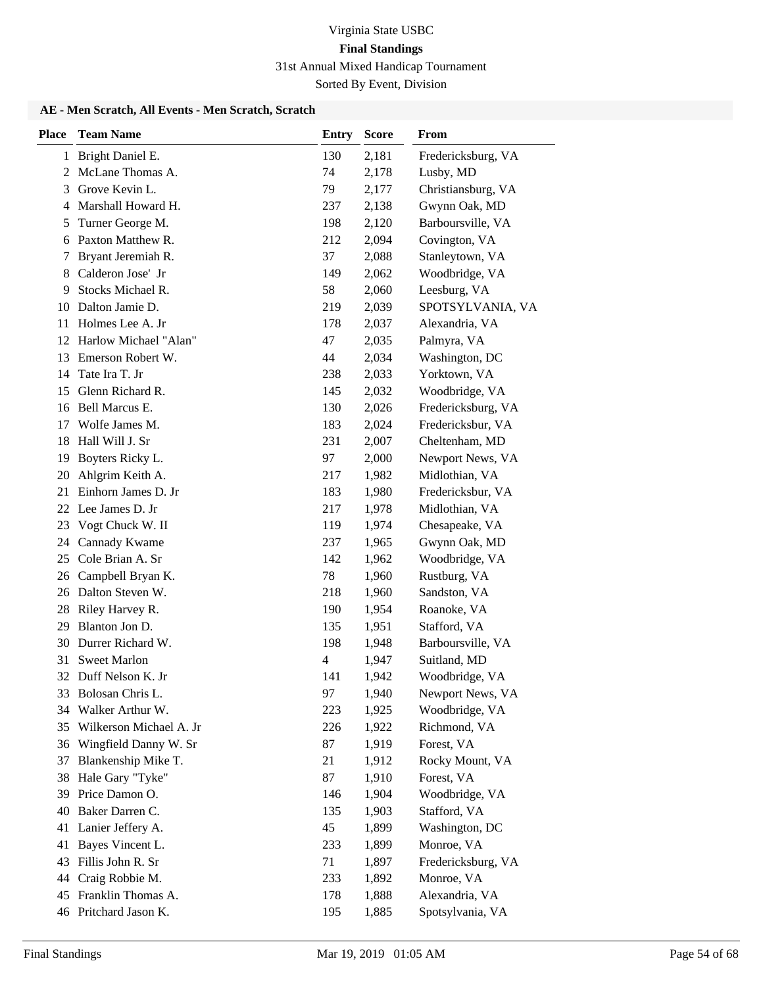Sorted By Event, Division

### **AE - Men Scratch, All Events - Men Scratch, Scratch**

| <b>Place</b>   | <b>Team Name</b>        | <b>Entry</b> | <b>Score</b> | <b>From</b>        |
|----------------|-------------------------|--------------|--------------|--------------------|
| 1              | Bright Daniel E.        | 130          | 2,181        | Fredericksburg, VA |
| $\overline{2}$ | McLane Thomas A.        | 74           | 2,178        | Lusby, MD          |
| 3              | Grove Kevin L.          | 79           | 2,177        | Christiansburg, VA |
| 4              | Marshall Howard H.      | 237          | 2,138        | Gwynn Oak, MD      |
| 5              | Turner George M.        | 198          | 2,120        | Barboursville, VA  |
| 6              | Paxton Matthew R.       | 212          | 2,094        | Covington, VA      |
| 7              | Bryant Jeremiah R.      | 37           | 2,088        | Stanleytown, VA    |
| 8              | Calderon Jose' Jr       | 149          | 2,062        | Woodbridge, VA     |
| 9              | Stocks Michael R.       | 58           | 2,060        | Leesburg, VA       |
| 10             | Dalton Jamie D.         | 219          | 2,039        | SPOTSYLVANIA, VA   |
| 11             | Holmes Lee A. Jr        | 178          | 2,037        | Alexandria, VA     |
| 12             | Harlow Michael "Alan"   | 47           | 2,035        | Palmyra, VA        |
| 13             | Emerson Robert W.       | 44           | 2,034        | Washington, DC     |
| 14             | Tate Ira T. Jr          | 238          | 2,033        | Yorktown, VA       |
| 15             | Glenn Richard R.        | 145          | 2,032        | Woodbridge, VA     |
| 16             | Bell Marcus E.          | 130          | 2,026        | Fredericksburg, VA |
| 17             | Wolfe James M.          | 183          | 2,024        | Fredericksbur, VA  |
| 18             | Hall Will J. Sr         | 231          | 2,007        | Cheltenham, MD     |
| 19             | Boyters Ricky L.        | 97           | 2,000        | Newport News, VA   |
| 20             | Ahlgrim Keith A.        | 217          | 1,982        | Midlothian, VA     |
| 21             | Einhorn James D. Jr     | 183          | 1,980        | Fredericksbur, VA  |
| 22             | Lee James D. Jr         | 217          | 1,978        | Midlothian, VA     |
| 23             | Vogt Chuck W. II        | 119          | 1,974        | Chesapeake, VA     |
| 24             | Cannady Kwame           | 237          | 1,965        | Gwynn Oak, MD      |
| 25             | Cole Brian A. Sr        | 142          | 1,962        | Woodbridge, VA     |
| 26             | Campbell Bryan K.       | 78           | 1,960        | Rustburg, VA       |
| 26             | Dalton Steven W.        | 218          | 1,960        | Sandston, VA       |
| 28             | Riley Harvey R.         | 190          | 1,954        | Roanoke, VA        |
| 29             | Blanton Jon D.          | 135          | 1,951        | Stafford, VA       |
| 30             | Durrer Richard W.       | 198          | 1,948        | Barboursville, VA  |
| 31             | <b>Sweet Marlon</b>     | 4            | 1,947        | Suitland, MD       |
| 32             | Duff Nelson K. Jr       | 141          | 1,942        | Woodbridge, VA     |
|                | 33 Bolosan Chris L.     | 97           | 1,940        | Newport News, VA   |
| 34             | Walker Arthur W.        | 223          | 1,925        | Woodbridge, VA     |
| 35             | Wilkerson Michael A. Jr | 226          | 1,922        | Richmond, VA       |
| 36             | Wingfield Danny W. Sr   | 87           | 1,919        | Forest, VA         |
| 37             | Blankenship Mike T.     | 21           | 1,912        | Rocky Mount, VA    |
| 38             | Hale Gary "Tyke"        | 87           | 1,910        | Forest, VA         |
| 39             | Price Damon O.          | 146          | 1,904        | Woodbridge, VA     |
| 40             | Baker Darren C.         | 135          | 1,903        | Stafford, VA       |
| 41             | Lanier Jeffery A.       | 45           | 1,899        | Washington, DC     |
| 41             | Bayes Vincent L.        | 233          | 1,899        | Monroe, VA         |
| 43             | Fillis John R. Sr       | 71           | 1,897        | Fredericksburg, VA |
| 44             | Craig Robbie M.         | 233          | 1,892        | Monroe, VA         |
| 45             | Franklin Thomas A.      | 178          | 1,888        | Alexandria, VA     |
|                | 46 Pritchard Jason K.   | 195          | 1,885        | Spotsylvania, VA   |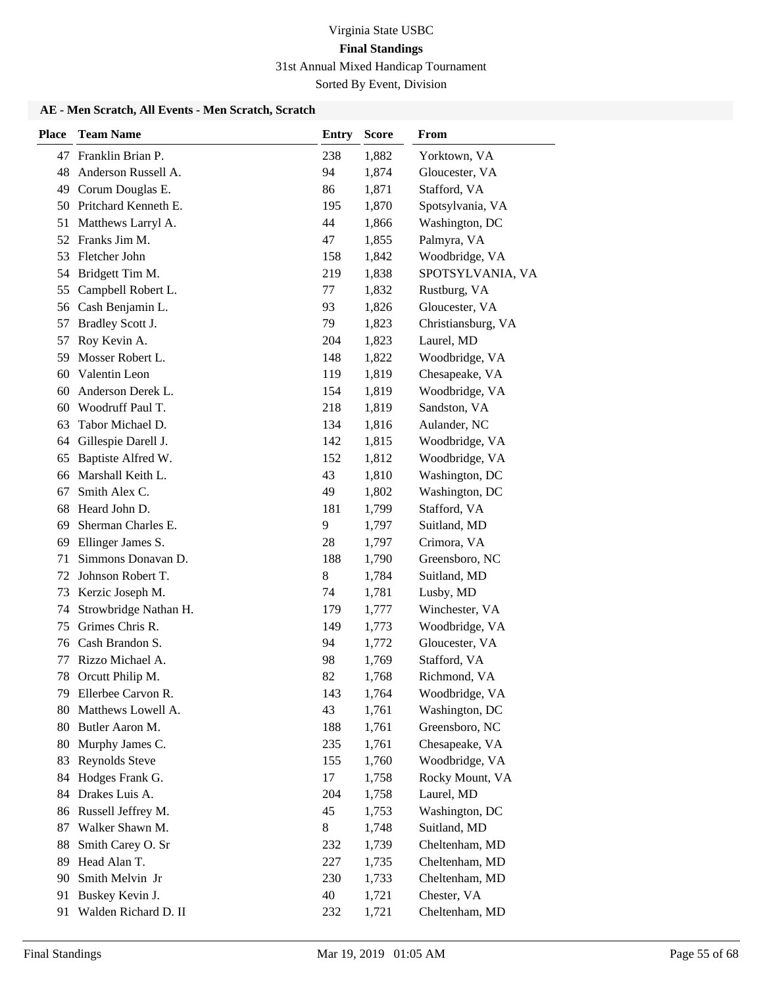Sorted By Event, Division

### **AE - Men Scratch, All Events - Men Scratch, Scratch**

| <b>Place</b> | <b>Team Name</b>                      | <b>Entry</b> | <b>Score</b>   | <b>From</b>                      |
|--------------|---------------------------------------|--------------|----------------|----------------------------------|
|              | 47 Franklin Brian P.                  | 238          | 1,882          | Yorktown, VA                     |
| 48           | Anderson Russell A.                   | 94           | 1,874          | Gloucester, VA                   |
| 49           | Corum Douglas E.                      | 86           | 1,871          | Stafford, VA                     |
| 50           | Pritchard Kenneth E.                  | 195          | 1,870          | Spotsylvania, VA                 |
| 51           | Matthews Larryl A.                    | 44           | 1,866          | Washington, DC                   |
| 52           | Franks Jim M.                         | 47           | 1,855          | Palmyra, VA                      |
| 53           | Fletcher John                         | 158          | 1,842          | Woodbridge, VA                   |
| 54           | Bridgett Tim M.                       | 219          | 1,838          | SPOTSYLVANIA, VA                 |
| 55           | Campbell Robert L.                    | 77           | 1,832          | Rustburg, VA                     |
| 56           | Cash Benjamin L.                      | 93           | 1,826          | Gloucester, VA                   |
| 57           | Bradley Scott J.                      | 79           | 1,823          | Christiansburg, VA               |
| 57           | Roy Kevin A.                          | 204          | 1,823          | Laurel, MD                       |
| 59           | Mosser Robert L.                      | 148          | 1,822          | Woodbridge, VA                   |
| 60           | Valentin Leon                         | 119          | 1,819          | Chesapeake, VA                   |
| 60           | Anderson Derek L.                     | 154          | 1,819          | Woodbridge, VA                   |
| 60           | Woodruff Paul T.                      | 218          | 1,819          | Sandston, VA                     |
| 63           | Tabor Michael D.                      | 134          | 1,816          | Aulander, NC                     |
| 64           | Gillespie Darell J.                   | 142          | 1,815          | Woodbridge, VA                   |
| 65           | Baptiste Alfred W.                    | 152          | 1,812          | Woodbridge, VA                   |
| 66           | Marshall Keith L.                     | 43           | 1,810          | Washington, DC                   |
| 67           | Smith Alex C.                         | 49           | 1,802          | Washington, DC                   |
| 68           | Heard John D.                         | 181          | 1,799          | Stafford, VA                     |
| 69           | Sherman Charles E.                    | 9            | 1,797          | Suitland, MD                     |
| 69           | Ellinger James S.                     | 28           | 1,797          | Crimora, VA                      |
| 71           | Simmons Donavan D.                    | 188          | 1,790          | Greensboro, NC                   |
| 72           | Johnson Robert T.                     | 8            | 1,784          | Suitland, MD                     |
| 73           | Kerzic Joseph M.                      | 74           | 1,781          | Lusby, MD                        |
| 74           | Strowbridge Nathan H.                 | 179          | 1,777          | Winchester, VA                   |
| 75           | Grimes Chris R.                       | 149          | 1,773          | Woodbridge, VA                   |
| 76           | Cash Brandon S.                       | 94           | 1,772          | Gloucester, VA                   |
| 77           | Rizzo Michael A.                      | 98           | 1,769          | Stafford, VA                     |
| 78           | Orcutt Philip M.                      | 82           | 1,768          | Richmond, VA                     |
|              | 79 Ellerbee Carvon R.                 | 143          | 1,764          | Woodbridge, VA                   |
| 80           | Matthews Lowell A.<br>Butler Aaron M. | 43           | 1,761          | Washington, DC                   |
| 80           | Murphy James C.                       | 188<br>235   | 1,761          | Greensboro, NC<br>Chesapeake, VA |
| 80<br>83     | Reynolds Steve                        | 155          | 1,761<br>1,760 | Woodbridge, VA                   |
| 84           | Hodges Frank G.                       | 17           | 1,758          | Rocky Mount, VA                  |
| 84           | Drakes Luis A.                        | 204          | 1,758          | Laurel, MD                       |
| 86           | Russell Jeffrey M.                    | 45           | 1,753          | Washington, DC                   |
| 87           | Walker Shawn M.                       | 8            | 1,748          | Suitland, MD                     |
| 88           | Smith Carey O. Sr                     | 232          | 1,739          | Cheltenham, MD                   |
| 89           | Head Alan T.                          | 227          | 1,735          | Cheltenham, MD                   |
| 90           | Smith Melvin Jr                       | 230          | 1,733          | Cheltenham, MD                   |
| 91           | Buskey Kevin J.                       | 40           | 1,721          | Chester, VA                      |
| 91           | Walden Richard D. II                  | 232          | 1,721          | Cheltenham, MD                   |
|              |                                       |              |                |                                  |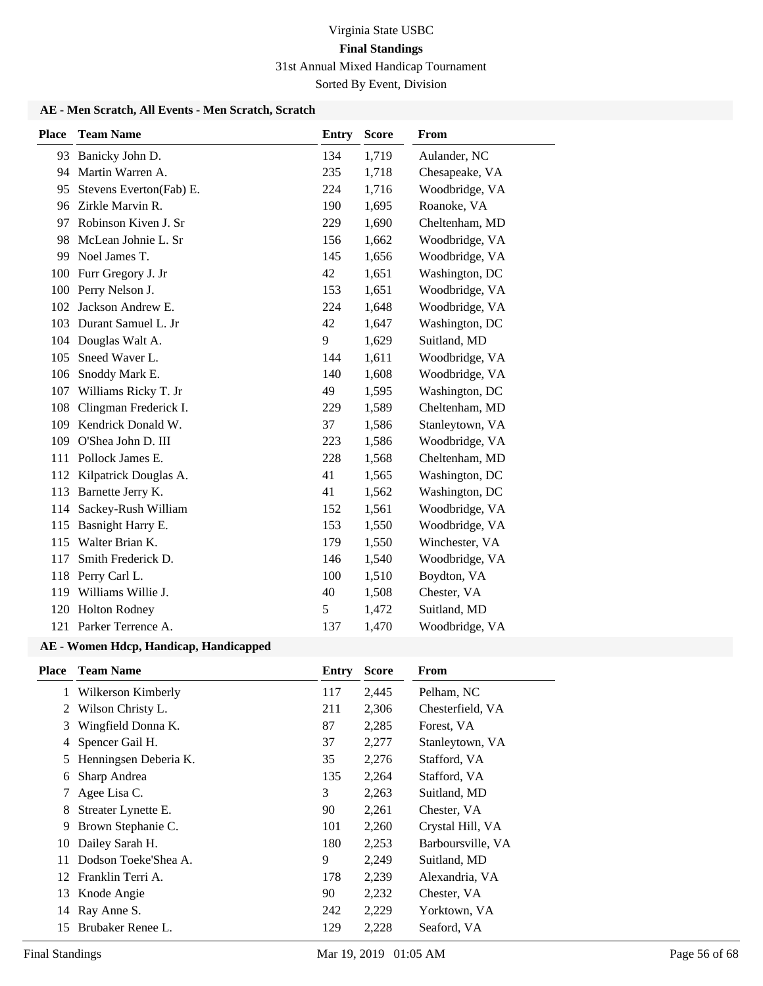Sorted By Event, Division

### **AE - Men Scratch, All Events - Men Scratch, Scratch**

| <b>Place</b> | <b>Team Name</b>          | <b>Entry</b> | <b>Score</b> | <b>From</b>     |
|--------------|---------------------------|--------------|--------------|-----------------|
|              | 93 Banicky John D.        | 134          | 1,719        | Aulander, NC    |
| 94           | Martin Warren A.          | 235          | 1,718        | Chesapeake, VA  |
| 95           | Stevens Everton(Fab) E.   | 224          | 1,716        | Woodbridge, VA  |
| 96           | Zirkle Marvin R.          | 190          | 1,695        | Roanoke, VA     |
| 97           | Robinson Kiven J. Sr      | 229          | 1,690        | Cheltenham, MD  |
| 98           | McLean Johnie L. Sr       | 156          | 1,662        | Woodbridge, VA  |
| 99           | Noel James T.             | 145          | 1,656        | Woodbridge, VA  |
| 100          | Furr Gregory J. Jr        | 42           | 1,651        | Washington, DC  |
| 100          | Perry Nelson J.           | 153          | 1,651        | Woodbridge, VA  |
| 102          | Jackson Andrew E.         | 224          | 1,648        | Woodbridge, VA  |
| 103          | Durant Samuel L. Jr       | 42           | 1,647        | Washington, DC  |
| 104          | Douglas Walt A.           | 9            | 1,629        | Suitland, MD    |
| 105          | Sneed Waver L.            | 144          | 1,611        | Woodbridge, VA  |
| 106          | Snoddy Mark E.            | 140          | 1,608        | Woodbridge, VA  |
| 107          | Williams Ricky T. Jr      | 49           | 1,595        | Washington, DC  |
| 108          | Clingman Frederick I.     | 229          | 1,589        | Cheltenham, MD  |
|              | 109 Kendrick Donald W.    | 37           | 1,586        | Stanleytown, VA |
| 109          | O'Shea John D. III        | 223          | 1,586        | Woodbridge, VA  |
| 111          | Pollock James E.          | 228          | 1,568        | Cheltenham, MD  |
|              | 112 Kilpatrick Douglas A. | 41           | 1,565        | Washington, DC  |
| 113          | Barnette Jerry K.         | 41           | 1,562        | Washington, DC  |
| 114          | Sackey-Rush William       | 152          | 1,561        | Woodbridge, VA  |
| 115          | Basnight Harry E.         | 153          | 1,550        | Woodbridge, VA  |
| 115          | Walter Brian K.           | 179          | 1,550        | Winchester, VA  |
| 117          | Smith Frederick D.        | 146          | 1,540        | Woodbridge, VA  |
| 118          | Perry Carl L.             | 100          | 1,510        | Boydton, VA     |
| 119          | Williams Willie J.        | 40           | 1,508        | Chester, VA     |
| 120          | <b>Holton Rodney</b>      | 5            | 1,472        | Suitland, MD    |
|              | 121 Parker Terrence A.    | 137          | 1,470        | Woodbridge, VA  |

| <b>Place</b> | <b>Team Name</b>      | Entry | <b>Score</b> | From              |
|--------------|-----------------------|-------|--------------|-------------------|
|              | Wilkerson Kimberly    | 117   | 2,445        | Pelham, NC        |
| 2            | Wilson Christy L.     | 211   | 2,306        | Chesterfield, VA  |
| 3            | Wingfield Donna K.    | 87    | 2,285        | Forest, VA        |
| 4            | Spencer Gail H.       | 37    | 2,277        | Stanleytown, VA   |
| 5            | Henningsen Deberia K. | 35    | 2,276        | Stafford, VA      |
| 6            | Sharp Andrea          | 135   | 2,264        | Stafford, VA      |
| 7            | Agee Lisa C.          | 3     | 2,263        | Suitland, MD      |
| 8            | Streater Lynette E.   | 90    | 2,261        | Chester, VA       |
| 9            | Brown Stephanie C.    | 101   | 2,260        | Crystal Hill, VA  |
| 10           | Dailey Sarah H.       | 180   | 2,253        | Barboursville, VA |
| 11           | Dodson Toeke'Shea A.  | 9     | 2,249        | Suitland, MD      |
| 12           | Franklin Terri A.     | 178   | 2,239        | Alexandria, VA    |
|              | 13 Knode Angie        | 90    | 2,232        | Chester, VA       |
|              | 14 Ray Anne S.        | 242   | 2,229        | Yorktown, VA      |
| 15           | Brubaker Renee L.     | 129   | 2,228        | Seaford, VA       |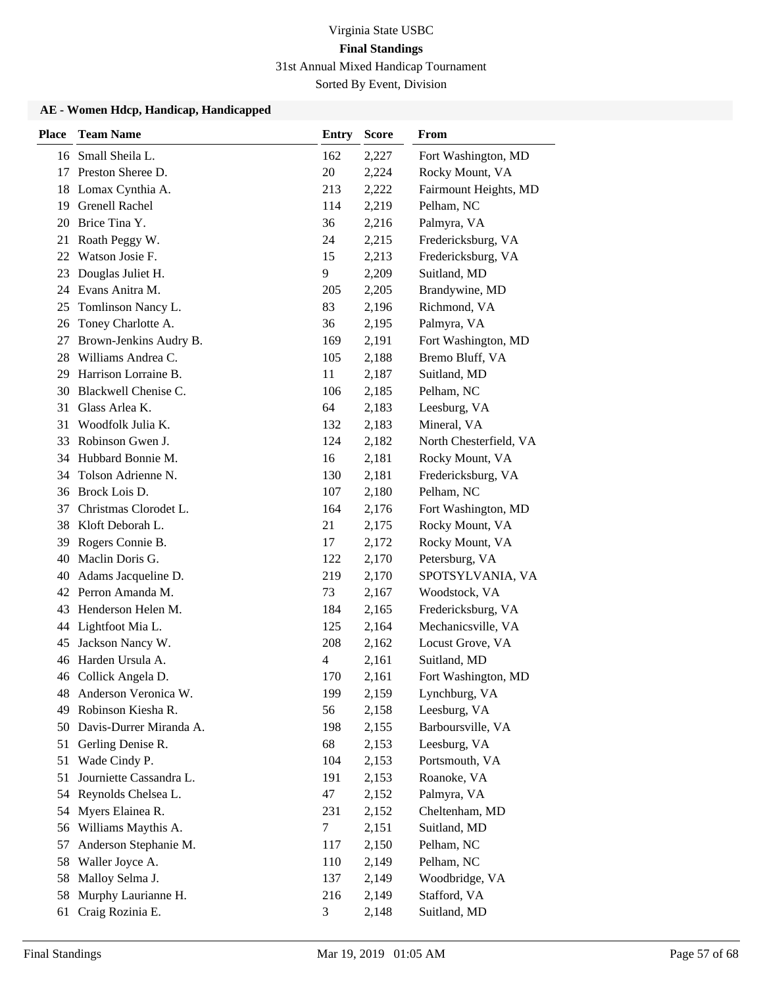| <b>Place</b> | <b>Team Name</b>        | <b>Entry</b> | <b>Score</b> | From                   |
|--------------|-------------------------|--------------|--------------|------------------------|
|              | 16 Small Sheila L.      | 162          | 2,227        | Fort Washington, MD    |
| 17           | Preston Sheree D.       | 20           | 2,224        | Rocky Mount, VA        |
| 18           | Lomax Cynthia A.        | 213          | 2,222        | Fairmount Heights, MD  |
|              | 19 Grenell Rachel       | 114          | 2,219        | Pelham, NC             |
| 20           | Brice Tina Y.           | 36           | 2,216        | Palmyra, VA            |
| 21           | Roath Peggy W.          | 24           | 2,215        | Fredericksburg, VA     |
| 22           | Watson Josie F.         | 15           | 2,213        | Fredericksburg, VA     |
| 23           | Douglas Juliet H.       | 9            | 2,209        | Suitland, MD           |
| 24           | Evans Anitra M.         | 205          | 2,205        | Brandywine, MD         |
| 25           | Tomlinson Nancy L.      | 83           | 2,196        | Richmond, VA           |
| 26           | Toney Charlotte A.      | 36           | 2,195        | Palmyra, VA            |
| 27           | Brown-Jenkins Audry B.  | 169          | 2,191        | Fort Washington, MD    |
| 28           | Williams Andrea C.      | 105          | 2,188        | Bremo Bluff, VA        |
| 29           | Harrison Lorraine B.    | 11           | 2,187        | Suitland, MD           |
| 30           | Blackwell Chenise C.    | 106          | 2,185        | Pelham, NC             |
| 31           | Glass Arlea K.          | 64           | 2,183        | Leesburg, VA           |
| 31           | Woodfolk Julia K.       | 132          | 2,183        | Mineral, VA            |
| 33           | Robinson Gwen J.        | 124          | 2,182        | North Chesterfield, VA |
| 34           | Hubbard Bonnie M.       | 16           | 2,181        | Rocky Mount, VA        |
| 34           | Tolson Adrienne N.      | 130          | 2,181        | Fredericksburg, VA     |
| 36           | Brock Lois D.           | 107          | 2,180        | Pelham, NC             |
| 37           | Christmas Clorodet L.   | 164          | 2,176        | Fort Washington, MD    |
| 38           | Kloft Deborah L.        | 21           | 2,175        | Rocky Mount, VA        |
| 39           | Rogers Connie B.        | 17           | 2,172        | Rocky Mount, VA        |
| 40           | Maclin Doris G.         | 122          | 2,170        | Petersburg, VA         |
| 40           | Adams Jacqueline D.     | 219          | 2,170        | SPOTSYLVANIA, VA       |
|              | 42 Perron Amanda M.     | 73           | 2,167        | Woodstock, VA          |
| 43           | Henderson Helen M.      | 184          | 2,165        | Fredericksburg, VA     |
| 44           | Lightfoot Mia L.        | 125          | 2,164        | Mechanicsville, VA     |
| 45           | Jackson Nancy W.        | 208          | 2,162        | Locust Grove, VA       |
| 46           | Harden Ursula A.        | 4            | 2,161        | Suitland, MD           |
|              | 46 Collick Angela D.    | 170          | 2,161        | Fort Washington, MD    |
| 48           | Anderson Veronica W.    | 199          | 2,159        | Lynchburg, VA          |
| 49           | Robinson Kiesha R.      | 56           | 2,158        | Leesburg, VA           |
| 50           | Davis-Durrer Miranda A. | 198          | 2,155        | Barboursville, VA      |
|              | 51 Gerling Denise R.    | 68           | 2,153        | Leesburg, VA           |
| 51           | Wade Cindy P.           | 104          | 2,153        | Portsmouth, VA         |
| 51           | Journiette Cassandra L. | 191          | 2,153        | Roanoke, VA            |
| 54           | Reynolds Chelsea L.     | 47           | 2,152        | Palmyra, VA            |
| 54           | Myers Elainea R.        | 231          | 2,152        | Cheltenham, MD         |
| 56           | Williams Maythis A.     | 7            | 2,151        | Suitland, MD           |
| 57           | Anderson Stephanie M.   | 117          | 2,150        | Pelham, NC             |
| 58           | Waller Joyce A.         | 110          | 2,149        | Pelham, NC             |
| 58           | Malloy Selma J.         | 137          | 2,149        | Woodbridge, VA         |
| 58           | Murphy Laurianne H.     | 216          | 2,149        | Stafford, VA           |
| 61           | Craig Rozinia E.        | 3            | 2,148        | Suitland, MD           |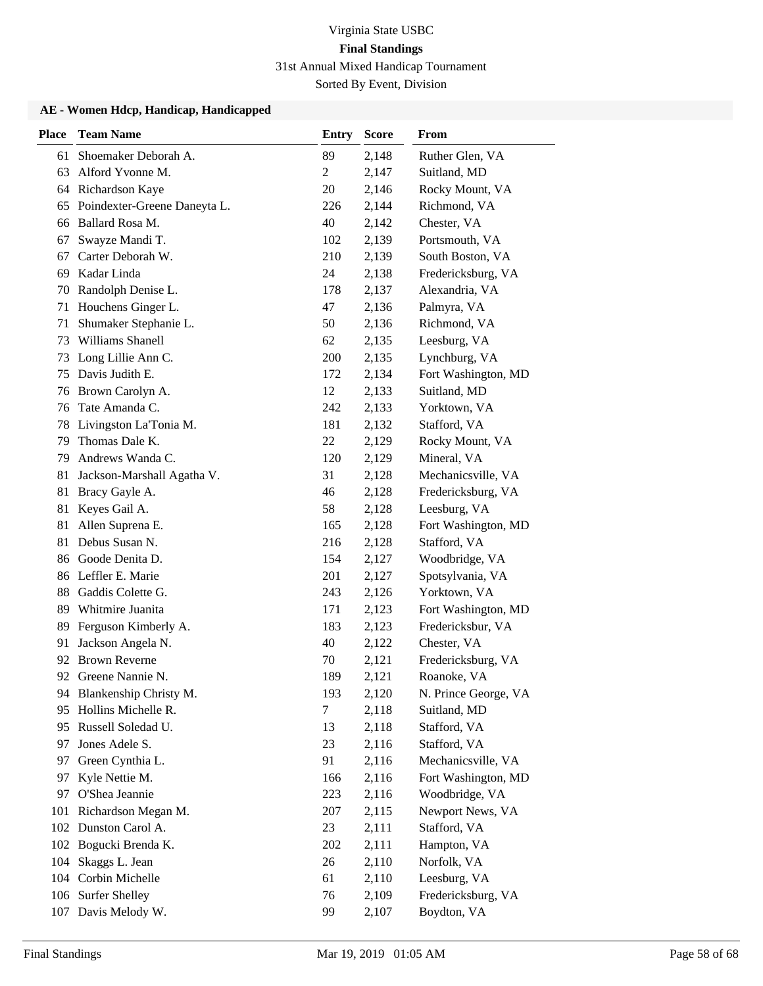| <b>Place</b> | <b>Team Name</b>             | <b>Entry</b> | <b>Score</b> | From                 |
|--------------|------------------------------|--------------|--------------|----------------------|
| 61           | Shoemaker Deborah A.         | 89           | 2,148        | Ruther Glen, VA      |
| 63           | Alford Yvonne M.             | 2            | 2,147        | Suitland, MD         |
| 64           | Richardson Kaye              | 20           | 2,146        | Rocky Mount, VA      |
| 65           | Poindexter-Greene Daneyta L. | 226          | 2,144        | Richmond, VA         |
| 66           | Ballard Rosa M.              | 40           | 2,142        | Chester, VA          |
| 67           | Swayze Mandi T.              | 102          | 2,139        | Portsmouth, VA       |
| 67           | Carter Deborah W.            | 210          | 2,139        | South Boston, VA     |
| 69           | Kadar Linda                  | 24           | 2,138        | Fredericksburg, VA   |
| 70           | Randolph Denise L.           | 178          | 2,137        | Alexandria, VA       |
| 71           | Houchens Ginger L.           | 47           | 2,136        | Palmyra, VA          |
| 71           | Shumaker Stephanie L.        | 50           | 2,136        | Richmond, VA         |
| 73           | Williams Shanell             | 62           | 2,135        | Leesburg, VA         |
| 73           | Long Lillie Ann C.           | 200          | 2,135        | Lynchburg, VA        |
| 75           | Davis Judith E.              | 172          | 2,134        | Fort Washington, MD  |
| 76           | Brown Carolyn A.             | 12           | 2,133        | Suitland, MD         |
| 76           | Tate Amanda C.               | 242          | 2,133        | Yorktown, VA         |
| 78           | Livingston La'Tonia M.       | 181          | 2,132        | Stafford, VA         |
| 79           | Thomas Dale K.               | 22           | 2,129        | Rocky Mount, VA      |
| 79           | Andrews Wanda C.             | 120          | 2,129        | Mineral, VA          |
| 81           | Jackson-Marshall Agatha V.   | 31           | 2,128        | Mechanicsville, VA   |
| 81           | Bracy Gayle A.               | 46           | 2,128        | Fredericksburg, VA   |
| 81           | Keyes Gail A.                | 58           | 2,128        | Leesburg, VA         |
| 81           | Allen Suprena E.             | 165          | 2,128        | Fort Washington, MD  |
| 81           | Debus Susan N.               | 216          | 2,128        | Stafford, VA         |
| 86           | Goode Denita D.              | 154          | 2,127        | Woodbridge, VA       |
|              | 86 Leffler E. Marie          | 201          | 2,127        | Spotsylvania, VA     |
| 88           | Gaddis Colette G.            | 243          | 2,126        | Yorktown, VA         |
| 89           | Whitmire Juanita             | 171          | 2,123        | Fort Washington, MD  |
| 89           | Ferguson Kimberly A.         | 183          | 2,123        | Fredericksbur, VA    |
| 91           | Jackson Angela N.            | 40           | 2,122        | Chester, VA          |
| 92           | <b>Brown Reverne</b>         | 70           | 2,121        | Fredericksburg, VA   |
|              | 92 Greene Nannie N.          | 189          | 2,121        | Roanoke, VA          |
|              | 94 Blankenship Christy M.    | 193          | 2,120        | N. Prince George, VA |
| 95           | Hollins Michelle R.          | 7            | 2,118        | Suitland, MD         |
| 95           | Russell Soledad U.           | 13           | 2,118        | Stafford, VA         |
| 97           | Jones Adele S.               | 23           | 2,116        | Stafford, VA         |
| 97           | Green Cynthia L.             | 91           | 2,116        | Mechanicsville, VA   |
| 97           | Kyle Nettie M.               | 166          | 2,116        | Fort Washington, MD  |
| 97           | O'Shea Jeannie               | 223          | 2,116        | Woodbridge, VA       |
| 101          | Richardson Megan M.          | 207          | 2,115        | Newport News, VA     |
| 102          | Dunston Carol A.             | 23           | 2,111        | Stafford, VA         |
|              | 102 Bogucki Brenda K.        | 202          | 2,111        | Hampton, VA          |
| 104          | Skaggs L. Jean               | 26           | 2,110        | Norfolk, VA          |
|              | 104 Corbin Michelle          | 61           | 2,110        | Leesburg, VA         |
|              | 106 Surfer Shelley           | 76           | 2,109        | Fredericksburg, VA   |
|              | 107 Davis Melody W.          | 99           | 2,107        | Boydton, VA          |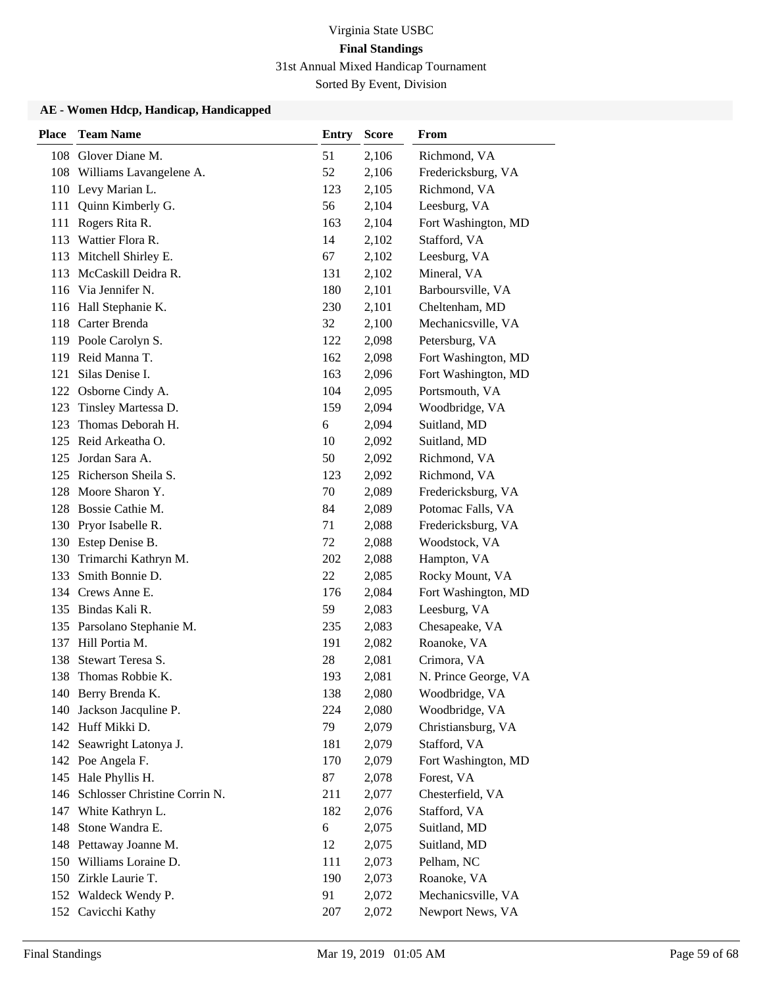| <b>Place</b> | <b>Team Name</b>              | <b>Entry</b> | <b>Score</b> | From                 |
|--------------|-------------------------------|--------------|--------------|----------------------|
| 108          | Glover Diane M.               | 51           | 2,106        | Richmond, VA         |
| 108          | Williams Lavangelene A.       | 52           | 2,106        | Fredericksburg, VA   |
|              | 110 Levy Marian L.            | 123          | 2,105        | Richmond, VA         |
| 111          | Quinn Kimberly G.             | 56           | 2,104        | Leesburg, VA         |
| 111          | Rogers Rita R.                | 163          | 2,104        | Fort Washington, MD  |
| 113          | Wattier Flora R.              | 14           | 2,102        | Stafford, VA         |
| 113          | Mitchell Shirley E.           | 67           | 2,102        | Leesburg, VA         |
| 113          | McCaskill Deidra R.           | 131          | 2,102        | Mineral, VA          |
|              | 116 Via Jennifer N.           | 180          | 2,101        | Barboursville, VA    |
|              | 116 Hall Stephanie K.         | 230          | 2,101        | Cheltenham, MD       |
| 118          | Carter Brenda                 | 32           | 2,100        | Mechanicsville, VA   |
|              | 119 Poole Carolyn S.          | 122          | 2,098        | Petersburg, VA       |
| 119          | Reid Manna T.                 | 162          | 2,098        | Fort Washington, MD  |
| 121          | Silas Denise I.               | 163          | 2,096        | Fort Washington, MD  |
|              | 122 Osborne Cindy A.          | 104          | 2,095        | Portsmouth, VA       |
| 123          | Tinsley Martessa D.           | 159          | 2,094        | Woodbridge, VA       |
| 123          | Thomas Deborah H.             | 6            | 2,094        | Suitland, MD         |
| 125          | Reid Arkeatha O.              | 10           | 2,092        | Suitland, MD         |
| 125          | Jordan Sara A.                | 50           | 2,092        | Richmond, VA         |
|              | 125 Richerson Sheila S.       | 123          | 2,092        | Richmond, VA         |
| 128          | Moore Sharon Y.               | 70           | 2,089        | Fredericksburg, VA   |
| 128          | Bossie Cathie M.              | 84           | 2,089        | Potomac Falls, VA    |
|              | 130 Pryor Isabelle R.         | 71           | 2,088        | Fredericksburg, VA   |
|              | 130 Estep Denise B.           | 72           | 2,088        | Woodstock, VA        |
| 130          | Trimarchi Kathryn M.          | 202          | 2,088        | Hampton, VA          |
| 133          | Smith Bonnie D.               | 22           | 2,085        | Rocky Mount, VA      |
| 134          | Crews Anne E.                 | 176          | 2,084        | Fort Washington, MD  |
|              | 135 Bindas Kali R.            | 59           | 2,083        | Leesburg, VA         |
|              | 135 Parsolano Stephanie M.    | 235          | 2,083        | Chesapeake, VA       |
|              | 137 Hill Portia M.            | 191          | 2,082        | Roanoke, VA          |
| 138          | Stewart Teresa S.             | 28           | 2,081        | Crimora, VA          |
| 138          | Thomas Robbie K.              | 193          | 2,081        | N. Prince George, VA |
|              | 140 Berry Brenda K.           | 138          | 2,080        | Woodbridge, VA       |
| 140          | Jackson Jacquline P.          | 224          | 2,080        | Woodbridge, VA       |
|              | 142 Huff Mikki D.             | 79           | 2,079        | Christiansburg, VA   |
|              | 142 Seawright Latonya J.      | 181          | 2,079        | Stafford, VA         |
|              | 142 Poe Angela F.             | 170          | 2,079        | Fort Washington, MD  |
|              | 145 Hale Phyllis H.           | 87           | 2,078        | Forest, VA           |
| 146          | Schlosser Christine Corrin N. | 211          | 2,077        | Chesterfield, VA     |
| 147          | White Kathryn L.              | 182          | 2,076        | Stafford, VA         |
| 148          | Stone Wandra E.               | 6            | 2,075        | Suitland, MD         |
|              | 148 Pettaway Joanne M.        | 12           | 2,075        | Suitland, MD         |
| 150          | Williams Loraine D.           | 111          | 2,073        | Pelham, NC           |
|              | 150 Zirkle Laurie T.          | 190          | 2,073        | Roanoke, VA          |
|              | 152 Waldeck Wendy P.          | 91           | 2,072        | Mechanicsville, VA   |
|              | 152 Cavicchi Kathy            | 207          | 2,072        | Newport News, VA     |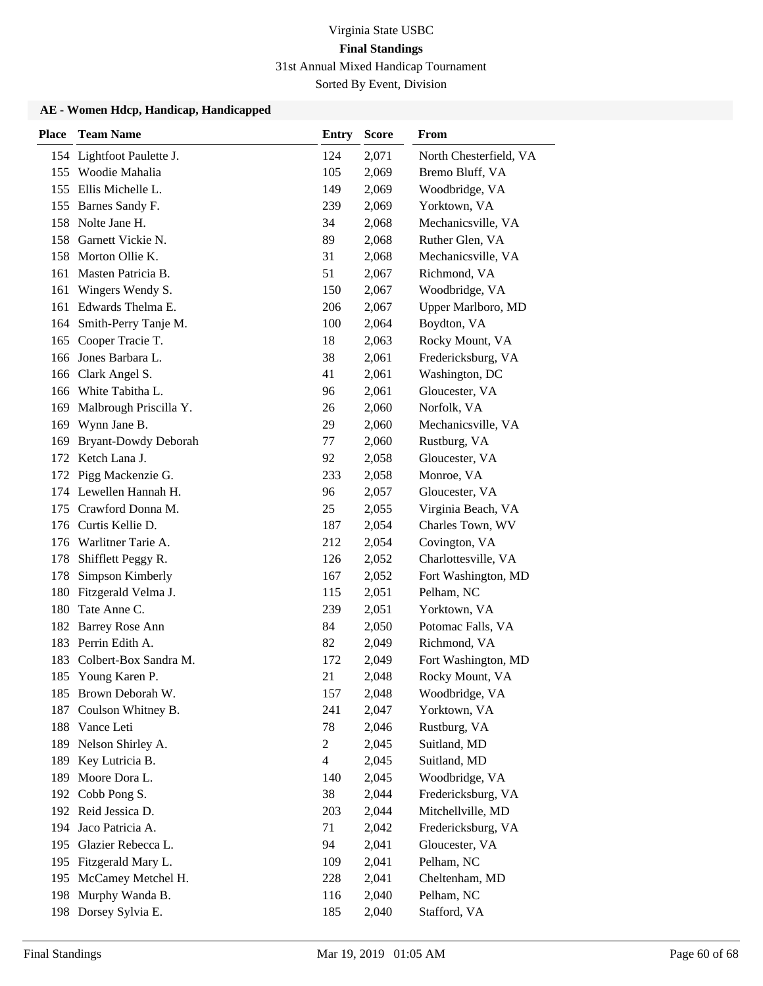| <b>Place</b> | <b>Team Name</b>          | <b>Entry</b>   | <b>Score</b> | From                   |
|--------------|---------------------------|----------------|--------------|------------------------|
|              | 154 Lightfoot Paulette J. | 124            | 2,071        | North Chesterfield, VA |
|              | 155 Woodie Mahalia        | 105            | 2,069        | Bremo Bluff, VA        |
|              | 155 Ellis Michelle L.     | 149            | 2,069        | Woodbridge, VA         |
|              | 155 Barnes Sandy F.       | 239            | 2,069        | Yorktown, VA           |
|              | 158 Nolte Jane H.         | 34             | 2,068        | Mechanicsville, VA     |
|              | 158 Garnett Vickie N.     | 89             | 2,068        | Ruther Glen, VA        |
|              | 158 Morton Ollie K.       | 31             | 2,068        | Mechanicsville, VA     |
| 161          | Masten Patricia B.        | 51             | 2,067        | Richmond, VA           |
| 161          | Wingers Wendy S.          | 150            | 2,067        | Woodbridge, VA         |
| 161          | Edwards Thelma E.         | 206            | 2,067        | Upper Marlboro, MD     |
| 164          | Smith-Perry Tanje M.      | 100            | 2,064        | Boydton, VA            |
| 165          | Cooper Tracie T.          | 18             | 2,063        | Rocky Mount, VA        |
| 166          | Jones Barbara L.          | 38             | 2,061        | Fredericksburg, VA     |
|              | 166 Clark Angel S.        | 41             | 2,061        | Washington, DC         |
|              | 166 White Tabitha L.      | 96             | 2,061        | Gloucester, VA         |
| 169          | Malbrough Priscilla Y.    | 26             | 2,060        | Norfolk, VA            |
| 169          | Wynn Jane B.              | 29             | 2,060        | Mechanicsville, VA     |
| 169          | Bryant-Dowdy Deborah      | 77             | 2,060        | Rustburg, VA           |
|              | 172 Ketch Lana J.         | 92             | 2,058        | Gloucester, VA         |
| 172          | Pigg Mackenzie G.         | 233            | 2,058        | Monroe, VA             |
|              | 174 Lewellen Hannah H.    | 96             | 2,057        | Gloucester, VA         |
| 175          | Crawford Donna M.         | 25             | 2,055        | Virginia Beach, VA     |
| 176          | Curtis Kellie D.          | 187            | 2,054        | Charles Town, WV       |
|              | 176 Warlitner Tarie A.    | 212            | 2,054        | Covington, VA          |
| 178          | Shifflett Peggy R.        | 126            | 2,052        | Charlottesville, VA    |
| 178          | Simpson Kimberly          | 167            | 2,052        | Fort Washington, MD    |
| 180          | Fitzgerald Velma J.       | 115            | 2,051        | Pelham, NC             |
| 180          | Tate Anne C.              | 239            | 2,051        | Yorktown, VA           |
|              | 182 Barrey Rose Ann       | 84             | 2,050        | Potomac Falls, VA      |
| 183          | Perrin Edith A.           | 82             | 2,049        | Richmond, VA           |
| 183          | Colbert-Box Sandra M.     | 172            | 2,049        | Fort Washington, MD    |
|              | 185 Young Karen P.        | 21             | 2,048        | Rocky Mount, VA        |
|              | 185 Brown Deborah W.      | 157            | 2,048        | Woodbridge, VA         |
| 187          | Coulson Whitney B.        | 241            | 2,047        | Yorktown, VA           |
| 188          | Vance Leti                | 78             | 2,046        | Rustburg, VA           |
| 189          | Nelson Shirley A.         | $\overline{c}$ | 2,045        | Suitland, MD           |
| 189          | Key Lutricia B.           | $\overline{4}$ | 2,045        | Suitland, MD           |
| 189          | Moore Dora L.             | 140            | 2,045        | Woodbridge, VA         |
| 192          | Cobb Pong S.              | 38             | 2,044        | Fredericksburg, VA     |
|              | 192 Reid Jessica D.       | 203            | 2,044        | Mitchellville, MD      |
| 194          | Jaco Patricia A.          | 71             | 2,042        | Fredericksburg, VA     |
| 195          | Glazier Rebecca L.        | 94             | 2,041        | Gloucester, VA         |
| 195          | Fitzgerald Mary L.        | 109            | 2,041        | Pelham, NC             |
| 195          | McCamey Metchel H.        | 228            | 2,041        | Cheltenham, MD         |
| 198          | Murphy Wanda B.           | 116            | 2,040        | Pelham, NC             |
|              | 198 Dorsey Sylvia E.      | 185            | 2,040        | Stafford, VA           |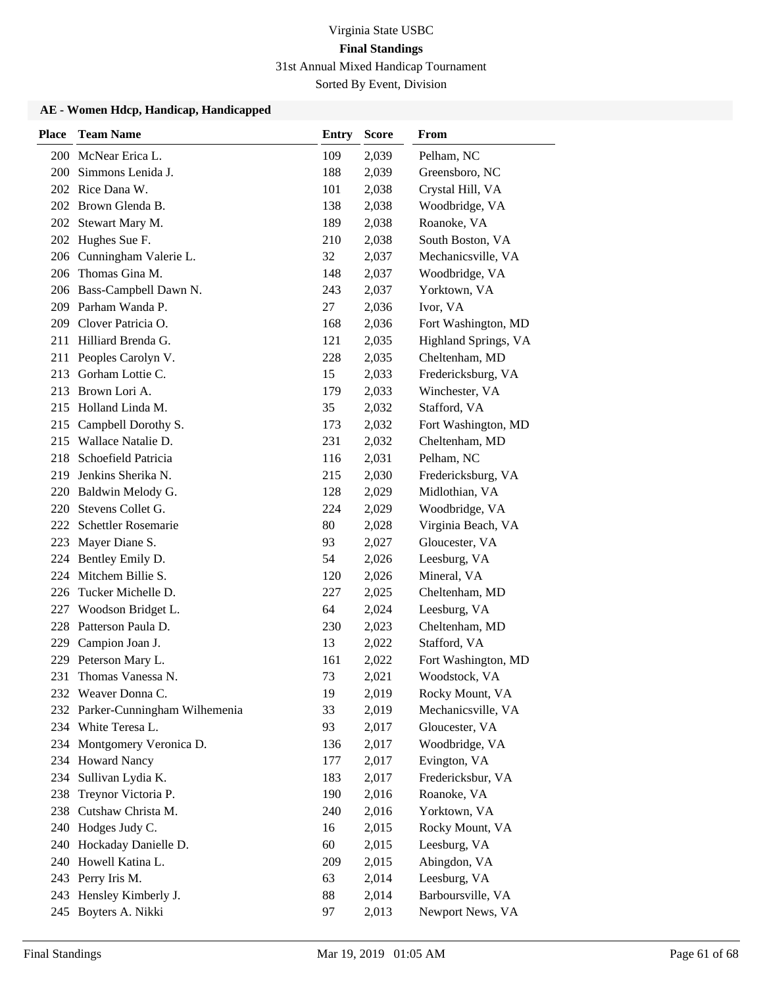| <b>Place</b> | <b>Team Name</b>             | <b>Entry</b> | <b>Score</b> | From                 |
|--------------|------------------------------|--------------|--------------|----------------------|
|              | 200 McNear Erica L.          | 109          | 2,039        | Pelham, NC           |
| 200 -        | Simmons Lenida J.            | 188          | 2,039        | Greensboro, NC       |
|              | 202 Rice Dana W.             | 101          | 2,038        | Crystal Hill, VA     |
|              | 202 Brown Glenda B.          | 138          | 2,038        | Woodbridge, VA       |
|              | 202 Stewart Mary M.          | 189          | 2,038        | Roanoke, VA          |
| 202          | Hughes Sue F.                | 210          | 2,038        | South Boston, VA     |
|              | 206 Cunningham Valerie L.    | 32           | 2,037        | Mechanicsville, VA   |
| 206          | Thomas Gina M.               | 148          | 2,037        | Woodbridge, VA       |
|              | 206 Bass-Campbell Dawn N.    | 243          | 2,037        | Yorktown, VA         |
|              | 209 Parham Wanda P.          | 27           | 2,036        | Ivor, VA             |
| 209          | Clover Patricia O.           | 168          | 2,036        | Fort Washington, MD  |
| 211          | Hilliard Brenda G.           | 121          | 2,035        | Highland Springs, VA |
|              | 211 Peoples Carolyn V.       | 228          | 2,035        | Cheltenham, MD       |
| 213          | Gorham Lottie C.             | 15           | 2,033        | Fredericksburg, VA   |
| 213          | Brown Lori A.                | 179          | 2,033        | Winchester, VA       |
|              | 215 Holland Linda M.         | 35           | 2,032        | Stafford, VA         |
|              | 215 Campbell Dorothy S.      | 173          | 2,032        | Fort Washington, MD  |
|              | 215 Wallace Natalie D.       | 231          | 2,032        | Cheltenham, MD       |
| 218          | Schoefield Patricia          | 116          | 2,031        | Pelham, NC           |
| 219          | Jenkins Sherika N.           | 215          | 2,030        | Fredericksburg, VA   |
| 220          | Baldwin Melody G.            | 128          | 2,029        | Midlothian, VA       |
| 220          | Stevens Collet G.            | 224          | 2,029        | Woodbridge, VA       |
| 222          | Schettler Rosemarie          | 80           | 2,028        | Virginia Beach, VA   |
| 223          | Mayer Diane S.               | 93           | 2,027        | Gloucester, VA       |
|              | 224 Bentley Emily D.         | 54           | 2,026        | Leesburg, VA         |
| 224          | Mitchem Billie S.            | 120          | 2,026        | Mineral, VA          |
| 226          | Tucker Michelle D.           | 227          | 2,025        | Cheltenham, MD       |
| 227          | Woodson Bridget L.           | 64           | 2,024        | Leesburg, VA         |
| 228          | Patterson Paula D.           | 230          | 2,023        | Cheltenham, MD       |
| 229          | Campion Joan J.              | 13           | 2,022        | Stafford, VA         |
| 229          | Peterson Mary L.             | 161          | 2,022        | Fort Washington, MD  |
| 231          | Thomas Vanessa N.            | 73           | 2,021        | Woodstock, VA        |
|              | 232 Weaver Donna C.          | 19           | 2,019        | Rocky Mount, VA      |
| 232          | Parker-Cunningham Wilhemenia | 33           | 2,019        | Mechanicsville, VA   |
| 234          | White Teresa L.              | 93           | 2,017        | Gloucester, VA       |
|              | 234 Montgomery Veronica D.   | 136          | 2,017        | Woodbridge, VA       |
|              | 234 Howard Nancy             | 177          | 2,017        | Evington, VA         |
| 234          | Sullivan Lydia K.            | 183          | 2,017        | Fredericksbur, VA    |
| 238          | Treynor Victoria P.          | 190          | 2,016        | Roanoke, VA          |
| 238          | Cutshaw Christa M.           | 240          | 2,016        | Yorktown, VA         |
|              | 240 Hodges Judy C.           | 16           | 2,015        | Rocky Mount, VA      |
| 240          | Hockaday Danielle D.         | 60           | 2,015        | Leesburg, VA         |
| 240          | Howell Katina L.             | 209          | 2,015        | Abingdon, VA         |
|              | 243 Perry Iris M.            | 63           | 2,014        | Leesburg, VA         |
|              | 243 Hensley Kimberly J.      | 88           | 2,014        | Barboursville, VA    |
|              | 245 Boyters A. Nikki         | 97           | 2,013        | Newport News, VA     |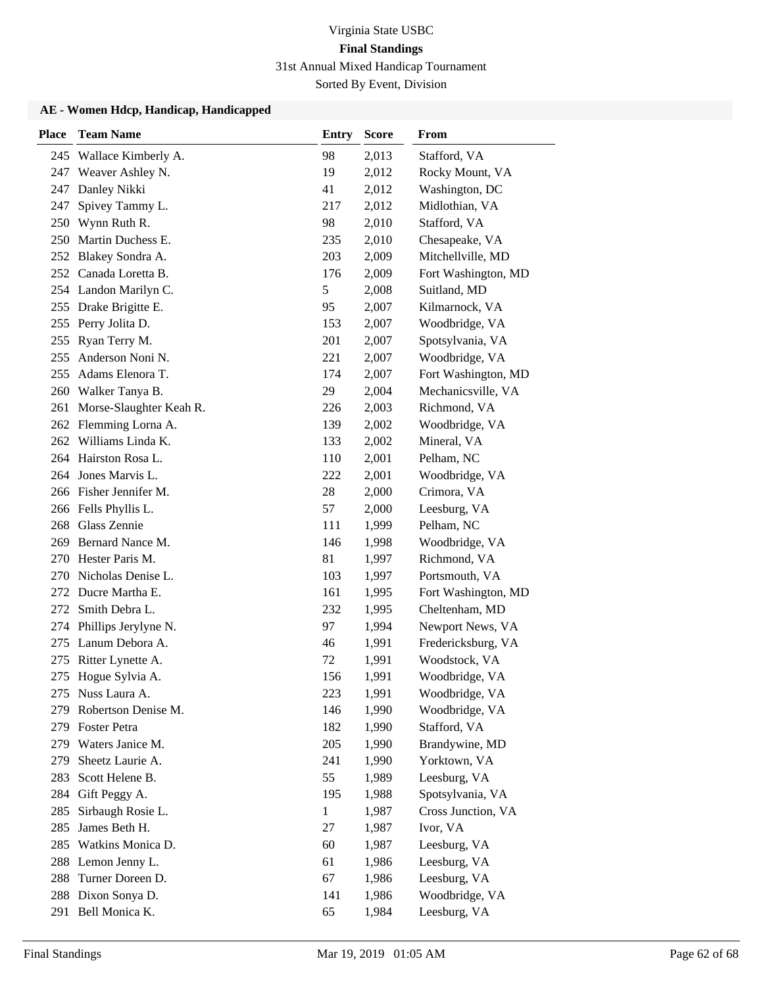| <b>Place</b> | <b>Team Name</b>            | <b>Entry</b> | <b>Score</b> | From                |
|--------------|-----------------------------|--------------|--------------|---------------------|
| 245          | Wallace Kimberly A.         | 98           | 2,013        | Stafford, VA        |
| 247          | Weaver Ashley N.            | 19           | 2,012        | Rocky Mount, VA     |
| 247          | Danley Nikki                | 41           | 2,012        | Washington, DC      |
| 247          | Spivey Tammy L.             | 217          | 2,012        | Midlothian, VA      |
| 250          | Wynn Ruth R.                | 98           | 2,010        | Stafford, VA        |
| 250          | Martin Duchess E.           | 235          | 2,010        | Chesapeake, VA      |
|              | 252 Blakey Sondra A.        | 203          | 2,009        | Mitchellville, MD   |
|              | 252 Canada Loretta B.       | 176          | 2,009        | Fort Washington, MD |
|              | 254 Landon Marilyn C.       | 5            | 2,008        | Suitland, MD        |
|              | 255 Drake Brigitte E.       | 95           | 2,007        | Kilmarnock, VA      |
| 255          | Perry Jolita D.             | 153          | 2,007        | Woodbridge, VA      |
|              | 255 Ryan Terry M.           | 201          | 2,007        | Spotsylvania, VA    |
| 255          | Anderson Noni N.            | 221          | 2,007        | Woodbridge, VA      |
| 255          | Adams Elenora T.            | 174          | 2,007        | Fort Washington, MD |
| 260          | Walker Tanya B.             | 29           | 2,004        | Mechanicsville, VA  |
|              | 261 Morse-Slaughter Keah R. | 226          | 2,003        | Richmond, VA        |
|              | 262 Flemming Lorna A.       | 139          | 2,002        | Woodbridge, VA      |
|              | 262 Williams Linda K.       | 133          | 2,002        | Mineral, VA         |
|              | 264 Hairston Rosa L.        | 110          | 2,001        | Pelham, NC          |
|              | 264 Jones Marvis L.         | 222          | 2,001        | Woodbridge, VA      |
|              | 266 Fisher Jennifer M.      | 28           | 2,000        | Crimora, VA         |
|              | 266 Fells Phyllis L.        | 57           | 2,000        | Leesburg, VA        |
| 268          | Glass Zennie                | 111          | 1,999        | Pelham, NC          |
|              | 269 Bernard Nance M.        | 146          | 1,998        | Woodbridge, VA      |
|              | 270 Hester Paris M.         | 81           | 1,997        | Richmond, VA        |
| 270          | Nicholas Denise L.          | 103          | 1,997        | Portsmouth, VA      |
| 272          | Ducre Martha E.             | 161          | 1,995        | Fort Washington, MD |
| 272          | Smith Debra L.              | 232          | 1,995        | Cheltenham, MD      |
| 274          | Phillips Jerylyne N.        | 97           | 1,994        | Newport News, VA    |
| 275          | Lanum Debora A.             | 46           | 1,991        | Fredericksburg, VA  |
| 275          | Ritter Lynette A.           | 72           | 1,991        | Woodstock, VA       |
|              | 275 Hogue Sylvia A.         | 156          | 1,991        | Woodbridge, VA      |
|              | 275 Nuss Laura A.           | 223          | 1,991        | Woodbridge, VA      |
| 279          | Robertson Denise M.         | 146          | 1,990        | Woodbridge, VA      |
| 279          | <b>Foster Petra</b>         | 182          | 1,990        | Stafford, VA        |
|              | 279 Waters Janice M.        | 205          | 1,990        | Brandywine, MD      |
| 279          | Sheetz Laurie A.            | 241          | 1,990        | Yorktown, VA        |
| 283          | Scott Helene B.             | 55           | 1,989        | Leesburg, VA        |
| 284          | Gift Peggy A.               | 195          | 1,988        | Spotsylvania, VA    |
| 285          | Sirbaugh Rosie L.           | 1            | 1,987        | Cross Junction, VA  |
| 285          | James Beth H.               | 27           | 1,987        | Ivor, VA            |
| 285          | Watkins Monica D.           | 60           | 1,987        | Leesburg, VA        |
| 288          | Lemon Jenny L.              | 61           | 1,986        | Leesburg, VA        |
| 288          | Turner Doreen D.            | 67           | 1,986        | Leesburg, VA        |
|              | 288 Dixon Sonya D.          | 141          | 1,986        | Woodbridge, VA      |
|              | 291 Bell Monica K.          | 65           | 1,984        | Leesburg, VA        |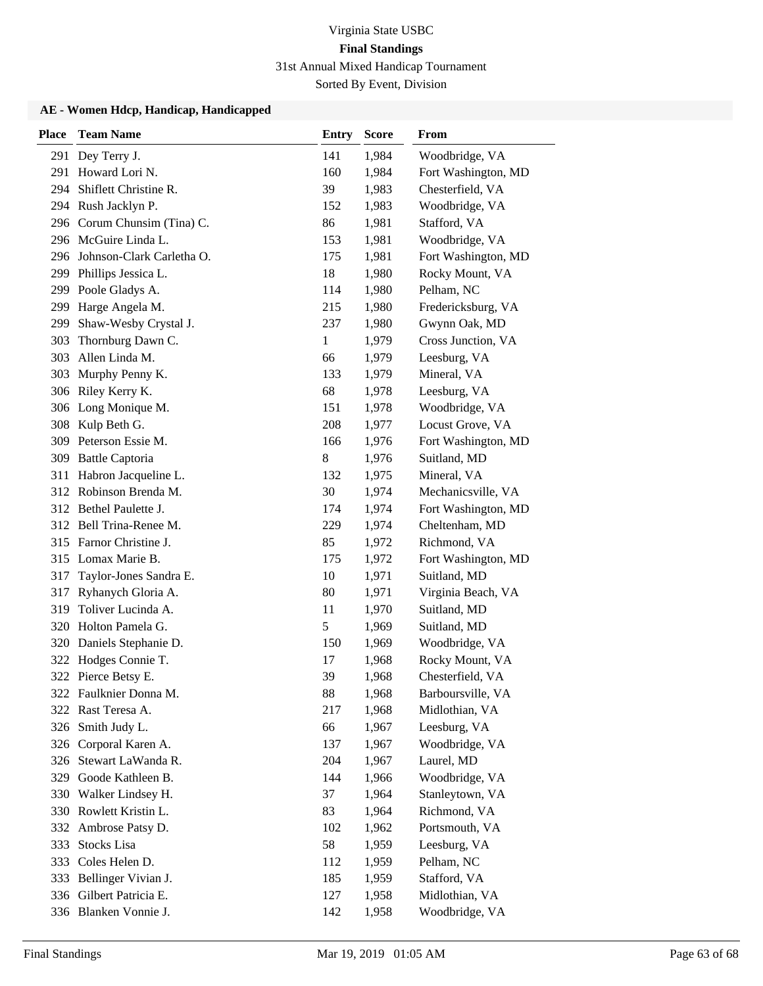| <b>Place</b> | <b>Team Name</b>              | <b>Entry</b>  | <b>Score</b> | From                |
|--------------|-------------------------------|---------------|--------------|---------------------|
| 291          | Dey Terry J.                  | 141           | 1,984        | Woodbridge, VA      |
| 291          | Howard Lori N.                | 160           | 1,984        | Fort Washington, MD |
| 294          | Shiflett Christine R.         | 39            | 1,983        | Chesterfield, VA    |
|              | 294 Rush Jacklyn P.           | 152           | 1,983        | Woodbridge, VA      |
|              | 296 Corum Chunsim (Tina) C.   | 86            | 1,981        | Stafford, VA        |
|              | 296 McGuire Linda L.          | 153           | 1,981        | Woodbridge, VA      |
|              | 296 Johnson-Clark Carletha O. | 175           | 1,981        | Fort Washington, MD |
|              | 299 Phillips Jessica L.       | 18            | 1,980        | Rocky Mount, VA     |
|              | 299 Poole Gladys A.           | 114           | 1,980        | Pelham, NC          |
| 299          | Harge Angela M.               | 215           | 1,980        | Fredericksburg, VA  |
| 299          | Shaw-Wesby Crystal J.         | 237           | 1,980        | Gwynn Oak, MD       |
| 303          | Thornburg Dawn C.             | $\mathbf{1}$  | 1,979        | Cross Junction, VA  |
| 303          | Allen Linda M.                | 66            | 1,979        | Leesburg, VA        |
| 303          | Murphy Penny K.               | 133           | 1,979        | Mineral, VA         |
|              | 306 Riley Kerry K.            | 68            | 1,978        | Leesburg, VA        |
|              | 306 Long Monique M.           | 151           | 1,978        | Woodbridge, VA      |
| 308          | Kulp Beth G.                  | 208           | 1,977        | Locust Grove, VA    |
| 309          | Peterson Essie M.             | 166           | 1,976        | Fort Washington, MD |
| 309          | <b>Battle Captoria</b>        | 8             | 1,976        | Suitland, MD        |
| 311          | Habron Jacqueline L.          | 132           | 1,975        | Mineral, VA         |
|              | 312 Robinson Brenda M.        | 30            | 1,974        | Mechanicsville, VA  |
|              | 312 Bethel Paulette J.        | 174           | 1,974        | Fort Washington, MD |
|              | 312 Bell Trina-Renee M.       | 229           | 1,974        | Cheltenham, MD      |
|              | 315 Farnor Christine J.       | 85            | 1,972        | Richmond, VA        |
| 315          | Lomax Marie B.                | 175           | 1,972        | Fort Washington, MD |
| 317          | Taylor-Jones Sandra E.        | 10            | 1,971        | Suitland, MD        |
| 317          | Ryhanych Gloria A.            | 80            | 1,971        | Virginia Beach, VA  |
| 319          | Toliver Lucinda A.            | 11            | 1,970        | Suitland, MD        |
| 320          | Holton Pamela G.              | $\mathfrak s$ | 1,969        | Suitland, MD        |
|              | 320 Daniels Stephanie D.      | 150           | 1,969        | Woodbridge, VA      |
|              | 322 Hodges Connie T.          | 17            | 1,968        | Rocky Mount, VA     |
|              | 322 Pierce Betsy E.           | 39            | 1,968        | Chesterfield, VA    |
|              | 322 Faulknier Donna M.        | 88            | 1,968        | Barboursville, VA   |
|              | 322 Rast Teresa A.            | 217           | 1,968        | Midlothian, VA      |
| 326          | Smith Judy L.                 | 66            | 1,967        | Leesburg, VA        |
|              | 326 Corporal Karen A.         | 137           | 1,967        | Woodbridge, VA      |
|              | 326 Stewart LaWanda R.        | 204           | 1,967        | Laurel, MD          |
| 329          | Goode Kathleen B.             | 144           | 1,966        | Woodbridge, VA      |
| 330          | Walker Lindsey H.             | 37            | 1,964        | Stanleytown, VA     |
|              | 330 Rowlett Kristin L.        | 83            | 1,964        | Richmond, VA        |
| 332          | Ambrose Patsy D.              | 102           | 1,962        | Portsmouth, VA      |
| 333          | Stocks Lisa                   | 58            | 1,959        | Leesburg, VA        |
| 333          | Coles Helen D.                | 112           | 1,959        | Pelham, NC          |
| 333          | Bellinger Vivian J.           | 185           | 1,959        | Stafford, VA        |
|              | 336 Gilbert Patricia E.       | 127           | 1,958        | Midlothian, VA      |
|              | 336 Blanken Vonnie J.         | 142           | 1,958        | Woodbridge, VA      |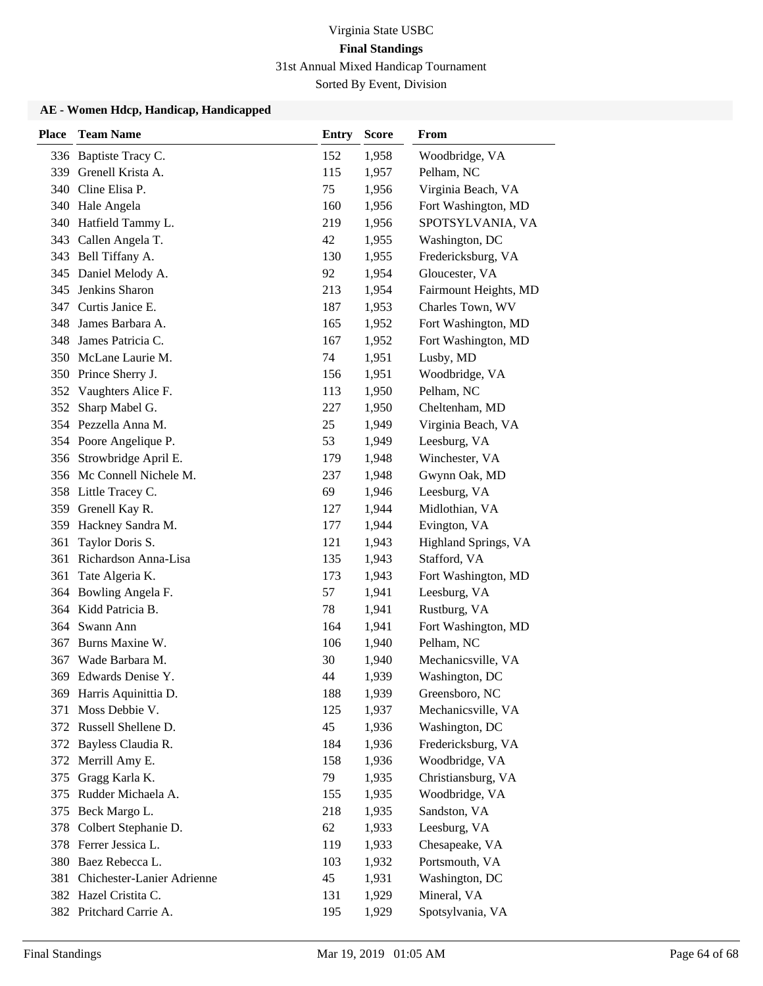| <b>Place</b> | <b>Team Name</b>               | <b>Entry</b> | <b>Score</b> | From                  |
|--------------|--------------------------------|--------------|--------------|-----------------------|
|              | 336 Baptiste Tracy C.          | 152          | 1,958        | Woodbridge, VA        |
| 339          | Grenell Krista A.              | 115          | 1,957        | Pelham, NC            |
| 340          | Cline Elisa P.                 | 75           | 1,956        | Virginia Beach, VA    |
|              | 340 Hale Angela                | 160          | 1,956        | Fort Washington, MD   |
|              | 340 Hatfield Tammy L.          | 219          | 1,956        | SPOTSYLVANIA, VA      |
|              | 343 Callen Angela T.           | 42           | 1,955        | Washington, DC        |
|              | 343 Bell Tiffany A.            | 130          | 1,955        | Fredericksburg, VA    |
|              | 345 Daniel Melody A.           | 92           | 1,954        | Gloucester, VA        |
| 345          | Jenkins Sharon                 | 213          | 1,954        | Fairmount Heights, MD |
| 347          | Curtis Janice E.               | 187          | 1,953        | Charles Town, WV      |
| 348          | James Barbara A.               | 165          | 1,952        | Fort Washington, MD   |
|              | 348 James Patricia C.          | 167          | 1,952        | Fort Washington, MD   |
|              | 350 McLane Laurie M.           | 74           | 1,951        | Lusby, MD             |
|              | 350 Prince Sherry J.           | 156          | 1,951        | Woodbridge, VA        |
|              | 352 Vaughters Alice F.         | 113          | 1,950        | Pelham, NC            |
| 352          | Sharp Mabel G.                 | 227          | 1,950        | Cheltenham, MD        |
|              | 354 Pezzella Anna M.           | 25           | 1,949        | Virginia Beach, VA    |
|              | 354 Poore Angelique P.         | 53           | 1,949        | Leesburg, VA          |
|              | 356 Strowbridge April E.       | 179          | 1,948        | Winchester, VA        |
|              | 356 Mc Connell Nichele M.      | 237          | 1,948        | Gwynn Oak, MD         |
|              | 358 Little Tracey C.           | 69           | 1,946        | Leesburg, VA          |
| 359          | Grenell Kay R.                 | 127          | 1,944        | Midlothian, VA        |
|              | 359 Hackney Sandra M.          | 177          | 1,944        | Evington, VA          |
| 361          | Taylor Doris S.                | 121          | 1,943        | Highland Springs, VA  |
| 361          | Richardson Anna-Lisa           | 135          | 1,943        | Stafford, VA          |
| 361          | Tate Algeria K.                | 173          | 1,943        | Fort Washington, MD   |
| 364          | Bowling Angela F.              | 57           | 1,941        | Leesburg, VA          |
|              | 364 Kidd Patricia B.           | 78           | 1,941        | Rustburg, VA          |
| 364          | Swann Ann                      | 164          | 1,941        | Fort Washington, MD   |
| 367          | Burns Maxine W.                | 106          | 1,940        | Pelham, NC            |
| 367          | Wade Barbara M.                | 30           | 1,940        | Mechanicsville, VA    |
|              | 369 Edwards Denise Y.          | 44           | 1,939        | Washington, DC        |
|              | 369 Harris Aquinittia D.       | 188          | 1,939        | Greensboro, NC        |
|              | 371 Moss Debbie V.             | 125          | 1,937        | Mechanicsville, VA    |
|              | 372 Russell Shellene D.        | 45           | 1,936        | Washington, DC        |
|              | 372 Bayless Claudia R.         | 184          | 1,936        | Fredericksburg, VA    |
|              | 372 Merrill Amy E.             | 158          | 1,936        | Woodbridge, VA        |
| 375          | Gragg Karla K.                 | 79           | 1,935        | Christiansburg, VA    |
| 375          | Rudder Michaela A.             | 155          | 1,935        | Woodbridge, VA        |
|              | 375 Beck Margo L.              | 218          | 1,935        | Sandston, VA          |
| 378          | Colbert Stephanie D.           | 62           | 1,933        | Leesburg, VA          |
|              | 378 Ferrer Jessica L.          | 119          | 1,933        | Chesapeake, VA        |
|              | 380 Baez Rebecca L.            | 103          | 1,932        | Portsmouth, VA        |
|              | 381 Chichester-Lanier Adrienne | 45           | 1,931        | Washington, DC        |
|              | 382 Hazel Cristita C.          | 131          | 1,929        | Mineral, VA           |
|              | 382 Pritchard Carrie A.        | 195          | 1,929        | Spotsylvania, VA      |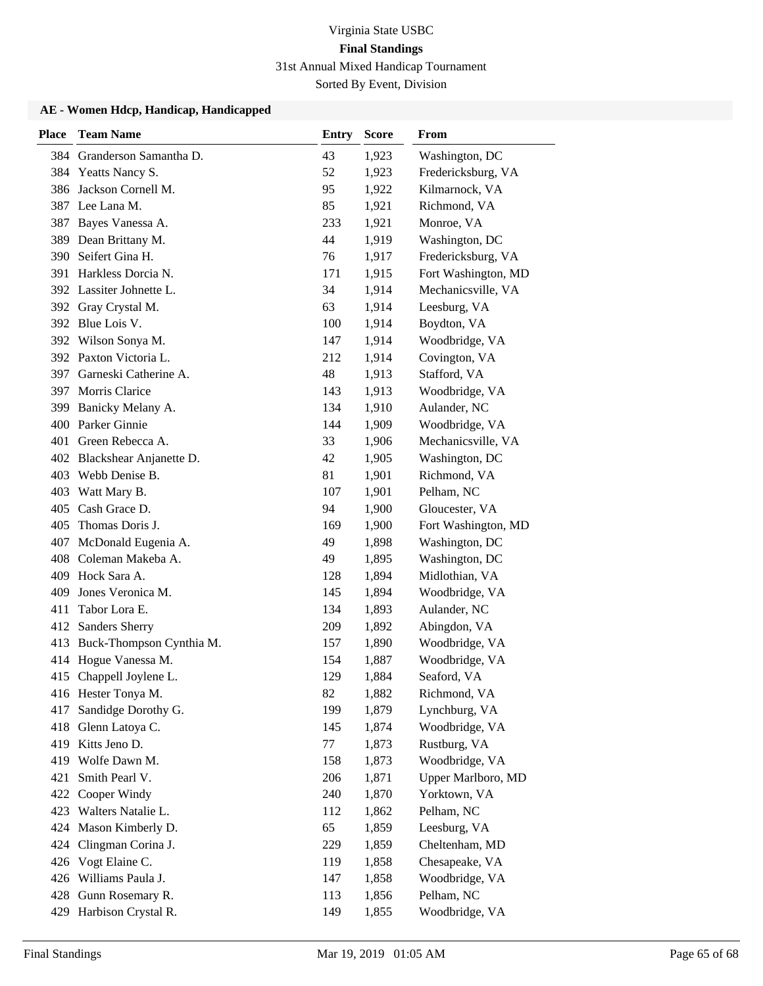| <b>Place</b> | <b>Team Name</b>            | <b>Entry</b> | <b>Score</b> | From                |
|--------------|-----------------------------|--------------|--------------|---------------------|
| 384          | Granderson Samantha D.      | 43           | 1,923        | Washington, DC      |
|              | 384 Yeatts Nancy S.         | 52           | 1,923        | Fredericksburg, VA  |
| 386          | Jackson Cornell M.          | 95           | 1,922        | Kilmarnock, VA      |
|              | 387 Lee Lana M.             | 85           | 1,921        | Richmond, VA        |
| 387          | Bayes Vanessa A.            | 233          | 1,921        | Monroe, VA          |
| 389          | Dean Brittany M.            | 44           | 1,919        | Washington, DC      |
| 390          | Seifert Gina H.             | 76           | 1,917        | Fredericksburg, VA  |
| 391          | Harkless Dorcia N.          | 171          | 1,915        | Fort Washington, MD |
|              | 392 Lassiter Johnette L.    | 34           | 1,914        | Mechanicsville, VA  |
| 392          | Gray Crystal M.             | 63           | 1,914        | Leesburg, VA        |
|              | 392 Blue Lois V.            | 100          | 1,914        | Boydton, VA         |
|              | 392 Wilson Sonya M.         | 147          | 1,914        | Woodbridge, VA      |
|              | 392 Paxton Victoria L.      | 212          | 1,914        | Covington, VA       |
| 397          | Garneski Catherine A.       | 48           | 1,913        | Stafford, VA        |
| 397          | <b>Morris Clarice</b>       | 143          | 1,913        | Woodbridge, VA      |
| 399          | Banicky Melany A.           | 134          | 1,910        | Aulander, NC        |
| 400          | Parker Ginnie               | 144          | 1,909        | Woodbridge, VA      |
| 401          | Green Rebecca A.            | 33           | 1,906        | Mechanicsville, VA  |
|              | 402 Blackshear Anjanette D. | 42           | 1,905        | Washington, DC      |
|              | 403 Webb Denise B.          | 81           | 1,901        | Richmond, VA        |
| 403          | Watt Mary B.                | 107          | 1,901        | Pelham, NC          |
| 405          | Cash Grace D.               | 94           | 1,900        | Gloucester, VA      |
| 405          | Thomas Doris J.             | 169          | 1,900        | Fort Washington, MD |
| 407          | McDonald Eugenia A.         | 49           | 1,898        | Washington, DC      |
| 408          | Coleman Makeba A.           | 49           | 1,895        | Washington, DC      |
| 409          | Hock Sara A.                | 128          | 1,894        | Midlothian, VA      |
| 409          | Jones Veronica M.           | 145          | 1,894        | Woodbridge, VA      |
| 411          | Tabor Lora E.               | 134          | 1,893        | Aulander, NC        |
| 412          | Sanders Sherry              | 209          | 1,892        | Abingdon, VA        |
| 413          | Buck-Thompson Cynthia M.    | 157          | 1,890        | Woodbridge, VA      |
| 414          | Hogue Vanessa M.            | 154          | 1,887        | Woodbridge, VA      |
|              | 415 Chappell Joylene L.     | 129          | 1,884        | Seaford, VA         |
|              | 416 Hester Tonya M.         | 82           | 1,882        | Richmond, VA        |
| 417          | Sandidge Dorothy G.         | 199          | 1,879        | Lynchburg, VA       |
| 418          | Glenn Latoya C.             | 145          | 1,874        | Woodbridge, VA      |
| 419          | Kitts Jeno D.               | 77           | 1,873        | Rustburg, VA        |
| 419          | Wolfe Dawn M.               | 158          | 1,873        | Woodbridge, VA      |
| 421          | Smith Pearl V.              | 206          | 1,871        | Upper Marlboro, MD  |
| 422          | Cooper Windy                | 240          | 1,870        | Yorktown, VA        |
| 423          | Walters Natalie L.          | 112          | 1,862        | Pelham, NC          |
| 424          | Mason Kimberly D.           | 65           | 1,859        | Leesburg, VA        |
| 424          | Clingman Corina J.          | 229          | 1,859        | Cheltenham, MD      |
| 426          | Vogt Elaine C.              | 119          | 1,858        | Chesapeake, VA      |
| 426          | Williams Paula J.           | 147          | 1,858        | Woodbridge, VA      |
| 428          | Gunn Rosemary R.            | 113          | 1,856        | Pelham, NC          |
|              | 429 Harbison Crystal R.     | 149          | 1,855        | Woodbridge, VA      |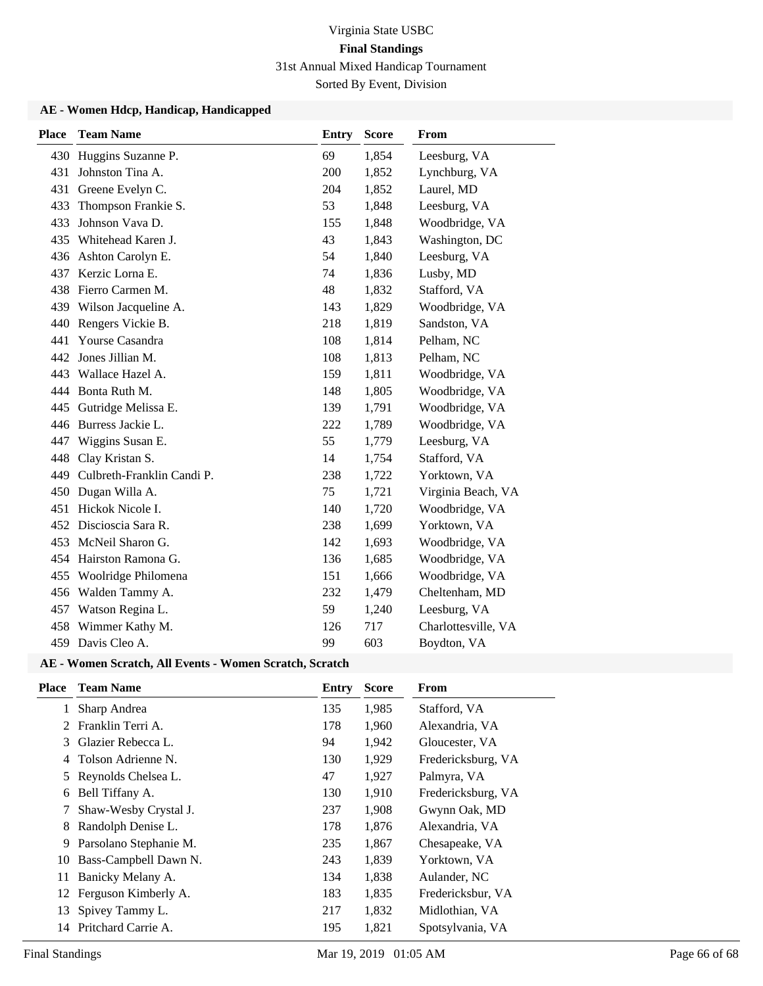#### **AE - Women Hdcp, Handicap, Handicapped**

| <b>Place</b> | <b>Team Name</b>           | <b>Entry</b> | <b>Score</b> | From                |
|--------------|----------------------------|--------------|--------------|---------------------|
| 430          | Huggins Suzanne P.         | 69           | 1,854        | Leesburg, VA        |
| 431          | Johnston Tina A.           | 200          | 1,852        | Lynchburg, VA       |
| 431          | Greene Evelyn C.           | 204          | 1,852        | Laurel, MD          |
| 433          | Thompson Frankie S.        | 53           | 1,848        | Leesburg, VA        |
| 433          | Johnson Vava D.            | 155          | 1,848        | Woodbridge, VA      |
| 435          | Whitehead Karen J.         | 43           | 1,843        | Washington, DC      |
| 436          | Ashton Carolyn E.          | 54           | 1,840        | Leesburg, VA        |
| 437          | Kerzic Lorna E.            | 74           | 1,836        | Lusby, MD           |
| 438          | Fierro Carmen M.           | 48           | 1,832        | Stafford, VA        |
| 439          | Wilson Jacqueline A.       | 143          | 1,829        | Woodbridge, VA      |
| 440          | Rengers Vickie B.          | 218          | 1,819        | Sandston, VA        |
| 441          | Yourse Casandra            | 108          | 1,814        | Pelham, NC          |
| 442          | Jones Jillian M.           | 108          | 1,813        | Pelham, NC          |
| 443          | Wallace Hazel A.           | 159          | 1,811        | Woodbridge, VA      |
|              | 444 Bonta Ruth M.          | 148          | 1,805        | Woodbridge, VA      |
| 445          | Gutridge Melissa E.        | 139          | 1,791        | Woodbridge, VA      |
|              | 446 Burress Jackie L.      | 222          | 1,789        | Woodbridge, VA      |
| 447          | Wiggins Susan E.           | 55           | 1,779        | Leesburg, VA        |
| 448          | Clay Kristan S.            | 14           | 1,754        | Stafford, VA        |
| 449          | Culbreth-Franklin Candi P. | 238          | 1,722        | Yorktown, VA        |
| 450          | Dugan Willa A.             | 75           | 1,721        | Virginia Beach, VA  |
| 451          | Hickok Nicole I.           | 140          | 1,720        | Woodbridge, VA      |
|              | 452 Discioscia Sara R.     | 238          | 1,699        | Yorktown, VA        |
| 453          | McNeil Sharon G.           | 142          | 1,693        | Woodbridge, VA      |
| 454          | Hairston Ramona G.         | 136          | 1,685        | Woodbridge, VA      |
| 455          | Woolridge Philomena        | 151          | 1,666        | Woodbridge, VA      |
| 456          | Walden Tammy A.            | 232          | 1,479        | Cheltenham, MD      |
| 457          | Watson Regina L.           | 59           | 1,240        | Leesburg, VA        |
| 458          | Wimmer Kathy M.            | 126          | 717          | Charlottesville, VA |
|              | 459 Davis Cleo A.          | 99           | 603          | Boydton, VA         |

#### **AE - Women Scratch, All Events - Women Scratch, Scratch**

| <b>Place</b> | <b>Team Name</b>        | <b>Entry</b> | <b>Score</b> | From               |
|--------------|-------------------------|--------------|--------------|--------------------|
| 1            | Sharp Andrea            | 135          | 1,985        | Stafford, VA       |
|              | Franklin Terri A.       | 178          | 1,960        | Alexandria, VA     |
| 3            | Glazier Rebecca L.      | 94           | 1,942        | Gloucester, VA     |
| 4            | Tolson Adrienne N.      | 130          | 1,929        | Fredericksburg, VA |
| 5            | Reynolds Chelsea L.     | 47           | 1,927        | Palmyra, VA        |
| 6            | Bell Tiffany A.         | 130          | 1,910        | Fredericksburg, VA |
| 7            | Shaw-Wesby Crystal J.   | 237          | 1,908        | Gwynn Oak, MD      |
| 8            | Randolph Denise L.      | 178          | 1,876        | Alexandria, VA     |
| 9            | Parsolano Stephanie M.  | 235          | 1,867        | Chesapeake, VA     |
| 10           | Bass-Campbell Dawn N.   | 243          | 1,839        | Yorktown, VA       |
| 11           | Banicky Melany A.       | 134          | 1,838        | Aulander, NC       |
|              | 12 Ferguson Kimberly A. | 183          | 1,835        | Fredericksbur, VA  |
|              | 13 Spivey Tammy L.      | 217          | 1,832        | Midlothian, VA     |
| 14           | Pritchard Carrie A.     | 195          | 1,821        | Spotsylvania, VA   |
|              |                         |              |              |                    |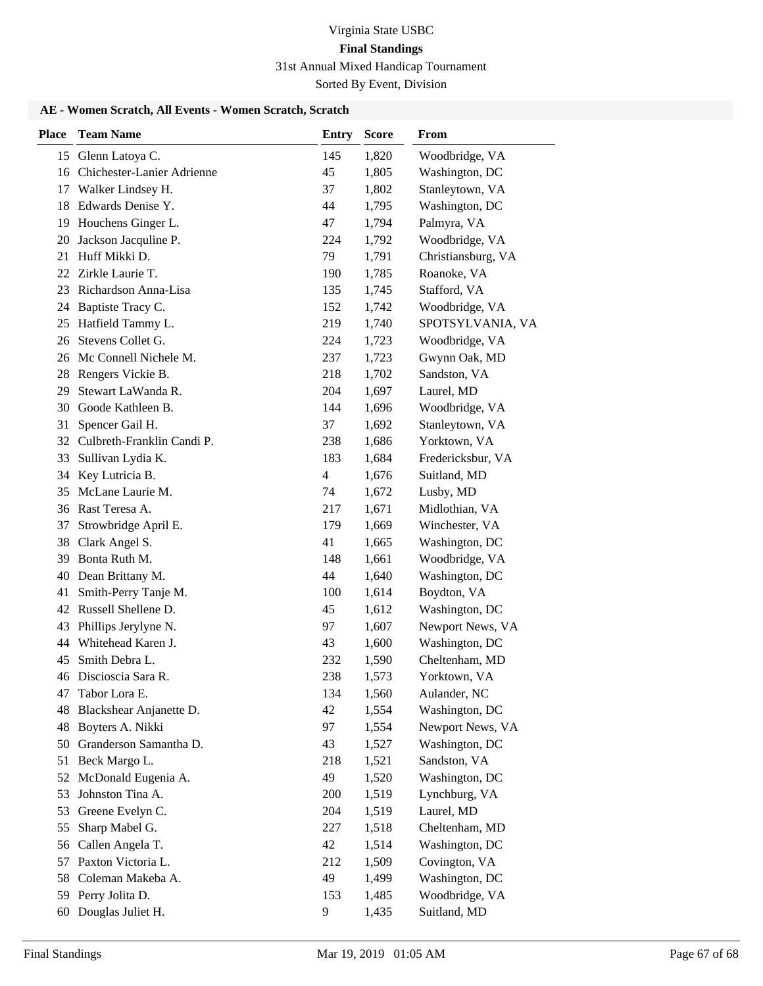Sorted By Event, Division

### **AE - Women Scratch, All Events - Women Scratch, Scratch**

| Glenn Latoya C.<br>145<br>1,820<br>Woodbridge, VA<br>15<br>Chichester-Lanier Adrienne<br>45<br>Washington, DC<br>16<br>1,805<br>Stanleytown, VA<br>Walker Lindsey H.<br>37<br>1,802<br>17<br>Edwards Denise Y.<br>Washington, DC<br>18<br>44<br>1,795<br>Houchens Ginger L.<br>47<br>Palmyra, VA<br>19<br>1,794<br>Jackson Jacquline P.<br>Woodbridge, VA<br>20<br>224<br>1,792<br>Huff Mikki D.<br>79<br>21<br>1,791<br>Christiansburg, VA<br>Zirkle Laurie T.<br>Roanoke, VA<br>22<br>190<br>1,785<br>Richardson Anna-Lisa<br>Stafford, VA<br>1,745<br>23<br>135<br>Baptiste Tracy C.<br>Woodbridge, VA<br>152<br>1,742<br>24<br>Hatfield Tammy L.<br>219<br>1,740<br>SPOTSYLVANIA, VA<br>25<br>Stevens Collet G.<br>Woodbridge, VA<br>26<br>224<br>1,723<br>Mc Connell Nichele M.<br>Gwynn Oak, MD<br>237<br>1,723<br>26<br>Rengers Vickie B.<br>Sandston, VA<br>28<br>218<br>1,702<br>Stewart LaWanda R.<br>204<br>Laurel, MD<br>29<br>1,697<br>Goode Kathleen B.<br>30<br>144<br>Woodbridge, VA<br>1,696<br>Stanleytown, VA<br>31<br>Spencer Gail H.<br>37<br>1,692<br>Culbreth-Franklin Candi P.<br>Yorktown, VA<br>32<br>238<br>1,686<br>Sullivan Lydia K.<br>Fredericksbur, VA<br>1,684<br>33<br>183<br>Key Lutricia B.<br>Suitland, MD<br>34<br>4<br>1,676<br>McLane Laurie M.<br>Lusby, MD<br>35<br>74<br>1,672<br>Rast Teresa A.<br>217<br>1,671<br>Midlothian, VA<br>36<br>Strowbridge April E.<br>179<br>Winchester, VA<br>37<br>1,669<br>Washington, DC<br>38<br>Clark Angel S.<br>41<br>1,665<br>Bonta Ruth M.<br>Woodbridge, VA<br>39<br>148<br>1,661<br>Washington, DC<br>40<br>Dean Brittany M.<br>44<br>1,640<br>Smith-Perry Tanje M.<br>Boydton, VA<br>41<br>100<br>1,614<br>Russell Shellene D.<br>Washington, DC<br>42<br>45<br>1,612<br>Phillips Jerylyne N.<br>Newport News, VA<br>97<br>43<br>1,607<br>Whitehead Karen J.<br>Washington, DC<br>43<br>44<br>1,600<br>Smith Debra L.<br>Cheltenham, MD<br>232<br>45<br>1,590<br>Discioscia Sara R.<br>238<br>1,573<br>46<br>Yorktown, VA<br>Tabor Lora E.<br>134<br>1,560<br>Aulander, NC<br>47<br>Blackshear Anjanette D.<br>42<br>1,554<br>Washington, DC<br>48<br>Boyters A. Nikki<br>97<br>Newport News, VA<br>1,554<br>48<br>Granderson Samantha D.<br>Washington, DC<br>50<br>43<br>1,527<br>Beck Margo L.<br>Sandston, VA<br>51<br>218<br>1,521<br>49<br>Washington, DC<br>52<br>McDonald Eugenia A.<br>1,520<br>Johnston Tina A.<br>200<br>Lynchburg, VA<br>53<br>1,519<br>Greene Evelyn C.<br>204<br>1,519<br>Laurel, MD<br>53<br>Sharp Mabel G.<br>Cheltenham, MD<br>55<br>227<br>1,518<br>Callen Angela T.<br>42<br>Washington, DC<br>1,514<br>56<br>Paxton Victoria L.<br>212<br>Covington, VA<br>1,509<br>57<br>Coleman Makeba A.<br>49<br>Washington, DC<br>58<br>1,499<br>Perry Jolita D.<br>Woodbridge, VA<br>153<br>59<br>1,485 | <b>Place</b> | <b>Team Name</b>  | <b>Entry</b> | <b>Score</b> | From         |
|-------------------------------------------------------------------------------------------------------------------------------------------------------------------------------------------------------------------------------------------------------------------------------------------------------------------------------------------------------------------------------------------------------------------------------------------------------------------------------------------------------------------------------------------------------------------------------------------------------------------------------------------------------------------------------------------------------------------------------------------------------------------------------------------------------------------------------------------------------------------------------------------------------------------------------------------------------------------------------------------------------------------------------------------------------------------------------------------------------------------------------------------------------------------------------------------------------------------------------------------------------------------------------------------------------------------------------------------------------------------------------------------------------------------------------------------------------------------------------------------------------------------------------------------------------------------------------------------------------------------------------------------------------------------------------------------------------------------------------------------------------------------------------------------------------------------------------------------------------------------------------------------------------------------------------------------------------------------------------------------------------------------------------------------------------------------------------------------------------------------------------------------------------------------------------------------------------------------------------------------------------------------------------------------------------------------------------------------------------------------------------------------------------------------------------------------------------------------------------------------------------------------------------------------------------------------------------------------------------------------------------------------------------------------------------------------------------------------------------------------------------------------------------------------------------------------------|--------------|-------------------|--------------|--------------|--------------|
|                                                                                                                                                                                                                                                                                                                                                                                                                                                                                                                                                                                                                                                                                                                                                                                                                                                                                                                                                                                                                                                                                                                                                                                                                                                                                                                                                                                                                                                                                                                                                                                                                                                                                                                                                                                                                                                                                                                                                                                                                                                                                                                                                                                                                                                                                                                                                                                                                                                                                                                                                                                                                                                                                                                                                                                                                         |              |                   |              |              |              |
|                                                                                                                                                                                                                                                                                                                                                                                                                                                                                                                                                                                                                                                                                                                                                                                                                                                                                                                                                                                                                                                                                                                                                                                                                                                                                                                                                                                                                                                                                                                                                                                                                                                                                                                                                                                                                                                                                                                                                                                                                                                                                                                                                                                                                                                                                                                                                                                                                                                                                                                                                                                                                                                                                                                                                                                                                         |              |                   |              |              |              |
|                                                                                                                                                                                                                                                                                                                                                                                                                                                                                                                                                                                                                                                                                                                                                                                                                                                                                                                                                                                                                                                                                                                                                                                                                                                                                                                                                                                                                                                                                                                                                                                                                                                                                                                                                                                                                                                                                                                                                                                                                                                                                                                                                                                                                                                                                                                                                                                                                                                                                                                                                                                                                                                                                                                                                                                                                         |              |                   |              |              |              |
|                                                                                                                                                                                                                                                                                                                                                                                                                                                                                                                                                                                                                                                                                                                                                                                                                                                                                                                                                                                                                                                                                                                                                                                                                                                                                                                                                                                                                                                                                                                                                                                                                                                                                                                                                                                                                                                                                                                                                                                                                                                                                                                                                                                                                                                                                                                                                                                                                                                                                                                                                                                                                                                                                                                                                                                                                         |              |                   |              |              |              |
|                                                                                                                                                                                                                                                                                                                                                                                                                                                                                                                                                                                                                                                                                                                                                                                                                                                                                                                                                                                                                                                                                                                                                                                                                                                                                                                                                                                                                                                                                                                                                                                                                                                                                                                                                                                                                                                                                                                                                                                                                                                                                                                                                                                                                                                                                                                                                                                                                                                                                                                                                                                                                                                                                                                                                                                                                         |              |                   |              |              |              |
|                                                                                                                                                                                                                                                                                                                                                                                                                                                                                                                                                                                                                                                                                                                                                                                                                                                                                                                                                                                                                                                                                                                                                                                                                                                                                                                                                                                                                                                                                                                                                                                                                                                                                                                                                                                                                                                                                                                                                                                                                                                                                                                                                                                                                                                                                                                                                                                                                                                                                                                                                                                                                                                                                                                                                                                                                         |              |                   |              |              |              |
|                                                                                                                                                                                                                                                                                                                                                                                                                                                                                                                                                                                                                                                                                                                                                                                                                                                                                                                                                                                                                                                                                                                                                                                                                                                                                                                                                                                                                                                                                                                                                                                                                                                                                                                                                                                                                                                                                                                                                                                                                                                                                                                                                                                                                                                                                                                                                                                                                                                                                                                                                                                                                                                                                                                                                                                                                         |              |                   |              |              |              |
|                                                                                                                                                                                                                                                                                                                                                                                                                                                                                                                                                                                                                                                                                                                                                                                                                                                                                                                                                                                                                                                                                                                                                                                                                                                                                                                                                                                                                                                                                                                                                                                                                                                                                                                                                                                                                                                                                                                                                                                                                                                                                                                                                                                                                                                                                                                                                                                                                                                                                                                                                                                                                                                                                                                                                                                                                         |              |                   |              |              |              |
|                                                                                                                                                                                                                                                                                                                                                                                                                                                                                                                                                                                                                                                                                                                                                                                                                                                                                                                                                                                                                                                                                                                                                                                                                                                                                                                                                                                                                                                                                                                                                                                                                                                                                                                                                                                                                                                                                                                                                                                                                                                                                                                                                                                                                                                                                                                                                                                                                                                                                                                                                                                                                                                                                                                                                                                                                         |              |                   |              |              |              |
|                                                                                                                                                                                                                                                                                                                                                                                                                                                                                                                                                                                                                                                                                                                                                                                                                                                                                                                                                                                                                                                                                                                                                                                                                                                                                                                                                                                                                                                                                                                                                                                                                                                                                                                                                                                                                                                                                                                                                                                                                                                                                                                                                                                                                                                                                                                                                                                                                                                                                                                                                                                                                                                                                                                                                                                                                         |              |                   |              |              |              |
|                                                                                                                                                                                                                                                                                                                                                                                                                                                                                                                                                                                                                                                                                                                                                                                                                                                                                                                                                                                                                                                                                                                                                                                                                                                                                                                                                                                                                                                                                                                                                                                                                                                                                                                                                                                                                                                                                                                                                                                                                                                                                                                                                                                                                                                                                                                                                                                                                                                                                                                                                                                                                                                                                                                                                                                                                         |              |                   |              |              |              |
|                                                                                                                                                                                                                                                                                                                                                                                                                                                                                                                                                                                                                                                                                                                                                                                                                                                                                                                                                                                                                                                                                                                                                                                                                                                                                                                                                                                                                                                                                                                                                                                                                                                                                                                                                                                                                                                                                                                                                                                                                                                                                                                                                                                                                                                                                                                                                                                                                                                                                                                                                                                                                                                                                                                                                                                                                         |              |                   |              |              |              |
|                                                                                                                                                                                                                                                                                                                                                                                                                                                                                                                                                                                                                                                                                                                                                                                                                                                                                                                                                                                                                                                                                                                                                                                                                                                                                                                                                                                                                                                                                                                                                                                                                                                                                                                                                                                                                                                                                                                                                                                                                                                                                                                                                                                                                                                                                                                                                                                                                                                                                                                                                                                                                                                                                                                                                                                                                         |              |                   |              |              |              |
|                                                                                                                                                                                                                                                                                                                                                                                                                                                                                                                                                                                                                                                                                                                                                                                                                                                                                                                                                                                                                                                                                                                                                                                                                                                                                                                                                                                                                                                                                                                                                                                                                                                                                                                                                                                                                                                                                                                                                                                                                                                                                                                                                                                                                                                                                                                                                                                                                                                                                                                                                                                                                                                                                                                                                                                                                         |              |                   |              |              |              |
|                                                                                                                                                                                                                                                                                                                                                                                                                                                                                                                                                                                                                                                                                                                                                                                                                                                                                                                                                                                                                                                                                                                                                                                                                                                                                                                                                                                                                                                                                                                                                                                                                                                                                                                                                                                                                                                                                                                                                                                                                                                                                                                                                                                                                                                                                                                                                                                                                                                                                                                                                                                                                                                                                                                                                                                                                         |              |                   |              |              |              |
|                                                                                                                                                                                                                                                                                                                                                                                                                                                                                                                                                                                                                                                                                                                                                                                                                                                                                                                                                                                                                                                                                                                                                                                                                                                                                                                                                                                                                                                                                                                                                                                                                                                                                                                                                                                                                                                                                                                                                                                                                                                                                                                                                                                                                                                                                                                                                                                                                                                                                                                                                                                                                                                                                                                                                                                                                         |              |                   |              |              |              |
|                                                                                                                                                                                                                                                                                                                                                                                                                                                                                                                                                                                                                                                                                                                                                                                                                                                                                                                                                                                                                                                                                                                                                                                                                                                                                                                                                                                                                                                                                                                                                                                                                                                                                                                                                                                                                                                                                                                                                                                                                                                                                                                                                                                                                                                                                                                                                                                                                                                                                                                                                                                                                                                                                                                                                                                                                         |              |                   |              |              |              |
|                                                                                                                                                                                                                                                                                                                                                                                                                                                                                                                                                                                                                                                                                                                                                                                                                                                                                                                                                                                                                                                                                                                                                                                                                                                                                                                                                                                                                                                                                                                                                                                                                                                                                                                                                                                                                                                                                                                                                                                                                                                                                                                                                                                                                                                                                                                                                                                                                                                                                                                                                                                                                                                                                                                                                                                                                         |              |                   |              |              |              |
|                                                                                                                                                                                                                                                                                                                                                                                                                                                                                                                                                                                                                                                                                                                                                                                                                                                                                                                                                                                                                                                                                                                                                                                                                                                                                                                                                                                                                                                                                                                                                                                                                                                                                                                                                                                                                                                                                                                                                                                                                                                                                                                                                                                                                                                                                                                                                                                                                                                                                                                                                                                                                                                                                                                                                                                                                         |              |                   |              |              |              |
|                                                                                                                                                                                                                                                                                                                                                                                                                                                                                                                                                                                                                                                                                                                                                                                                                                                                                                                                                                                                                                                                                                                                                                                                                                                                                                                                                                                                                                                                                                                                                                                                                                                                                                                                                                                                                                                                                                                                                                                                                                                                                                                                                                                                                                                                                                                                                                                                                                                                                                                                                                                                                                                                                                                                                                                                                         |              |                   |              |              |              |
|                                                                                                                                                                                                                                                                                                                                                                                                                                                                                                                                                                                                                                                                                                                                                                                                                                                                                                                                                                                                                                                                                                                                                                                                                                                                                                                                                                                                                                                                                                                                                                                                                                                                                                                                                                                                                                                                                                                                                                                                                                                                                                                                                                                                                                                                                                                                                                                                                                                                                                                                                                                                                                                                                                                                                                                                                         |              |                   |              |              |              |
|                                                                                                                                                                                                                                                                                                                                                                                                                                                                                                                                                                                                                                                                                                                                                                                                                                                                                                                                                                                                                                                                                                                                                                                                                                                                                                                                                                                                                                                                                                                                                                                                                                                                                                                                                                                                                                                                                                                                                                                                                                                                                                                                                                                                                                                                                                                                                                                                                                                                                                                                                                                                                                                                                                                                                                                                                         |              |                   |              |              |              |
|                                                                                                                                                                                                                                                                                                                                                                                                                                                                                                                                                                                                                                                                                                                                                                                                                                                                                                                                                                                                                                                                                                                                                                                                                                                                                                                                                                                                                                                                                                                                                                                                                                                                                                                                                                                                                                                                                                                                                                                                                                                                                                                                                                                                                                                                                                                                                                                                                                                                                                                                                                                                                                                                                                                                                                                                                         |              |                   |              |              |              |
|                                                                                                                                                                                                                                                                                                                                                                                                                                                                                                                                                                                                                                                                                                                                                                                                                                                                                                                                                                                                                                                                                                                                                                                                                                                                                                                                                                                                                                                                                                                                                                                                                                                                                                                                                                                                                                                                                                                                                                                                                                                                                                                                                                                                                                                                                                                                                                                                                                                                                                                                                                                                                                                                                                                                                                                                                         |              |                   |              |              |              |
|                                                                                                                                                                                                                                                                                                                                                                                                                                                                                                                                                                                                                                                                                                                                                                                                                                                                                                                                                                                                                                                                                                                                                                                                                                                                                                                                                                                                                                                                                                                                                                                                                                                                                                                                                                                                                                                                                                                                                                                                                                                                                                                                                                                                                                                                                                                                                                                                                                                                                                                                                                                                                                                                                                                                                                                                                         |              |                   |              |              |              |
|                                                                                                                                                                                                                                                                                                                                                                                                                                                                                                                                                                                                                                                                                                                                                                                                                                                                                                                                                                                                                                                                                                                                                                                                                                                                                                                                                                                                                                                                                                                                                                                                                                                                                                                                                                                                                                                                                                                                                                                                                                                                                                                                                                                                                                                                                                                                                                                                                                                                                                                                                                                                                                                                                                                                                                                                                         |              |                   |              |              |              |
|                                                                                                                                                                                                                                                                                                                                                                                                                                                                                                                                                                                                                                                                                                                                                                                                                                                                                                                                                                                                                                                                                                                                                                                                                                                                                                                                                                                                                                                                                                                                                                                                                                                                                                                                                                                                                                                                                                                                                                                                                                                                                                                                                                                                                                                                                                                                                                                                                                                                                                                                                                                                                                                                                                                                                                                                                         |              |                   |              |              |              |
|                                                                                                                                                                                                                                                                                                                                                                                                                                                                                                                                                                                                                                                                                                                                                                                                                                                                                                                                                                                                                                                                                                                                                                                                                                                                                                                                                                                                                                                                                                                                                                                                                                                                                                                                                                                                                                                                                                                                                                                                                                                                                                                                                                                                                                                                                                                                                                                                                                                                                                                                                                                                                                                                                                                                                                                                                         |              |                   |              |              |              |
|                                                                                                                                                                                                                                                                                                                                                                                                                                                                                                                                                                                                                                                                                                                                                                                                                                                                                                                                                                                                                                                                                                                                                                                                                                                                                                                                                                                                                                                                                                                                                                                                                                                                                                                                                                                                                                                                                                                                                                                                                                                                                                                                                                                                                                                                                                                                                                                                                                                                                                                                                                                                                                                                                                                                                                                                                         |              |                   |              |              |              |
|                                                                                                                                                                                                                                                                                                                                                                                                                                                                                                                                                                                                                                                                                                                                                                                                                                                                                                                                                                                                                                                                                                                                                                                                                                                                                                                                                                                                                                                                                                                                                                                                                                                                                                                                                                                                                                                                                                                                                                                                                                                                                                                                                                                                                                                                                                                                                                                                                                                                                                                                                                                                                                                                                                                                                                                                                         |              |                   |              |              |              |
|                                                                                                                                                                                                                                                                                                                                                                                                                                                                                                                                                                                                                                                                                                                                                                                                                                                                                                                                                                                                                                                                                                                                                                                                                                                                                                                                                                                                                                                                                                                                                                                                                                                                                                                                                                                                                                                                                                                                                                                                                                                                                                                                                                                                                                                                                                                                                                                                                                                                                                                                                                                                                                                                                                                                                                                                                         |              |                   |              |              |              |
|                                                                                                                                                                                                                                                                                                                                                                                                                                                                                                                                                                                                                                                                                                                                                                                                                                                                                                                                                                                                                                                                                                                                                                                                                                                                                                                                                                                                                                                                                                                                                                                                                                                                                                                                                                                                                                                                                                                                                                                                                                                                                                                                                                                                                                                                                                                                                                                                                                                                                                                                                                                                                                                                                                                                                                                                                         |              |                   |              |              |              |
|                                                                                                                                                                                                                                                                                                                                                                                                                                                                                                                                                                                                                                                                                                                                                                                                                                                                                                                                                                                                                                                                                                                                                                                                                                                                                                                                                                                                                                                                                                                                                                                                                                                                                                                                                                                                                                                                                                                                                                                                                                                                                                                                                                                                                                                                                                                                                                                                                                                                                                                                                                                                                                                                                                                                                                                                                         |              |                   |              |              |              |
|                                                                                                                                                                                                                                                                                                                                                                                                                                                                                                                                                                                                                                                                                                                                                                                                                                                                                                                                                                                                                                                                                                                                                                                                                                                                                                                                                                                                                                                                                                                                                                                                                                                                                                                                                                                                                                                                                                                                                                                                                                                                                                                                                                                                                                                                                                                                                                                                                                                                                                                                                                                                                                                                                                                                                                                                                         |              |                   |              |              |              |
|                                                                                                                                                                                                                                                                                                                                                                                                                                                                                                                                                                                                                                                                                                                                                                                                                                                                                                                                                                                                                                                                                                                                                                                                                                                                                                                                                                                                                                                                                                                                                                                                                                                                                                                                                                                                                                                                                                                                                                                                                                                                                                                                                                                                                                                                                                                                                                                                                                                                                                                                                                                                                                                                                                                                                                                                                         |              |                   |              |              |              |
|                                                                                                                                                                                                                                                                                                                                                                                                                                                                                                                                                                                                                                                                                                                                                                                                                                                                                                                                                                                                                                                                                                                                                                                                                                                                                                                                                                                                                                                                                                                                                                                                                                                                                                                                                                                                                                                                                                                                                                                                                                                                                                                                                                                                                                                                                                                                                                                                                                                                                                                                                                                                                                                                                                                                                                                                                         |              |                   |              |              |              |
|                                                                                                                                                                                                                                                                                                                                                                                                                                                                                                                                                                                                                                                                                                                                                                                                                                                                                                                                                                                                                                                                                                                                                                                                                                                                                                                                                                                                                                                                                                                                                                                                                                                                                                                                                                                                                                                                                                                                                                                                                                                                                                                                                                                                                                                                                                                                                                                                                                                                                                                                                                                                                                                                                                                                                                                                                         |              |                   |              |              |              |
|                                                                                                                                                                                                                                                                                                                                                                                                                                                                                                                                                                                                                                                                                                                                                                                                                                                                                                                                                                                                                                                                                                                                                                                                                                                                                                                                                                                                                                                                                                                                                                                                                                                                                                                                                                                                                                                                                                                                                                                                                                                                                                                                                                                                                                                                                                                                                                                                                                                                                                                                                                                                                                                                                                                                                                                                                         |              |                   |              |              |              |
|                                                                                                                                                                                                                                                                                                                                                                                                                                                                                                                                                                                                                                                                                                                                                                                                                                                                                                                                                                                                                                                                                                                                                                                                                                                                                                                                                                                                                                                                                                                                                                                                                                                                                                                                                                                                                                                                                                                                                                                                                                                                                                                                                                                                                                                                                                                                                                                                                                                                                                                                                                                                                                                                                                                                                                                                                         |              |                   |              |              |              |
|                                                                                                                                                                                                                                                                                                                                                                                                                                                                                                                                                                                                                                                                                                                                                                                                                                                                                                                                                                                                                                                                                                                                                                                                                                                                                                                                                                                                                                                                                                                                                                                                                                                                                                                                                                                                                                                                                                                                                                                                                                                                                                                                                                                                                                                                                                                                                                                                                                                                                                                                                                                                                                                                                                                                                                                                                         |              |                   |              |              |              |
|                                                                                                                                                                                                                                                                                                                                                                                                                                                                                                                                                                                                                                                                                                                                                                                                                                                                                                                                                                                                                                                                                                                                                                                                                                                                                                                                                                                                                                                                                                                                                                                                                                                                                                                                                                                                                                                                                                                                                                                                                                                                                                                                                                                                                                                                                                                                                                                                                                                                                                                                                                                                                                                                                                                                                                                                                         |              |                   |              |              |              |
|                                                                                                                                                                                                                                                                                                                                                                                                                                                                                                                                                                                                                                                                                                                                                                                                                                                                                                                                                                                                                                                                                                                                                                                                                                                                                                                                                                                                                                                                                                                                                                                                                                                                                                                                                                                                                                                                                                                                                                                                                                                                                                                                                                                                                                                                                                                                                                                                                                                                                                                                                                                                                                                                                                                                                                                                                         |              |                   |              |              |              |
|                                                                                                                                                                                                                                                                                                                                                                                                                                                                                                                                                                                                                                                                                                                                                                                                                                                                                                                                                                                                                                                                                                                                                                                                                                                                                                                                                                                                                                                                                                                                                                                                                                                                                                                                                                                                                                                                                                                                                                                                                                                                                                                                                                                                                                                                                                                                                                                                                                                                                                                                                                                                                                                                                                                                                                                                                         |              |                   |              |              |              |
|                                                                                                                                                                                                                                                                                                                                                                                                                                                                                                                                                                                                                                                                                                                                                                                                                                                                                                                                                                                                                                                                                                                                                                                                                                                                                                                                                                                                                                                                                                                                                                                                                                                                                                                                                                                                                                                                                                                                                                                                                                                                                                                                                                                                                                                                                                                                                                                                                                                                                                                                                                                                                                                                                                                                                                                                                         |              |                   |              |              |              |
|                                                                                                                                                                                                                                                                                                                                                                                                                                                                                                                                                                                                                                                                                                                                                                                                                                                                                                                                                                                                                                                                                                                                                                                                                                                                                                                                                                                                                                                                                                                                                                                                                                                                                                                                                                                                                                                                                                                                                                                                                                                                                                                                                                                                                                                                                                                                                                                                                                                                                                                                                                                                                                                                                                                                                                                                                         | 60           | Douglas Juliet H. | 9            | 1,435        | Suitland, MD |